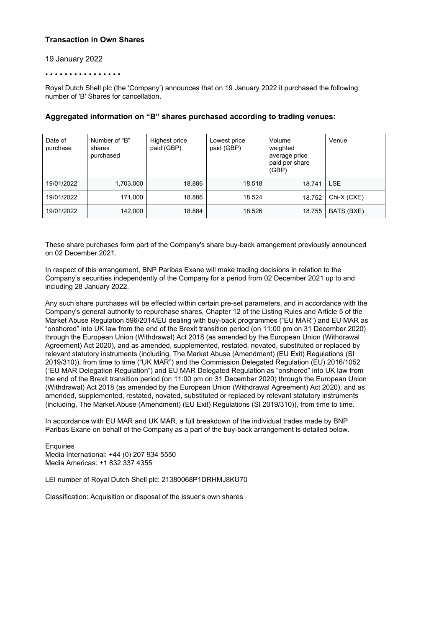## **Transaction in Own Shares**

### 19 January 2022

#### • • • • • • • • • • • • • • • •

Royal Dutch Shell plc (the 'Company') announces that on 19 January 2022 it purchased the following number of 'B' Shares for cancellation.

| Date of<br>purchase | Number of "B"<br>shares<br>purchased | Highest price<br>paid (GBP) | Lowest price<br>paid (GBP) | Volume<br>weighted<br>average price<br>paid per share<br>(GBP) | Venue       |
|---------------------|--------------------------------------|-----------------------------|----------------------------|----------------------------------------------------------------|-------------|
| 19/01/2022          | 1,703,000                            | 18.886                      | 18.518                     | 18.741                                                         | <b>LSE</b>  |
| 19/01/2022          | 171,000                              | 18.886                      | 18.524                     | 18.752                                                         | Chi-X (CXE) |
| 19/01/2022          | 142,000                              | 18.884                      | 18.526                     | 18.755                                                         | BATS (BXE)  |

## **Aggregated information on "B" shares purchased according to trading venues:**

These share purchases form part of the Company's share buy-back arrangement previously announced on 02 December 2021.

In respect of this arrangement, BNP Paribas Exane will make trading decisions in relation to the Company's securities independently of the Company for a period from 02 December 2021 up to and including 28 January 2022.

Any such share purchases will be effected within certain pre-set parameters, and in accordance with the Company's general authority to repurchase shares, Chapter 12 of the Listing Rules and Article 5 of the Market Abuse Regulation 596/2014/EU dealing with buy-back programmes ("EU MAR") and EU MAR as "onshored" into UK law from the end of the Brexit transition period (on 11:00 pm on 31 December 2020) through the European Union (Withdrawal) Act 2018 (as amended by the European Union (Withdrawal Agreement) Act 2020), and as amended, supplemented, restated, novated, substituted or replaced by relevant statutory instruments (including, The Market Abuse (Amendment) (EU Exit) Regulations (SI 2019/310)), from time to time ("UK MAR") and the Commission Delegated Regulation (EU) 2016/1052 ("EU MAR Delegation Regulation") and EU MAR Delegated Regulation as "onshored" into UK law from the end of the Brexit transition period (on 11:00 pm on 31 December 2020) through the European Union (Withdrawal) Act 2018 (as amended by the European Union (Withdrawal Agreement) Act 2020), and as amended, supplemented, restated, novated, substituted or replaced by relevant statutory instruments (including, The Market Abuse (Amendment) (EU Exit) Regulations (SI 2019/310)), from time to time.

In accordance with EU MAR and UK MAR, a full breakdown of the individual trades made by BNP Paribas Exane on behalf of the Company as a part of the buy-back arrangement is detailed below.

**Enquiries** Media International: +44 (0) 207 934 5550 Media Americas: +1 832 337 4355

LEI number of Royal Dutch Shell plc: 21380068P1DRHMJ8KU70

Classification: Acquisition or disposal of the issuer's own shares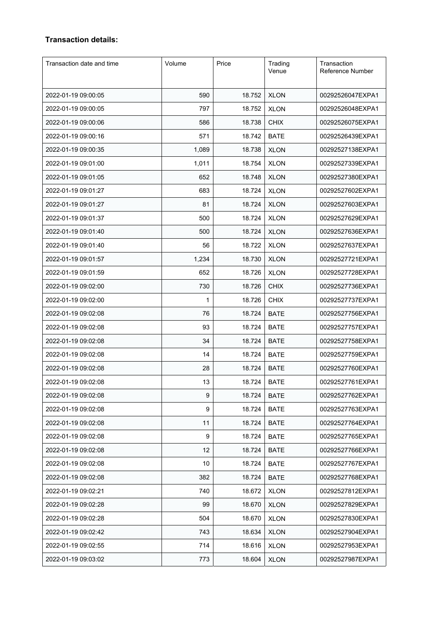# **Transaction details:**

| Transaction date and time | Volume | Price  | Trading<br>Venue | Transaction<br>Reference Number |
|---------------------------|--------|--------|------------------|---------------------------------|
| 2022-01-19 09:00:05       | 590    | 18.752 | <b>XLON</b>      | 00292526047EXPA1                |
| 2022-01-19 09:00:05       | 797    | 18.752 | <b>XLON</b>      | 00292526048EXPA1                |
| 2022-01-19 09:00:06       | 586    | 18.738 | <b>CHIX</b>      | 00292526075EXPA1                |
| 2022-01-19 09:00:16       | 571    | 18.742 | <b>BATE</b>      | 00292526439EXPA1                |
| 2022-01-19 09:00:35       | 1,089  | 18.738 | <b>XLON</b>      | 00292527138EXPA1                |
| 2022-01-19 09:01:00       | 1,011  | 18.754 | <b>XLON</b>      | 00292527339EXPA1                |
| 2022-01-19 09:01:05       | 652    | 18.748 | <b>XLON</b>      | 00292527380EXPA1                |
| 2022-01-19 09:01:27       | 683    | 18.724 | <b>XLON</b>      | 00292527602EXPA1                |
| 2022-01-19 09:01:27       | 81     | 18.724 | <b>XLON</b>      | 00292527603EXPA1                |
| 2022-01-19 09:01:37       | 500    | 18.724 | <b>XLON</b>      | 00292527629EXPA1                |
| 2022-01-19 09:01:40       | 500    | 18.724 | <b>XLON</b>      | 00292527636EXPA1                |
| 2022-01-19 09:01:40       | 56     | 18.722 | <b>XLON</b>      | 00292527637EXPA1                |
| 2022-01-19 09:01:57       | 1,234  | 18.730 | <b>XLON</b>      | 00292527721EXPA1                |
| 2022-01-19 09:01:59       | 652    | 18.726 | <b>XLON</b>      | 00292527728EXPA1                |
| 2022-01-19 09:02:00       | 730    | 18.726 | <b>CHIX</b>      | 00292527736EXPA1                |
| 2022-01-19 09:02:00       | 1      | 18.726 | <b>CHIX</b>      | 00292527737EXPA1                |
| 2022-01-19 09:02:08       | 76     | 18.724 | <b>BATE</b>      | 00292527756EXPA1                |
| 2022-01-19 09:02:08       | 93     | 18.724 | <b>BATE</b>      | 00292527757EXPA1                |
| 2022-01-19 09:02:08       | 34     | 18.724 | <b>BATE</b>      | 00292527758EXPA1                |
| 2022-01-19 09:02:08       | 14     | 18.724 | <b>BATE</b>      | 00292527759EXPA1                |
| 2022-01-19 09:02:08       | 28     | 18.724 | <b>BATE</b>      | 00292527760EXPA1                |
| 2022-01-19 09:02:08       | 13     | 18.724 | <b>BATE</b>      | 00292527761EXPA1                |
| 2022-01-19 09:02:08       | 9      | 18.724 | <b>BATE</b>      | 00292527762EXPA1                |
| 2022-01-19 09:02:08       | 9      | 18.724 | <b>BATE</b>      | 00292527763EXPA1                |
| 2022-01-19 09:02:08       | 11     | 18.724 | <b>BATE</b>      | 00292527764EXPA1                |
| 2022-01-19 09:02:08       | 9      | 18.724 | <b>BATE</b>      | 00292527765EXPA1                |
| 2022-01-19 09:02:08       | 12     | 18.724 | <b>BATE</b>      | 00292527766EXPA1                |
| 2022-01-19 09:02:08       | 10     | 18.724 | <b>BATE</b>      | 00292527767EXPA1                |
| 2022-01-19 09:02:08       | 382    | 18.724 | <b>BATE</b>      | 00292527768EXPA1                |
| 2022-01-19 09:02:21       | 740    | 18.672 | <b>XLON</b>      | 00292527812EXPA1                |
| 2022-01-19 09:02:28       | 99     | 18.670 | <b>XLON</b>      | 00292527829EXPA1                |
| 2022-01-19 09:02:28       | 504    | 18.670 | <b>XLON</b>      | 00292527830EXPA1                |
| 2022-01-19 09:02:42       | 743    | 18.634 | <b>XLON</b>      | 00292527904EXPA1                |
| 2022-01-19 09:02:55       | 714    | 18.616 | <b>XLON</b>      | 00292527953EXPA1                |
| 2022-01-19 09:03:02       | 773    | 18.604 | <b>XLON</b>      | 00292527987EXPA1                |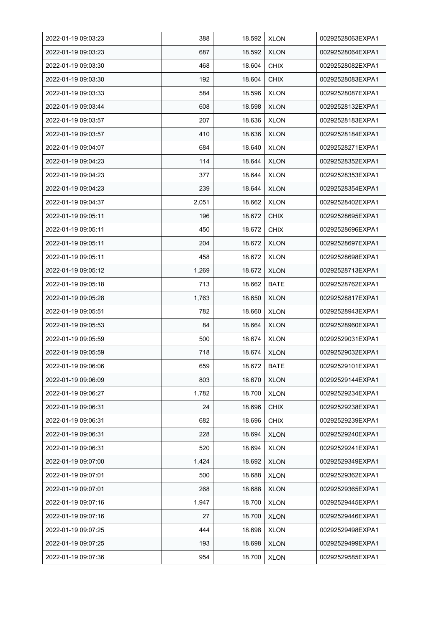| 2022-01-19 09:03:23 | 388   | 18.592 | <b>XLON</b> | 00292528063EXPA1 |
|---------------------|-------|--------|-------------|------------------|
| 2022-01-19 09:03:23 | 687   | 18.592 | <b>XLON</b> | 00292528064EXPA1 |
| 2022-01-19 09:03:30 | 468   | 18.604 | <b>CHIX</b> | 00292528082EXPA1 |
| 2022-01-19 09:03:30 | 192   | 18.604 | <b>CHIX</b> | 00292528083EXPA1 |
| 2022-01-19 09:03:33 | 584   | 18.596 | <b>XLON</b> | 00292528087EXPA1 |
| 2022-01-19 09:03:44 | 608   | 18.598 | <b>XLON</b> | 00292528132EXPA1 |
| 2022-01-19 09:03:57 | 207   | 18.636 | <b>XLON</b> | 00292528183EXPA1 |
| 2022-01-19 09:03:57 | 410   | 18.636 | <b>XLON</b> | 00292528184EXPA1 |
| 2022-01-19 09:04:07 | 684   | 18.640 | <b>XLON</b> | 00292528271EXPA1 |
| 2022-01-19 09:04:23 | 114   | 18.644 | <b>XLON</b> | 00292528352EXPA1 |
| 2022-01-19 09:04:23 | 377   | 18.644 | <b>XLON</b> | 00292528353EXPA1 |
| 2022-01-19 09:04:23 | 239   | 18.644 | <b>XLON</b> | 00292528354EXPA1 |
| 2022-01-19 09:04:37 | 2,051 | 18.662 | <b>XLON</b> | 00292528402EXPA1 |
| 2022-01-19 09:05:11 | 196   | 18.672 | <b>CHIX</b> | 00292528695EXPA1 |
| 2022-01-19 09:05:11 | 450   | 18.672 | <b>CHIX</b> | 00292528696EXPA1 |
| 2022-01-19 09:05:11 | 204   | 18.672 | <b>XLON</b> | 00292528697EXPA1 |
| 2022-01-19 09:05:11 | 458   | 18.672 | <b>XLON</b> | 00292528698EXPA1 |
| 2022-01-19 09:05:12 | 1,269 | 18.672 | <b>XLON</b> | 00292528713EXPA1 |
| 2022-01-19 09:05:18 | 713   | 18.662 | BATE        | 00292528762EXPA1 |
| 2022-01-19 09:05:28 | 1,763 | 18.650 | <b>XLON</b> | 00292528817EXPA1 |
| 2022-01-19 09:05:51 | 782   | 18.660 | <b>XLON</b> | 00292528943EXPA1 |
| 2022-01-19 09:05:53 | 84    | 18.664 | <b>XLON</b> | 00292528960EXPA1 |
| 2022-01-19 09:05:59 | 500   | 18.674 | <b>XLON</b> | 00292529031EXPA1 |
| 2022-01-19 09:05:59 | 718   | 18.674 | <b>XLON</b> | 00292529032EXPA1 |
| 2022-01-19 09:06:06 | 659   | 18.672 | <b>BATE</b> | 00292529101EXPA1 |
| 2022-01-19 09:06:09 | 803   | 18.670 | <b>XLON</b> | 00292529144EXPA1 |
| 2022-01-19 09:06:27 | 1,782 | 18.700 | <b>XLON</b> | 00292529234EXPA1 |
| 2022-01-19 09:06:31 | 24    | 18.696 | <b>CHIX</b> | 00292529238EXPA1 |
| 2022-01-19 09:06:31 | 682   | 18.696 | <b>CHIX</b> | 00292529239EXPA1 |
| 2022-01-19 09:06:31 | 228   | 18.694 | <b>XLON</b> | 00292529240EXPA1 |
| 2022-01-19 09:06:31 | 520   | 18.694 | <b>XLON</b> | 00292529241EXPA1 |
| 2022-01-19 09:07:00 | 1,424 | 18.692 | <b>XLON</b> | 00292529349EXPA1 |
| 2022-01-19 09:07:01 | 500   | 18.688 | <b>XLON</b> | 00292529362EXPA1 |
| 2022-01-19 09:07:01 | 268   | 18.688 | <b>XLON</b> | 00292529365EXPA1 |
| 2022-01-19 09:07:16 | 1,947 | 18.700 | <b>XLON</b> | 00292529445EXPA1 |
| 2022-01-19 09:07:16 | 27    | 18.700 | <b>XLON</b> | 00292529446EXPA1 |
| 2022-01-19 09:07:25 | 444   | 18.698 | <b>XLON</b> | 00292529498EXPA1 |
| 2022-01-19 09:07:25 | 193   | 18.698 | <b>XLON</b> | 00292529499EXPA1 |
| 2022-01-19 09:07:36 | 954   | 18.700 | <b>XLON</b> | 00292529585EXPA1 |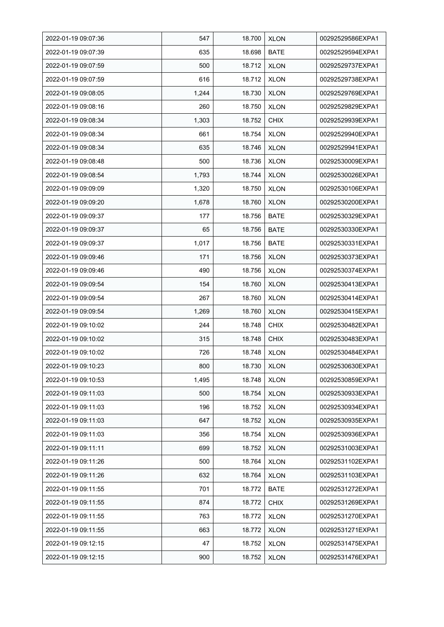| 2022-01-19 09:07:36 | 547   | 18.700 | <b>XLON</b> | 00292529586EXPA1 |
|---------------------|-------|--------|-------------|------------------|
| 2022-01-19 09:07:39 | 635   | 18.698 | <b>BATE</b> | 00292529594EXPA1 |
| 2022-01-19 09:07:59 | 500   | 18.712 | <b>XLON</b> | 00292529737EXPA1 |
| 2022-01-19 09:07:59 | 616   | 18.712 | <b>XLON</b> | 00292529738EXPA1 |
| 2022-01-19 09:08:05 | 1,244 | 18.730 | <b>XLON</b> | 00292529769EXPA1 |
| 2022-01-19 09:08:16 | 260   | 18.750 | <b>XLON</b> | 00292529829EXPA1 |
| 2022-01-19 09:08:34 | 1,303 | 18.752 | <b>CHIX</b> | 00292529939EXPA1 |
| 2022-01-19 09:08:34 | 661   | 18.754 | <b>XLON</b> | 00292529940EXPA1 |
| 2022-01-19 09:08:34 | 635   | 18.746 | <b>XLON</b> | 00292529941EXPA1 |
| 2022-01-19 09:08:48 | 500   | 18.736 | <b>XLON</b> | 00292530009EXPA1 |
| 2022-01-19 09:08:54 | 1,793 | 18.744 | <b>XLON</b> | 00292530026EXPA1 |
| 2022-01-19 09:09:09 | 1,320 | 18.750 | <b>XLON</b> | 00292530106EXPA1 |
| 2022-01-19 09:09:20 | 1,678 | 18.760 | <b>XLON</b> | 00292530200EXPA1 |
| 2022-01-19 09:09:37 | 177   | 18.756 | <b>BATE</b> | 00292530329EXPA1 |
| 2022-01-19 09:09:37 | 65    | 18.756 | <b>BATE</b> | 00292530330EXPA1 |
| 2022-01-19 09:09:37 | 1,017 | 18.756 | <b>BATE</b> | 00292530331EXPA1 |
| 2022-01-19 09:09:46 | 171   | 18.756 | <b>XLON</b> | 00292530373EXPA1 |
| 2022-01-19 09:09:46 | 490   | 18.756 | <b>XLON</b> | 00292530374EXPA1 |
| 2022-01-19 09:09:54 | 154   | 18.760 | <b>XLON</b> | 00292530413EXPA1 |
| 2022-01-19 09:09:54 | 267   | 18.760 | <b>XLON</b> | 00292530414EXPA1 |
| 2022-01-19 09:09:54 | 1,269 | 18.760 | <b>XLON</b> | 00292530415EXPA1 |
| 2022-01-19 09:10:02 | 244   | 18.748 | <b>CHIX</b> | 00292530482EXPA1 |
| 2022-01-19 09:10:02 | 315   | 18.748 | <b>CHIX</b> | 00292530483EXPA1 |
| 2022-01-19 09:10:02 | 726   | 18.748 | <b>XLON</b> | 00292530484EXPA1 |
| 2022-01-19 09:10:23 | 800   | 18.730 | <b>XLON</b> | 00292530630EXPA1 |
| 2022-01-19 09:10:53 | 1,495 | 18.748 | <b>XLON</b> | 00292530859EXPA1 |
| 2022-01-19 09:11:03 | 500   | 18.754 | <b>XLON</b> | 00292530933EXPA1 |
| 2022-01-19 09:11:03 | 196   | 18.752 | <b>XLON</b> | 00292530934EXPA1 |
| 2022-01-19 09:11:03 | 647   | 18.752 | <b>XLON</b> | 00292530935EXPA1 |
| 2022-01-19 09:11:03 | 356   | 18.754 | <b>XLON</b> | 00292530936EXPA1 |
| 2022-01-19 09:11:11 | 699   | 18.752 | <b>XLON</b> | 00292531003EXPA1 |
| 2022-01-19 09:11:26 | 500   | 18.764 | <b>XLON</b> | 00292531102EXPA1 |
| 2022-01-19 09:11:26 | 632   | 18.764 | <b>XLON</b> | 00292531103EXPA1 |
| 2022-01-19 09:11:55 | 701   | 18.772 | <b>BATE</b> | 00292531272EXPA1 |
| 2022-01-19 09:11:55 | 874   | 18.772 | <b>CHIX</b> | 00292531269EXPA1 |
| 2022-01-19 09:11:55 | 763   | 18.772 | <b>XLON</b> | 00292531270EXPA1 |
| 2022-01-19 09:11:55 | 663   | 18.772 | <b>XLON</b> | 00292531271EXPA1 |
| 2022-01-19 09:12:15 | 47    | 18.752 | <b>XLON</b> | 00292531475EXPA1 |
| 2022-01-19 09:12:15 | 900   | 18.752 | <b>XLON</b> | 00292531476EXPA1 |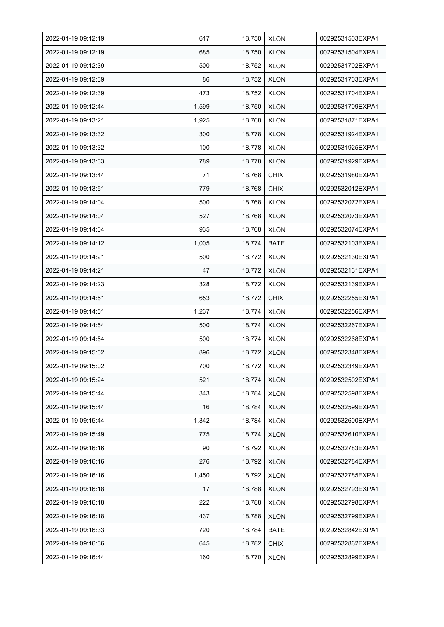| 2022-01-19 09:12:19 | 617   | 18.750 | <b>XLON</b> | 00292531503EXPA1 |
|---------------------|-------|--------|-------------|------------------|
| 2022-01-19 09:12:19 | 685   | 18.750 | <b>XLON</b> | 00292531504EXPA1 |
| 2022-01-19 09:12:39 | 500   | 18.752 | <b>XLON</b> | 00292531702EXPA1 |
| 2022-01-19 09:12:39 | 86    | 18.752 | <b>XLON</b> | 00292531703EXPA1 |
| 2022-01-19 09:12:39 | 473   | 18.752 | <b>XLON</b> | 00292531704EXPA1 |
| 2022-01-19 09:12:44 | 1,599 | 18.750 | <b>XLON</b> | 00292531709EXPA1 |
| 2022-01-19 09:13:21 | 1,925 | 18.768 | <b>XLON</b> | 00292531871EXPA1 |
| 2022-01-19 09:13:32 | 300   | 18.778 | <b>XLON</b> | 00292531924EXPA1 |
| 2022-01-19 09:13:32 | 100   | 18.778 | <b>XLON</b> | 00292531925EXPA1 |
| 2022-01-19 09:13:33 | 789   | 18.778 | <b>XLON</b> | 00292531929EXPA1 |
| 2022-01-19 09:13:44 | 71    | 18.768 | <b>CHIX</b> | 00292531980EXPA1 |
| 2022-01-19 09:13.51 | 779   | 18.768 | <b>CHIX</b> | 00292532012EXPA1 |
| 2022-01-19 09:14:04 | 500   | 18.768 | <b>XLON</b> | 00292532072EXPA1 |
| 2022-01-19 09:14:04 | 527   | 18.768 | <b>XLON</b> | 00292532073EXPA1 |
| 2022-01-19 09:14:04 | 935   | 18.768 | <b>XLON</b> | 00292532074EXPA1 |
| 2022-01-19 09:14:12 | 1,005 | 18.774 | BATE        | 00292532103EXPA1 |
| 2022-01-19 09:14:21 | 500   | 18.772 | <b>XLON</b> | 00292532130EXPA1 |
| 2022-01-19 09:14:21 | 47    | 18.772 | <b>XLON</b> | 00292532131EXPA1 |
| 2022-01-19 09:14:23 | 328   | 18.772 | <b>XLON</b> | 00292532139EXPA1 |
| 2022-01-19 09:14:51 | 653   | 18.772 | <b>CHIX</b> | 00292532255EXPA1 |
| 2022-01-19 09:14:51 | 1,237 | 18.774 | <b>XLON</b> | 00292532256EXPA1 |
| 2022-01-19 09:14:54 | 500   | 18.774 | <b>XLON</b> | 00292532267EXPA1 |
| 2022-01-19 09:14:54 | 500   | 18.774 | <b>XLON</b> | 00292532268EXPA1 |
| 2022-01-19 09:15:02 | 896   | 18.772 | <b>XLON</b> | 00292532348EXPA1 |
| 2022-01-19 09:15:02 | 700   | 18.772 | <b>XLON</b> | 00292532349EXPA1 |
| 2022-01-19 09:15:24 | 521   | 18.774 | <b>XLON</b> | 00292532502EXPA1 |
| 2022-01-19 09:15:44 | 343   | 18.784 | <b>XLON</b> | 00292532598EXPA1 |
| 2022-01-19 09:15:44 | 16    | 18.784 | <b>XLON</b> | 00292532599EXPA1 |
| 2022-01-19 09:15:44 | 1,342 | 18.784 | <b>XLON</b> | 00292532600EXPA1 |
| 2022-01-19 09:15:49 | 775   | 18.774 | <b>XLON</b> | 00292532610EXPA1 |
| 2022-01-19 09:16:16 | 90    | 18.792 | <b>XLON</b> | 00292532783EXPA1 |
| 2022-01-19 09:16:16 | 276   | 18.792 | <b>XLON</b> | 00292532784EXPA1 |
| 2022-01-19 09:16:16 | 1,450 | 18.792 | <b>XLON</b> | 00292532785EXPA1 |
| 2022-01-19 09:16:18 | 17    | 18.788 | <b>XLON</b> | 00292532793EXPA1 |
| 2022-01-19 09:16:18 | 222   | 18.788 | <b>XLON</b> | 00292532798EXPA1 |
| 2022-01-19 09:16:18 | 437   | 18.788 | <b>XLON</b> | 00292532799EXPA1 |
| 2022-01-19 09:16:33 | 720   | 18.784 | BATE        | 00292532842EXPA1 |
| 2022-01-19 09:16:36 | 645   | 18.782 | <b>CHIX</b> | 00292532862EXPA1 |
| 2022-01-19 09:16:44 | 160   | 18.770 | <b>XLON</b> | 00292532899EXPA1 |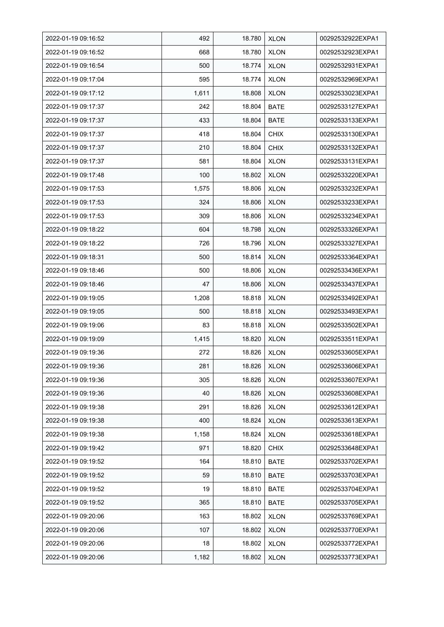| 2022-01-19 09:16:52 | 492   | 18.780 | <b>XLON</b> | 00292532922EXPA1 |
|---------------------|-------|--------|-------------|------------------|
| 2022-01-19 09:16:52 | 668   | 18.780 | <b>XLON</b> | 00292532923EXPA1 |
| 2022-01-19 09:16:54 | 500   | 18.774 | <b>XLON</b> | 00292532931EXPA1 |
| 2022-01-19 09:17:04 | 595   | 18.774 | <b>XLON</b> | 00292532969EXPA1 |
| 2022-01-19 09:17:12 | 1,611 | 18.808 | <b>XLON</b> | 00292533023EXPA1 |
| 2022-01-19 09:17:37 | 242   | 18.804 | <b>BATE</b> | 00292533127EXPA1 |
| 2022-01-19 09:17:37 | 433   | 18.804 | <b>BATE</b> | 00292533133EXPA1 |
| 2022-01-19 09:17:37 | 418   | 18.804 | <b>CHIX</b> | 00292533130EXPA1 |
| 2022-01-19 09:17:37 | 210   | 18.804 | <b>CHIX</b> | 00292533132EXPA1 |
| 2022-01-19 09:17:37 | 581   | 18.804 | <b>XLON</b> | 00292533131EXPA1 |
| 2022-01-19 09:17:48 | 100   | 18.802 | <b>XLON</b> | 00292533220EXPA1 |
| 2022-01-19 09:17:53 | 1,575 | 18.806 | <b>XLON</b> | 00292533232EXPA1 |
| 2022-01-19 09:17:53 | 324   | 18.806 | <b>XLON</b> | 00292533233EXPA1 |
| 2022-01-19 09:17:53 | 309   | 18.806 | <b>XLON</b> | 00292533234EXPA1 |
| 2022-01-19 09:18:22 | 604   | 18.798 | <b>XLON</b> | 00292533326EXPA1 |
| 2022-01-19 09:18:22 | 726   | 18.796 | <b>XLON</b> | 00292533327EXPA1 |
| 2022-01-19 09:18:31 | 500   | 18.814 | <b>XLON</b> | 00292533364EXPA1 |
| 2022-01-19 09:18:46 | 500   | 18.806 | <b>XLON</b> | 00292533436EXPA1 |
| 2022-01-19 09:18:46 | 47    | 18.806 | <b>XLON</b> | 00292533437EXPA1 |
| 2022-01-19 09:19:05 | 1,208 | 18.818 | <b>XLON</b> | 00292533492EXPA1 |
| 2022-01-19 09:19:05 | 500   | 18.818 | <b>XLON</b> | 00292533493EXPA1 |
| 2022-01-19 09:19:06 | 83    | 18.818 | <b>XLON</b> | 00292533502EXPA1 |
| 2022-01-19 09:19:09 | 1,415 | 18.820 | <b>XLON</b> | 00292533511EXPA1 |
| 2022-01-19 09:19:36 | 272   | 18.826 | <b>XLON</b> | 00292533605EXPA1 |
| 2022-01-19 09:19:36 | 281   | 18.826 | <b>XLON</b> | 00292533606EXPA1 |
| 2022-01-19 09:19:36 | 305   | 18.826 | <b>XLON</b> | 00292533607EXPA1 |
| 2022-01-19 09:19:36 | 40    | 18.826 | <b>XLON</b> | 00292533608EXPA1 |
| 2022-01-19 09:19:38 | 291   | 18.826 | <b>XLON</b> | 00292533612EXPA1 |
| 2022-01-19 09:19:38 | 400   | 18.824 | <b>XLON</b> | 00292533613EXPA1 |
| 2022-01-19 09:19:38 | 1,158 | 18.824 | <b>XLON</b> | 00292533618EXPA1 |
| 2022-01-19 09:19:42 | 971   | 18.820 | <b>CHIX</b> | 00292533648EXPA1 |
| 2022-01-19 09:19:52 | 164   | 18.810 | BATE        | 00292533702EXPA1 |
| 2022-01-19 09:19:52 | 59    | 18.810 | BATE        | 00292533703EXPA1 |
| 2022-01-19 09:19:52 | 19    | 18.810 | <b>BATE</b> | 00292533704EXPA1 |
| 2022-01-19 09:19:52 | 365   | 18.810 | <b>BATE</b> | 00292533705EXPA1 |
| 2022-01-19 09:20:06 | 163   | 18.802 | <b>XLON</b> | 00292533769EXPA1 |
| 2022-01-19 09:20:06 | 107   | 18.802 | <b>XLON</b> | 00292533770EXPA1 |
| 2022-01-19 09:20:06 | 18    | 18.802 | <b>XLON</b> | 00292533772EXPA1 |
| 2022-01-19 09:20:06 | 1,182 | 18.802 | <b>XLON</b> | 00292533773EXPA1 |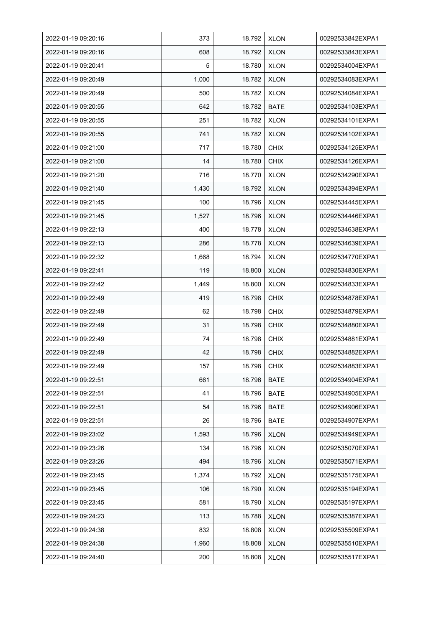| 2022-01-19 09:20:16 | 373   | 18.792 | <b>XLON</b> | 00292533842EXPA1 |
|---------------------|-------|--------|-------------|------------------|
| 2022-01-19 09:20:16 | 608   | 18.792 | <b>XLON</b> | 00292533843EXPA1 |
| 2022-01-19 09:20:41 | 5     | 18.780 | <b>XLON</b> | 00292534004EXPA1 |
| 2022-01-19 09:20:49 | 1,000 | 18.782 | <b>XLON</b> | 00292534083EXPA1 |
| 2022-01-19 09:20:49 | 500   | 18.782 | <b>XLON</b> | 00292534084EXPA1 |
| 2022-01-19 09:20:55 | 642   | 18.782 | <b>BATE</b> | 00292534103EXPA1 |
| 2022-01-19 09:20:55 | 251   | 18.782 | <b>XLON</b> | 00292534101EXPA1 |
| 2022-01-19 09:20:55 | 741   | 18.782 | <b>XLON</b> | 00292534102EXPA1 |
| 2022-01-19 09:21:00 | 717   | 18.780 | <b>CHIX</b> | 00292534125EXPA1 |
| 2022-01-19 09:21:00 | 14    | 18.780 | <b>CHIX</b> | 00292534126EXPA1 |
| 2022-01-19 09:21:20 | 716   | 18.770 | <b>XLON</b> | 00292534290EXPA1 |
| 2022-01-19 09:21:40 | 1,430 | 18.792 | <b>XLON</b> | 00292534394EXPA1 |
| 2022-01-19 09:21:45 | 100   | 18.796 | <b>XLON</b> | 00292534445EXPA1 |
| 2022-01-19 09:21:45 | 1,527 | 18.796 | <b>XLON</b> | 00292534446EXPA1 |
| 2022-01-19 09:22:13 | 400   | 18.778 | <b>XLON</b> | 00292534638EXPA1 |
| 2022-01-19 09:22:13 | 286   | 18.778 | <b>XLON</b> | 00292534639EXPA1 |
| 2022-01-19 09:22:32 | 1,668 | 18.794 | <b>XLON</b> | 00292534770EXPA1 |
| 2022-01-19 09:22:41 | 119   | 18.800 | <b>XLON</b> | 00292534830EXPA1 |
| 2022-01-19 09:22:42 | 1,449 | 18.800 | <b>XLON</b> | 00292534833EXPA1 |
| 2022-01-19 09:22:49 | 419   | 18.798 | <b>CHIX</b> | 00292534878EXPA1 |
| 2022-01-19 09:22:49 | 62    | 18.798 | <b>CHIX</b> | 00292534879EXPA1 |
| 2022-01-19 09:22:49 | 31    | 18.798 | <b>CHIX</b> | 00292534880EXPA1 |
| 2022-01-19 09:22:49 | 74    | 18.798 | <b>CHIX</b> | 00292534881EXPA1 |
| 2022-01-19 09:22:49 | 42    | 18.798 | <b>CHIX</b> | 00292534882EXPA1 |
| 2022-01-19 09:22:49 | 157   | 18.798 | <b>CHIX</b> | 00292534883EXPA1 |
| 2022-01-19 09:22:51 | 661   | 18.796 | <b>BATE</b> | 00292534904EXPA1 |
| 2022-01-19 09:22:51 | 41    | 18.796 | <b>BATE</b> | 00292534905EXPA1 |
| 2022-01-19 09:22:51 | 54    | 18.796 | BATE        | 00292534906EXPA1 |
| 2022-01-19 09:22:51 | 26    | 18.796 | <b>BATE</b> | 00292534907EXPA1 |
| 2022-01-19 09:23:02 | 1,593 | 18.796 | <b>XLON</b> | 00292534949EXPA1 |
| 2022-01-19 09:23:26 | 134   | 18.796 | <b>XLON</b> | 00292535070EXPA1 |
| 2022-01-19 09:23:26 | 494   | 18.796 | <b>XLON</b> | 00292535071EXPA1 |
| 2022-01-19 09:23:45 | 1,374 | 18.792 | <b>XLON</b> | 00292535175EXPA1 |
| 2022-01-19 09:23:45 | 106   | 18.790 | <b>XLON</b> | 00292535194EXPA1 |
| 2022-01-19 09:23:45 | 581   | 18.790 | <b>XLON</b> | 00292535197EXPA1 |
| 2022-01-19 09:24:23 | 113   | 18.788 | <b>XLON</b> | 00292535387EXPA1 |
| 2022-01-19 09:24:38 | 832   | 18.808 | <b>XLON</b> | 00292535509EXPA1 |
| 2022-01-19 09:24:38 | 1,960 | 18.808 | <b>XLON</b> | 00292535510EXPA1 |
| 2022-01-19 09:24:40 | 200   | 18.808 | <b>XLON</b> | 00292535517EXPA1 |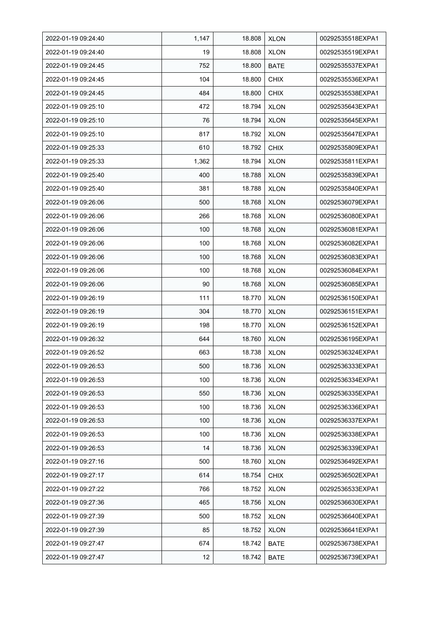| 2022-01-19 09:24:40 | 1,147 | 18.808 | <b>XLON</b> | 00292535518EXPA1 |
|---------------------|-------|--------|-------------|------------------|
| 2022-01-19 09:24:40 | 19    | 18.808 | <b>XLON</b> | 00292535519EXPA1 |
| 2022-01-19 09:24:45 | 752   | 18.800 | <b>BATE</b> | 00292535537EXPA1 |
| 2022-01-19 09:24:45 | 104   | 18.800 | <b>CHIX</b> | 00292535536EXPA1 |
| 2022-01-19 09:24:45 | 484   | 18.800 | <b>CHIX</b> | 00292535538EXPA1 |
| 2022-01-19 09:25:10 | 472   | 18.794 | <b>XLON</b> | 00292535643EXPA1 |
| 2022-01-19 09:25:10 | 76    | 18.794 | <b>XLON</b> | 00292535645EXPA1 |
| 2022-01-19 09:25:10 | 817   | 18.792 | <b>XLON</b> | 00292535647EXPA1 |
| 2022-01-19 09:25:33 | 610   | 18.792 | <b>CHIX</b> | 00292535809EXPA1 |
| 2022-01-19 09:25:33 | 1,362 | 18.794 | <b>XLON</b> | 00292535811EXPA1 |
| 2022-01-19 09:25:40 | 400   | 18.788 | <b>XLON</b> | 00292535839EXPA1 |
| 2022-01-19 09:25:40 | 381   | 18.788 | <b>XLON</b> | 00292535840EXPA1 |
| 2022-01-19 09:26:06 | 500   | 18.768 | <b>XLON</b> | 00292536079EXPA1 |
| 2022-01-19 09:26:06 | 266   | 18.768 | <b>XLON</b> | 00292536080EXPA1 |
| 2022-01-19 09:26:06 | 100   | 18.768 | <b>XLON</b> | 00292536081EXPA1 |
| 2022-01-19 09:26:06 | 100   | 18.768 | <b>XLON</b> | 00292536082EXPA1 |
| 2022-01-19 09:26:06 | 100   | 18.768 | <b>XLON</b> | 00292536083EXPA1 |
| 2022-01-19 09:26:06 | 100   | 18.768 | <b>XLON</b> | 00292536084EXPA1 |
| 2022-01-19 09:26:06 | 90    | 18.768 | <b>XLON</b> | 00292536085EXPA1 |
| 2022-01-19 09:26:19 | 111   | 18.770 | <b>XLON</b> | 00292536150EXPA1 |
| 2022-01-19 09:26:19 | 304   | 18.770 | <b>XLON</b> | 00292536151EXPA1 |
| 2022-01-19 09:26:19 | 198   | 18.770 | <b>XLON</b> | 00292536152EXPA1 |
| 2022-01-19 09:26:32 | 644   | 18.760 | <b>XLON</b> | 00292536195EXPA1 |
| 2022-01-19 09:26:52 | 663   | 18.738 | <b>XLON</b> | 00292536324EXPA1 |
| 2022-01-19 09:26:53 | 500   | 18.736 | <b>XLON</b> | 00292536333EXPA1 |
| 2022-01-19 09:26:53 | 100   | 18.736 | <b>XLON</b> | 00292536334EXPA1 |
| 2022-01-19 09:26:53 | 550   | 18.736 | <b>XLON</b> | 00292536335EXPA1 |
| 2022-01-19 09:26:53 | 100   | 18.736 | <b>XLON</b> | 00292536336EXPA1 |
| 2022-01-19 09:26:53 | 100   | 18.736 | <b>XLON</b> | 00292536337EXPA1 |
| 2022-01-19 09:26:53 | 100   | 18.736 | <b>XLON</b> | 00292536338EXPA1 |
| 2022-01-19 09:26:53 | 14    | 18.736 | <b>XLON</b> | 00292536339EXPA1 |
| 2022-01-19 09:27:16 | 500   | 18.760 | <b>XLON</b> | 00292536492EXPA1 |
| 2022-01-19 09:27:17 | 614   | 18.754 | <b>CHIX</b> | 00292536502EXPA1 |
| 2022-01-19 09:27:22 | 766   | 18.752 | <b>XLON</b> | 00292536533EXPA1 |
| 2022-01-19 09:27:36 | 465   | 18.756 | <b>XLON</b> | 00292536630EXPA1 |
| 2022-01-19 09:27:39 | 500   | 18.752 | <b>XLON</b> | 00292536640EXPA1 |
| 2022-01-19 09:27:39 | 85    | 18.752 | <b>XLON</b> | 00292536641EXPA1 |
| 2022-01-19 09:27:47 | 674   | 18.742 | <b>BATE</b> | 00292536738EXPA1 |
| 2022-01-19 09:27:47 | 12    | 18.742 | <b>BATE</b> | 00292536739EXPA1 |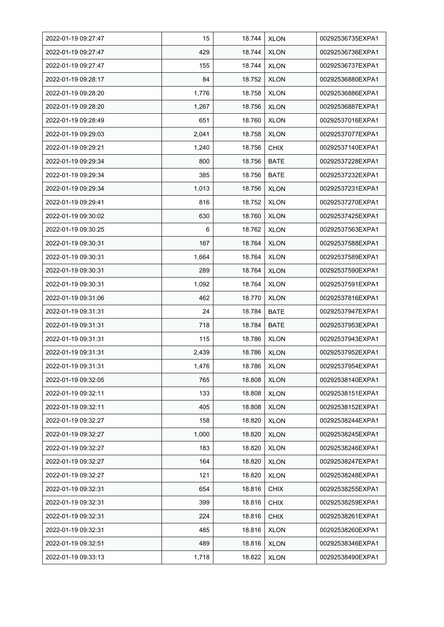| 2022-01-19 09:27:47 | 15    | 18.744 | <b>XLON</b> | 00292536735EXPA1 |
|---------------------|-------|--------|-------------|------------------|
| 2022-01-19 09:27:47 | 429   | 18.744 | <b>XLON</b> | 00292536736EXPA1 |
| 2022-01-19 09:27:47 | 155   | 18.744 | <b>XLON</b> | 00292536737EXPA1 |
| 2022-01-19 09:28:17 | 84    | 18.752 | <b>XLON</b> | 00292536880EXPA1 |
| 2022-01-19 09:28:20 | 1,776 | 18.758 | <b>XLON</b> | 00292536886EXPA1 |
| 2022-01-19 09:28:20 | 1,267 | 18.756 | <b>XLON</b> | 00292536887EXPA1 |
| 2022-01-19 09:28:49 | 651   | 18.760 | <b>XLON</b> | 00292537016EXPA1 |
| 2022-01-19 09:29:03 | 2,041 | 18.758 | <b>XLON</b> | 00292537077EXPA1 |
| 2022-01-19 09:29:21 | 1,240 | 18.756 | <b>CHIX</b> | 00292537140EXPA1 |
| 2022-01-19 09:29:34 | 800   | 18.756 | <b>BATE</b> | 00292537228EXPA1 |
| 2022-01-19 09:29:34 | 385   | 18.756 | <b>BATE</b> | 00292537232EXPA1 |
| 2022-01-19 09:29:34 | 1,013 | 18.756 | <b>XLON</b> | 00292537231EXPA1 |
| 2022-01-19 09:29:41 | 816   | 18.752 | <b>XLON</b> | 00292537270EXPA1 |
| 2022-01-19 09:30:02 | 630   | 18.760 | <b>XLON</b> | 00292537425EXPA1 |
| 2022-01-19 09:30:25 | 6     | 18.762 | <b>XLON</b> | 00292537563EXPA1 |
| 2022-01-19 09:30:31 | 167   | 18.764 | <b>XLON</b> | 00292537588EXPA1 |
| 2022-01-19 09:30:31 | 1,664 | 18.764 | <b>XLON</b> | 00292537589EXPA1 |
| 2022-01-19 09:30:31 | 289   | 18.764 | <b>XLON</b> | 00292537590EXPA1 |
| 2022-01-19 09:30:31 | 1,092 | 18.764 | <b>XLON</b> | 00292537591EXPA1 |
| 2022-01-19 09:31:06 | 462   | 18.770 | <b>XLON</b> | 00292537816EXPA1 |
| 2022-01-19 09:31:31 | 24    | 18.784 | <b>BATE</b> | 00292537947EXPA1 |
| 2022-01-19 09:31:31 | 718   | 18.784 | <b>BATE</b> | 00292537953EXPA1 |
| 2022-01-19 09:31:31 | 115   | 18.786 | <b>XLON</b> | 00292537943EXPA1 |
| 2022-01-19 09:31:31 | 2,439 | 18.786 | <b>XLON</b> | 00292537952EXPA1 |
| 2022-01-19 09:31:31 | 1,476 | 18.786 | <b>XLON</b> | 00292537954EXPA1 |
| 2022-01-19 09:32:05 | 765   | 18.808 | <b>XLON</b> | 00292538140EXPA1 |
| 2022-01-19 09:32:11 | 133   | 18.808 | <b>XLON</b> | 00292538151EXPA1 |
| 2022-01-19 09:32:11 | 405   | 18.808 | <b>XLON</b> | 00292538152EXPA1 |
| 2022-01-19 09:32:27 | 158   | 18.820 | <b>XLON</b> | 00292538244EXPA1 |
| 2022-01-19 09:32:27 | 1,000 | 18.820 | <b>XLON</b> | 00292538245EXPA1 |
| 2022-01-19 09:32:27 | 183   | 18.820 | <b>XLON</b> | 00292538246EXPA1 |
| 2022-01-19 09:32:27 | 164   | 18.820 | <b>XLON</b> | 00292538247EXPA1 |
| 2022-01-19 09:32:27 | 121   | 18.820 | <b>XLON</b> | 00292538248EXPA1 |
| 2022-01-19 09:32:31 | 654   | 18.816 | <b>CHIX</b> | 00292538255EXPA1 |
| 2022-01-19 09:32:31 | 399   | 18.816 | <b>CHIX</b> | 00292538259EXPA1 |
| 2022-01-19 09:32:31 | 224   | 18.816 | <b>CHIX</b> | 00292538261EXPA1 |
| 2022-01-19 09:32:31 | 485   | 18.816 | <b>XLON</b> | 00292538260EXPA1 |
| 2022-01-19 09:32:51 | 489   | 18.816 | <b>XLON</b> | 00292538346EXPA1 |
| 2022-01-19 09:33:13 | 1,718 | 18.822 | <b>XLON</b> | 00292538490EXPA1 |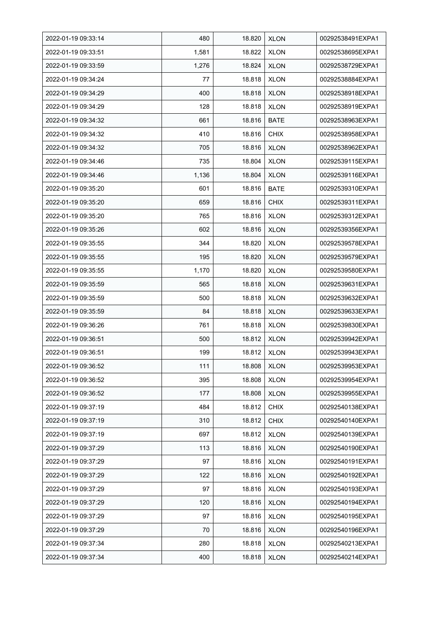| 2022-01-19 09:33:14 | 480   | 18.820 | <b>XLON</b> | 00292538491EXPA1 |
|---------------------|-------|--------|-------------|------------------|
| 2022-01-19 09:33:51 | 1,581 | 18.822 | <b>XLON</b> | 00292538695EXPA1 |
| 2022-01-19 09:33:59 | 1,276 | 18.824 | <b>XLON</b> | 00292538729EXPA1 |
| 2022-01-19 09:34:24 | 77    | 18.818 | <b>XLON</b> | 00292538884EXPA1 |
| 2022-01-19 09:34:29 | 400   | 18.818 | <b>XLON</b> | 00292538918EXPA1 |
| 2022-01-19 09:34:29 | 128   | 18.818 | <b>XLON</b> | 00292538919EXPA1 |
| 2022-01-19 09:34:32 | 661   | 18.816 | BATE        | 00292538963EXPA1 |
| 2022-01-19 09:34:32 | 410   | 18.816 | <b>CHIX</b> | 00292538958EXPA1 |
| 2022-01-19 09:34:32 | 705   | 18.816 | <b>XLON</b> | 00292538962EXPA1 |
| 2022-01-19 09:34:46 | 735   | 18.804 | <b>XLON</b> | 00292539115EXPA1 |
| 2022-01-19 09:34:46 | 1,136 | 18.804 | <b>XLON</b> | 00292539116EXPA1 |
| 2022-01-19 09:35:20 | 601   | 18.816 | <b>BATE</b> | 00292539310EXPA1 |
| 2022-01-19 09:35:20 | 659   | 18.816 | <b>CHIX</b> | 00292539311EXPA1 |
| 2022-01-19 09:35:20 | 765   | 18.816 | <b>XLON</b> | 00292539312EXPA1 |
| 2022-01-19 09:35:26 | 602   | 18.816 | <b>XLON</b> | 00292539356EXPA1 |
| 2022-01-19 09:35:55 | 344   | 18.820 | <b>XLON</b> | 00292539578EXPA1 |
| 2022-01-19 09:35:55 | 195   | 18.820 | <b>XLON</b> | 00292539579EXPA1 |
| 2022-01-19 09:35:55 | 1,170 | 18.820 | <b>XLON</b> | 00292539580EXPA1 |
| 2022-01-19 09:35:59 | 565   | 18.818 | <b>XLON</b> | 00292539631EXPA1 |
| 2022-01-19 09:35:59 | 500   | 18.818 | <b>XLON</b> | 00292539632EXPA1 |
| 2022-01-19 09:35:59 | 84    | 18.818 | <b>XLON</b> | 00292539633EXPA1 |
| 2022-01-19 09:36:26 | 761   | 18.818 | <b>XLON</b> | 00292539830EXPA1 |
| 2022-01-19 09:36:51 | 500   | 18.812 | <b>XLON</b> | 00292539942EXPA1 |
| 2022-01-19 09:36:51 | 199   | 18.812 | <b>XLON</b> | 00292539943EXPA1 |
| 2022-01-19 09:36:52 | 111   | 18.808 | <b>XLON</b> | 00292539953EXPA1 |
| 2022-01-19 09:36:52 | 395   | 18.808 | <b>XLON</b> | 00292539954EXPA1 |
| 2022-01-19 09:36:52 | 177   | 18.808 | <b>XLON</b> | 00292539955EXPA1 |
| 2022-01-19 09:37:19 | 484   | 18.812 | <b>CHIX</b> | 00292540138EXPA1 |
| 2022-01-19 09:37:19 | 310   | 18.812 | <b>CHIX</b> | 00292540140EXPA1 |
| 2022-01-19 09:37:19 | 697   | 18.812 | <b>XLON</b> | 00292540139EXPA1 |
| 2022-01-19 09:37:29 | 113   | 18.816 | <b>XLON</b> | 00292540190EXPA1 |
| 2022-01-19 09:37:29 | 97    | 18.816 | <b>XLON</b> | 00292540191EXPA1 |
| 2022-01-19 09:37:29 | 122   | 18.816 | <b>XLON</b> | 00292540192EXPA1 |
| 2022-01-19 09:37:29 | 97    | 18.816 | <b>XLON</b> | 00292540193EXPA1 |
| 2022-01-19 09:37:29 | 120   | 18.816 | <b>XLON</b> | 00292540194EXPA1 |
| 2022-01-19 09:37:29 | 97    | 18.816 | <b>XLON</b> | 00292540195EXPA1 |
| 2022-01-19 09:37:29 | 70    | 18.816 | <b>XLON</b> | 00292540196EXPA1 |
| 2022-01-19 09:37:34 | 280   | 18.818 | <b>XLON</b> | 00292540213EXPA1 |
| 2022-01-19 09:37:34 | 400   | 18.818 | <b>XLON</b> | 00292540214EXPA1 |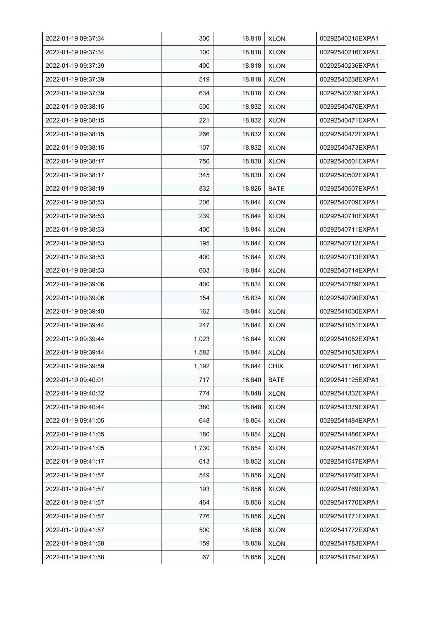| 2022-01-19 09:37:34 | 300   | 18.818 | <b>XLON</b> | 00292540215EXPA1 |
|---------------------|-------|--------|-------------|------------------|
| 2022-01-19 09:37:34 | 100   | 18.818 | <b>XLON</b> | 00292540216EXPA1 |
| 2022-01-19 09:37:39 | 400   | 18.818 | <b>XLON</b> | 00292540236EXPA1 |
| 2022-01-19 09:37:39 | 519   | 18.818 | <b>XLON</b> | 00292540238EXPA1 |
| 2022-01-19 09:37:39 | 634   | 18.818 | <b>XLON</b> | 00292540239EXPA1 |
| 2022-01-19 09:38:15 | 500   | 18.832 | <b>XLON</b> | 00292540470EXPA1 |
| 2022-01-19 09:38:15 | 221   | 18.832 | <b>XLON</b> | 00292540471EXPA1 |
| 2022-01-19 09:38:15 | 266   | 18.832 | <b>XLON</b> | 00292540472EXPA1 |
| 2022-01-19 09:38:15 | 107   | 18.832 | <b>XLON</b> | 00292540473EXPA1 |
| 2022-01-19 09:38:17 | 750   | 18.830 | <b>XLON</b> | 00292540501EXPA1 |
| 2022-01-19 09:38:17 | 345   | 18.830 | <b>XLON</b> | 00292540502EXPA1 |
| 2022-01-19 09:38:19 | 832   | 18.826 | BATE        | 00292540507EXPA1 |
| 2022-01-19 09:38:53 | 206   | 18.844 | <b>XLON</b> | 00292540709EXPA1 |
| 2022-01-19 09:38:53 | 239   | 18.844 | <b>XLON</b> | 00292540710EXPA1 |
| 2022-01-19 09:38:53 | 400   | 18.844 | <b>XLON</b> | 00292540711EXPA1 |
| 2022-01-19 09:38:53 | 195   | 18.844 | <b>XLON</b> | 00292540712EXPA1 |
| 2022-01-19 09:38:53 | 400   | 18.844 | <b>XLON</b> | 00292540713EXPA1 |
| 2022-01-19 09:38:53 | 603   | 18.844 | <b>XLON</b> | 00292540714EXPA1 |
| 2022-01-19 09:39:06 | 400   | 18.834 | <b>XLON</b> | 00292540789EXPA1 |
| 2022-01-19 09:39:06 | 154   | 18.834 | <b>XLON</b> | 00292540790EXPA1 |
| 2022-01-19 09:39:40 | 162   | 18.844 | <b>XLON</b> | 00292541030EXPA1 |
| 2022-01-19 09:39:44 | 247   | 18.844 | <b>XLON</b> | 00292541051EXPA1 |
| 2022-01-19 09:39:44 | 1,023 | 18.844 | <b>XLON</b> | 00292541052EXPA1 |
| 2022-01-19 09:39:44 | 1,582 | 18.844 | <b>XLON</b> | 00292541053EXPA1 |
| 2022-01-19 09:39:59 | 1,192 | 18.844 | <b>CHIX</b> | 00292541116EXPA1 |
| 2022-01-19 09:40:01 | 717   | 18.840 | BATE        | 00292541125EXPA1 |
| 2022-01-19 09:40:32 | 774   | 18.848 | <b>XLON</b> | 00292541332EXPA1 |
| 2022-01-19 09:40:44 | 380   | 18.848 | <b>XLON</b> | 00292541379EXPA1 |
| 2022-01-19 09:41:05 | 648   | 18.854 | <b>XLON</b> | 00292541484EXPA1 |
| 2022-01-19 09:41:05 | 180   | 18.854 | <b>XLON</b> | 00292541486EXPA1 |
| 2022-01-19 09:41:05 | 1,730 | 18.854 | <b>XLON</b> | 00292541487EXPA1 |
| 2022-01-19 09:41:17 | 613   | 18.852 | <b>XLON</b> | 00292541547EXPA1 |
| 2022-01-19 09:41:57 | 549   | 18.856 | <b>XLON</b> | 00292541768EXPA1 |
| 2022-01-19 09:41:57 | 193   | 18.856 | <b>XLON</b> | 00292541769EXPA1 |
| 2022-01-19 09:41:57 | 464   | 18.856 | <b>XLON</b> | 00292541770EXPA1 |
| 2022-01-19 09:41:57 | 776   | 18.856 | <b>XLON</b> | 00292541771EXPA1 |
| 2022-01-19 09:41:57 | 500   | 18.856 | <b>XLON</b> | 00292541772EXPA1 |
| 2022-01-19 09:41:58 | 159   | 18.856 | <b>XLON</b> | 00292541783EXPA1 |
| 2022-01-19 09:41:58 | 67    | 18.856 | <b>XLON</b> | 00292541784EXPA1 |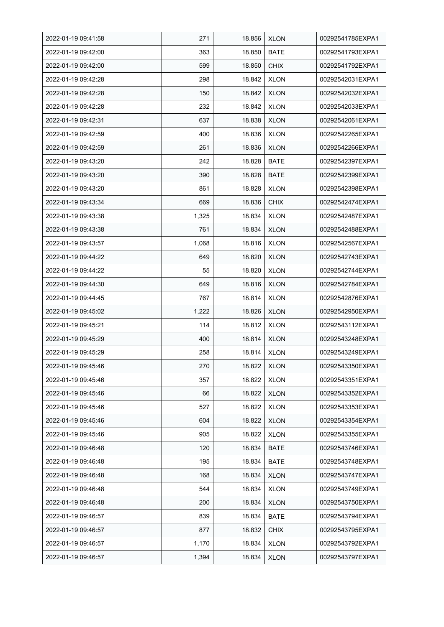| 2022-01-19 09:41:58 | 271   | 18.856 | <b>XLON</b> | 00292541785EXPA1 |
|---------------------|-------|--------|-------------|------------------|
| 2022-01-19 09:42:00 | 363   | 18.850 | <b>BATE</b> | 00292541793EXPA1 |
| 2022-01-19 09:42:00 | 599   | 18.850 | <b>CHIX</b> | 00292541792EXPA1 |
| 2022-01-19 09:42:28 | 298   | 18.842 | <b>XLON</b> | 00292542031EXPA1 |
| 2022-01-19 09:42:28 | 150   | 18.842 | <b>XLON</b> | 00292542032EXPA1 |
| 2022-01-19 09:42:28 | 232   | 18.842 | <b>XLON</b> | 00292542033EXPA1 |
| 2022-01-19 09:42:31 | 637   | 18.838 | <b>XLON</b> | 00292542061EXPA1 |
| 2022-01-19 09:42:59 | 400   | 18.836 | <b>XLON</b> | 00292542265EXPA1 |
| 2022-01-19 09:42:59 | 261   | 18.836 | <b>XLON</b> | 00292542266EXPA1 |
| 2022-01-19 09:43:20 | 242   | 18.828 | BATE        | 00292542397EXPA1 |
| 2022-01-19 09:43:20 | 390   | 18.828 | <b>BATE</b> | 00292542399EXPA1 |
| 2022-01-19 09:43:20 | 861   | 18.828 | <b>XLON</b> | 00292542398EXPA1 |
| 2022-01-19 09:43:34 | 669   | 18.836 | <b>CHIX</b> | 00292542474EXPA1 |
| 2022-01-19 09:43:38 | 1,325 | 18.834 | <b>XLON</b> | 00292542487EXPA1 |
| 2022-01-19 09:43:38 | 761   | 18.834 | <b>XLON</b> | 00292542488EXPA1 |
| 2022-01-19 09:43:57 | 1,068 | 18.816 | <b>XLON</b> | 00292542567EXPA1 |
| 2022-01-19 09:44:22 | 649   | 18.820 | <b>XLON</b> | 00292542743EXPA1 |
| 2022-01-19 09:44:22 | 55    | 18.820 | <b>XLON</b> | 00292542744EXPA1 |
| 2022-01-19 09:44:30 | 649   | 18.816 | <b>XLON</b> | 00292542784EXPA1 |
| 2022-01-19 09:44:45 | 767   | 18.814 | <b>XLON</b> | 00292542876EXPA1 |
| 2022-01-19 09:45:02 | 1,222 | 18.826 | <b>XLON</b> | 00292542950EXPA1 |
| 2022-01-19 09:45:21 | 114   | 18.812 | <b>XLON</b> | 00292543112EXPA1 |
| 2022-01-19 09:45:29 | 400   | 18.814 | <b>XLON</b> | 00292543248EXPA1 |
| 2022-01-19 09:45:29 | 258   | 18.814 | <b>XLON</b> | 00292543249EXPA1 |
| 2022-01-19 09:45:46 | 270   | 18.822 | <b>XLON</b> | 00292543350EXPA1 |
| 2022-01-19 09:45:46 | 357   | 18.822 | <b>XLON</b> | 00292543351EXPA1 |
| 2022-01-19 09:45:46 | 66    | 18.822 | <b>XLON</b> | 00292543352EXPA1 |
| 2022-01-19 09:45:46 | 527   | 18.822 | <b>XLON</b> | 00292543353EXPA1 |
| 2022-01-19 09:45:46 | 604   | 18.822 | <b>XLON</b> | 00292543354EXPA1 |
| 2022-01-19 09:45:46 | 905   | 18.822 | <b>XLON</b> | 00292543355EXPA1 |
| 2022-01-19 09:46:48 | 120   | 18.834 | BATE        | 00292543746EXPA1 |
| 2022-01-19 09:46:48 | 195   | 18.834 | <b>BATE</b> | 00292543748EXPA1 |
| 2022-01-19 09:46:48 | 168   | 18.834 | <b>XLON</b> | 00292543747EXPA1 |
| 2022-01-19 09:46:48 | 544   | 18.834 | <b>XLON</b> | 00292543749EXPA1 |
| 2022-01-19 09:46:48 | 200   | 18.834 | <b>XLON</b> | 00292543750EXPA1 |
| 2022-01-19 09:46:57 | 839   | 18.834 | <b>BATE</b> | 00292543794EXPA1 |
| 2022-01-19 09:46:57 | 877   | 18.832 | <b>CHIX</b> | 00292543795EXPA1 |
| 2022-01-19 09:46:57 | 1,170 | 18.834 | <b>XLON</b> | 00292543792EXPA1 |
| 2022-01-19 09:46:57 | 1,394 | 18.834 | <b>XLON</b> | 00292543797EXPA1 |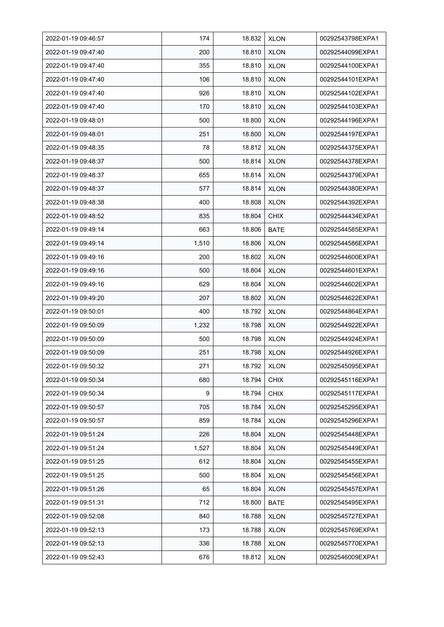| 2022-01-19 09:46:57 | 174   | 18.832 | <b>XLON</b> | 00292543798EXPA1 |
|---------------------|-------|--------|-------------|------------------|
| 2022-01-19 09:47:40 | 200   | 18.810 | <b>XLON</b> | 00292544099EXPA1 |
| 2022-01-19 09:47:40 | 355   | 18.810 | <b>XLON</b> | 00292544100EXPA1 |
| 2022-01-19 09:47:40 | 106   | 18.810 | <b>XLON</b> | 00292544101EXPA1 |
| 2022-01-19 09:47:40 | 926   | 18.810 | <b>XLON</b> | 00292544102EXPA1 |
| 2022-01-19 09:47:40 | 170   | 18.810 | <b>XLON</b> | 00292544103EXPA1 |
| 2022-01-19 09:48:01 | 500   | 18.800 | <b>XLON</b> | 00292544196EXPA1 |
| 2022-01-19 09:48:01 | 251   | 18.800 | <b>XLON</b> | 00292544197EXPA1 |
| 2022-01-19 09:48:35 | 78    | 18.812 | <b>XLON</b> | 00292544375EXPA1 |
| 2022-01-19 09:48:37 | 500   | 18.814 | <b>XLON</b> | 00292544378EXPA1 |
| 2022-01-19 09:48:37 | 655   | 18.814 | <b>XLON</b> | 00292544379EXPA1 |
| 2022-01-19 09:48:37 | 577   | 18.814 | <b>XLON</b> | 00292544380EXPA1 |
| 2022-01-19 09:48:38 | 400   | 18.808 | <b>XLON</b> | 00292544392EXPA1 |
| 2022-01-19 09:48:52 | 835   | 18.804 | <b>CHIX</b> | 00292544434EXPA1 |
| 2022-01-19 09:49:14 | 663   | 18.806 | BATE        | 00292544585EXPA1 |
| 2022-01-19 09:49:14 | 1,510 | 18.806 | <b>XLON</b> | 00292544586EXPA1 |
| 2022-01-19 09:49:16 | 200   | 18.802 | <b>XLON</b> | 00292544600EXPA1 |
| 2022-01-19 09:49:16 | 500   | 18.804 | <b>XLON</b> | 00292544601EXPA1 |
| 2022-01-19 09:49:16 | 629   | 18.804 | <b>XLON</b> | 00292544602EXPA1 |
| 2022-01-19 09:49:20 | 207   | 18.802 | <b>XLON</b> | 00292544622EXPA1 |
| 2022-01-19 09:50:01 | 400   | 18.792 | <b>XLON</b> | 00292544864EXPA1 |
| 2022-01-19 09:50:09 | 1,232 | 18.798 | <b>XLON</b> | 00292544922EXPA1 |
| 2022-01-19 09:50:09 | 500   | 18.798 | <b>XLON</b> | 00292544924EXPA1 |
| 2022-01-19 09:50:09 | 251   | 18.798 | <b>XLON</b> | 00292544926EXPA1 |
| 2022-01-19 09:50:32 | 271   | 18.792 | <b>XLON</b> | 00292545095EXPA1 |
| 2022-01-19 09:50:34 | 680   | 18.794 | <b>CHIX</b> | 00292545116EXPA1 |
| 2022-01-19 09:50:34 | 9     | 18.794 | <b>CHIX</b> | 00292545117EXPA1 |
| 2022-01-19 09:50:57 | 705   | 18.784 | <b>XLON</b> | 00292545295EXPA1 |
| 2022-01-19 09:50:57 | 859   | 18.784 | <b>XLON</b> | 00292545296EXPA1 |
| 2022-01-19 09:51:24 | 226   | 18.804 | <b>XLON</b> | 00292545448EXPA1 |
| 2022-01-19 09:51:24 | 1,527 | 18.804 | <b>XLON</b> | 00292545449EXPA1 |
| 2022-01-19 09:51:25 | 612   | 18.804 | <b>XLON</b> | 00292545455EXPA1 |
| 2022-01-19 09:51:25 | 500   | 18.804 | <b>XLON</b> | 00292545456EXPA1 |
| 2022-01-19 09:51:26 | 65    | 18.804 | <b>XLON</b> | 00292545457EXPA1 |
| 2022-01-19 09:51:31 | 712   | 18.800 | BATE        | 00292545495EXPA1 |
| 2022-01-19 09:52:08 | 840   | 18.788 | <b>XLON</b> | 00292545727EXPA1 |
| 2022-01-19 09:52:13 | 173   | 18.788 | <b>XLON</b> | 00292545769EXPA1 |
| 2022-01-19 09:52:13 | 336   | 18.788 | <b>XLON</b> | 00292545770EXPA1 |
| 2022-01-19 09:52:43 | 676   | 18.812 | <b>XLON</b> | 00292546009EXPA1 |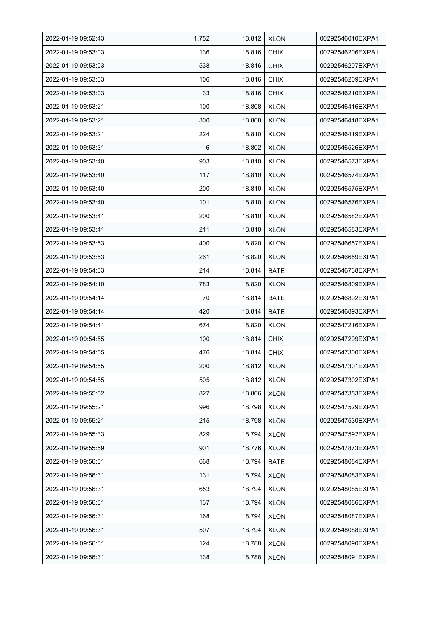| 2022-01-19 09:52:43 | 1,752 | 18.812 | <b>XLON</b> | 00292546010EXPA1 |
|---------------------|-------|--------|-------------|------------------|
| 2022-01-19 09:53:03 | 136   | 18.816 | <b>CHIX</b> | 00292546206EXPA1 |
| 2022-01-19 09:53:03 | 538   | 18.816 | <b>CHIX</b> | 00292546207EXPA1 |
| 2022-01-19 09:53:03 | 106   | 18.816 | <b>CHIX</b> | 00292546209EXPA1 |
| 2022-01-19 09:53:03 | 33    | 18.816 | <b>CHIX</b> | 00292546210EXPA1 |
| 2022-01-19 09:53:21 | 100   | 18.808 | <b>XLON</b> | 00292546416EXPA1 |
| 2022-01-19 09:53:21 | 300   | 18.808 | <b>XLON</b> | 00292546418EXPA1 |
| 2022-01-19 09:53:21 | 224   | 18.810 | <b>XLON</b> | 00292546419EXPA1 |
| 2022-01-19 09:53:31 | 6     | 18.802 | <b>XLON</b> | 00292546526EXPA1 |
| 2022-01-19 09:53:40 | 903   | 18.810 | <b>XLON</b> | 00292546573EXPA1 |
| 2022-01-19 09:53:40 | 117   | 18.810 | <b>XLON</b> | 00292546574EXPA1 |
| 2022-01-19 09:53:40 | 200   | 18.810 | <b>XLON</b> | 00292546575EXPA1 |
| 2022-01-19 09:53:40 | 101   | 18.810 | <b>XLON</b> | 00292546576EXPA1 |
| 2022-01-19 09:53:41 | 200   | 18.810 | <b>XLON</b> | 00292546582EXPA1 |
| 2022-01-19 09:53:41 | 211   | 18.810 | <b>XLON</b> | 00292546583EXPA1 |
| 2022-01-19 09:53:53 | 400   | 18.820 | <b>XLON</b> | 00292546657EXPA1 |
| 2022-01-19 09:53:53 | 261   | 18.820 | <b>XLON</b> | 00292546659EXPA1 |
| 2022-01-19 09:54:03 | 214   | 18.814 | <b>BATE</b> | 00292546738EXPA1 |
| 2022-01-19 09:54:10 | 783   | 18.820 | <b>XLON</b> | 00292546809EXPA1 |
| 2022-01-19 09:54:14 | 70    | 18.814 | BATE        | 00292546892EXPA1 |
| 2022-01-19 09:54:14 | 420   | 18.814 | <b>BATE</b> | 00292546893EXPA1 |
| 2022-01-19 09:54:41 | 674   | 18.820 | <b>XLON</b> | 00292547216EXPA1 |
| 2022-01-19 09:54:55 | 100   | 18.814 | <b>CHIX</b> | 00292547299EXPA1 |
| 2022-01-19 09:54:55 | 476   | 18.814 | <b>CHIX</b> | 00292547300EXPA1 |
| 2022-01-19 09:54:55 | 200   | 18.812 | <b>XLON</b> | 00292547301EXPA1 |
| 2022-01-19 09:54:55 | 505   | 18.812 | <b>XLON</b> | 00292547302EXPA1 |
| 2022-01-19 09:55:02 | 827   | 18.806 | <b>XLON</b> | 00292547353EXPA1 |
| 2022-01-19 09:55:21 | 996   | 18.798 | <b>XLON</b> | 00292547529EXPA1 |
| 2022-01-19 09:55:21 | 215   | 18.798 | <b>XLON</b> | 00292547530EXPA1 |
| 2022-01-19 09:55:33 | 829   | 18.794 | <b>XLON</b> | 00292547592EXPA1 |
| 2022-01-19 09:55:59 | 901   | 18.776 | <b>XLON</b> | 00292547873EXPA1 |
| 2022-01-19 09:56:31 | 668   | 18.794 | <b>BATE</b> | 00292548084EXPA1 |
| 2022-01-19 09:56:31 | 131   | 18.794 | <b>XLON</b> | 00292548083EXPA1 |
| 2022-01-19 09:56:31 | 653   | 18.794 | <b>XLON</b> | 00292548085EXPA1 |
| 2022-01-19 09:56:31 | 137   | 18.794 | <b>XLON</b> | 00292548086EXPA1 |
| 2022-01-19 09:56:31 | 168   | 18.794 | <b>XLON</b> | 00292548087EXPA1 |
| 2022-01-19 09:56:31 | 507   | 18.794 | <b>XLON</b> | 00292548088EXPA1 |
| 2022-01-19 09:56:31 | 124   | 18.788 | <b>XLON</b> | 00292548090EXPA1 |
| 2022-01-19 09:56:31 | 138   | 18.788 | <b>XLON</b> | 00292548091EXPA1 |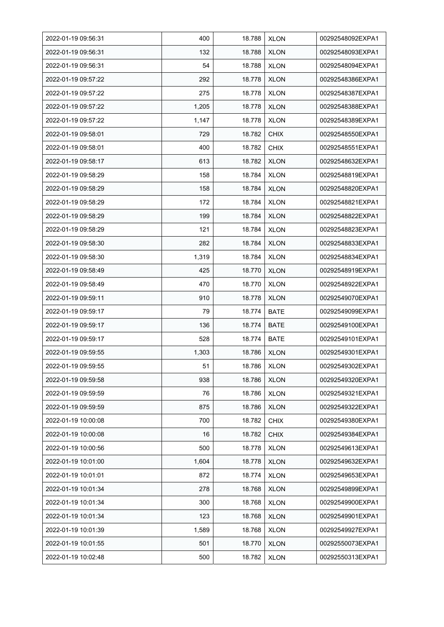| 2022-01-19 09:56:31 | 400   | 18.788 | <b>XLON</b> | 00292548092EXPA1 |
|---------------------|-------|--------|-------------|------------------|
| 2022-01-19 09:56:31 | 132   | 18.788 | <b>XLON</b> | 00292548093EXPA1 |
| 2022-01-19 09:56:31 | 54    | 18.788 | <b>XLON</b> | 00292548094EXPA1 |
| 2022-01-19 09:57:22 | 292   | 18.778 | <b>XLON</b> | 00292548386EXPA1 |
| 2022-01-19 09:57:22 | 275   | 18.778 | <b>XLON</b> | 00292548387EXPA1 |
| 2022-01-19 09:57:22 | 1,205 | 18.778 | <b>XLON</b> | 00292548388EXPA1 |
| 2022-01-19 09:57:22 | 1,147 | 18.778 | <b>XLON</b> | 00292548389EXPA1 |
| 2022-01-19 09:58:01 | 729   | 18.782 | <b>CHIX</b> | 00292548550EXPA1 |
| 2022-01-19 09:58:01 | 400   | 18.782 | <b>CHIX</b> | 00292548551EXPA1 |
| 2022-01-19 09:58:17 | 613   | 18.782 | <b>XLON</b> | 00292548632EXPA1 |
| 2022-01-19 09:58:29 | 158   | 18.784 | <b>XLON</b> | 00292548819EXPA1 |
| 2022-01-19 09:58:29 | 158   | 18.784 | <b>XLON</b> | 00292548820EXPA1 |
| 2022-01-19 09:58:29 | 172   | 18.784 | <b>XLON</b> | 00292548821EXPA1 |
| 2022-01-19 09:58:29 | 199   | 18.784 | <b>XLON</b> | 00292548822EXPA1 |
| 2022-01-19 09:58:29 | 121   | 18.784 | <b>XLON</b> | 00292548823EXPA1 |
| 2022-01-19 09:58:30 | 282   | 18.784 | <b>XLON</b> | 00292548833EXPA1 |
| 2022-01-19 09:58:30 | 1,319 | 18.784 | <b>XLON</b> | 00292548834EXPA1 |
| 2022-01-19 09:58:49 | 425   | 18.770 | <b>XLON</b> | 00292548919EXPA1 |
| 2022-01-19 09:58:49 | 470   | 18.770 | <b>XLON</b> | 00292548922EXPA1 |
| 2022-01-19 09:59:11 | 910   | 18.778 | <b>XLON</b> | 00292549070EXPA1 |
| 2022-01-19 09:59:17 | 79    | 18.774 | <b>BATE</b> | 00292549099EXPA1 |
| 2022-01-19 09:59:17 | 136   | 18.774 | <b>BATE</b> | 00292549100EXPA1 |
| 2022-01-19 09:59:17 | 528   | 18.774 | <b>BATE</b> | 00292549101EXPA1 |
| 2022-01-19 09:59:55 | 1,303 | 18.786 | <b>XLON</b> | 00292549301EXPA1 |
| 2022-01-19 09:59:55 | 51    | 18.786 | <b>XLON</b> | 00292549302EXPA1 |
| 2022-01-19 09:59:58 | 938   | 18.786 | <b>XLON</b> | 00292549320EXPA1 |
| 2022-01-19 09:59:59 | 76    | 18.786 | <b>XLON</b> | 00292549321EXPA1 |
| 2022-01-19 09:59:59 | 875   | 18.786 | <b>XLON</b> | 00292549322EXPA1 |
| 2022-01-19 10:00:08 | 700   | 18.782 | <b>CHIX</b> | 00292549380EXPA1 |
| 2022-01-19 10:00:08 | 16    | 18.782 | <b>CHIX</b> | 00292549384EXPA1 |
| 2022-01-19 10:00:56 | 500   | 18.778 | <b>XLON</b> | 00292549613EXPA1 |
| 2022-01-19 10:01:00 | 1,604 | 18.778 | <b>XLON</b> | 00292549632EXPA1 |
| 2022-01-19 10:01:01 | 872   | 18.774 | <b>XLON</b> | 00292549653EXPA1 |
| 2022-01-19 10:01:34 | 278   | 18.768 | <b>XLON</b> | 00292549899EXPA1 |
| 2022-01-19 10:01:34 | 300   | 18.768 | <b>XLON</b> | 00292549900EXPA1 |
| 2022-01-19 10:01:34 | 123   | 18.768 | <b>XLON</b> | 00292549901EXPA1 |
| 2022-01-19 10:01:39 | 1,589 | 18.768 | <b>XLON</b> | 00292549927EXPA1 |
| 2022-01-19 10:01:55 | 501   | 18.770 | <b>XLON</b> | 00292550073EXPA1 |
| 2022-01-19 10:02:48 | 500   | 18.782 | <b>XLON</b> | 00292550313EXPA1 |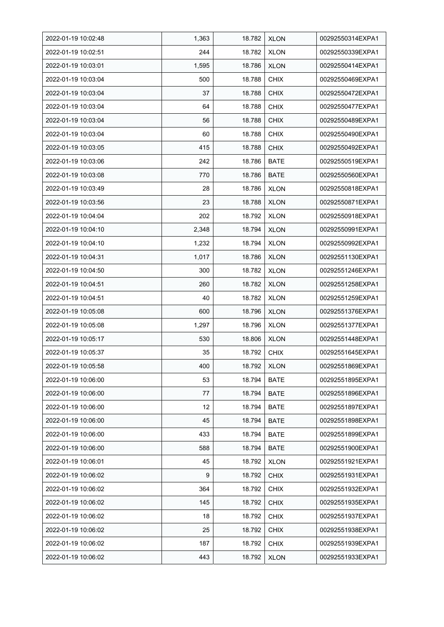| 2022-01-19 10:02:48 | 1,363 | 18.782 | <b>XLON</b> | 00292550314EXPA1 |
|---------------------|-------|--------|-------------|------------------|
| 2022-01-19 10:02:51 | 244   | 18.782 | <b>XLON</b> | 00292550339EXPA1 |
| 2022-01-19 10:03:01 | 1,595 | 18.786 | <b>XLON</b> | 00292550414EXPA1 |
| 2022-01-19 10:03:04 | 500   | 18.788 | <b>CHIX</b> | 00292550469EXPA1 |
| 2022-01-19 10:03:04 | 37    | 18.788 | <b>CHIX</b> | 00292550472EXPA1 |
| 2022-01-19 10:03:04 | 64    | 18.788 | <b>CHIX</b> | 00292550477EXPA1 |
| 2022-01-19 10:03:04 | 56    | 18.788 | <b>CHIX</b> | 00292550489EXPA1 |
| 2022-01-19 10:03:04 | 60    | 18.788 | <b>CHIX</b> | 00292550490EXPA1 |
| 2022-01-19 10:03:05 | 415   | 18.788 | <b>CHIX</b> | 00292550492EXPA1 |
| 2022-01-19 10:03:06 | 242   | 18.786 | <b>BATE</b> | 00292550519EXPA1 |
| 2022-01-19 10:03:08 | 770   | 18.786 | <b>BATE</b> | 00292550560EXPA1 |
| 2022-01-19 10:03:49 | 28    | 18.786 | <b>XLON</b> | 00292550818EXPA1 |
| 2022-01-19 10:03:56 | 23    | 18.788 | <b>XLON</b> | 00292550871EXPA1 |
| 2022-01-19 10:04:04 | 202   | 18.792 | <b>XLON</b> | 00292550918EXPA1 |
| 2022-01-19 10:04:10 | 2,348 | 18.794 | <b>XLON</b> | 00292550991EXPA1 |
| 2022-01-19 10:04:10 | 1,232 | 18.794 | <b>XLON</b> | 00292550992EXPA1 |
| 2022-01-19 10:04:31 | 1,017 | 18.786 | <b>XLON</b> | 00292551130EXPA1 |
| 2022-01-19 10:04:50 | 300   | 18.782 | <b>XLON</b> | 00292551246EXPA1 |
| 2022-01-19 10:04:51 | 260   | 18.782 | <b>XLON</b> | 00292551258EXPA1 |
| 2022-01-19 10:04:51 | 40    | 18.782 | <b>XLON</b> | 00292551259EXPA1 |
| 2022-01-19 10:05:08 | 600   | 18.796 | <b>XLON</b> | 00292551376EXPA1 |
| 2022-01-19 10:05:08 | 1,297 | 18.796 | <b>XLON</b> | 00292551377EXPA1 |
| 2022-01-19 10:05:17 | 530   | 18.806 | <b>XLON</b> | 00292551448EXPA1 |
| 2022-01-19 10:05:37 | 35    | 18.792 | <b>CHIX</b> | 00292551645EXPA1 |
| 2022-01-19 10:05:58 | 400   | 18.792 | <b>XLON</b> | 00292551869EXPA1 |
| 2022-01-19 10:06:00 | 53    | 18.794 | <b>BATE</b> | 00292551895EXPA1 |
| 2022-01-19 10:06:00 | 77    | 18.794 | BATE        | 00292551896EXPA1 |
| 2022-01-19 10:06:00 | 12    | 18.794 | BATE        | 00292551897EXPA1 |
| 2022-01-19 10:06:00 | 45    | 18.794 | <b>BATE</b> | 00292551898EXPA1 |
| 2022-01-19 10:06:00 | 433   | 18.794 | <b>BATE</b> | 00292551899EXPA1 |
| 2022-01-19 10:06:00 | 588   | 18.794 | BATE        | 00292551900EXPA1 |
| 2022-01-19 10:06:01 | 45    | 18.792 | <b>XLON</b> | 00292551921EXPA1 |
| 2022-01-19 10:06:02 | 9     | 18.792 | <b>CHIX</b> | 00292551931EXPA1 |
| 2022-01-19 10:06:02 | 364   | 18.792 | <b>CHIX</b> | 00292551932EXPA1 |
| 2022-01-19 10:06:02 | 145   | 18.792 | <b>CHIX</b> | 00292551935EXPA1 |
| 2022-01-19 10:06:02 | 18    | 18.792 | <b>CHIX</b> | 00292551937EXPA1 |
| 2022-01-19 10:06:02 | 25    | 18.792 | <b>CHIX</b> | 00292551938EXPA1 |
| 2022-01-19 10:06:02 | 187   | 18.792 | <b>CHIX</b> | 00292551939EXPA1 |
| 2022-01-19 10:06:02 | 443   | 18.792 | <b>XLON</b> | 00292551933EXPA1 |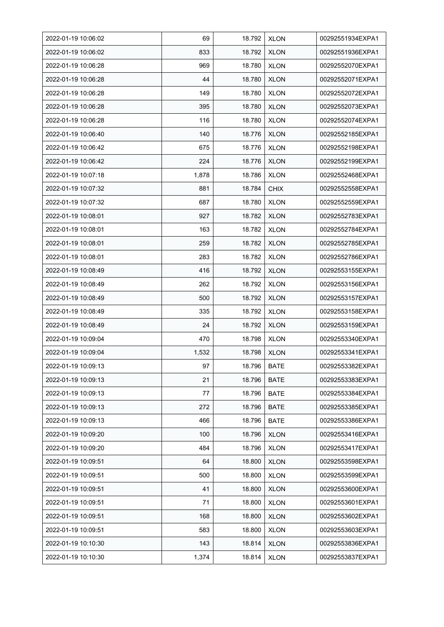| 2022-01-19 10:06:02 | 69    | 18.792 | <b>XLON</b> | 00292551934EXPA1 |
|---------------------|-------|--------|-------------|------------------|
| 2022-01-19 10:06:02 | 833   | 18.792 | <b>XLON</b> | 00292551936EXPA1 |
| 2022-01-19 10:06:28 | 969   | 18.780 | <b>XLON</b> | 00292552070EXPA1 |
| 2022-01-19 10:06:28 | 44    | 18.780 | <b>XLON</b> | 00292552071EXPA1 |
| 2022-01-19 10:06:28 | 149   | 18.780 | <b>XLON</b> | 00292552072EXPA1 |
| 2022-01-19 10:06:28 | 395   | 18.780 | <b>XLON</b> | 00292552073EXPA1 |
| 2022-01-19 10:06:28 | 116   | 18.780 | <b>XLON</b> | 00292552074EXPA1 |
| 2022-01-19 10:06:40 | 140   | 18.776 | <b>XLON</b> | 00292552185EXPA1 |
| 2022-01-19 10:06:42 | 675   | 18.776 | <b>XLON</b> | 00292552198EXPA1 |
| 2022-01-19 10:06:42 | 224   | 18.776 | <b>XLON</b> | 00292552199EXPA1 |
| 2022-01-19 10:07:18 | 1,878 | 18.786 | <b>XLON</b> | 00292552468EXPA1 |
| 2022-01-19 10:07:32 | 881   | 18.784 | <b>CHIX</b> | 00292552558EXPA1 |
| 2022-01-19 10:07:32 | 687   | 18.780 | <b>XLON</b> | 00292552559EXPA1 |
| 2022-01-19 10:08:01 | 927   | 18.782 | <b>XLON</b> | 00292552783EXPA1 |
| 2022-01-19 10:08:01 | 163   | 18.782 | <b>XLON</b> | 00292552784EXPA1 |
| 2022-01-19 10:08:01 | 259   | 18.782 | <b>XLON</b> | 00292552785EXPA1 |
| 2022-01-19 10:08:01 | 283   | 18.782 | <b>XLON</b> | 00292552786EXPA1 |
| 2022-01-19 10:08:49 | 416   | 18.792 | <b>XLON</b> | 00292553155EXPA1 |
| 2022-01-19 10:08:49 | 262   | 18.792 | <b>XLON</b> | 00292553156EXPA1 |
| 2022-01-19 10:08:49 | 500   | 18.792 | <b>XLON</b> | 00292553157EXPA1 |
| 2022-01-19 10:08:49 | 335   | 18.792 | <b>XLON</b> | 00292553158EXPA1 |
| 2022-01-19 10:08:49 | 24    | 18.792 | <b>XLON</b> | 00292553159EXPA1 |
| 2022-01-19 10:09:04 | 470   | 18.798 | <b>XLON</b> | 00292553340EXPA1 |
| 2022-01-19 10:09:04 | 1,532 | 18.798 | <b>XLON</b> | 00292553341EXPA1 |
| 2022-01-19 10:09:13 | 97    | 18.796 | <b>BATE</b> | 00292553382EXPA1 |
| 2022-01-19 10:09:13 | 21    | 18.796 | BATE        | 00292553383EXPA1 |
| 2022-01-19 10:09:13 | 77    | 18.796 | <b>BATE</b> | 00292553384EXPA1 |
| 2022-01-19 10:09:13 | 272   | 18.796 | <b>BATE</b> | 00292553385EXPA1 |
| 2022-01-19 10:09:13 | 466   | 18.796 | <b>BATE</b> | 00292553386EXPA1 |
| 2022-01-19 10:09:20 | 100   | 18.796 | <b>XLON</b> | 00292553416EXPA1 |
| 2022-01-19 10:09:20 | 484   | 18.796 | <b>XLON</b> | 00292553417EXPA1 |
| 2022-01-19 10:09:51 | 64    | 18.800 | <b>XLON</b> | 00292553598EXPA1 |
| 2022-01-19 10:09:51 | 500   | 18.800 | <b>XLON</b> | 00292553599EXPA1 |
| 2022-01-19 10:09:51 | 41    | 18.800 | <b>XLON</b> | 00292553600EXPA1 |
| 2022-01-19 10:09:51 | 71    | 18.800 | <b>XLON</b> | 00292553601EXPA1 |
| 2022-01-19 10:09:51 | 168   | 18.800 | <b>XLON</b> | 00292553602EXPA1 |
| 2022-01-19 10:09:51 | 583   | 18.800 | <b>XLON</b> | 00292553603EXPA1 |
| 2022-01-19 10:10:30 | 143   | 18.814 | <b>XLON</b> | 00292553836EXPA1 |
| 2022-01-19 10:10:30 | 1,374 | 18.814 | <b>XLON</b> | 00292553837EXPA1 |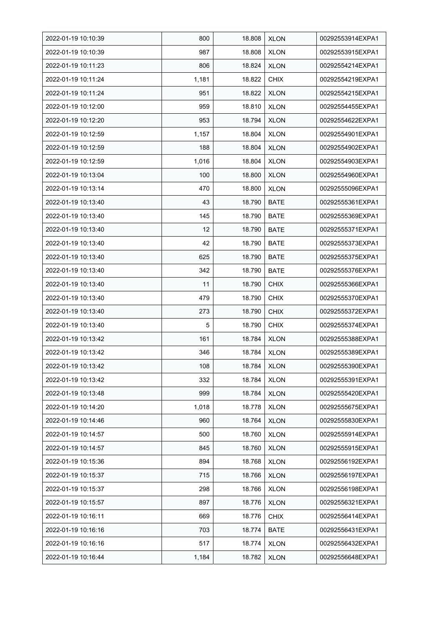| 2022-01-19 10:10:39 | 800   | 18.808 | <b>XLON</b> | 00292553914EXPA1 |
|---------------------|-------|--------|-------------|------------------|
| 2022-01-19 10:10:39 | 987   | 18.808 | <b>XLON</b> | 00292553915EXPA1 |
| 2022-01-19 10:11:23 | 806   | 18.824 | <b>XLON</b> | 00292554214EXPA1 |
| 2022-01-19 10:11:24 | 1,181 | 18.822 | <b>CHIX</b> | 00292554219EXPA1 |
| 2022-01-19 10:11:24 | 951   | 18.822 | <b>XLON</b> | 00292554215EXPA1 |
| 2022-01-19 10:12:00 | 959   | 18.810 | <b>XLON</b> | 00292554455EXPA1 |
| 2022-01-19 10:12:20 | 953   | 18.794 | <b>XLON</b> | 00292554622EXPA1 |
| 2022-01-19 10:12:59 | 1,157 | 18.804 | <b>XLON</b> | 00292554901EXPA1 |
| 2022-01-19 10:12:59 | 188   | 18.804 | <b>XLON</b> | 00292554902EXPA1 |
| 2022-01-19 10:12:59 | 1,016 | 18.804 | <b>XLON</b> | 00292554903EXPA1 |
| 2022-01-19 10:13:04 | 100   | 18.800 | <b>XLON</b> | 00292554960EXPA1 |
| 2022-01-19 10:13:14 | 470   | 18.800 | <b>XLON</b> | 00292555096EXPA1 |
| 2022-01-19 10:13:40 | 43    | 18.790 | <b>BATE</b> | 00292555361EXPA1 |
| 2022-01-19 10:13:40 | 145   | 18.790 | <b>BATE</b> | 00292555369EXPA1 |
| 2022-01-19 10:13:40 | 12    | 18.790 | <b>BATE</b> | 00292555371EXPA1 |
| 2022-01-19 10:13:40 | 42    | 18.790 | <b>BATE</b> | 00292555373EXPA1 |
| 2022-01-19 10:13:40 | 625   | 18.790 | <b>BATE</b> | 00292555375EXPA1 |
| 2022-01-19 10:13:40 | 342   | 18.790 | <b>BATE</b> | 00292555376EXPA1 |
| 2022-01-19 10:13:40 | 11    | 18.790 | <b>CHIX</b> | 00292555366EXPA1 |
| 2022-01-19 10:13:40 | 479   | 18.790 | <b>CHIX</b> | 00292555370EXPA1 |
| 2022-01-19 10:13:40 | 273   | 18.790 | <b>CHIX</b> | 00292555372EXPA1 |
| 2022-01-19 10:13:40 | 5     | 18.790 | <b>CHIX</b> | 00292555374EXPA1 |
| 2022-01-19 10:13:42 | 161   | 18.784 | <b>XLON</b> | 00292555388EXPA1 |
| 2022-01-19 10:13:42 | 346   | 18.784 | <b>XLON</b> | 00292555389EXPA1 |
| 2022-01-19 10:13:42 | 108   | 18.784 | <b>XLON</b> | 00292555390EXPA1 |
| 2022-01-19 10:13:42 | 332   | 18.784 | <b>XLON</b> | 00292555391EXPA1 |
| 2022-01-19 10:13:48 | 999   | 18.784 | <b>XLON</b> | 00292555420EXPA1 |
| 2022-01-19 10:14:20 | 1,018 | 18.778 | <b>XLON</b> | 00292555675EXPA1 |
| 2022-01-19 10:14:46 | 960   | 18.764 | <b>XLON</b> | 00292555830EXPA1 |
| 2022-01-19 10:14:57 | 500   | 18.760 | <b>XLON</b> | 00292555914EXPA1 |
| 2022-01-19 10:14:57 | 845   | 18.760 | <b>XLON</b> | 00292555915EXPA1 |
| 2022-01-19 10:15:36 | 894   | 18.768 | <b>XLON</b> | 00292556192EXPA1 |
| 2022-01-19 10:15:37 | 715   | 18.766 | <b>XLON</b> | 00292556197EXPA1 |
| 2022-01-19 10:15:37 | 298   | 18.766 | <b>XLON</b> | 00292556198EXPA1 |
| 2022-01-19 10:15:57 | 897   | 18.776 | <b>XLON</b> | 00292556321EXPA1 |
| 2022-01-19 10:16:11 | 669   | 18.776 | <b>CHIX</b> | 00292556414EXPA1 |
| 2022-01-19 10:16:16 | 703   | 18.774 | BATE        | 00292556431EXPA1 |
| 2022-01-19 10:16:16 | 517   | 18.774 | <b>XLON</b> | 00292556432EXPA1 |
| 2022-01-19 10:16:44 | 1,184 | 18.782 | <b>XLON</b> | 00292556648EXPA1 |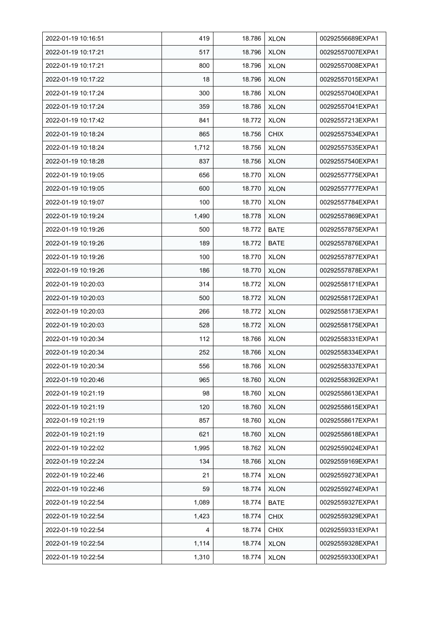| 2022-01-19 10:16:51 | 419   | 18.786 | <b>XLON</b> | 00292556689EXPA1 |
|---------------------|-------|--------|-------------|------------------|
| 2022-01-19 10:17:21 | 517   | 18.796 | <b>XLON</b> | 00292557007EXPA1 |
| 2022-01-19 10:17:21 | 800   | 18.796 | <b>XLON</b> | 00292557008EXPA1 |
| 2022-01-19 10:17:22 | 18    | 18.796 | <b>XLON</b> | 00292557015EXPA1 |
| 2022-01-19 10:17:24 | 300   | 18.786 | <b>XLON</b> | 00292557040EXPA1 |
| 2022-01-19 10:17:24 | 359   | 18.786 | <b>XLON</b> | 00292557041EXPA1 |
| 2022-01-19 10:17:42 | 841   | 18.772 | <b>XLON</b> | 00292557213EXPA1 |
| 2022-01-19 10:18:24 | 865   | 18.756 | <b>CHIX</b> | 00292557534EXPA1 |
| 2022-01-19 10:18:24 | 1,712 | 18.756 | <b>XLON</b> | 00292557535EXPA1 |
| 2022-01-19 10:18:28 | 837   | 18.756 | <b>XLON</b> | 00292557540EXPA1 |
| 2022-01-19 10:19:05 | 656   | 18.770 | <b>XLON</b> | 00292557775EXPA1 |
| 2022-01-19 10:19:05 | 600   | 18.770 | <b>XLON</b> | 00292557777EXPA1 |
| 2022-01-19 10:19:07 | 100   | 18.770 | <b>XLON</b> | 00292557784EXPA1 |
| 2022-01-19 10:19:24 | 1,490 | 18.778 | <b>XLON</b> | 00292557869EXPA1 |
| 2022-01-19 10:19:26 | 500   | 18.772 | <b>BATE</b> | 00292557875EXPA1 |
| 2022-01-19 10:19:26 | 189   | 18.772 | <b>BATE</b> | 00292557876EXPA1 |
| 2022-01-19 10:19:26 | 100   | 18.770 | <b>XLON</b> | 00292557877EXPA1 |
| 2022-01-19 10:19:26 | 186   | 18.770 | <b>XLON</b> | 00292557878EXPA1 |
| 2022-01-19 10:20:03 | 314   | 18.772 | <b>XLON</b> | 00292558171EXPA1 |
| 2022-01-19 10:20:03 | 500   | 18.772 | <b>XLON</b> | 00292558172EXPA1 |
| 2022-01-19 10:20:03 | 266   | 18.772 | <b>XLON</b> | 00292558173EXPA1 |
| 2022-01-19 10:20:03 | 528   | 18.772 | <b>XLON</b> | 00292558175EXPA1 |
| 2022-01-19 10:20:34 | 112   | 18.766 | <b>XLON</b> | 00292558331EXPA1 |
| 2022-01-19 10:20:34 | 252   | 18.766 | <b>XLON</b> | 00292558334EXPA1 |
| 2022-01-19 10:20:34 | 556   | 18.766 | <b>XLON</b> | 00292558337EXPA1 |
| 2022-01-19 10:20:46 | 965   | 18.760 | <b>XLON</b> | 00292558392EXPA1 |
| 2022-01-19 10:21:19 | 98    | 18.760 | <b>XLON</b> | 00292558613EXPA1 |
| 2022-01-19 10:21:19 | 120   | 18.760 | <b>XLON</b> | 00292558615EXPA1 |
| 2022-01-19 10:21:19 | 857   | 18.760 | <b>XLON</b> | 00292558617EXPA1 |
| 2022-01-19 10:21:19 | 621   | 18.760 | <b>XLON</b> | 00292558618EXPA1 |
| 2022-01-19 10:22:02 | 1,995 | 18.762 | <b>XLON</b> | 00292559024EXPA1 |
| 2022-01-19 10:22:24 | 134   | 18.766 | <b>XLON</b> | 00292559169EXPA1 |
| 2022-01-19 10:22:46 | 21    | 18.774 | <b>XLON</b> | 00292559273EXPA1 |
| 2022-01-19 10:22:46 | 59    | 18.774 | <b>XLON</b> | 00292559274EXPA1 |
| 2022-01-19 10:22:54 | 1,089 | 18.774 | <b>BATE</b> | 00292559327EXPA1 |
| 2022-01-19 10:22:54 | 1,423 | 18.774 | <b>CHIX</b> | 00292559329EXPA1 |
| 2022-01-19 10:22:54 | 4     | 18.774 | <b>CHIX</b> | 00292559331EXPA1 |
| 2022-01-19 10:22:54 | 1,114 | 18.774 | <b>XLON</b> | 00292559328EXPA1 |
| 2022-01-19 10:22:54 | 1,310 | 18.774 | <b>XLON</b> | 00292559330EXPA1 |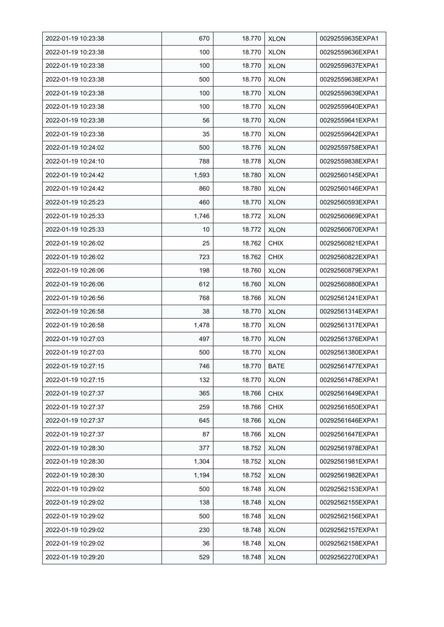| 2022-01-19 10:23:38 | 670   | 18.770 | <b>XLON</b> | 00292559635EXPA1 |
|---------------------|-------|--------|-------------|------------------|
| 2022-01-19 10:23:38 | 100   | 18.770 | <b>XLON</b> | 00292559636EXPA1 |
| 2022-01-19 10:23:38 | 100   | 18.770 | <b>XLON</b> | 00292559637EXPA1 |
| 2022-01-19 10:23:38 | 500   | 18.770 | <b>XLON</b> | 00292559638EXPA1 |
| 2022-01-19 10:23:38 | 100   | 18.770 | <b>XLON</b> | 00292559639EXPA1 |
| 2022-01-19 10:23:38 | 100   | 18.770 | <b>XLON</b> | 00292559640EXPA1 |
| 2022-01-19 10:23:38 | 56    | 18.770 | <b>XLON</b> | 00292559641EXPA1 |
| 2022-01-19 10:23:38 | 35    | 18.770 | <b>XLON</b> | 00292559642EXPA1 |
| 2022-01-19 10:24:02 | 500   | 18.776 | <b>XLON</b> | 00292559758EXPA1 |
| 2022-01-19 10:24:10 | 788   | 18.778 | <b>XLON</b> | 00292559838EXPA1 |
| 2022-01-19 10:24:42 | 1,593 | 18.780 | <b>XLON</b> | 00292560145EXPA1 |
| 2022-01-19 10:24:42 | 860   | 18.780 | <b>XLON</b> | 00292560146EXPA1 |
| 2022-01-19 10:25:23 | 460   | 18.770 | <b>XLON</b> | 00292560593EXPA1 |
| 2022-01-19 10:25:33 | 1,746 | 18.772 | <b>XLON</b> | 00292560669EXPA1 |
| 2022-01-19 10:25:33 | 10    | 18.772 | <b>XLON</b> | 00292560670EXPA1 |
| 2022-01-19 10:26:02 | 25    | 18.762 | <b>CHIX</b> | 00292560821EXPA1 |
| 2022-01-19 10:26:02 | 723   | 18.762 | <b>CHIX</b> | 00292560822EXPA1 |
| 2022-01-19 10:26:06 | 198   | 18.760 | <b>XLON</b> | 00292560879EXPA1 |
| 2022-01-19 10:26:06 | 612   | 18.760 | <b>XLON</b> | 00292560880EXPA1 |
| 2022-01-19 10:26:56 | 768   | 18.766 | <b>XLON</b> | 00292561241EXPA1 |
| 2022-01-19 10:26:58 | 38    | 18.770 | <b>XLON</b> | 00292561314EXPA1 |
| 2022-01-19 10:26:58 | 1,478 | 18.770 | <b>XLON</b> | 00292561317EXPA1 |
| 2022-01-19 10:27:03 | 497   | 18.770 | <b>XLON</b> | 00292561376EXPA1 |
| 2022-01-19 10:27:03 | 500   | 18.770 | <b>XLON</b> | 00292561380EXPA1 |
| 2022-01-19 10:27:15 | 746   | 18.770 | <b>BATE</b> | 00292561477EXPA1 |
| 2022-01-19 10:27:15 | 132   | 18.770 | <b>XLON</b> | 00292561478EXPA1 |
| 2022-01-19 10:27:37 | 365   | 18.766 | <b>CHIX</b> | 00292561649EXPA1 |
| 2022-01-19 10:27:37 | 259   | 18.766 | <b>CHIX</b> | 00292561650EXPA1 |
| 2022-01-19 10:27:37 | 645   | 18.766 | <b>XLON</b> | 00292561646EXPA1 |
| 2022-01-19 10:27:37 | 87    | 18.766 | <b>XLON</b> | 00292561647EXPA1 |
| 2022-01-19 10:28:30 | 377   | 18.752 | <b>XLON</b> | 00292561978EXPA1 |
| 2022-01-19 10:28:30 | 1,304 | 18.752 | <b>XLON</b> | 00292561981EXPA1 |
| 2022-01-19 10:28:30 | 1,194 | 18.752 | <b>XLON</b> | 00292561982EXPA1 |
| 2022-01-19 10:29:02 | 500   | 18.748 | <b>XLON</b> | 00292562153EXPA1 |
| 2022-01-19 10:29:02 | 138   | 18.748 | <b>XLON</b> | 00292562155EXPA1 |
| 2022-01-19 10:29:02 | 500   | 18.748 | <b>XLON</b> | 00292562156EXPA1 |
| 2022-01-19 10:29:02 | 230   | 18.748 | <b>XLON</b> | 00292562157EXPA1 |
| 2022-01-19 10:29:02 | 36    | 18.748 | <b>XLON</b> | 00292562158EXPA1 |
| 2022-01-19 10:29:20 | 529   | 18.748 | <b>XLON</b> | 00292562270EXPA1 |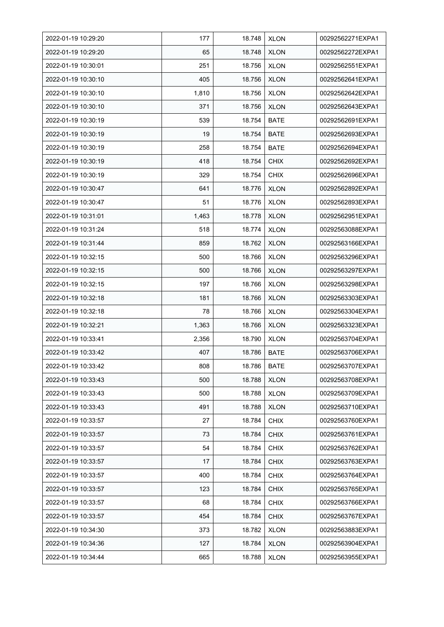| 2022-01-19 10:29:20 | 177   | 18.748 | <b>XLON</b> | 00292562271EXPA1 |
|---------------------|-------|--------|-------------|------------------|
| 2022-01-19 10:29:20 | 65    | 18.748 | <b>XLON</b> | 00292562272EXPA1 |
| 2022-01-19 10:30:01 | 251   | 18.756 | <b>XLON</b> | 00292562551EXPA1 |
| 2022-01-19 10:30:10 | 405   | 18.756 | <b>XLON</b> | 00292562641EXPA1 |
| 2022-01-19 10:30:10 | 1,810 | 18.756 | <b>XLON</b> | 00292562642EXPA1 |
| 2022-01-19 10:30:10 | 371   | 18.756 | <b>XLON</b> | 00292562643EXPA1 |
| 2022-01-19 10:30:19 | 539   | 18.754 | <b>BATE</b> | 00292562691EXPA1 |
| 2022-01-19 10:30:19 | 19    | 18.754 | BATE        | 00292562693EXPA1 |
| 2022-01-19 10:30:19 | 258   | 18.754 | <b>BATE</b> | 00292562694EXPA1 |
| 2022-01-19 10:30:19 | 418   | 18.754 | <b>CHIX</b> | 00292562692EXPA1 |
| 2022-01-19 10:30:19 | 329   | 18.754 | <b>CHIX</b> | 00292562696EXPA1 |
| 2022-01-19 10:30:47 | 641   | 18.776 | <b>XLON</b> | 00292562892EXPA1 |
| 2022-01-19 10:30:47 | 51    | 18.776 | <b>XLON</b> | 00292562893EXPA1 |
| 2022-01-19 10:31:01 | 1,463 | 18.778 | <b>XLON</b> | 00292562951EXPA1 |
| 2022-01-19 10:31:24 | 518   | 18.774 | <b>XLON</b> | 00292563088EXPA1 |
| 2022-01-19 10:31:44 | 859   | 18.762 | <b>XLON</b> | 00292563166EXPA1 |
| 2022-01-19 10:32:15 | 500   | 18.766 | <b>XLON</b> | 00292563296EXPA1 |
| 2022-01-19 10:32:15 | 500   | 18.766 | <b>XLON</b> | 00292563297EXPA1 |
| 2022-01-19 10:32:15 | 197   | 18.766 | <b>XLON</b> | 00292563298EXPA1 |
| 2022-01-19 10:32:18 | 181   | 18.766 | <b>XLON</b> | 00292563303EXPA1 |
| 2022-01-19 10:32:18 | 78    | 18.766 | <b>XLON</b> | 00292563304EXPA1 |
| 2022-01-19 10:32:21 | 1,363 | 18.766 | <b>XLON</b> | 00292563323EXPA1 |
| 2022-01-19 10:33:41 | 2,356 | 18.790 | <b>XLON</b> | 00292563704EXPA1 |
| 2022-01-19 10:33:42 | 407   | 18.786 | <b>BATE</b> | 00292563706EXPA1 |
| 2022-01-19 10:33:42 | 808   | 18.786 | <b>BATE</b> | 00292563707EXPA1 |
| 2022-01-19 10:33:43 | 500   | 18.788 | <b>XLON</b> | 00292563708EXPA1 |
| 2022-01-19 10:33:43 | 500   | 18.788 | <b>XLON</b> | 00292563709EXPA1 |
| 2022-01-19 10:33:43 | 491   | 18.788 | <b>XLON</b> | 00292563710EXPA1 |
| 2022-01-19 10:33:57 | 27    | 18.784 | <b>CHIX</b> | 00292563760EXPA1 |
| 2022-01-19 10:33:57 | 73    | 18.784 | <b>CHIX</b> | 00292563761EXPA1 |
| 2022-01-19 10:33:57 | 54    | 18.784 | <b>CHIX</b> | 00292563762EXPA1 |
| 2022-01-19 10:33:57 | 17    | 18.784 | <b>CHIX</b> | 00292563763EXPA1 |
| 2022-01-19 10:33:57 | 400   | 18.784 | <b>CHIX</b> | 00292563764EXPA1 |
| 2022-01-19 10:33:57 | 123   | 18.784 | <b>CHIX</b> | 00292563765EXPA1 |
| 2022-01-19 10:33:57 | 68    | 18.784 | <b>CHIX</b> | 00292563766EXPA1 |
| 2022-01-19 10:33:57 | 454   | 18.784 | <b>CHIX</b> | 00292563767EXPA1 |
| 2022-01-19 10:34:30 | 373   | 18.782 | <b>XLON</b> | 00292563883EXPA1 |
| 2022-01-19 10:34:36 | 127   | 18.784 | <b>XLON</b> | 00292563904EXPA1 |
| 2022-01-19 10:34:44 | 665   | 18.788 | <b>XLON</b> | 00292563955EXPA1 |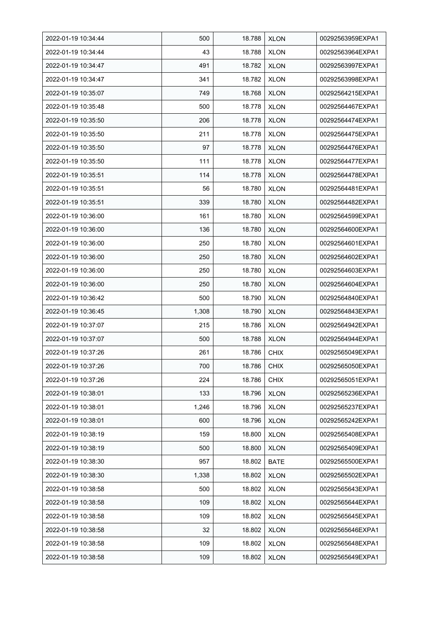| 2022-01-19 10:34:44 | 500   | 18.788 | <b>XLON</b> | 00292563959EXPA1 |
|---------------------|-------|--------|-------------|------------------|
| 2022-01-19 10:34:44 | 43    | 18.788 | <b>XLON</b> | 00292563964EXPA1 |
| 2022-01-19 10:34:47 | 491   | 18.782 | <b>XLON</b> | 00292563997EXPA1 |
| 2022-01-19 10:34:47 | 341   | 18.782 | <b>XLON</b> | 00292563998EXPA1 |
| 2022-01-19 10:35:07 | 749   | 18.768 | <b>XLON</b> | 00292564215EXPA1 |
| 2022-01-19 10:35:48 | 500   | 18.778 | <b>XLON</b> | 00292564467EXPA1 |
| 2022-01-19 10:35:50 | 206   | 18.778 | <b>XLON</b> | 00292564474EXPA1 |
| 2022-01-19 10:35:50 | 211   | 18.778 | <b>XLON</b> | 00292564475EXPA1 |
| 2022-01-19 10:35:50 | 97    | 18.778 | <b>XLON</b> | 00292564476EXPA1 |
| 2022-01-19 10:35:50 | 111   | 18.778 | <b>XLON</b> | 00292564477EXPA1 |
| 2022-01-19 10:35:51 | 114   | 18.778 | <b>XLON</b> | 00292564478EXPA1 |
| 2022-01-19 10:35:51 | 56    | 18.780 | <b>XLON</b> | 00292564481EXPA1 |
| 2022-01-19 10:35:51 | 339   | 18.780 | <b>XLON</b> | 00292564482EXPA1 |
| 2022-01-19 10:36:00 | 161   | 18.780 | <b>XLON</b> | 00292564599EXPA1 |
| 2022-01-19 10:36:00 | 136   | 18.780 | <b>XLON</b> | 00292564600EXPA1 |
| 2022-01-19 10:36:00 | 250   | 18.780 | <b>XLON</b> | 00292564601EXPA1 |
| 2022-01-19 10:36:00 | 250   | 18.780 | <b>XLON</b> | 00292564602EXPA1 |
| 2022-01-19 10:36:00 | 250   | 18.780 | <b>XLON</b> | 00292564603EXPA1 |
| 2022-01-19 10:36:00 | 250   | 18.780 | <b>XLON</b> | 00292564604EXPA1 |
| 2022-01-19 10:36:42 | 500   | 18.790 | <b>XLON</b> | 00292564840EXPA1 |
| 2022-01-19 10:36:45 | 1,308 | 18.790 | <b>XLON</b> | 00292564843EXPA1 |
| 2022-01-19 10:37:07 | 215   | 18.786 | <b>XLON</b> | 00292564942EXPA1 |
| 2022-01-19 10:37:07 | 500   | 18.788 | <b>XLON</b> | 00292564944EXPA1 |
| 2022-01-19 10:37:26 | 261   | 18.786 | <b>CHIX</b> | 00292565049EXPA1 |
| 2022-01-19 10:37:26 | 700   | 18.786 | <b>CHIX</b> | 00292565050EXPA1 |
| 2022-01-19 10:37:26 | 224   | 18.786 | <b>CHIX</b> | 00292565051EXPA1 |
| 2022-01-19 10:38:01 | 133   | 18.796 | <b>XLON</b> | 00292565236EXPA1 |
| 2022-01-19 10:38:01 | 1,246 | 18.796 | <b>XLON</b> | 00292565237EXPA1 |
| 2022-01-19 10:38:01 | 600   | 18.796 | <b>XLON</b> | 00292565242EXPA1 |
| 2022-01-19 10:38:19 | 159   | 18.800 | <b>XLON</b> | 00292565408EXPA1 |
| 2022-01-19 10:38:19 | 500   | 18.800 | <b>XLON</b> | 00292565409EXPA1 |
| 2022-01-19 10:38:30 | 957   | 18.802 | BATE        | 00292565500EXPA1 |
| 2022-01-19 10:38:30 | 1,338 | 18.802 | <b>XLON</b> | 00292565502EXPA1 |
| 2022-01-19 10:38:58 | 500   | 18.802 | <b>XLON</b> | 00292565643EXPA1 |
| 2022-01-19 10:38:58 | 109   | 18.802 | <b>XLON</b> | 00292565644EXPA1 |
| 2022-01-19 10:38:58 | 109   | 18.802 | <b>XLON</b> | 00292565645EXPA1 |
| 2022-01-19 10:38:58 | 32    | 18.802 | <b>XLON</b> | 00292565646EXPA1 |
| 2022-01-19 10:38:58 | 109   | 18.802 | <b>XLON</b> | 00292565648EXPA1 |
| 2022-01-19 10:38:58 | 109   | 18.802 | <b>XLON</b> | 00292565649EXPA1 |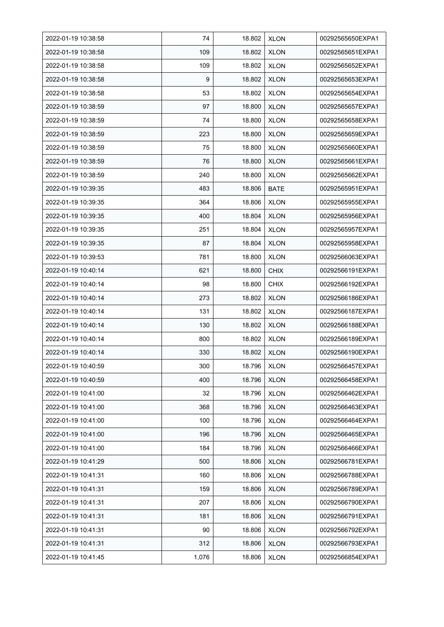| 2022-01-19 10:38:58 | 74    | 18.802 | <b>XLON</b> | 00292565650EXPA1 |
|---------------------|-------|--------|-------------|------------------|
| 2022-01-19 10:38:58 | 109   | 18.802 | <b>XLON</b> | 00292565651EXPA1 |
| 2022-01-19 10:38:58 | 109   | 18.802 | <b>XLON</b> | 00292565652EXPA1 |
| 2022-01-19 10:38:58 | 9     | 18.802 | <b>XLON</b> | 00292565653EXPA1 |
| 2022-01-19 10:38:58 | 53    | 18.802 | <b>XLON</b> | 00292565654EXPA1 |
| 2022-01-19 10:38:59 | 97    | 18.800 | <b>XLON</b> | 00292565657EXPA1 |
| 2022-01-19 10:38:59 | 74    | 18.800 | <b>XLON</b> | 00292565658EXPA1 |
| 2022-01-19 10:38:59 | 223   | 18.800 | <b>XLON</b> | 00292565659EXPA1 |
| 2022-01-19 10:38:59 | 75    | 18.800 | <b>XLON</b> | 00292565660EXPA1 |
| 2022-01-19 10:38:59 | 76    | 18.800 | <b>XLON</b> | 00292565661EXPA1 |
| 2022-01-19 10:38:59 | 240   | 18.800 | <b>XLON</b> | 00292565662EXPA1 |
| 2022-01-19 10:39:35 | 483   | 18.806 | <b>BATE</b> | 00292565951EXPA1 |
| 2022-01-19 10:39:35 | 364   | 18.806 | <b>XLON</b> | 00292565955EXPA1 |
| 2022-01-19 10:39:35 | 400   | 18.804 | <b>XLON</b> | 00292565956EXPA1 |
| 2022-01-19 10:39:35 | 251   | 18.804 | <b>XLON</b> | 00292565957EXPA1 |
| 2022-01-19 10:39:35 | 87    | 18.804 | <b>XLON</b> | 00292565958EXPA1 |
| 2022-01-19 10:39:53 | 781   | 18.800 | <b>XLON</b> | 00292566063EXPA1 |
| 2022-01-19 10:40:14 | 621   | 18.800 | <b>CHIX</b> | 00292566191EXPA1 |
| 2022-01-19 10:40:14 | 98    | 18.800 | <b>CHIX</b> | 00292566192EXPA1 |
| 2022-01-19 10:40:14 | 273   | 18.802 | <b>XLON</b> | 00292566186EXPA1 |
| 2022-01-19 10:40:14 | 131   | 18.802 | <b>XLON</b> | 00292566187EXPA1 |
| 2022-01-19 10:40:14 | 130   | 18.802 | <b>XLON</b> | 00292566188EXPA1 |
| 2022-01-19 10:40:14 | 800   | 18.802 | <b>XLON</b> | 00292566189EXPA1 |
| 2022-01-19 10:40:14 | 330   | 18.802 | <b>XLON</b> | 00292566190EXPA1 |
| 2022-01-19 10:40:59 | 300   | 18.796 | <b>XLON</b> | 00292566457EXPA1 |
| 2022-01-19 10:40:59 | 400   | 18.796 | <b>XLON</b> | 00292566458EXPA1 |
| 2022-01-19 10:41:00 | 32    | 18.796 | <b>XLON</b> | 00292566462EXPA1 |
| 2022-01-19 10:41:00 | 368   | 18.796 | <b>XLON</b> | 00292566463EXPA1 |
| 2022-01-19 10:41:00 | 100   | 18.796 | <b>XLON</b> | 00292566464EXPA1 |
| 2022-01-19 10:41:00 | 196   | 18.796 | <b>XLON</b> | 00292566465EXPA1 |
| 2022-01-19 10:41:00 | 184   | 18.796 | <b>XLON</b> | 00292566466EXPA1 |
| 2022-01-19 10:41:29 | 500   | 18.806 | <b>XLON</b> | 00292566781EXPA1 |
| 2022-01-19 10:41:31 | 160   | 18.806 | <b>XLON</b> | 00292566788EXPA1 |
| 2022-01-19 10:41:31 | 159   | 18.806 | <b>XLON</b> | 00292566789EXPA1 |
| 2022-01-19 10:41:31 | 207   | 18.806 | <b>XLON</b> | 00292566790EXPA1 |
| 2022-01-19 10:41:31 | 181   | 18.806 | <b>XLON</b> | 00292566791EXPA1 |
| 2022-01-19 10:41:31 | 90    | 18.806 | <b>XLON</b> | 00292566792EXPA1 |
| 2022-01-19 10:41:31 | 312   | 18.806 | <b>XLON</b> | 00292566793EXPA1 |
| 2022-01-19 10:41:45 | 1,076 | 18.806 | <b>XLON</b> | 00292566854EXPA1 |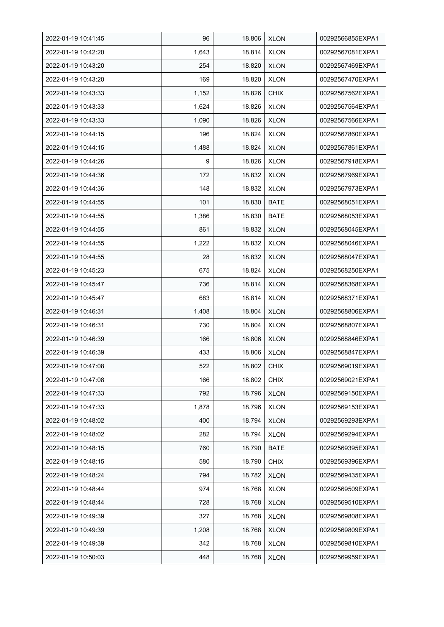| 2022-01-19 10:41:45 | 96    | 18.806 | <b>XLON</b> | 00292566855EXPA1 |
|---------------------|-------|--------|-------------|------------------|
| 2022-01-19 10:42:20 | 1,643 | 18.814 | <b>XLON</b> | 00292567081EXPA1 |
| 2022-01-19 10:43:20 | 254   | 18.820 | <b>XLON</b> | 00292567469EXPA1 |
| 2022-01-19 10:43:20 | 169   | 18.820 | <b>XLON</b> | 00292567470EXPA1 |
| 2022-01-19 10:43:33 | 1,152 | 18.826 | <b>CHIX</b> | 00292567562EXPA1 |
| 2022-01-19 10:43:33 | 1,624 | 18.826 | <b>XLON</b> | 00292567564EXPA1 |
| 2022-01-19 10:43:33 | 1,090 | 18.826 | <b>XLON</b> | 00292567566EXPA1 |
| 2022-01-19 10:44:15 | 196   | 18.824 | <b>XLON</b> | 00292567860EXPA1 |
| 2022-01-19 10:44:15 | 1,488 | 18.824 | <b>XLON</b> | 00292567861EXPA1 |
| 2022-01-19 10:44:26 | 9     | 18.826 | <b>XLON</b> | 00292567918EXPA1 |
| 2022-01-19 10:44:36 | 172   | 18.832 | <b>XLON</b> | 00292567969EXPA1 |
| 2022-01-19 10:44:36 | 148   | 18.832 | <b>XLON</b> | 00292567973EXPA1 |
| 2022-01-19 10:44:55 | 101   | 18.830 | <b>BATE</b> | 00292568051EXPA1 |
| 2022-01-19 10:44:55 | 1,386 | 18.830 | <b>BATE</b> | 00292568053EXPA1 |
| 2022-01-19 10:44:55 | 861   | 18.832 | <b>XLON</b> | 00292568045EXPA1 |
| 2022-01-19 10:44:55 | 1,222 | 18.832 | <b>XLON</b> | 00292568046EXPA1 |
| 2022-01-19 10:44:55 | 28    | 18.832 | <b>XLON</b> | 00292568047EXPA1 |
| 2022-01-19 10:45:23 | 675   | 18.824 | <b>XLON</b> | 00292568250EXPA1 |
| 2022-01-19 10:45:47 | 736   | 18.814 | <b>XLON</b> | 00292568368EXPA1 |
| 2022-01-19 10:45:47 | 683   | 18.814 | <b>XLON</b> | 00292568371EXPA1 |
| 2022-01-19 10:46:31 | 1,408 | 18.804 | <b>XLON</b> | 00292568806EXPA1 |
| 2022-01-19 10:46:31 | 730   | 18.804 | <b>XLON</b> | 00292568807EXPA1 |
| 2022-01-19 10:46:39 | 166   | 18.806 | <b>XLON</b> | 00292568846EXPA1 |
| 2022-01-19 10:46:39 | 433   | 18.806 | <b>XLON</b> | 00292568847EXPA1 |
| 2022-01-19 10:47:08 | 522   | 18.802 | <b>CHIX</b> | 00292569019EXPA1 |
| 2022-01-19 10:47:08 | 166   | 18.802 | <b>CHIX</b> | 00292569021EXPA1 |
| 2022-01-19 10:47:33 | 792   | 18.796 | <b>XLON</b> | 00292569150EXPA1 |
| 2022-01-19 10:47:33 | 1,878 | 18.796 | <b>XLON</b> | 00292569153EXPA1 |
| 2022-01-19 10:48:02 | 400   | 18.794 | <b>XLON</b> | 00292569293EXPA1 |
| 2022-01-19 10:48:02 | 282   | 18.794 | <b>XLON</b> | 00292569294EXPA1 |
| 2022-01-19 10:48:15 | 760   | 18.790 | BATE        | 00292569395EXPA1 |
| 2022-01-19 10:48:15 | 580   | 18.790 | <b>CHIX</b> | 00292569396EXPA1 |
| 2022-01-19 10:48:24 | 794   | 18.782 | <b>XLON</b> | 00292569435EXPA1 |
| 2022-01-19 10:48:44 | 974   | 18.768 | <b>XLON</b> | 00292569509EXPA1 |
| 2022-01-19 10:48:44 | 728   | 18.768 | <b>XLON</b> | 00292569510EXPA1 |
| 2022-01-19 10:49:39 | 327   | 18.768 | <b>XLON</b> | 00292569808EXPA1 |
| 2022-01-19 10:49:39 | 1,208 | 18.768 | <b>XLON</b> | 00292569809EXPA1 |
| 2022-01-19 10:49:39 | 342   | 18.768 | <b>XLON</b> | 00292569810EXPA1 |
| 2022-01-19 10:50:03 | 448   | 18.768 | <b>XLON</b> | 00292569959EXPA1 |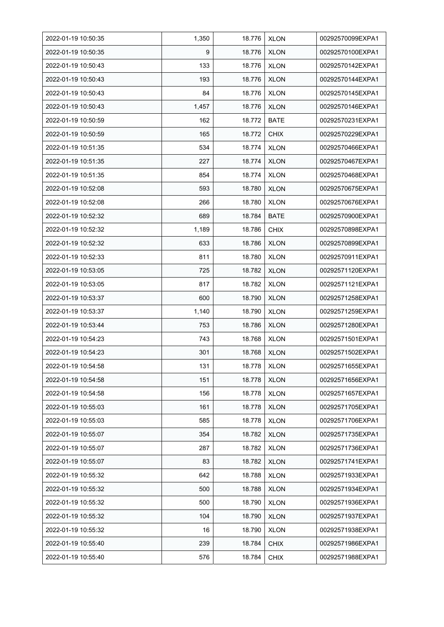| 2022-01-19 10:50:35 | 1,350 | 18.776 | <b>XLON</b> | 00292570099EXPA1 |
|---------------------|-------|--------|-------------|------------------|
| 2022-01-19 10:50:35 | 9     | 18.776 | <b>XLON</b> | 00292570100EXPA1 |
| 2022-01-19 10:50:43 | 133   | 18.776 | <b>XLON</b> | 00292570142EXPA1 |
| 2022-01-19 10:50:43 | 193   | 18.776 | <b>XLON</b> | 00292570144EXPA1 |
| 2022-01-19 10:50:43 | 84    | 18.776 | <b>XLON</b> | 00292570145EXPA1 |
| 2022-01-19 10:50:43 | 1,457 | 18.776 | <b>XLON</b> | 00292570146EXPA1 |
| 2022-01-19 10:50:59 | 162   | 18.772 | <b>BATE</b> | 00292570231EXPA1 |
| 2022-01-19 10:50:59 | 165   | 18.772 | <b>CHIX</b> | 00292570229EXPA1 |
| 2022-01-19 10:51:35 | 534   | 18.774 | <b>XLON</b> | 00292570466EXPA1 |
| 2022-01-19 10:51:35 | 227   | 18.774 | <b>XLON</b> | 00292570467EXPA1 |
| 2022-01-19 10:51:35 | 854   | 18.774 | <b>XLON</b> | 00292570468EXPA1 |
| 2022-01-19 10:52:08 | 593   | 18.780 | <b>XLON</b> | 00292570675EXPA1 |
| 2022-01-19 10:52:08 | 266   | 18.780 | <b>XLON</b> | 00292570676EXPA1 |
| 2022-01-19 10:52:32 | 689   | 18.784 | BATE        | 00292570900EXPA1 |
| 2022-01-19 10:52:32 | 1,189 | 18.786 | <b>CHIX</b> | 00292570898EXPA1 |
| 2022-01-19 10:52:32 | 633   | 18.786 | <b>XLON</b> | 00292570899EXPA1 |
| 2022-01-19 10:52:33 | 811   | 18.780 | <b>XLON</b> | 00292570911EXPA1 |
| 2022-01-19 10:53:05 | 725   | 18.782 | <b>XLON</b> | 00292571120EXPA1 |
| 2022-01-19 10:53:05 | 817   | 18.782 | <b>XLON</b> | 00292571121EXPA1 |
| 2022-01-19 10:53:37 | 600   | 18.790 | <b>XLON</b> | 00292571258EXPA1 |
| 2022-01-19 10:53:37 | 1,140 | 18.790 | <b>XLON</b> | 00292571259EXPA1 |
| 2022-01-19 10:53:44 | 753   | 18.786 | <b>XLON</b> | 00292571280EXPA1 |
| 2022-01-19 10:54:23 | 743   | 18.768 | <b>XLON</b> | 00292571501EXPA1 |
| 2022-01-19 10:54:23 | 301   | 18.768 | <b>XLON</b> | 00292571502EXPA1 |
| 2022-01-19 10:54:58 | 131   | 18.778 | <b>XLON</b> | 00292571655EXPA1 |
| 2022-01-19 10:54:58 | 151   | 18.778 | <b>XLON</b> | 00292571656EXPA1 |
| 2022-01-19 10:54:58 | 156   | 18.778 | <b>XLON</b> | 00292571657EXPA1 |
| 2022-01-19 10:55:03 | 161   | 18.778 | <b>XLON</b> | 00292571705EXPA1 |
| 2022-01-19 10:55:03 | 585   | 18.778 | <b>XLON</b> | 00292571706EXPA1 |
| 2022-01-19 10:55:07 | 354   | 18.782 | <b>XLON</b> | 00292571735EXPA1 |
| 2022-01-19 10:55:07 | 287   | 18.782 | <b>XLON</b> | 00292571736EXPA1 |
| 2022-01-19 10:55:07 | 83    | 18.782 | <b>XLON</b> | 00292571741EXPA1 |
| 2022-01-19 10:55:32 | 642   | 18.788 | <b>XLON</b> | 00292571933EXPA1 |
| 2022-01-19 10:55:32 | 500   | 18.788 | <b>XLON</b> | 00292571934EXPA1 |
| 2022-01-19 10:55:32 | 500   | 18.790 | <b>XLON</b> | 00292571936EXPA1 |
| 2022-01-19 10:55:32 | 104   | 18.790 | <b>XLON</b> | 00292571937EXPA1 |
| 2022-01-19 10:55:32 | 16    | 18.790 | <b>XLON</b> | 00292571938EXPA1 |
| 2022-01-19 10:55:40 | 239   | 18.784 | <b>CHIX</b> | 00292571986EXPA1 |
| 2022-01-19 10:55:40 | 576   | 18.784 | <b>CHIX</b> | 00292571988EXPA1 |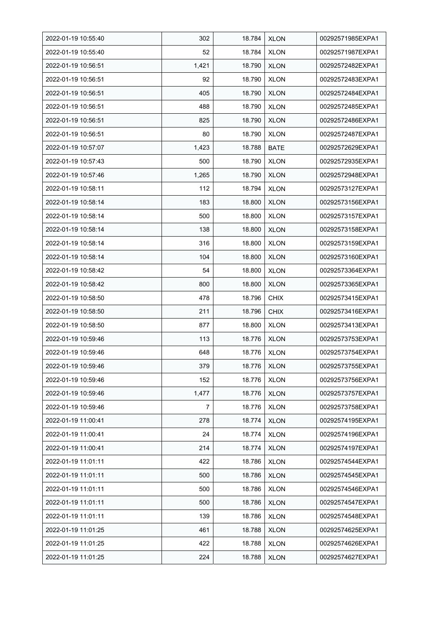| 2022-01-19 10:55:40 | 302            | 18.784 | <b>XLON</b> | 00292571985EXPA1 |
|---------------------|----------------|--------|-------------|------------------|
| 2022-01-19 10:55:40 | 52             | 18.784 | <b>XLON</b> | 00292571987EXPA1 |
| 2022-01-19 10:56:51 | 1,421          | 18.790 | <b>XLON</b> | 00292572482EXPA1 |
| 2022-01-19 10:56:51 | 92             | 18.790 | <b>XLON</b> | 00292572483EXPA1 |
| 2022-01-19 10:56:51 | 405            | 18.790 | <b>XLON</b> | 00292572484EXPA1 |
| 2022-01-19 10:56:51 | 488            | 18.790 | <b>XLON</b> | 00292572485EXPA1 |
| 2022-01-19 10:56:51 | 825            | 18.790 | <b>XLON</b> | 00292572486EXPA1 |
| 2022-01-19 10:56:51 | 80             | 18.790 | <b>XLON</b> | 00292572487EXPA1 |
| 2022-01-19 10:57:07 | 1,423          | 18.788 | <b>BATE</b> | 00292572629EXPA1 |
| 2022-01-19 10:57:43 | 500            | 18.790 | <b>XLON</b> | 00292572935EXPA1 |
| 2022-01-19 10:57:46 | 1,265          | 18.790 | <b>XLON</b> | 00292572948EXPA1 |
| 2022-01-19 10:58:11 | 112            | 18.794 | <b>XLON</b> | 00292573127EXPA1 |
| 2022-01-19 10:58:14 | 183            | 18.800 | <b>XLON</b> | 00292573156EXPA1 |
| 2022-01-19 10:58:14 | 500            | 18.800 | <b>XLON</b> | 00292573157EXPA1 |
| 2022-01-19 10:58:14 | 138            | 18.800 | <b>XLON</b> | 00292573158EXPA1 |
| 2022-01-19 10:58:14 | 316            | 18.800 | <b>XLON</b> | 00292573159EXPA1 |
| 2022-01-19 10:58:14 | 104            | 18.800 | <b>XLON</b> | 00292573160EXPA1 |
| 2022-01-19 10:58:42 | 54             | 18.800 | <b>XLON</b> | 00292573364EXPA1 |
| 2022-01-19 10:58:42 | 800            | 18.800 | <b>XLON</b> | 00292573365EXPA1 |
| 2022-01-19 10:58:50 | 478            | 18.796 | <b>CHIX</b> | 00292573415EXPA1 |
| 2022-01-19 10:58:50 | 211            | 18.796 | <b>CHIX</b> | 00292573416EXPA1 |
| 2022-01-19 10:58:50 | 877            | 18.800 | <b>XLON</b> | 00292573413EXPA1 |
| 2022-01-19 10:59:46 | 113            | 18.776 | <b>XLON</b> | 00292573753EXPA1 |
| 2022-01-19 10:59:46 | 648            | 18.776 | <b>XLON</b> | 00292573754EXPA1 |
| 2022-01-19 10:59:46 | 379            | 18.776 | <b>XLON</b> | 00292573755EXPA1 |
| 2022-01-19 10:59:46 | 152            | 18.776 | <b>XLON</b> | 00292573756EXPA1 |
| 2022-01-19 10:59:46 | 1,477          | 18.776 | <b>XLON</b> | 00292573757EXPA1 |
| 2022-01-19 10:59:46 | $\overline{7}$ | 18.776 | <b>XLON</b> | 00292573758EXPA1 |
| 2022-01-19 11:00:41 | 278            | 18.774 | <b>XLON</b> | 00292574195EXPA1 |
| 2022-01-19 11:00:41 | 24             | 18.774 | <b>XLON</b> | 00292574196EXPA1 |
| 2022-01-19 11:00:41 | 214            | 18.774 | <b>XLON</b> | 00292574197EXPA1 |
| 2022-01-19 11:01:11 | 422            | 18.786 | <b>XLON</b> | 00292574544EXPA1 |
| 2022-01-19 11:01:11 | 500            | 18.786 | <b>XLON</b> | 00292574545EXPA1 |
| 2022-01-19 11:01:11 | 500            | 18.786 | <b>XLON</b> | 00292574546EXPA1 |
| 2022-01-19 11:01:11 | 500            | 18.786 | <b>XLON</b> | 00292574547EXPA1 |
| 2022-01-19 11:01:11 | 139            | 18.786 | <b>XLON</b> | 00292574548EXPA1 |
| 2022-01-19 11:01:25 | 461            | 18.788 | <b>XLON</b> | 00292574625EXPA1 |
| 2022-01-19 11:01:25 | 422            | 18.788 | <b>XLON</b> | 00292574626EXPA1 |
| 2022-01-19 11:01:25 | 224            | 18.788 | <b>XLON</b> | 00292574627EXPA1 |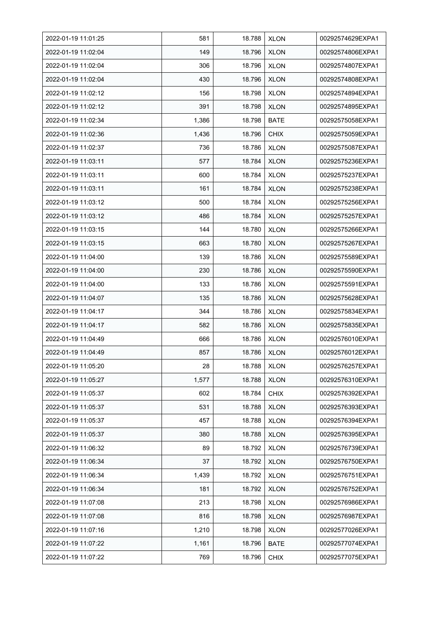| 2022-01-19 11:01:25 | 581   | 18.788 | <b>XLON</b> | 00292574629EXPA1 |
|---------------------|-------|--------|-------------|------------------|
| 2022-01-19 11:02:04 | 149   | 18.796 | <b>XLON</b> | 00292574806EXPA1 |
| 2022-01-19 11:02:04 | 306   | 18.796 | <b>XLON</b> | 00292574807EXPA1 |
| 2022-01-19 11:02:04 | 430   | 18.796 | <b>XLON</b> | 00292574808EXPA1 |
| 2022-01-19 11:02:12 | 156   | 18.798 | <b>XLON</b> | 00292574894EXPA1 |
| 2022-01-19 11:02:12 | 391   | 18.798 | <b>XLON</b> | 00292574895EXPA1 |
| 2022-01-19 11:02:34 | 1,386 | 18.798 | <b>BATE</b> | 00292575058EXPA1 |
| 2022-01-19 11:02:36 | 1,436 | 18.796 | <b>CHIX</b> | 00292575059EXPA1 |
| 2022-01-19 11:02:37 | 736   | 18.786 | <b>XLON</b> | 00292575087EXPA1 |
| 2022-01-19 11:03:11 | 577   | 18.784 | <b>XLON</b> | 00292575236EXPA1 |
| 2022-01-19 11:03:11 | 600   | 18.784 | <b>XLON</b> | 00292575237EXPA1 |
| 2022-01-19 11:03:11 | 161   | 18.784 | <b>XLON</b> | 00292575238EXPA1 |
| 2022-01-19 11:03:12 | 500   | 18.784 | <b>XLON</b> | 00292575256EXPA1 |
| 2022-01-19 11:03:12 | 486   | 18.784 | <b>XLON</b> | 00292575257EXPA1 |
| 2022-01-19 11:03:15 | 144   | 18.780 | <b>XLON</b> | 00292575266EXPA1 |
| 2022-01-19 11:03:15 | 663   | 18.780 | <b>XLON</b> | 00292575267EXPA1 |
| 2022-01-19 11:04:00 | 139   | 18.786 | <b>XLON</b> | 00292575589EXPA1 |
| 2022-01-19 11:04:00 | 230   | 18.786 | <b>XLON</b> | 00292575590EXPA1 |
| 2022-01-19 11:04:00 | 133   | 18.786 | <b>XLON</b> | 00292575591EXPA1 |
| 2022-01-19 11:04:07 | 135   | 18.786 | <b>XLON</b> | 00292575628EXPA1 |
| 2022-01-19 11:04:17 | 344   | 18.786 | <b>XLON</b> | 00292575834EXPA1 |
| 2022-01-19 11:04:17 | 582   | 18.786 | <b>XLON</b> | 00292575835EXPA1 |
| 2022-01-19 11:04:49 | 666   | 18.786 | <b>XLON</b> | 00292576010EXPA1 |
| 2022-01-19 11:04:49 | 857   | 18.786 | <b>XLON</b> | 00292576012EXPA1 |
| 2022-01-19 11:05:20 | 28    | 18.788 | <b>XLON</b> | 00292576257EXPA1 |
| 2022-01-19 11:05:27 | 1,577 | 18.788 | <b>XLON</b> | 00292576310EXPA1 |
| 2022-01-19 11:05:37 | 602   | 18.784 | <b>CHIX</b> | 00292576392EXPA1 |
| 2022-01-19 11:05:37 | 531   | 18.788 | <b>XLON</b> | 00292576393EXPA1 |
| 2022-01-19 11:05:37 | 457   | 18.788 | <b>XLON</b> | 00292576394EXPA1 |
| 2022-01-19 11:05:37 | 380   | 18.788 | <b>XLON</b> | 00292576395EXPA1 |
| 2022-01-19 11:06:32 | 89    | 18.792 | <b>XLON</b> | 00292576739EXPA1 |
| 2022-01-19 11:06:34 | 37    | 18.792 | <b>XLON</b> | 00292576750EXPA1 |
| 2022-01-19 11:06:34 | 1,439 | 18.792 | <b>XLON</b> | 00292576751EXPA1 |
| 2022-01-19 11:06:34 | 181   | 18.792 | <b>XLON</b> | 00292576752EXPA1 |
| 2022-01-19 11:07:08 | 213   | 18.798 | <b>XLON</b> | 00292576986EXPA1 |
| 2022-01-19 11:07:08 | 816   | 18.798 | <b>XLON</b> | 00292576987EXPA1 |
| 2022-01-19 11:07:16 | 1,210 | 18.798 | <b>XLON</b> | 00292577026EXPA1 |
| 2022-01-19 11:07:22 | 1,161 | 18.796 | <b>BATE</b> | 00292577074EXPA1 |
| 2022-01-19 11:07:22 | 769   | 18.796 | <b>CHIX</b> | 00292577075EXPA1 |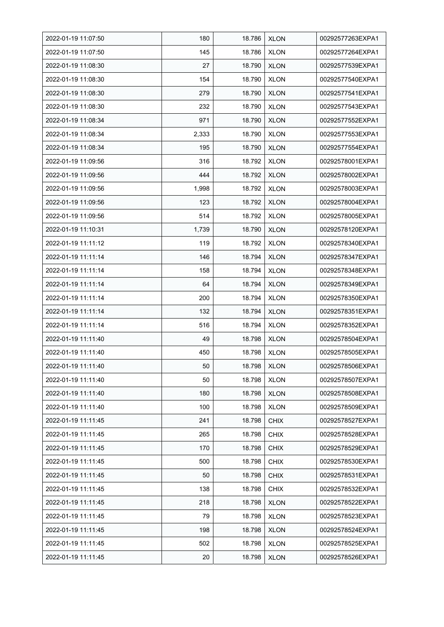| 2022-01-19 11:07:50 | 180   | 18.786 | <b>XLON</b> | 00292577263EXPA1 |
|---------------------|-------|--------|-------------|------------------|
| 2022-01-19 11:07:50 | 145   | 18.786 | <b>XLON</b> | 00292577264EXPA1 |
| 2022-01-19 11:08:30 | 27    | 18.790 | <b>XLON</b> | 00292577539EXPA1 |
| 2022-01-19 11:08:30 | 154   | 18.790 | <b>XLON</b> | 00292577540EXPA1 |
| 2022-01-19 11:08:30 | 279   | 18.790 | <b>XLON</b> | 00292577541EXPA1 |
| 2022-01-19 11:08:30 | 232   | 18.790 | <b>XLON</b> | 00292577543EXPA1 |
| 2022-01-19 11:08:34 | 971   | 18.790 | <b>XLON</b> | 00292577552EXPA1 |
| 2022-01-19 11:08:34 | 2,333 | 18.790 | <b>XLON</b> | 00292577553EXPA1 |
| 2022-01-19 11:08:34 | 195   | 18.790 | <b>XLON</b> | 00292577554EXPA1 |
| 2022-01-19 11:09:56 | 316   | 18.792 | <b>XLON</b> | 00292578001EXPA1 |
| 2022-01-19 11:09:56 | 444   | 18.792 | <b>XLON</b> | 00292578002EXPA1 |
| 2022-01-19 11:09:56 | 1,998 | 18.792 | <b>XLON</b> | 00292578003EXPA1 |
| 2022-01-19 11:09:56 | 123   | 18.792 | <b>XLON</b> | 00292578004EXPA1 |
| 2022-01-19 11:09:56 | 514   | 18.792 | <b>XLON</b> | 00292578005EXPA1 |
| 2022-01-19 11:10:31 | 1,739 | 18.790 | <b>XLON</b> | 00292578120EXPA1 |
| 2022-01-19 11:11:12 | 119   | 18.792 | <b>XLON</b> | 00292578340EXPA1 |
| 2022-01-19 11:11:14 | 146   | 18.794 | <b>XLON</b> | 00292578347EXPA1 |
| 2022-01-19 11:11:14 | 158   | 18.794 | <b>XLON</b> | 00292578348EXPA1 |
| 2022-01-19 11:11:14 | 64    | 18.794 | <b>XLON</b> | 00292578349EXPA1 |
| 2022-01-19 11:11:14 | 200   | 18.794 | <b>XLON</b> | 00292578350EXPA1 |
| 2022-01-19 11:11:14 | 132   | 18.794 | <b>XLON</b> | 00292578351EXPA1 |
| 2022-01-19 11:11:14 | 516   | 18.794 | <b>XLON</b> | 00292578352EXPA1 |
| 2022-01-19 11:11:40 | 49    | 18.798 | <b>XLON</b> | 00292578504EXPA1 |
| 2022-01-19 11:11:40 | 450   | 18.798 | <b>XLON</b> | 00292578505EXPA1 |
| 2022-01-19 11:11:40 | 50    | 18.798 | <b>XLON</b> | 00292578506EXPA1 |
| 2022-01-19 11:11:40 | 50    | 18.798 | <b>XLON</b> | 00292578507EXPA1 |
| 2022-01-19 11:11:40 | 180   | 18.798 | <b>XLON</b> | 00292578508EXPA1 |
| 2022-01-19 11:11:40 | 100   | 18.798 | <b>XLON</b> | 00292578509EXPA1 |
| 2022-01-19 11:11:45 | 241   | 18.798 | <b>CHIX</b> | 00292578527EXPA1 |
| 2022-01-19 11:11:45 | 265   | 18.798 | <b>CHIX</b> | 00292578528EXPA1 |
| 2022-01-19 11:11:45 | 170   | 18.798 | <b>CHIX</b> | 00292578529EXPA1 |
| 2022-01-19 11:11:45 | 500   | 18.798 | <b>CHIX</b> | 00292578530EXPA1 |
| 2022-01-19 11:11:45 | 50    | 18.798 | <b>CHIX</b> | 00292578531EXPA1 |
| 2022-01-19 11:11:45 | 138   | 18.798 | <b>CHIX</b> | 00292578532EXPA1 |
| 2022-01-19 11:11:45 | 218   | 18.798 | <b>XLON</b> | 00292578522EXPA1 |
| 2022-01-19 11:11:45 | 79    | 18.798 | <b>XLON</b> | 00292578523EXPA1 |
| 2022-01-19 11:11:45 | 198   | 18.798 | <b>XLON</b> | 00292578524EXPA1 |
| 2022-01-19 11:11:45 | 502   | 18.798 | <b>XLON</b> | 00292578525EXPA1 |
| 2022-01-19 11:11:45 | 20    | 18.798 | <b>XLON</b> | 00292578526EXPA1 |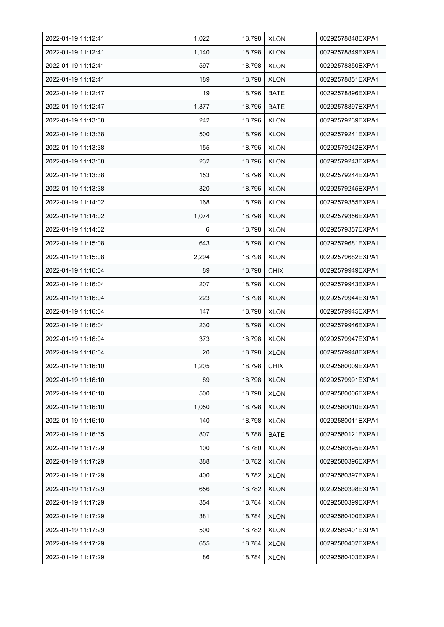| 2022-01-19 11:12:41 | 1,022 | 18.798 | <b>XLON</b> | 00292578848EXPA1 |
|---------------------|-------|--------|-------------|------------------|
| 2022-01-19 11:12:41 | 1,140 | 18.798 | <b>XLON</b> | 00292578849EXPA1 |
| 2022-01-19 11:12:41 | 597   | 18.798 | <b>XLON</b> | 00292578850EXPA1 |
| 2022-01-19 11:12:41 | 189   | 18.798 | <b>XLON</b> | 00292578851EXPA1 |
| 2022-01-19 11:12:47 | 19    | 18.796 | <b>BATE</b> | 00292578896EXPA1 |
| 2022-01-19 11:12:47 | 1,377 | 18.796 | <b>BATE</b> | 00292578897EXPA1 |
| 2022-01-19 11:13:38 | 242   | 18.796 | <b>XLON</b> | 00292579239EXPA1 |
| 2022-01-19 11:13:38 | 500   | 18.796 | <b>XLON</b> | 00292579241EXPA1 |
| 2022-01-19 11:13:38 | 155   | 18.796 | <b>XLON</b> | 00292579242EXPA1 |
| 2022-01-19 11:13:38 | 232   | 18.796 | <b>XLON</b> | 00292579243EXPA1 |
| 2022-01-19 11:13:38 | 153   | 18.796 | <b>XLON</b> | 00292579244EXPA1 |
| 2022-01-19 11:13:38 | 320   | 18.796 | <b>XLON</b> | 00292579245EXPA1 |
| 2022-01-19 11:14:02 | 168   | 18.798 | <b>XLON</b> | 00292579355EXPA1 |
| 2022-01-19 11:14:02 | 1,074 | 18.798 | <b>XLON</b> | 00292579356EXPA1 |
| 2022-01-19 11:14:02 | 6     | 18.798 | <b>XLON</b> | 00292579357EXPA1 |
| 2022-01-19 11:15:08 | 643   | 18.798 | <b>XLON</b> | 00292579681EXPA1 |
| 2022-01-19 11:15:08 | 2,294 | 18.798 | <b>XLON</b> | 00292579682EXPA1 |
| 2022-01-19 11:16:04 | 89    | 18.798 | <b>CHIX</b> | 00292579949EXPA1 |
| 2022-01-19 11:16:04 | 207   | 18.798 | <b>XLON</b> | 00292579943EXPA1 |
| 2022-01-19 11:16:04 | 223   | 18.798 | <b>XLON</b> | 00292579944EXPA1 |
| 2022-01-19 11:16:04 | 147   | 18.798 | <b>XLON</b> | 00292579945EXPA1 |
| 2022-01-19 11:16:04 | 230   | 18.798 | <b>XLON</b> | 00292579946EXPA1 |
| 2022-01-19 11:16:04 | 373   | 18.798 | <b>XLON</b> | 00292579947EXPA1 |
| 2022-01-19 11:16:04 | 20    | 18.798 | <b>XLON</b> | 00292579948EXPA1 |
| 2022-01-19 11:16:10 | 1,205 | 18.798 | <b>CHIX</b> | 00292580009EXPA1 |
| 2022-01-19 11:16:10 | 89    | 18.798 | <b>XLON</b> | 00292579991EXPA1 |
| 2022-01-19 11:16:10 | 500   | 18.798 | <b>XLON</b> | 00292580006EXPA1 |
| 2022-01-19 11:16:10 | 1,050 | 18.798 | <b>XLON</b> | 00292580010EXPA1 |
| 2022-01-19 11:16:10 | 140   | 18.798 | <b>XLON</b> | 00292580011EXPA1 |
| 2022-01-19 11:16:35 | 807   | 18.788 | <b>BATE</b> | 00292580121EXPA1 |
| 2022-01-19 11:17:29 | 100   | 18.780 | <b>XLON</b> | 00292580395EXPA1 |
| 2022-01-19 11:17:29 | 388   | 18.782 | <b>XLON</b> | 00292580396EXPA1 |
| 2022-01-19 11:17:29 | 400   | 18.782 | <b>XLON</b> | 00292580397EXPA1 |
| 2022-01-19 11:17:29 | 656   | 18.782 | <b>XLON</b> | 00292580398EXPA1 |
| 2022-01-19 11:17:29 | 354   | 18.784 | <b>XLON</b> | 00292580399EXPA1 |
| 2022-01-19 11:17:29 | 381   | 18.784 | <b>XLON</b> | 00292580400EXPA1 |
| 2022-01-19 11:17:29 | 500   | 18.782 | <b>XLON</b> | 00292580401EXPA1 |
| 2022-01-19 11:17:29 | 655   | 18.784 | XLON        | 00292580402EXPA1 |
| 2022-01-19 11:17:29 | 86    | 18.784 | <b>XLON</b> | 00292580403EXPA1 |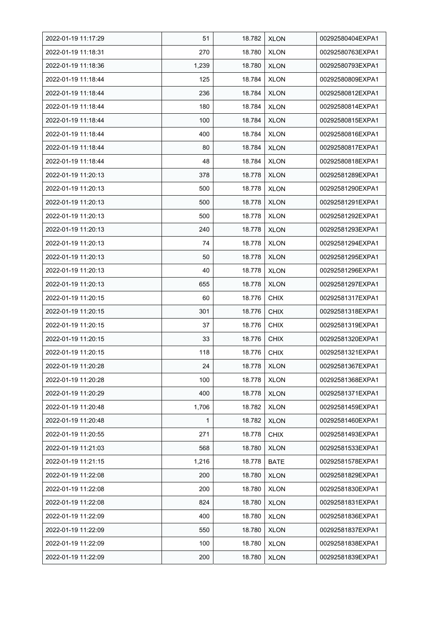| 2022-01-19 11:17:29 | 51    | 18.782 | <b>XLON</b> | 00292580404EXPA1 |
|---------------------|-------|--------|-------------|------------------|
| 2022-01-19 11:18:31 | 270   | 18.780 | <b>XLON</b> | 00292580763EXPA1 |
| 2022-01-19 11:18:36 | 1,239 | 18.780 | <b>XLON</b> | 00292580793EXPA1 |
| 2022-01-19 11:18:44 | 125   | 18.784 | <b>XLON</b> | 00292580809EXPA1 |
| 2022-01-19 11:18:44 | 236   | 18.784 | <b>XLON</b> | 00292580812EXPA1 |
| 2022-01-19 11:18:44 | 180   | 18.784 | <b>XLON</b> | 00292580814EXPA1 |
| 2022-01-19 11:18:44 | 100   | 18.784 | <b>XLON</b> | 00292580815EXPA1 |
| 2022-01-19 11:18:44 | 400   | 18.784 | <b>XLON</b> | 00292580816EXPA1 |
| 2022-01-19 11:18:44 | 80    | 18.784 | <b>XLON</b> | 00292580817EXPA1 |
| 2022-01-19 11:18:44 | 48    | 18.784 | <b>XLON</b> | 00292580818EXPA1 |
| 2022-01-19 11:20:13 | 378   | 18.778 | <b>XLON</b> | 00292581289EXPA1 |
| 2022-01-19 11:20:13 | 500   | 18.778 | <b>XLON</b> | 00292581290EXPA1 |
| 2022-01-19 11:20:13 | 500   | 18.778 | <b>XLON</b> | 00292581291EXPA1 |
| 2022-01-19 11:20:13 | 500   | 18.778 | <b>XLON</b> | 00292581292EXPA1 |
| 2022-01-19 11:20:13 | 240   | 18.778 | <b>XLON</b> | 00292581293EXPA1 |
| 2022-01-19 11:20:13 | 74    | 18.778 | <b>XLON</b> | 00292581294EXPA1 |
| 2022-01-19 11:20:13 | 50    | 18.778 | <b>XLON</b> | 00292581295EXPA1 |
| 2022-01-19 11:20:13 | 40    | 18.778 | XLON        | 00292581296EXPA1 |
| 2022-01-19 11:20:13 | 655   | 18.778 | <b>XLON</b> | 00292581297EXPA1 |
| 2022-01-19 11:20:15 | 60    | 18.776 | <b>CHIX</b> | 00292581317EXPA1 |
| 2022-01-19 11:20:15 | 301   | 18.776 | <b>CHIX</b> | 00292581318EXPA1 |
| 2022-01-19 11:20:15 | 37    | 18.776 | <b>CHIX</b> | 00292581319EXPA1 |
| 2022-01-19 11:20:15 | 33    | 18.776 | <b>CHIX</b> | 00292581320EXPA1 |
| 2022-01-19 11:20:15 | 118   | 18.776 | <b>CHIX</b> | 00292581321EXPA1 |
| 2022-01-19 11:20:28 | 24    | 18.778 | <b>XLON</b> | 00292581367EXPA1 |
| 2022-01-19 11:20:28 | 100   | 18.778 | <b>XLON</b> | 00292581368EXPA1 |
| 2022-01-19 11:20:29 | 400   | 18.778 | <b>XLON</b> | 00292581371EXPA1 |
| 2022-01-19 11:20:48 | 1,706 | 18.782 | <b>XLON</b> | 00292581459EXPA1 |
| 2022-01-19 11:20:48 | 1     | 18.782 | <b>XLON</b> | 00292581460EXPA1 |
| 2022-01-19 11:20:55 | 271   | 18.778 | <b>CHIX</b> | 00292581493EXPA1 |
| 2022-01-19 11:21:03 | 568   | 18.780 | <b>XLON</b> | 00292581533EXPA1 |
| 2022-01-19 11:21:15 | 1,216 | 18.778 | <b>BATE</b> | 00292581578EXPA1 |
| 2022-01-19 11:22:08 | 200   | 18.780 | <b>XLON</b> | 00292581829EXPA1 |
| 2022-01-19 11:22:08 | 200   | 18.780 | <b>XLON</b> | 00292581830EXPA1 |
| 2022-01-19 11:22:08 | 824   | 18.780 | <b>XLON</b> | 00292581831EXPA1 |
| 2022-01-19 11:22:09 | 400   | 18.780 | <b>XLON</b> | 00292581836EXPA1 |
| 2022-01-19 11:22:09 | 550   | 18.780 | <b>XLON</b> | 00292581837EXPA1 |
| 2022-01-19 11:22:09 | 100   | 18.780 | <b>XLON</b> | 00292581838EXPA1 |
| 2022-01-19 11:22:09 | 200   | 18.780 | <b>XLON</b> | 00292581839EXPA1 |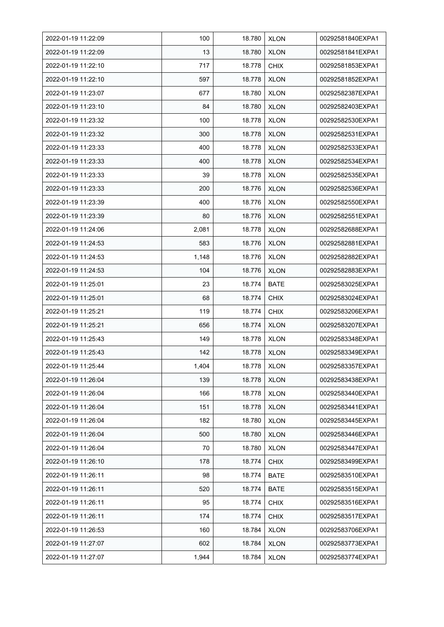| 2022-01-19 11:22:09 | 100   | 18.780 | <b>XLON</b> | 00292581840EXPA1 |
|---------------------|-------|--------|-------------|------------------|
| 2022-01-19 11:22:09 | 13    | 18.780 | <b>XLON</b> | 00292581841EXPA1 |
| 2022-01-19 11:22:10 | 717   | 18.778 | <b>CHIX</b> | 00292581853EXPA1 |
| 2022-01-19 11:22:10 | 597   | 18.778 | <b>XLON</b> | 00292581852EXPA1 |
| 2022-01-19 11:23:07 | 677   | 18.780 | <b>XLON</b> | 00292582387EXPA1 |
| 2022-01-19 11:23:10 | 84    | 18.780 | <b>XLON</b> | 00292582403EXPA1 |
| 2022-01-19 11:23:32 | 100   | 18.778 | <b>XLON</b> | 00292582530EXPA1 |
| 2022-01-19 11:23:32 | 300   | 18.778 | <b>XLON</b> | 00292582531EXPA1 |
| 2022-01-19 11:23:33 | 400   | 18.778 | <b>XLON</b> | 00292582533EXPA1 |
| 2022-01-19 11:23:33 | 400   | 18.778 | <b>XLON</b> | 00292582534EXPA1 |
| 2022-01-19 11:23:33 | 39    | 18.778 | <b>XLON</b> | 00292582535EXPA1 |
| 2022-01-19 11:23:33 | 200   | 18.776 | <b>XLON</b> | 00292582536EXPA1 |
| 2022-01-19 11:23:39 | 400   | 18.776 | <b>XLON</b> | 00292582550EXPA1 |
| 2022-01-19 11:23:39 | 80    | 18.776 | <b>XLON</b> | 00292582551EXPA1 |
| 2022-01-19 11:24:06 | 2,081 | 18.778 | <b>XLON</b> | 00292582688EXPA1 |
| 2022-01-19 11:24:53 | 583   | 18.776 | <b>XLON</b> | 00292582881EXPA1 |
| 2022-01-19 11:24:53 | 1,148 | 18.776 | <b>XLON</b> | 00292582882EXPA1 |
| 2022-01-19 11:24:53 | 104   | 18.776 | <b>XLON</b> | 00292582883EXPA1 |
| 2022-01-19 11:25:01 | 23    | 18.774 | <b>BATE</b> | 00292583025EXPA1 |
| 2022-01-19 11:25:01 | 68    | 18.774 | <b>CHIX</b> | 00292583024EXPA1 |
| 2022-01-19 11:25:21 | 119   | 18.774 | <b>CHIX</b> | 00292583206EXPA1 |
| 2022-01-19 11:25:21 | 656   | 18.774 | <b>XLON</b> | 00292583207EXPA1 |
| 2022-01-19 11:25:43 | 149   | 18.778 | <b>XLON</b> | 00292583348EXPA1 |
| 2022-01-19 11:25:43 | 142   | 18.778 | <b>XLON</b> | 00292583349EXPA1 |
| 2022-01-19 11:25:44 | 1,404 | 18.778 | <b>XLON</b> | 00292583357EXPA1 |
| 2022-01-19 11:26:04 | 139   | 18.778 | <b>XLON</b> | 00292583438EXPA1 |
| 2022-01-19 11:26:04 | 166   | 18.778 | <b>XLON</b> | 00292583440EXPA1 |
| 2022-01-19 11:26:04 | 151   | 18.778 | <b>XLON</b> | 00292583441EXPA1 |
| 2022-01-19 11:26:04 | 182   | 18.780 | <b>XLON</b> | 00292583445EXPA1 |
| 2022-01-19 11:26:04 | 500   | 18.780 | <b>XLON</b> | 00292583446EXPA1 |
| 2022-01-19 11:26:04 | 70    | 18.780 | <b>XLON</b> | 00292583447EXPA1 |
| 2022-01-19 11:26:10 | 178   | 18.774 | <b>CHIX</b> | 00292583499EXPA1 |
| 2022-01-19 11:26:11 | 98    | 18.774 | BATE        | 00292583510EXPA1 |
| 2022-01-19 11:26:11 | 520   | 18.774 | <b>BATE</b> | 00292583515EXPA1 |
| 2022-01-19 11:26:11 | 95    | 18.774 | <b>CHIX</b> | 00292583516EXPA1 |
| 2022-01-19 11:26:11 | 174   | 18.774 | <b>CHIX</b> | 00292583517EXPA1 |
| 2022-01-19 11:26:53 | 160   | 18.784 | <b>XLON</b> | 00292583706EXPA1 |
| 2022-01-19 11:27:07 | 602   | 18.784 | <b>XLON</b> | 00292583773EXPA1 |
| 2022-01-19 11:27:07 | 1,944 | 18.784 | <b>XLON</b> | 00292583774EXPA1 |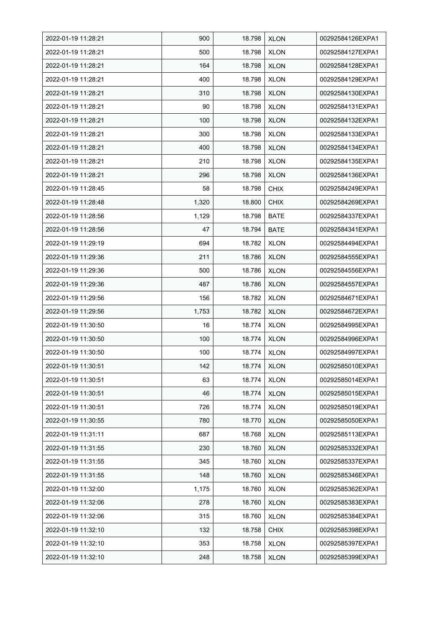| 2022-01-19 11:28:21 | 900   | 18.798 | <b>XLON</b> | 00292584126EXPA1 |
|---------------------|-------|--------|-------------|------------------|
| 2022-01-19 11:28:21 | 500   | 18.798 | <b>XLON</b> | 00292584127EXPA1 |
| 2022-01-19 11:28:21 | 164   | 18.798 | <b>XLON</b> | 00292584128EXPA1 |
| 2022-01-19 11:28:21 | 400   | 18.798 | <b>XLON</b> | 00292584129EXPA1 |
| 2022-01-19 11:28:21 | 310   | 18.798 | <b>XLON</b> | 00292584130EXPA1 |
| 2022-01-19 11:28:21 | 90    | 18.798 | <b>XLON</b> | 00292584131EXPA1 |
| 2022-01-19 11:28:21 | 100   | 18.798 | <b>XLON</b> | 00292584132EXPA1 |
| 2022-01-19 11:28:21 | 300   | 18.798 | <b>XLON</b> | 00292584133EXPA1 |
| 2022-01-19 11:28:21 | 400   | 18.798 | <b>XLON</b> | 00292584134EXPA1 |
| 2022-01-19 11:28:21 | 210   | 18.798 | <b>XLON</b> | 00292584135EXPA1 |
| 2022-01-19 11:28:21 | 296   | 18.798 | <b>XLON</b> | 00292584136EXPA1 |
| 2022-01-19 11:28:45 | 58    | 18.798 | <b>CHIX</b> | 00292584249EXPA1 |
| 2022-01-19 11:28:48 | 1,320 | 18.800 | <b>CHIX</b> | 00292584269EXPA1 |
| 2022-01-19 11:28:56 | 1,129 | 18.798 | <b>BATE</b> | 00292584337EXPA1 |
| 2022-01-19 11:28:56 | 47    | 18.794 | <b>BATE</b> | 00292584341EXPA1 |
| 2022-01-19 11:29:19 | 694   | 18.782 | <b>XLON</b> | 00292584494EXPA1 |
| 2022-01-19 11:29:36 | 211   | 18.786 | <b>XLON</b> | 00292584555EXPA1 |
| 2022-01-19 11:29:36 | 500   | 18.786 | <b>XLON</b> | 00292584556EXPA1 |
| 2022-01-19 11:29:36 | 487   | 18.786 | <b>XLON</b> | 00292584557EXPA1 |
| 2022-01-19 11:29:56 | 156   | 18.782 | <b>XLON</b> | 00292584671EXPA1 |
| 2022-01-19 11:29:56 | 1,753 | 18.782 | <b>XLON</b> | 00292584672EXPA1 |
| 2022-01-19 11:30:50 | 16    | 18.774 | <b>XLON</b> | 00292584995EXPA1 |
| 2022-01-19 11:30:50 | 100   | 18.774 | <b>XLON</b> | 00292584996EXPA1 |
| 2022-01-19 11:30:50 | 100   | 18.774 | <b>XLON</b> | 00292584997EXPA1 |
| 2022-01-19 11:30:51 | 142   | 18.774 | <b>XLON</b> | 00292585010EXPA1 |
| 2022-01-19 11:30:51 | 63    | 18.774 | <b>XLON</b> | 00292585014EXPA1 |
| 2022-01-19 11:30:51 | 46    | 18.774 | <b>XLON</b> | 00292585015EXPA1 |
| 2022-01-19 11:30:51 | 726   | 18.774 | <b>XLON</b> | 00292585019EXPA1 |
| 2022-01-19 11:30:55 | 780   | 18.770 | <b>XLON</b> | 00292585050EXPA1 |
| 2022-01-19 11:31:11 | 687   | 18.768 | <b>XLON</b> | 00292585113EXPA1 |
| 2022-01-19 11:31:55 | 230   | 18.760 | <b>XLON</b> | 00292585332EXPA1 |
| 2022-01-19 11:31:55 | 345   | 18.760 | <b>XLON</b> | 00292585337EXPA1 |
| 2022-01-19 11:31:55 | 148   | 18.760 | <b>XLON</b> | 00292585346EXPA1 |
| 2022-01-19 11:32:00 | 1,175 | 18.760 | <b>XLON</b> | 00292585362EXPA1 |
| 2022-01-19 11:32:06 | 278   | 18.760 | <b>XLON</b> | 00292585383EXPA1 |
| 2022-01-19 11:32:06 | 315   | 18.760 | <b>XLON</b> | 00292585384EXPA1 |
| 2022-01-19 11:32:10 | 132   | 18.758 | <b>CHIX</b> | 00292585398EXPA1 |
| 2022-01-19 11:32:10 | 353   | 18.758 | <b>XLON</b> | 00292585397EXPA1 |
| 2022-01-19 11:32:10 | 248   | 18.758 | <b>XLON</b> | 00292585399EXPA1 |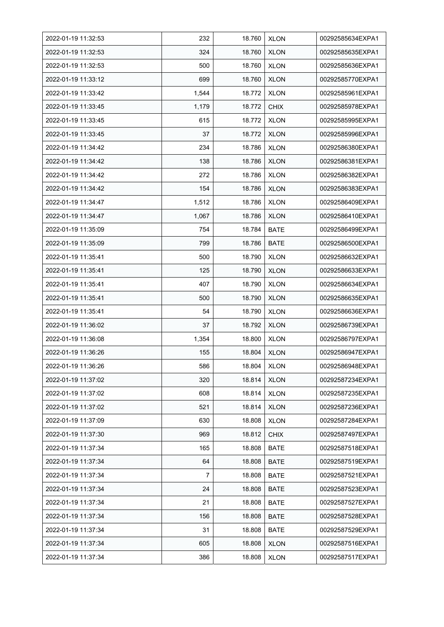| 2022-01-19 11:32:53 | 232   | 18.760 | <b>XLON</b> | 00292585634EXPA1 |
|---------------------|-------|--------|-------------|------------------|
| 2022-01-19 11:32:53 | 324   | 18.760 | <b>XLON</b> | 00292585635EXPA1 |
| 2022-01-19 11:32:53 | 500   | 18.760 | <b>XLON</b> | 00292585636EXPA1 |
| 2022-01-19 11:33:12 | 699   | 18.760 | <b>XLON</b> | 00292585770EXPA1 |
| 2022-01-19 11:33:42 | 1,544 | 18.772 | <b>XLON</b> | 00292585961EXPA1 |
| 2022-01-19 11:33:45 | 1,179 | 18.772 | <b>CHIX</b> | 00292585978EXPA1 |
| 2022-01-19 11:33:45 | 615   | 18.772 | <b>XLON</b> | 00292585995EXPA1 |
| 2022-01-19 11:33:45 | 37    | 18.772 | <b>XLON</b> | 00292585996EXPA1 |
| 2022-01-19 11:34:42 | 234   | 18.786 | <b>XLON</b> | 00292586380EXPA1 |
| 2022-01-19 11:34:42 | 138   | 18.786 | <b>XLON</b> | 00292586381EXPA1 |
| 2022-01-19 11:34:42 | 272   | 18.786 | <b>XLON</b> | 00292586382EXPA1 |
| 2022-01-19 11:34:42 | 154   | 18.786 | <b>XLON</b> | 00292586383EXPA1 |
| 2022-01-19 11:34:47 | 1,512 | 18.786 | <b>XLON</b> | 00292586409EXPA1 |
| 2022-01-19 11:34:47 | 1,067 | 18.786 | <b>XLON</b> | 00292586410EXPA1 |
| 2022-01-19 11:35:09 | 754   | 18.784 | <b>BATE</b> | 00292586499EXPA1 |
| 2022-01-19 11:35:09 | 799   | 18.786 | <b>BATE</b> | 00292586500EXPA1 |
| 2022-01-19 11:35:41 | 500   | 18.790 | <b>XLON</b> | 00292586632EXPA1 |
| 2022-01-19 11:35:41 | 125   | 18.790 | <b>XLON</b> | 00292586633EXPA1 |
| 2022-01-19 11:35:41 | 407   | 18.790 | <b>XLON</b> | 00292586634EXPA1 |
| 2022-01-19 11:35:41 | 500   | 18.790 | <b>XLON</b> | 00292586635EXPA1 |
| 2022-01-19 11:35:41 | 54    | 18.790 | <b>XLON</b> | 00292586636EXPA1 |
| 2022-01-19 11:36:02 | 37    | 18.792 | <b>XLON</b> | 00292586739EXPA1 |
| 2022-01-19 11:36:08 | 1,354 | 18.800 | <b>XLON</b> | 00292586797EXPA1 |
| 2022-01-19 11:36:26 | 155   | 18.804 | <b>XLON</b> | 00292586947EXPA1 |
| 2022-01-19 11:36:26 | 586   | 18.804 | <b>XLON</b> | 00292586948EXPA1 |
| 2022-01-19 11:37:02 | 320   | 18.814 | <b>XLON</b> | 00292587234EXPA1 |
| 2022-01-19 11:37:02 | 608   | 18.814 | <b>XLON</b> | 00292587235EXPA1 |
| 2022-01-19 11:37:02 | 521   | 18.814 | <b>XLON</b> | 00292587236EXPA1 |
| 2022-01-19 11:37:09 | 630   | 18.808 | <b>XLON</b> | 00292587284EXPA1 |
| 2022-01-19 11:37:30 | 969   | 18.812 | <b>CHIX</b> | 00292587497EXPA1 |
| 2022-01-19 11:37:34 | 165   | 18.808 | <b>BATE</b> | 00292587518EXPA1 |
| 2022-01-19 11:37:34 | 64    | 18.808 | BATE        | 00292587519EXPA1 |
| 2022-01-19 11:37:34 | 7     | 18.808 | <b>BATE</b> | 00292587521EXPA1 |
| 2022-01-19 11:37:34 | 24    | 18.808 | <b>BATE</b> | 00292587523EXPA1 |
| 2022-01-19 11:37:34 | 21    | 18.808 | <b>BATE</b> | 00292587527EXPA1 |
| 2022-01-19 11:37:34 | 156   | 18.808 | BATE        | 00292587528EXPA1 |
| 2022-01-19 11:37:34 | 31    | 18.808 | <b>BATE</b> | 00292587529EXPA1 |
| 2022-01-19 11:37:34 | 605   | 18.808 | <b>XLON</b> | 00292587516EXPA1 |
| 2022-01-19 11:37:34 | 386   | 18.808 | <b>XLON</b> | 00292587517EXPA1 |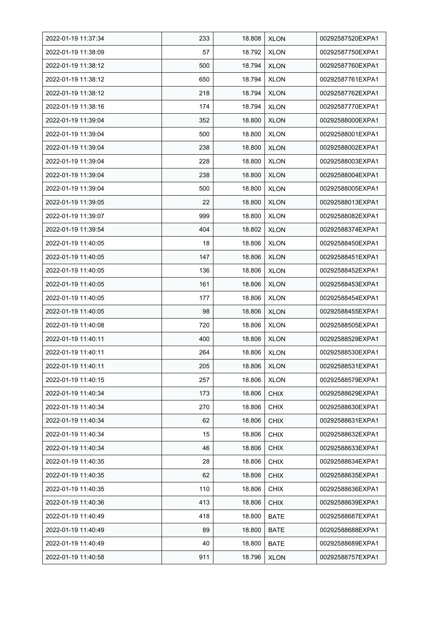| 2022-01-19 11:37:34 | 233 | 18.808 | <b>XLON</b> | 00292587520EXPA1 |
|---------------------|-----|--------|-------------|------------------|
| 2022-01-19 11:38:09 | 57  | 18.792 | <b>XLON</b> | 00292587750EXPA1 |
| 2022-01-19 11:38:12 | 500 | 18.794 | <b>XLON</b> | 00292587760EXPA1 |
| 2022-01-19 11:38:12 | 650 | 18.794 | <b>XLON</b> | 00292587761EXPA1 |
| 2022-01-19 11:38:12 | 218 | 18.794 | <b>XLON</b> | 00292587762EXPA1 |
| 2022-01-19 11:38:16 | 174 | 18.794 | <b>XLON</b> | 00292587770EXPA1 |
| 2022-01-19 11:39:04 | 352 | 18.800 | <b>XLON</b> | 00292588000EXPA1 |
| 2022-01-19 11:39:04 | 500 | 18.800 | <b>XLON</b> | 00292588001EXPA1 |
| 2022-01-19 11:39:04 | 238 | 18.800 | <b>XLON</b> | 00292588002EXPA1 |
| 2022-01-19 11:39:04 | 228 | 18.800 | <b>XLON</b> | 00292588003EXPA1 |
| 2022-01-19 11:39:04 | 238 | 18.800 | <b>XLON</b> | 00292588004EXPA1 |
| 2022-01-19 11:39:04 | 500 | 18.800 | <b>XLON</b> | 00292588005EXPA1 |
| 2022-01-19 11:39:05 | 22  | 18.800 | <b>XLON</b> | 00292588013EXPA1 |
| 2022-01-19 11:39:07 | 999 | 18.800 | <b>XLON</b> | 00292588082EXPA1 |
| 2022-01-19 11:39:54 | 404 | 18.802 | <b>XLON</b> | 00292588374EXPA1 |
| 2022-01-19 11:40:05 | 18  | 18.806 | <b>XLON</b> | 00292588450EXPA1 |
| 2022-01-19 11:40:05 | 147 | 18.806 | <b>XLON</b> | 00292588451EXPA1 |
| 2022-01-19 11:40:05 | 136 | 18.806 | <b>XLON</b> | 00292588452EXPA1 |
| 2022-01-19 11:40:05 | 161 | 18.806 | <b>XLON</b> | 00292588453EXPA1 |
| 2022-01-19 11:40:05 | 177 | 18.806 | <b>XLON</b> | 00292588454EXPA1 |
| 2022-01-19 11:40:05 | 98  | 18.806 | <b>XLON</b> | 00292588455EXPA1 |
| 2022-01-19 11:40:08 | 720 | 18.806 | <b>XLON</b> | 00292588505EXPA1 |
| 2022-01-19 11:40:11 | 400 | 18.806 | <b>XLON</b> | 00292588529EXPA1 |
| 2022-01-19 11:40.11 | 264 | 18.806 | <b>XLON</b> | 00292588530EXPA1 |
| 2022-01-19 11:40:11 | 205 | 18.806 | <b>XLON</b> | 00292588531EXPA1 |
| 2022-01-19 11:40:15 | 257 | 18.806 | <b>XLON</b> | 00292588579EXPA1 |
| 2022-01-19 11:40:34 | 173 | 18.806 | <b>CHIX</b> | 00292588629EXPA1 |
| 2022-01-19 11:40:34 | 270 | 18.806 | <b>CHIX</b> | 00292588630EXPA1 |
| 2022-01-19 11:40:34 | 62  | 18.806 | <b>CHIX</b> | 00292588631EXPA1 |
| 2022-01-19 11:40:34 | 15  | 18.806 | <b>CHIX</b> | 00292588632EXPA1 |
| 2022-01-19 11:40:34 | 46  | 18.806 | <b>CHIX</b> | 00292588633EXPA1 |
| 2022-01-19 11:40:35 | 28  | 18.806 | <b>CHIX</b> | 00292588634EXPA1 |
| 2022-01-19 11:40:35 | 62  | 18.806 | <b>CHIX</b> | 00292588635EXPA1 |
| 2022-01-19 11:40:35 | 110 | 18.806 | <b>CHIX</b> | 00292588636EXPA1 |
| 2022-01-19 11:40:36 | 413 | 18.806 | <b>CHIX</b> | 00292588639EXPA1 |
| 2022-01-19 11:40:49 | 418 | 18.800 | BATE        | 00292588687EXPA1 |
| 2022-01-19 11:40:49 | 89  | 18.800 | BATE        | 00292588688EXPA1 |
| 2022-01-19 11:40:49 | 40  | 18.800 | <b>BATE</b> | 00292588689EXPA1 |
| 2022-01-19 11:40:58 | 911 | 18.796 | <b>XLON</b> | 00292588757EXPA1 |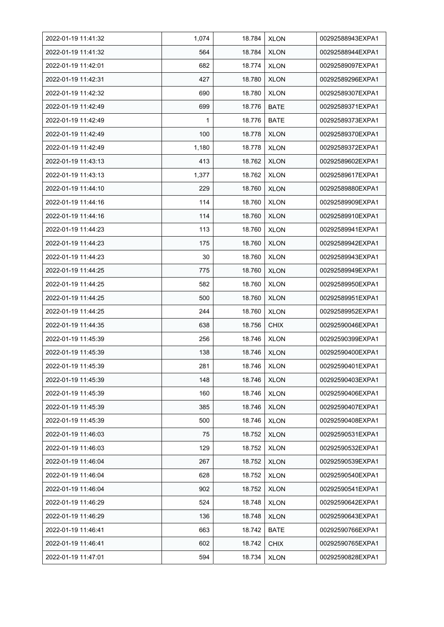| 2022-01-19 11:41:32 | 1,074 | 18.784 | <b>XLON</b> | 00292588943EXPA1 |
|---------------------|-------|--------|-------------|------------------|
| 2022-01-19 11:41:32 | 564   | 18.784 | <b>XLON</b> | 00292588944EXPA1 |
| 2022-01-19 11:42:01 | 682   | 18.774 | <b>XLON</b> | 00292589097EXPA1 |
| 2022-01-19 11:42:31 | 427   | 18.780 | <b>XLON</b> | 00292589296EXPA1 |
| 2022-01-19 11:42:32 | 690   | 18.780 | <b>XLON</b> | 00292589307EXPA1 |
| 2022-01-19 11:42:49 | 699   | 18.776 | <b>BATE</b> | 00292589371EXPA1 |
| 2022-01-19 11:42:49 | 1     | 18.776 | <b>BATE</b> | 00292589373EXPA1 |
| 2022-01-19 11:42:49 | 100   | 18.778 | <b>XLON</b> | 00292589370EXPA1 |
| 2022-01-19 11:42:49 | 1,180 | 18.778 | <b>XLON</b> | 00292589372EXPA1 |
| 2022-01-19 11:43:13 | 413   | 18.762 | <b>XLON</b> | 00292589602EXPA1 |
| 2022-01-19 11:43:13 | 1,377 | 18.762 | <b>XLON</b> | 00292589617EXPA1 |
| 2022-01-19 11:44:10 | 229   | 18.760 | <b>XLON</b> | 00292589880EXPA1 |
| 2022-01-19 11:44:16 | 114   | 18.760 | <b>XLON</b> | 00292589909EXPA1 |
| 2022-01-19 11:44:16 | 114   | 18.760 | <b>XLON</b> | 00292589910EXPA1 |
| 2022-01-19 11:44:23 | 113   | 18.760 | <b>XLON</b> | 00292589941EXPA1 |
| 2022-01-19 11:44:23 | 175   | 18.760 | <b>XLON</b> | 00292589942EXPA1 |
| 2022-01-19 11:44:23 | 30    | 18.760 | <b>XLON</b> | 00292589943EXPA1 |
| 2022-01-19 11:44:25 | 775   | 18.760 | <b>XLON</b> | 00292589949EXPA1 |
| 2022-01-19 11:44:25 | 582   | 18.760 | <b>XLON</b> | 00292589950EXPA1 |
| 2022-01-19 11:44:25 | 500   | 18.760 | <b>XLON</b> | 00292589951EXPA1 |
| 2022-01-19 11:44:25 | 244   | 18.760 | <b>XLON</b> | 00292589952EXPA1 |
| 2022-01-19 11:44:35 | 638   | 18.756 | <b>CHIX</b> | 00292590046EXPA1 |
| 2022-01-19 11:45:39 | 256   | 18.746 | <b>XLON</b> | 00292590399EXPA1 |
| 2022-01-19 11:45:39 | 138   | 18.746 | <b>XLON</b> | 00292590400EXPA1 |
| 2022-01-19 11:45:39 | 281   | 18.746 | <b>XLON</b> | 00292590401EXPA1 |
| 2022-01-19 11:45:39 | 148   | 18.746 | <b>XLON</b> | 00292590403EXPA1 |
| 2022-01-19 11:45:39 | 160   | 18.746 | <b>XLON</b> | 00292590406EXPA1 |
| 2022-01-19 11:45:39 | 385   | 18.746 | <b>XLON</b> | 00292590407EXPA1 |
| 2022-01-19 11:45:39 | 500   | 18.746 | <b>XLON</b> | 00292590408EXPA1 |
| 2022-01-19 11:46:03 | 75    | 18.752 | <b>XLON</b> | 00292590531EXPA1 |
| 2022-01-19 11:46:03 | 129   | 18.752 | <b>XLON</b> | 00292590532EXPA1 |
| 2022-01-19 11:46:04 | 267   | 18.752 | <b>XLON</b> | 00292590539EXPA1 |
| 2022-01-19 11:46:04 | 628   | 18.752 | <b>XLON</b> | 00292590540EXPA1 |
| 2022-01-19 11:46:04 | 902   | 18.752 | <b>XLON</b> | 00292590541EXPA1 |
| 2022-01-19 11:46:29 | 524   | 18.748 | <b>XLON</b> | 00292590642EXPA1 |
| 2022-01-19 11:46:29 | 136   | 18.748 | <b>XLON</b> | 00292590643EXPA1 |
| 2022-01-19 11:46:41 | 663   | 18.742 | BATE        | 00292590766EXPA1 |
| 2022-01-19 11:46:41 | 602   | 18.742 | <b>CHIX</b> | 00292590765EXPA1 |
| 2022-01-19 11:47:01 | 594   | 18.734 | <b>XLON</b> | 00292590828EXPA1 |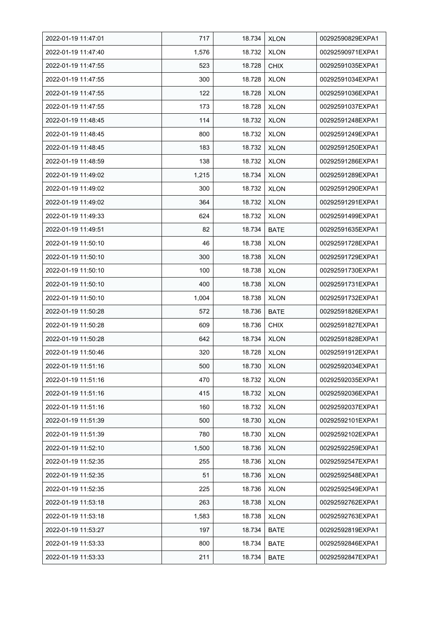| 2022-01-19 11:47:01 | 717   | 18.734 | <b>XLON</b> | 00292590829EXPA1 |
|---------------------|-------|--------|-------------|------------------|
| 2022-01-19 11:47:40 | 1,576 | 18.732 | <b>XLON</b> | 00292590971EXPA1 |
| 2022-01-19 11:47:55 | 523   | 18.728 | <b>CHIX</b> | 00292591035EXPA1 |
| 2022-01-19 11:47:55 | 300   | 18.728 | <b>XLON</b> | 00292591034EXPA1 |
| 2022-01-19 11:47:55 | 122   | 18.728 | <b>XLON</b> | 00292591036EXPA1 |
| 2022-01-19 11:47:55 | 173   | 18.728 | <b>XLON</b> | 00292591037EXPA1 |
| 2022-01-19 11:48:45 | 114   | 18.732 | <b>XLON</b> | 00292591248EXPA1 |
| 2022-01-19 11:48:45 | 800   | 18.732 | <b>XLON</b> | 00292591249EXPA1 |
| 2022-01-19 11:48:45 | 183   | 18.732 | <b>XLON</b> | 00292591250EXPA1 |
| 2022-01-19 11:48:59 | 138   | 18.732 | <b>XLON</b> | 00292591286EXPA1 |
| 2022-01-19 11:49:02 | 1,215 | 18.734 | <b>XLON</b> | 00292591289EXPA1 |
| 2022-01-19 11:49:02 | 300   | 18.732 | <b>XLON</b> | 00292591290EXPA1 |
| 2022-01-19 11:49:02 | 364   | 18.732 | <b>XLON</b> | 00292591291EXPA1 |
| 2022-01-19 11:49:33 | 624   | 18.732 | <b>XLON</b> | 00292591499EXPA1 |
| 2022-01-19 11:49:51 | 82    | 18.734 | <b>BATE</b> | 00292591635EXPA1 |
| 2022-01-19 11:50:10 | 46    | 18.738 | <b>XLON</b> | 00292591728EXPA1 |
| 2022-01-19 11:50:10 | 300   | 18.738 | <b>XLON</b> | 00292591729EXPA1 |
| 2022-01-19 11:50:10 | 100   | 18.738 | <b>XLON</b> | 00292591730EXPA1 |
| 2022-01-19 11:50:10 | 400   | 18.738 | <b>XLON</b> | 00292591731EXPA1 |
| 2022-01-19 11:50:10 | 1,004 | 18.738 | <b>XLON</b> | 00292591732EXPA1 |
| 2022-01-19 11:50:28 | 572   | 18.736 | <b>BATE</b> | 00292591826EXPA1 |
| 2022-01-19 11:50:28 | 609   | 18.736 | <b>CHIX</b> | 00292591827EXPA1 |
| 2022-01-19 11:50:28 | 642   | 18.734 | <b>XLON</b> | 00292591828EXPA1 |
| 2022-01-19 11:50:46 | 320   | 18.728 | <b>XLON</b> | 00292591912EXPA1 |
| 2022-01-19 11:51:16 | 500   | 18.730 | <b>XLON</b> | 00292592034EXPA1 |
| 2022-01-19 11:51:16 | 470   | 18.732 | <b>XLON</b> | 00292592035EXPA1 |
| 2022-01-19 11:51:16 | 415   | 18.732 | <b>XLON</b> | 00292592036EXPA1 |
| 2022-01-19 11:51:16 | 160   | 18.732 | <b>XLON</b> | 00292592037EXPA1 |
| 2022-01-19 11:51:39 | 500   | 18.730 | <b>XLON</b> | 00292592101EXPA1 |
| 2022-01-19 11:51:39 | 780   | 18.730 | <b>XLON</b> | 00292592102EXPA1 |
| 2022-01-19 11:52:10 | 1,500 | 18.736 | <b>XLON</b> | 00292592259EXPA1 |
| 2022-01-19 11:52:35 | 255   | 18.736 | <b>XLON</b> | 00292592547EXPA1 |
| 2022-01-19 11:52:35 | 51    | 18.736 | <b>XLON</b> | 00292592548EXPA1 |
| 2022-01-19 11:52:35 | 225   | 18.736 | <b>XLON</b> | 00292592549EXPA1 |
| 2022-01-19 11:53:18 | 263   | 18.738 | <b>XLON</b> | 00292592762EXPA1 |
| 2022-01-19 11:53:18 | 1,583 | 18.738 | <b>XLON</b> | 00292592763EXPA1 |
| 2022-01-19 11:53:27 | 197   | 18.734 | BATE        | 00292592819EXPA1 |
| 2022-01-19 11:53:33 | 800   | 18.734 | <b>BATE</b> | 00292592846EXPA1 |
| 2022-01-19 11:53:33 | 211   | 18.734 | <b>BATE</b> | 00292592847EXPA1 |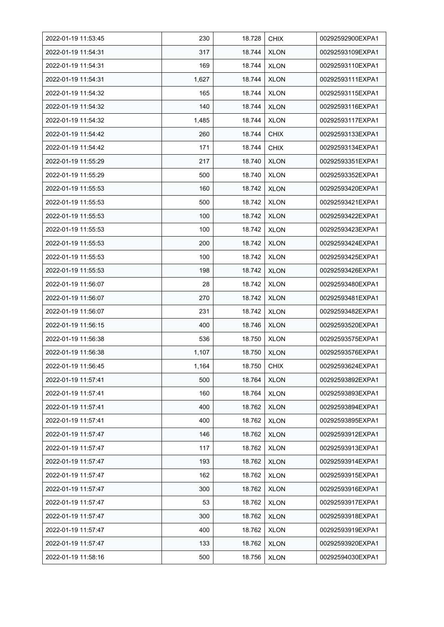| 2022-01-19 11:53:45 | 230   | 18.728 | <b>CHIX</b> | 00292592900EXPA1 |
|---------------------|-------|--------|-------------|------------------|
| 2022-01-19 11:54:31 | 317   | 18.744 | <b>XLON</b> | 00292593109EXPA1 |
| 2022-01-19 11:54:31 | 169   | 18.744 | <b>XLON</b> | 00292593110EXPA1 |
| 2022-01-19 11:54:31 | 1,627 | 18.744 | <b>XLON</b> | 00292593111EXPA1 |
| 2022-01-19 11:54:32 | 165   | 18.744 | <b>XLON</b> | 00292593115EXPA1 |
| 2022-01-19 11:54:32 | 140   | 18.744 | <b>XLON</b> | 00292593116EXPA1 |
| 2022-01-19 11:54:32 | 1,485 | 18.744 | <b>XLON</b> | 00292593117EXPA1 |
| 2022-01-19 11:54:42 | 260   | 18.744 | <b>CHIX</b> | 00292593133EXPA1 |
| 2022-01-19 11:54:42 | 171   | 18.744 | <b>CHIX</b> | 00292593134EXPA1 |
| 2022-01-19 11:55:29 | 217   | 18.740 | <b>XLON</b> | 00292593351EXPA1 |
| 2022-01-19 11:55:29 | 500   | 18.740 | <b>XLON</b> | 00292593352EXPA1 |
| 2022-01-19 11:55:53 | 160   | 18.742 | <b>XLON</b> | 00292593420EXPA1 |
| 2022-01-19 11:55:53 | 500   | 18.742 | <b>XLON</b> | 00292593421EXPA1 |
| 2022-01-19 11:55:53 | 100   | 18.742 | <b>XLON</b> | 00292593422EXPA1 |
| 2022-01-19 11:55:53 | 100   | 18.742 | <b>XLON</b> | 00292593423EXPA1 |
| 2022-01-19 11:55:53 | 200   | 18.742 | <b>XLON</b> | 00292593424EXPA1 |
| 2022-01-19 11:55:53 | 100   | 18.742 | <b>XLON</b> | 00292593425EXPA1 |
| 2022-01-19 11:55:53 | 198   | 18.742 | <b>XLON</b> | 00292593426EXPA1 |
| 2022-01-19 11:56:07 | 28    | 18.742 | <b>XLON</b> | 00292593480EXPA1 |
| 2022-01-19 11:56:07 | 270   | 18.742 | <b>XLON</b> | 00292593481EXPA1 |
| 2022-01-19 11:56:07 | 231   | 18.742 | <b>XLON</b> | 00292593482EXPA1 |
| 2022-01-19 11:56:15 | 400   | 18.746 | <b>XLON</b> | 00292593520EXPA1 |
| 2022-01-19 11:56:38 | 536   | 18.750 | <b>XLON</b> | 00292593575EXPA1 |
| 2022-01-19 11:56:38 | 1,107 | 18.750 | <b>XLON</b> | 00292593576EXPA1 |
| 2022-01-19 11:56:45 | 1,164 | 18.750 | <b>CHIX</b> | 00292593624EXPA1 |
| 2022-01-19 11:57:41 | 500   | 18.764 | <b>XLON</b> | 00292593892EXPA1 |
| 2022-01-19 11:57:41 | 160   | 18.764 | <b>XLON</b> | 00292593893EXPA1 |
| 2022-01-19 11:57:41 | 400   | 18.762 | <b>XLON</b> | 00292593894EXPA1 |
| 2022-01-19 11:57:41 | 400   | 18.762 | <b>XLON</b> | 00292593895EXPA1 |
| 2022-01-19 11:57:47 | 146   | 18.762 | <b>XLON</b> | 00292593912EXPA1 |
| 2022-01-19 11:57:47 | 117   | 18.762 | <b>XLON</b> | 00292593913EXPA1 |
| 2022-01-19 11:57:47 | 193   | 18.762 | <b>XLON</b> | 00292593914EXPA1 |
| 2022-01-19 11:57:47 | 162   | 18.762 | <b>XLON</b> | 00292593915EXPA1 |
| 2022-01-19 11:57:47 | 300   | 18.762 | <b>XLON</b> | 00292593916EXPA1 |
| 2022-01-19 11:57:47 | 53    | 18.762 | <b>XLON</b> | 00292593917EXPA1 |
| 2022-01-19 11:57:47 | 300   | 18.762 | <b>XLON</b> | 00292593918EXPA1 |
| 2022-01-19 11:57:47 | 400   | 18.762 | <b>XLON</b> | 00292593919EXPA1 |
| 2022-01-19 11:57:47 | 133   | 18.762 | <b>XLON</b> | 00292593920EXPA1 |
| 2022-01-19 11:58:16 | 500   | 18.756 | <b>XLON</b> | 00292594030EXPA1 |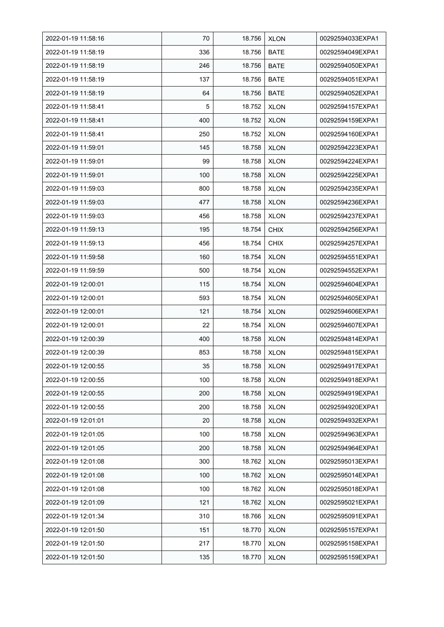| 2022-01-19 11:58:16 | 70  | 18.756 | <b>XLON</b> | 00292594033EXPA1 |
|---------------------|-----|--------|-------------|------------------|
| 2022-01-19 11:58:19 | 336 | 18.756 | <b>BATE</b> | 00292594049EXPA1 |
| 2022-01-19 11:58:19 | 246 | 18.756 | <b>BATE</b> | 00292594050EXPA1 |
| 2022-01-19 11:58:19 | 137 | 18.756 | <b>BATE</b> | 00292594051EXPA1 |
| 2022-01-19 11:58:19 | 64  | 18.756 | <b>BATE</b> | 00292594052EXPA1 |
| 2022-01-19 11:58:41 | 5   | 18.752 | <b>XLON</b> | 00292594157EXPA1 |
| 2022-01-19 11:58:41 | 400 | 18.752 | <b>XLON</b> | 00292594159EXPA1 |
| 2022-01-19 11:58:41 | 250 | 18.752 | <b>XLON</b> | 00292594160EXPA1 |
| 2022-01-19 11:59:01 | 145 | 18.758 | <b>XLON</b> | 00292594223EXPA1 |
| 2022-01-19 11:59:01 | 99  | 18.758 | <b>XLON</b> | 00292594224EXPA1 |
| 2022-01-19 11:59:01 | 100 | 18.758 | <b>XLON</b> | 00292594225EXPA1 |
| 2022-01-19 11:59:03 | 800 | 18.758 | <b>XLON</b> | 00292594235EXPA1 |
| 2022-01-19 11:59:03 | 477 | 18.758 | <b>XLON</b> | 00292594236EXPA1 |
| 2022-01-19 11:59:03 | 456 | 18.758 | <b>XLON</b> | 00292594237EXPA1 |
| 2022-01-19 11:59:13 | 195 | 18.754 | <b>CHIX</b> | 00292594256EXPA1 |
| 2022-01-19 11:59:13 | 456 | 18.754 | <b>CHIX</b> | 00292594257EXPA1 |
| 2022-01-19 11:59:58 | 160 | 18.754 | <b>XLON</b> | 00292594551EXPA1 |
| 2022-01-19 11:59:59 | 500 | 18.754 | <b>XLON</b> | 00292594552EXPA1 |
| 2022-01-19 12:00:01 | 115 | 18.754 | <b>XLON</b> | 00292594604EXPA1 |
| 2022-01-19 12:00:01 | 593 | 18.754 | <b>XLON</b> | 00292594605EXPA1 |
| 2022-01-19 12:00:01 | 121 | 18.754 | <b>XLON</b> | 00292594606EXPA1 |
| 2022-01-19 12:00:01 | 22  | 18.754 | <b>XLON</b> | 00292594607EXPA1 |
| 2022-01-19 12:00:39 | 400 | 18.758 | <b>XLON</b> | 00292594814EXPA1 |
| 2022-01-19 12:00:39 | 853 | 18.758 | <b>XLON</b> | 00292594815EXPA1 |
| 2022-01-19 12:00:55 | 35  | 18.758 | <b>XLON</b> | 00292594917EXPA1 |
| 2022-01-19 12:00:55 | 100 | 18.758 | <b>XLON</b> | 00292594918EXPA1 |
| 2022-01-19 12:00:55 | 200 | 18.758 | <b>XLON</b> | 00292594919EXPA1 |
| 2022-01-19 12:00:55 | 200 | 18.758 | <b>XLON</b> | 00292594920EXPA1 |
| 2022-01-19 12:01:01 | 20  | 18.758 | <b>XLON</b> | 00292594932EXPA1 |
| 2022-01-19 12:01:05 | 100 | 18.758 | <b>XLON</b> | 00292594963EXPA1 |
| 2022-01-19 12:01:05 | 200 | 18.758 | <b>XLON</b> | 00292594964EXPA1 |
| 2022-01-19 12:01:08 | 300 | 18.762 | <b>XLON</b> | 00292595013EXPA1 |
| 2022-01-19 12:01:08 | 100 | 18.762 | <b>XLON</b> | 00292595014EXPA1 |
| 2022-01-19 12:01:08 | 100 | 18.762 | <b>XLON</b> | 00292595018EXPA1 |
| 2022-01-19 12:01:09 | 121 | 18.762 | <b>XLON</b> | 00292595021EXPA1 |
| 2022-01-19 12:01:34 | 310 | 18.766 | <b>XLON</b> | 00292595091EXPA1 |
| 2022-01-19 12:01:50 | 151 | 18.770 | <b>XLON</b> | 00292595157EXPA1 |
| 2022-01-19 12:01:50 | 217 | 18.770 | <b>XLON</b> | 00292595158EXPA1 |
| 2022-01-19 12:01:50 | 135 | 18.770 | <b>XLON</b> | 00292595159EXPA1 |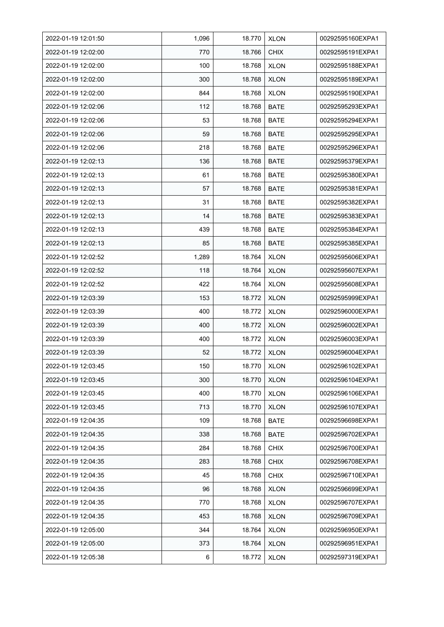| 2022-01-19 12:01:50 | 1,096 | 18.770 | <b>XLON</b> | 00292595160EXPA1 |
|---------------------|-------|--------|-------------|------------------|
| 2022-01-19 12:02:00 | 770   | 18.766 | <b>CHIX</b> | 00292595191EXPA1 |
| 2022-01-19 12:02:00 | 100   | 18.768 | <b>XLON</b> | 00292595188EXPA1 |
| 2022-01-19 12:02:00 | 300   | 18.768 | <b>XLON</b> | 00292595189EXPA1 |
| 2022-01-19 12:02:00 | 844   | 18.768 | <b>XLON</b> | 00292595190EXPA1 |
| 2022-01-19 12:02:06 | 112   | 18.768 | <b>BATE</b> | 00292595293EXPA1 |
| 2022-01-19 12:02:06 | 53    | 18.768 | <b>BATE</b> | 00292595294EXPA1 |
| 2022-01-19 12:02:06 | 59    | 18.768 | <b>BATE</b> | 00292595295EXPA1 |
| 2022-01-19 12:02:06 | 218   | 18.768 | <b>BATE</b> | 00292595296EXPA1 |
| 2022-01-19 12:02:13 | 136   | 18.768 | BATE        | 00292595379EXPA1 |
| 2022-01-19 12:02:13 | 61    | 18.768 | <b>BATE</b> | 00292595380EXPA1 |
| 2022-01-19 12:02:13 | 57    | 18.768 | <b>BATE</b> | 00292595381EXPA1 |
| 2022-01-19 12:02:13 | 31    | 18.768 | <b>BATE</b> | 00292595382EXPA1 |
| 2022-01-19 12:02:13 | 14    | 18.768 | <b>BATE</b> | 00292595383EXPA1 |
| 2022-01-19 12:02:13 | 439   | 18.768 | <b>BATE</b> | 00292595384EXPA1 |
| 2022-01-19 12:02:13 | 85    | 18.768 | <b>BATE</b> | 00292595385EXPA1 |
| 2022-01-19 12:02:52 | 1,289 | 18.764 | <b>XLON</b> | 00292595606EXPA1 |
| 2022-01-19 12:02:52 | 118   | 18.764 | <b>XLON</b> | 00292595607EXPA1 |
| 2022-01-19 12:02:52 | 422   | 18.764 | <b>XLON</b> | 00292595608EXPA1 |
| 2022-01-19 12:03:39 | 153   | 18.772 | <b>XLON</b> | 00292595999EXPA1 |
| 2022-01-19 12:03:39 | 400   | 18.772 | <b>XLON</b> | 00292596000EXPA1 |
| 2022-01-19 12:03:39 | 400   | 18.772 | <b>XLON</b> | 00292596002EXPA1 |
| 2022-01-19 12:03:39 | 400   | 18.772 | <b>XLON</b> | 00292596003EXPA1 |
| 2022-01-19 12:03:39 | 52    | 18.772 | <b>XLON</b> | 00292596004EXPA1 |
| 2022-01-19 12:03:45 | 150   | 18.770 | <b>XLON</b> | 00292596102EXPA1 |
| 2022-01-19 12:03:45 | 300   | 18.770 | <b>XLON</b> | 00292596104EXPA1 |
| 2022-01-19 12:03:45 | 400   | 18.770 | <b>XLON</b> | 00292596106EXPA1 |
| 2022-01-19 12:03:45 | 713   | 18.770 | <b>XLON</b> | 00292596107EXPA1 |
| 2022-01-19 12:04:35 | 109   | 18.768 | <b>BATE</b> | 00292596698EXPA1 |
| 2022-01-19 12:04:35 | 338   | 18.768 | <b>BATE</b> | 00292596702EXPA1 |
| 2022-01-19 12:04:35 | 284   | 18.768 | <b>CHIX</b> | 00292596700EXPA1 |
| 2022-01-19 12:04:35 | 283   | 18.768 | <b>CHIX</b> | 00292596708EXPA1 |
| 2022-01-19 12:04:35 | 45    | 18.768 | <b>CHIX</b> | 00292596710EXPA1 |
| 2022-01-19 12:04:35 | 96    | 18.768 | <b>XLON</b> | 00292596699EXPA1 |
| 2022-01-19 12:04:35 | 770   | 18.768 | <b>XLON</b> | 00292596707EXPA1 |
| 2022-01-19 12:04:35 | 453   | 18.768 | <b>XLON</b> | 00292596709EXPA1 |
| 2022-01-19 12:05:00 | 344   | 18.764 | <b>XLON</b> | 00292596950EXPA1 |
| 2022-01-19 12:05:00 | 373   | 18.764 | <b>XLON</b> | 00292596951EXPA1 |
| 2022-01-19 12:05:38 | 6     | 18.772 | <b>XLON</b> | 00292597319EXPA1 |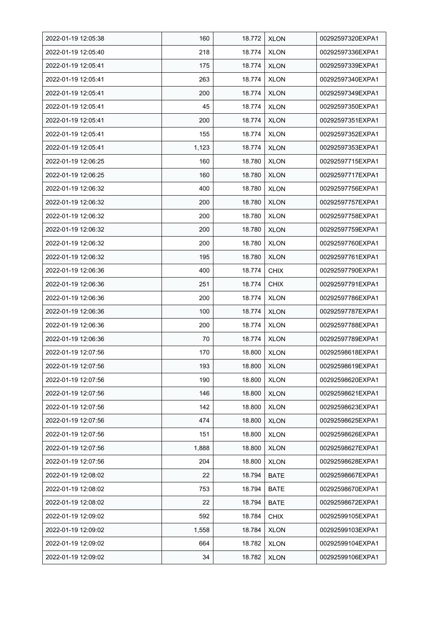| 2022-01-19 12:05:38 | 160   | 18.772 | <b>XLON</b> | 00292597320EXPA1 |
|---------------------|-------|--------|-------------|------------------|
| 2022-01-19 12:05:40 | 218   | 18.774 | <b>XLON</b> | 00292597336EXPA1 |
| 2022-01-19 12:05:41 | 175   | 18.774 | <b>XLON</b> | 00292597339EXPA1 |
| 2022-01-19 12:05:41 | 263   | 18.774 | <b>XLON</b> | 00292597340EXPA1 |
| 2022-01-19 12:05:41 | 200   | 18.774 | <b>XLON</b> | 00292597349EXPA1 |
| 2022-01-19 12:05:41 | 45    | 18.774 | <b>XLON</b> | 00292597350EXPA1 |
| 2022-01-19 12:05:41 | 200   | 18.774 | <b>XLON</b> | 00292597351EXPA1 |
| 2022-01-19 12:05:41 | 155   | 18.774 | <b>XLON</b> | 00292597352EXPA1 |
| 2022-01-19 12:05:41 | 1,123 | 18.774 | <b>XLON</b> | 00292597353EXPA1 |
| 2022-01-19 12:06:25 | 160   | 18.780 | <b>XLON</b> | 00292597715EXPA1 |
| 2022-01-19 12:06:25 | 160   | 18.780 | <b>XLON</b> | 00292597717EXPA1 |
| 2022-01-19 12:06:32 | 400   | 18.780 | <b>XLON</b> | 00292597756EXPA1 |
| 2022-01-19 12:06:32 | 200   | 18.780 | <b>XLON</b> | 00292597757EXPA1 |
| 2022-01-19 12:06:32 | 200   | 18.780 | <b>XLON</b> | 00292597758EXPA1 |
| 2022-01-19 12:06:32 | 200   | 18.780 | <b>XLON</b> | 00292597759EXPA1 |
| 2022-01-19 12:06:32 | 200   | 18.780 | <b>XLON</b> | 00292597760EXPA1 |
| 2022-01-19 12:06:32 | 195   | 18.780 | <b>XLON</b> | 00292597761EXPA1 |
| 2022-01-19 12:06:36 | 400   | 18.774 | <b>CHIX</b> | 00292597790EXPA1 |
| 2022-01-19 12:06:36 | 251   | 18.774 | <b>CHIX</b> | 00292597791EXPA1 |
| 2022-01-19 12:06:36 | 200   | 18.774 | <b>XLON</b> | 00292597786EXPA1 |
| 2022-01-19 12:06:36 | 100   | 18.774 | <b>XLON</b> | 00292597787EXPA1 |
| 2022-01-19 12:06:36 | 200   | 18.774 | <b>XLON</b> | 00292597788EXPA1 |
| 2022-01-19 12:06:36 | 70    | 18.774 | <b>XLON</b> | 00292597789EXPA1 |
| 2022-01-19 12:07:56 | 170   | 18.800 | <b>XLON</b> | 00292598618EXPA1 |
| 2022-01-19 12:07:56 | 193   | 18.800 | <b>XLON</b> | 00292598619EXPA1 |
| 2022-01-19 12:07:56 | 190   | 18.800 | <b>XLON</b> | 00292598620EXPA1 |
| 2022-01-19 12:07:56 | 146   | 18.800 | <b>XLON</b> | 00292598621EXPA1 |
| 2022-01-19 12:07:56 | 142   | 18.800 | <b>XLON</b> | 00292598623EXPA1 |
| 2022-01-19 12:07:56 | 474   | 18.800 | <b>XLON</b> | 00292598625EXPA1 |
| 2022-01-19 12:07:56 | 151   | 18.800 | <b>XLON</b> | 00292598626EXPA1 |
| 2022-01-19 12:07:56 | 1,888 | 18.800 | <b>XLON</b> | 00292598627EXPA1 |
| 2022-01-19 12:07:56 | 204   | 18.800 | <b>XLON</b> | 00292598628EXPA1 |
| 2022-01-19 12:08:02 | 22    | 18.794 | <b>BATE</b> | 00292598667EXPA1 |
| 2022-01-19 12:08:02 | 753   | 18.794 | <b>BATE</b> | 00292598670EXPA1 |
| 2022-01-19 12:08:02 | 22    | 18.794 | <b>BATE</b> | 00292598672EXPA1 |
| 2022-01-19 12:09:02 | 592   | 18.784 | <b>CHIX</b> | 00292599105EXPA1 |
| 2022-01-19 12:09:02 | 1,558 | 18.784 | <b>XLON</b> | 00292599103EXPA1 |
| 2022-01-19 12:09:02 | 664   | 18.782 | <b>XLON</b> | 00292599104EXPA1 |
| 2022-01-19 12:09:02 | 34    | 18.782 | <b>XLON</b> | 00292599106EXPA1 |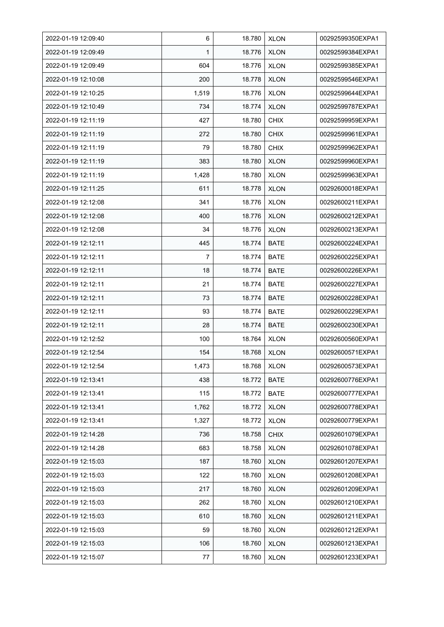| 2022-01-19 12:09:40 | 6     | 18.780 | <b>XLON</b> | 00292599350EXPA1 |
|---------------------|-------|--------|-------------|------------------|
| 2022-01-19 12:09:49 | 1     | 18.776 | <b>XLON</b> | 00292599384EXPA1 |
| 2022-01-19 12:09:49 | 604   | 18.776 | <b>XLON</b> | 00292599385EXPA1 |
| 2022-01-19 12:10:08 | 200   | 18.778 | <b>XLON</b> | 00292599546EXPA1 |
| 2022-01-19 12:10:25 | 1,519 | 18.776 | <b>XLON</b> | 00292599644EXPA1 |
| 2022-01-19 12:10:49 | 734   | 18.774 | <b>XLON</b> | 00292599787EXPA1 |
| 2022-01-19 12:11:19 | 427   | 18.780 | <b>CHIX</b> | 00292599959EXPA1 |
| 2022-01-19 12:11:19 | 272   | 18.780 | <b>CHIX</b> | 00292599961EXPA1 |
| 2022-01-19 12:11:19 | 79    | 18.780 | <b>CHIX</b> | 00292599962EXPA1 |
| 2022-01-19 12:11:19 | 383   | 18.780 | <b>XLON</b> | 00292599960EXPA1 |
| 2022-01-19 12:11:19 | 1,428 | 18.780 | <b>XLON</b> | 00292599963EXPA1 |
| 2022-01-19 12:11:25 | 611   | 18.778 | <b>XLON</b> | 00292600018EXPA1 |
| 2022-01-19 12:12:08 | 341   | 18.776 | <b>XLON</b> | 00292600211EXPA1 |
| 2022-01-19 12:12:08 | 400   | 18.776 | <b>XLON</b> | 00292600212EXPA1 |
| 2022-01-19 12:12:08 | 34    | 18.776 | <b>XLON</b> | 00292600213EXPA1 |
| 2022-01-19 12:12:11 | 445   | 18.774 | <b>BATE</b> | 00292600224EXPA1 |
| 2022-01-19 12:12:11 | 7     | 18.774 | BATE        | 00292600225EXPA1 |
| 2022-01-19 12:12:11 | 18    | 18.774 | BATE        | 00292600226EXPA1 |
| 2022-01-19 12:12:11 | 21    | 18.774 | <b>BATE</b> | 00292600227EXPA1 |
| 2022-01-19 12:12:11 | 73    | 18.774 | <b>BATE</b> | 00292600228EXPA1 |
| 2022-01-19 12:12:11 | 93    | 18.774 | <b>BATE</b> | 00292600229EXPA1 |
| 2022-01-19 12:12:11 | 28    | 18.774 | BATE        | 00292600230EXPA1 |
| 2022-01-19 12:12:52 | 100   | 18.764 | <b>XLON</b> | 00292600560EXPA1 |
| 2022-01-19 12:12:54 | 154   | 18.768 | <b>XLON</b> | 00292600571EXPA1 |
| 2022-01-19 12:12:54 | 1,473 | 18.768 | <b>XLON</b> | 00292600573EXPA1 |
| 2022-01-19 12:13:41 | 438   | 18.772 | BATE        | 00292600776EXPA1 |
| 2022-01-19 12:13:41 | 115   | 18.772 | <b>BATE</b> | 00292600777EXPA1 |
| 2022-01-19 12:13:41 | 1,762 | 18.772 | <b>XLON</b> | 00292600778EXPA1 |
| 2022-01-19 12:13:41 | 1,327 | 18.772 | <b>XLON</b> | 00292600779EXPA1 |
| 2022-01-19 12:14:28 | 736   | 18.758 | <b>CHIX</b> | 00292601079EXPA1 |
| 2022-01-19 12:14:28 | 683   | 18.758 | <b>XLON</b> | 00292601078EXPA1 |
| 2022-01-19 12:15:03 | 187   | 18.760 | <b>XLON</b> | 00292601207EXPA1 |
| 2022-01-19 12:15:03 | 122   | 18.760 | <b>XLON</b> | 00292601208EXPA1 |
| 2022-01-19 12:15:03 | 217   | 18.760 | <b>XLON</b> | 00292601209EXPA1 |
| 2022-01-19 12:15:03 | 262   | 18.760 | <b>XLON</b> | 00292601210EXPA1 |
| 2022-01-19 12:15:03 | 610   | 18.760 | <b>XLON</b> | 00292601211EXPA1 |
| 2022-01-19 12:15:03 | 59    | 18.760 | <b>XLON</b> | 00292601212EXPA1 |
| 2022-01-19 12:15:03 | 106   | 18.760 | <b>XLON</b> | 00292601213EXPA1 |
| 2022-01-19 12:15:07 | 77    | 18.760 | <b>XLON</b> | 00292601233EXPA1 |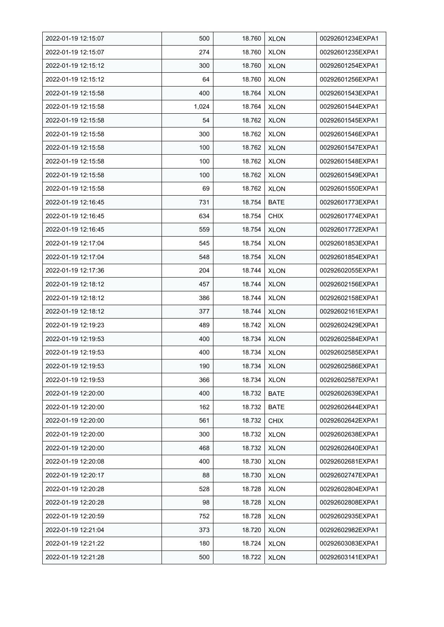| 2022-01-19 12:15:07 | 500   | 18.760 | <b>XLON</b> | 00292601234EXPA1 |
|---------------------|-------|--------|-------------|------------------|
| 2022-01-19 12:15:07 | 274   | 18.760 | <b>XLON</b> | 00292601235EXPA1 |
| 2022-01-19 12:15:12 | 300   | 18.760 | <b>XLON</b> | 00292601254EXPA1 |
| 2022-01-19 12:15:12 | 64    | 18.760 | <b>XLON</b> | 00292601256EXPA1 |
| 2022-01-19 12:15:58 | 400   | 18.764 | <b>XLON</b> | 00292601543EXPA1 |
| 2022-01-19 12:15:58 | 1,024 | 18.764 | <b>XLON</b> | 00292601544EXPA1 |
| 2022-01-19 12:15:58 | 54    | 18.762 | <b>XLON</b> | 00292601545EXPA1 |
| 2022-01-19 12:15:58 | 300   | 18.762 | <b>XLON</b> | 00292601546EXPA1 |
| 2022-01-19 12:15:58 | 100   | 18.762 | <b>XLON</b> | 00292601547EXPA1 |
| 2022-01-19 12:15:58 | 100   | 18.762 | <b>XLON</b> | 00292601548EXPA1 |
| 2022-01-19 12:15:58 | 100   | 18.762 | <b>XLON</b> | 00292601549EXPA1 |
| 2022-01-19 12:15:58 | 69    | 18.762 | <b>XLON</b> | 00292601550EXPA1 |
| 2022-01-19 12:16:45 | 731   | 18.754 | <b>BATE</b> | 00292601773EXPA1 |
| 2022-01-19 12:16:45 | 634   | 18.754 | <b>CHIX</b> | 00292601774EXPA1 |
| 2022-01-19 12:16:45 | 559   | 18.754 | <b>XLON</b> | 00292601772EXPA1 |
| 2022-01-19 12:17:04 | 545   | 18.754 | <b>XLON</b> | 00292601853EXPA1 |
| 2022-01-19 12:17:04 | 548   | 18.754 | <b>XLON</b> | 00292601854EXPA1 |
| 2022-01-19 12:17:36 | 204   | 18.744 | <b>XLON</b> | 00292602055EXPA1 |
| 2022-01-19 12:18:12 | 457   | 18.744 | <b>XLON</b> | 00292602156EXPA1 |
| 2022-01-19 12:18:12 | 386   | 18.744 | <b>XLON</b> | 00292602158EXPA1 |
| 2022-01-19 12:18:12 | 377   | 18.744 | <b>XLON</b> | 00292602161EXPA1 |
| 2022-01-19 12:19:23 | 489   | 18.742 | <b>XLON</b> | 00292602429EXPA1 |
| 2022-01-19 12:19:53 | 400   | 18.734 | <b>XLON</b> | 00292602584EXPA1 |
| 2022-01-19 12:19:53 | 400   | 18.734 | <b>XLON</b> | 00292602585EXPA1 |
| 2022-01-19 12:19:53 | 190   | 18.734 | <b>XLON</b> | 00292602586EXPA1 |
| 2022-01-19 12:19:53 | 366   | 18.734 | <b>XLON</b> | 00292602587EXPA1 |
| 2022-01-19 12:20:00 | 400   | 18.732 | <b>BATE</b> | 00292602639EXPA1 |
| 2022-01-19 12:20:00 | 162   | 18.732 | <b>BATE</b> | 00292602644EXPA1 |
| 2022-01-19 12:20:00 | 561   | 18.732 | <b>CHIX</b> | 00292602642EXPA1 |
| 2022-01-19 12:20:00 | 300   | 18.732 | <b>XLON</b> | 00292602638EXPA1 |
| 2022-01-19 12:20:00 | 468   | 18.732 | <b>XLON</b> | 00292602640EXPA1 |
| 2022-01-19 12:20:08 | 400   | 18.730 | <b>XLON</b> | 00292602681EXPA1 |
| 2022-01-19 12:20:17 | 88    | 18.730 | <b>XLON</b> | 00292602747EXPA1 |
| 2022-01-19 12:20:28 | 528   | 18.728 | <b>XLON</b> | 00292602804EXPA1 |
| 2022-01-19 12:20:28 | 98    | 18.728 | <b>XLON</b> | 00292602808EXPA1 |
| 2022-01-19 12:20:59 | 752   | 18.728 | <b>XLON</b> | 00292602935EXPA1 |
| 2022-01-19 12:21:04 | 373   | 18.720 | <b>XLON</b> | 00292602982EXPA1 |
| 2022-01-19 12:21:22 | 180   | 18.724 | <b>XLON</b> | 00292603083EXPA1 |
| 2022-01-19 12:21:28 | 500   | 18.722 | <b>XLON</b> | 00292603141EXPA1 |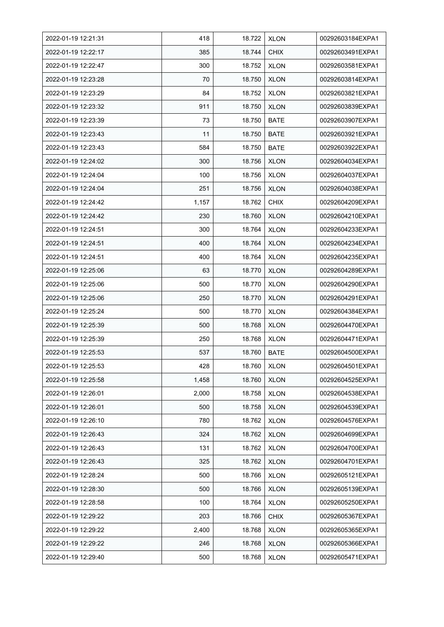| 2022-01-19 12:21:31 | 418   | 18.722 | <b>XLON</b> | 00292603184EXPA1 |
|---------------------|-------|--------|-------------|------------------|
| 2022-01-19 12:22:17 | 385   | 18.744 | <b>CHIX</b> | 00292603491EXPA1 |
| 2022-01-19 12:22:47 | 300   | 18.752 | <b>XLON</b> | 00292603581EXPA1 |
| 2022-01-19 12:23:28 | 70    | 18.750 | <b>XLON</b> | 00292603814EXPA1 |
| 2022-01-19 12:23:29 | 84    | 18.752 | <b>XLON</b> | 00292603821EXPA1 |
| 2022-01-19 12:23:32 | 911   | 18.750 | <b>XLON</b> | 00292603839EXPA1 |
| 2022-01-19 12:23:39 | 73    | 18.750 | <b>BATE</b> | 00292603907EXPA1 |
| 2022-01-19 12:23:43 | 11    | 18.750 | <b>BATE</b> | 00292603921EXPA1 |
| 2022-01-19 12:23:43 | 584   | 18.750 | <b>BATE</b> | 00292603922EXPA1 |
| 2022-01-19 12:24:02 | 300   | 18.756 | <b>XLON</b> | 00292604034EXPA1 |
| 2022-01-19 12:24:04 | 100   | 18.756 | <b>XLON</b> | 00292604037EXPA1 |
| 2022-01-19 12:24:04 | 251   | 18.756 | <b>XLON</b> | 00292604038EXPA1 |
| 2022-01-19 12:24:42 | 1,157 | 18.762 | <b>CHIX</b> | 00292604209EXPA1 |
| 2022-01-19 12:24:42 | 230   | 18.760 | <b>XLON</b> | 00292604210EXPA1 |
| 2022-01-19 12:24:51 | 300   | 18.764 | <b>XLON</b> | 00292604233EXPA1 |
| 2022-01-19 12:24:51 | 400   | 18.764 | <b>XLON</b> | 00292604234EXPA1 |
| 2022-01-19 12:24:51 | 400   | 18.764 | <b>XLON</b> | 00292604235EXPA1 |
| 2022-01-19 12:25:06 | 63    | 18.770 | <b>XLON</b> | 00292604289EXPA1 |
| 2022-01-19 12:25:06 | 500   | 18.770 | <b>XLON</b> | 00292604290EXPA1 |
| 2022-01-19 12:25:06 | 250   | 18.770 | <b>XLON</b> | 00292604291EXPA1 |
| 2022-01-19 12:25:24 | 500   | 18.770 | <b>XLON</b> | 00292604384EXPA1 |
| 2022-01-19 12:25:39 | 500   | 18.768 | <b>XLON</b> | 00292604470EXPA1 |
| 2022-01-19 12:25:39 | 250   | 18.768 | <b>XLON</b> | 00292604471EXPA1 |
| 2022-01-19 12:25:53 | 537   | 18.760 | <b>BATE</b> | 00292604500EXPA1 |
| 2022-01-19 12:25:53 | 428   | 18.760 | <b>XLON</b> | 00292604501EXPA1 |
| 2022-01-19 12:25:58 | 1,458 | 18.760 | <b>XLON</b> | 00292604525EXPA1 |
| 2022-01-19 12:26:01 | 2,000 | 18.758 | <b>XLON</b> | 00292604538EXPA1 |
| 2022-01-19 12:26:01 | 500   | 18.758 | <b>XLON</b> | 00292604539EXPA1 |
| 2022-01-19 12:26:10 | 780   | 18.762 | <b>XLON</b> | 00292604576EXPA1 |
| 2022-01-19 12:26:43 | 324   | 18.762 | <b>XLON</b> | 00292604699EXPA1 |
| 2022-01-19 12:26:43 | 131   | 18.762 | <b>XLON</b> | 00292604700EXPA1 |
| 2022-01-19 12:26:43 | 325   | 18.762 | <b>XLON</b> | 00292604701EXPA1 |
| 2022-01-19 12:28:24 | 500   | 18.766 | <b>XLON</b> | 00292605121EXPA1 |
| 2022-01-19 12:28:30 | 500   | 18.766 | <b>XLON</b> | 00292605139EXPA1 |
| 2022-01-19 12:28:58 | 100   | 18.764 | <b>XLON</b> | 00292605250EXPA1 |
| 2022-01-19 12:29:22 | 203   | 18.766 | <b>CHIX</b> | 00292605367EXPA1 |
| 2022-01-19 12:29:22 | 2,400 | 18.768 | <b>XLON</b> | 00292605365EXPA1 |
| 2022-01-19 12:29:22 | 246   | 18.768 | <b>XLON</b> | 00292605366EXPA1 |
| 2022-01-19 12:29:40 | 500   | 18.768 | <b>XLON</b> | 00292605471EXPA1 |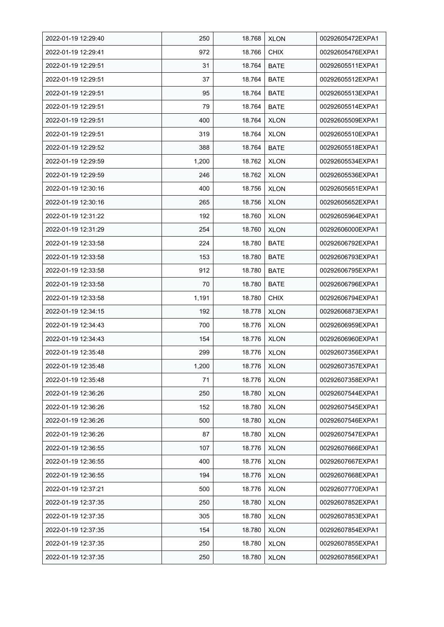| 2022-01-19 12:29:40 | 250   | 18.768 | <b>XLON</b> | 00292605472EXPA1 |
|---------------------|-------|--------|-------------|------------------|
| 2022-01-19 12:29:41 | 972   | 18.766 | <b>CHIX</b> | 00292605476EXPA1 |
| 2022-01-19 12:29:51 | 31    | 18.764 | <b>BATE</b> | 00292605511EXPA1 |
| 2022-01-19 12:29:51 | 37    | 18.764 | <b>BATE</b> | 00292605512EXPA1 |
| 2022-01-19 12:29:51 | 95    | 18.764 | <b>BATE</b> | 00292605513EXPA1 |
| 2022-01-19 12:29:51 | 79    | 18.764 | <b>BATE</b> | 00292605514EXPA1 |
| 2022-01-19 12:29:51 | 400   | 18.764 | <b>XLON</b> | 00292605509EXPA1 |
| 2022-01-19 12:29:51 | 319   | 18.764 | <b>XLON</b> | 00292605510EXPA1 |
| 2022-01-19 12:29:52 | 388   | 18.764 | <b>BATE</b> | 00292605518EXPA1 |
| 2022-01-19 12:29:59 | 1,200 | 18.762 | <b>XLON</b> | 00292605534EXPA1 |
| 2022-01-19 12:29:59 | 246   | 18.762 | <b>XLON</b> | 00292605536EXPA1 |
| 2022-01-19 12:30:16 | 400   | 18.756 | <b>XLON</b> | 00292605651EXPA1 |
| 2022-01-19 12:30:16 | 265   | 18.756 | <b>XLON</b> | 00292605652EXPA1 |
| 2022-01-19 12:31:22 | 192   | 18.760 | <b>XLON</b> | 00292605964EXPA1 |
| 2022-01-19 12:31:29 | 254   | 18.760 | <b>XLON</b> | 00292606000EXPA1 |
| 2022-01-19 12:33:58 | 224   | 18.780 | <b>BATE</b> | 00292606792EXPA1 |
| 2022-01-19 12:33:58 | 153   | 18.780 | <b>BATE</b> | 00292606793EXPA1 |
| 2022-01-19 12:33:58 | 912   | 18.780 | <b>BATE</b> | 00292606795EXPA1 |
| 2022-01-19 12:33:58 | 70    | 18.780 | <b>BATE</b> | 00292606796EXPA1 |
| 2022-01-19 12:33:58 | 1,191 | 18.780 | <b>CHIX</b> | 00292606794EXPA1 |
| 2022-01-19 12:34:15 | 192   | 18.778 | <b>XLON</b> | 00292606873EXPA1 |
| 2022-01-19 12:34:43 | 700   | 18.776 | <b>XLON</b> | 00292606959EXPA1 |
| 2022-01-19 12:34:43 | 154   | 18.776 | <b>XLON</b> | 00292606960EXPA1 |
| 2022-01-19 12:35:48 | 299   | 18.776 | <b>XLON</b> | 00292607356EXPA1 |
| 2022-01-19 12:35:48 | 1,200 | 18.776 | <b>XLON</b> | 00292607357EXPA1 |
| 2022-01-19 12:35:48 | 71    | 18.776 | <b>XLON</b> | 00292607358EXPA1 |
| 2022-01-19 12:36:26 | 250   | 18.780 | <b>XLON</b> | 00292607544EXPA1 |
| 2022-01-19 12:36:26 | 152   | 18.780 | <b>XLON</b> | 00292607545EXPA1 |
| 2022-01-19 12:36:26 | 500   | 18.780 | <b>XLON</b> | 00292607546EXPA1 |
| 2022-01-19 12:36:26 | 87    | 18.780 | <b>XLON</b> | 00292607547EXPA1 |
| 2022-01-19 12:36:55 | 107   | 18.776 | <b>XLON</b> | 00292607666EXPA1 |
| 2022-01-19 12:36:55 | 400   | 18.776 | <b>XLON</b> | 00292607667EXPA1 |
| 2022-01-19 12:36:55 | 194   | 18.776 | <b>XLON</b> | 00292607668EXPA1 |
| 2022-01-19 12:37:21 | 500   | 18.776 | <b>XLON</b> | 00292607770EXPA1 |
| 2022-01-19 12:37:35 | 250   | 18.780 | <b>XLON</b> | 00292607852EXPA1 |
| 2022-01-19 12:37:35 | 305   | 18.780 | <b>XLON</b> | 00292607853EXPA1 |
| 2022-01-19 12:37:35 | 154   | 18.780 | <b>XLON</b> | 00292607854EXPA1 |
| 2022-01-19 12:37:35 | 250   | 18.780 | <b>XLON</b> | 00292607855EXPA1 |
| 2022-01-19 12:37:35 | 250   | 18.780 | <b>XLON</b> | 00292607856EXPA1 |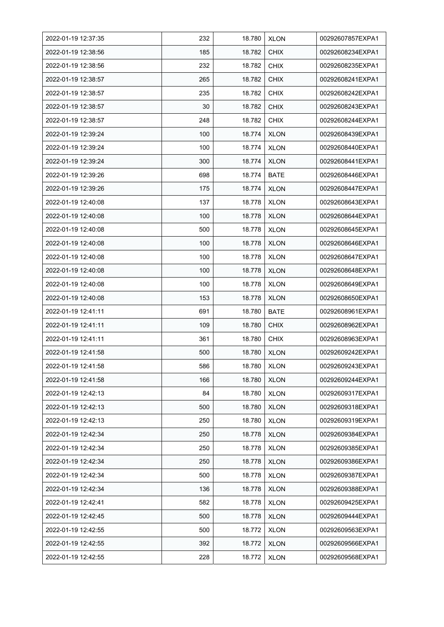| 2022-01-19 12:37:35 | 232 | 18.780 | <b>XLON</b> | 00292607857EXPA1 |
|---------------------|-----|--------|-------------|------------------|
| 2022-01-19 12:38:56 | 185 | 18.782 | <b>CHIX</b> | 00292608234EXPA1 |
| 2022-01-19 12:38:56 | 232 | 18.782 | <b>CHIX</b> | 00292608235EXPA1 |
| 2022-01-19 12:38:57 | 265 | 18.782 | <b>CHIX</b> | 00292608241EXPA1 |
| 2022-01-19 12:38:57 | 235 | 18.782 | <b>CHIX</b> | 00292608242EXPA1 |
| 2022-01-19 12:38:57 | 30  | 18.782 | <b>CHIX</b> | 00292608243EXPA1 |
| 2022-01-19 12:38:57 | 248 | 18.782 | <b>CHIX</b> | 00292608244EXPA1 |
| 2022-01-19 12:39:24 | 100 | 18.774 | <b>XLON</b> | 00292608439EXPA1 |
| 2022-01-19 12:39:24 | 100 | 18.774 | <b>XLON</b> | 00292608440EXPA1 |
| 2022-01-19 12:39:24 | 300 | 18.774 | <b>XLON</b> | 00292608441EXPA1 |
| 2022-01-19 12:39:26 | 698 | 18.774 | <b>BATE</b> | 00292608446EXPA1 |
| 2022-01-19 12:39:26 | 175 | 18.774 | <b>XLON</b> | 00292608447EXPA1 |
| 2022-01-19 12:40:08 | 137 | 18.778 | <b>XLON</b> | 00292608643EXPA1 |
| 2022-01-19 12:40:08 | 100 | 18.778 | <b>XLON</b> | 00292608644EXPA1 |
| 2022-01-19 12:40:08 | 500 | 18.778 | <b>XLON</b> | 00292608645EXPA1 |
| 2022-01-19 12:40:08 | 100 | 18.778 | <b>XLON</b> | 00292608646EXPA1 |
| 2022-01-19 12:40:08 | 100 | 18.778 | <b>XLON</b> | 00292608647EXPA1 |
| 2022-01-19 12:40:08 | 100 | 18.778 | <b>XLON</b> | 00292608648EXPA1 |
| 2022-01-19 12:40:08 | 100 | 18.778 | <b>XLON</b> | 00292608649EXPA1 |
| 2022-01-19 12:40:08 | 153 | 18.778 | <b>XLON</b> | 00292608650EXPA1 |
| 2022-01-19 12:41:11 | 691 | 18.780 | <b>BATE</b> | 00292608961EXPA1 |
| 2022-01-19 12:41:11 | 109 | 18.780 | <b>CHIX</b> | 00292608962EXPA1 |
| 2022-01-19 12:41:11 | 361 | 18.780 | <b>CHIX</b> | 00292608963EXPA1 |
| 2022-01-19 12:41:58 | 500 | 18.780 | <b>XLON</b> | 00292609242EXPA1 |
| 2022-01-19 12:41:58 | 586 | 18.780 | <b>XLON</b> | 00292609243EXPA1 |
| 2022-01-19 12:41:58 | 166 | 18.780 | <b>XLON</b> | 00292609244EXPA1 |
| 2022-01-19 12:42:13 | 84  | 18.780 | <b>XLON</b> | 00292609317EXPA1 |
| 2022-01-19 12:42:13 | 500 | 18.780 | <b>XLON</b> | 00292609318EXPA1 |
| 2022-01-19 12:42:13 | 250 | 18.780 | <b>XLON</b> | 00292609319EXPA1 |
| 2022-01-19 12:42:34 | 250 | 18.778 | <b>XLON</b> | 00292609384EXPA1 |
| 2022-01-19 12:42:34 | 250 | 18.778 | <b>XLON</b> | 00292609385EXPA1 |
| 2022-01-19 12:42:34 | 250 | 18.778 | <b>XLON</b> | 00292609386EXPA1 |
| 2022-01-19 12:42:34 | 500 | 18.778 | <b>XLON</b> | 00292609387EXPA1 |
| 2022-01-19 12:42:34 | 136 | 18.778 | <b>XLON</b> | 00292609388EXPA1 |
| 2022-01-19 12:42:41 | 582 | 18.778 | <b>XLON</b> | 00292609425EXPA1 |
| 2022-01-19 12:42:45 | 500 | 18.778 | <b>XLON</b> | 00292609444EXPA1 |
| 2022-01-19 12:42:55 | 500 | 18.772 | <b>XLON</b> | 00292609563EXPA1 |
| 2022-01-19 12:42:55 | 392 | 18.772 | <b>XLON</b> | 00292609566EXPA1 |
| 2022-01-19 12:42:55 | 228 | 18.772 | <b>XLON</b> | 00292609568EXPA1 |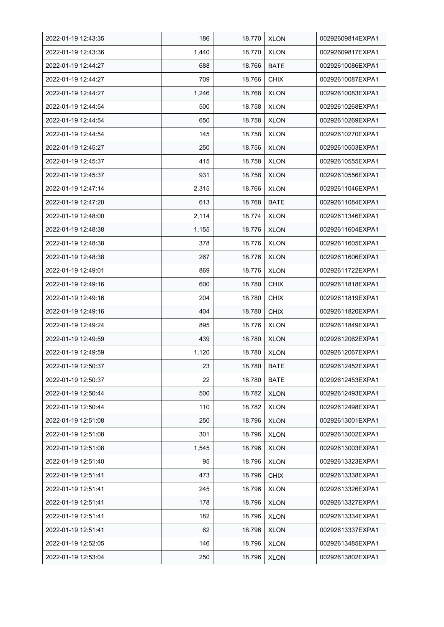| 2022-01-19 12:43:35 | 186   | 18.770 | <b>XLON</b> | 00292609814EXPA1 |
|---------------------|-------|--------|-------------|------------------|
| 2022-01-19 12:43:36 | 1,440 | 18.770 | <b>XLON</b> | 00292609817EXPA1 |
| 2022-01-19 12:44:27 | 688   | 18.766 | <b>BATE</b> | 00292610086EXPA1 |
| 2022-01-19 12:44:27 | 709   | 18.766 | <b>CHIX</b> | 00292610087EXPA1 |
| 2022-01-19 12:44:27 | 1,246 | 18.768 | <b>XLON</b> | 00292610083EXPA1 |
| 2022-01-19 12:44:54 | 500   | 18.758 | <b>XLON</b> | 00292610268EXPA1 |
| 2022-01-19 12:44:54 | 650   | 18.758 | <b>XLON</b> | 00292610269EXPA1 |
| 2022-01-19 12:44:54 | 145   | 18.758 | <b>XLON</b> | 00292610270EXPA1 |
| 2022-01-19 12:45:27 | 250   | 18.756 | <b>XLON</b> | 00292610503EXPA1 |
| 2022-01-19 12:45:37 | 415   | 18.758 | <b>XLON</b> | 00292610555EXPA1 |
| 2022-01-19 12:45:37 | 931   | 18.758 | <b>XLON</b> | 00292610556EXPA1 |
| 2022-01-19 12:47:14 | 2,315 | 18.766 | <b>XLON</b> | 00292611046EXPA1 |
| 2022-01-19 12:47:20 | 613   | 18.768 | <b>BATE</b> | 00292611084EXPA1 |
| 2022-01-19 12:48:00 | 2,114 | 18.774 | <b>XLON</b> | 00292611346EXPA1 |
| 2022-01-19 12:48:38 | 1,155 | 18.776 | <b>XLON</b> | 00292611604EXPA1 |
| 2022-01-19 12:48:38 | 378   | 18.776 | <b>XLON</b> | 00292611605EXPA1 |
| 2022-01-19 12:48:38 | 267   | 18.776 | <b>XLON</b> | 00292611606EXPA1 |
| 2022-01-19 12:49:01 | 869   | 18.776 | <b>XLON</b> | 00292611722EXPA1 |
| 2022-01-19 12:49:16 | 600   | 18.780 | <b>CHIX</b> | 00292611818EXPA1 |
| 2022-01-19 12:49:16 | 204   | 18.780 | <b>CHIX</b> | 00292611819EXPA1 |
| 2022-01-19 12:49:16 | 404   | 18.780 | <b>CHIX</b> | 00292611820EXPA1 |
| 2022-01-19 12:49:24 | 895   | 18.776 | <b>XLON</b> | 00292611849EXPA1 |
| 2022-01-19 12:49:59 | 439   | 18.780 | <b>XLON</b> | 00292612062EXPA1 |
| 2022-01-19 12:49:59 | 1,120 | 18.780 | <b>XLON</b> | 00292612067EXPA1 |
| 2022-01-19 12:50:37 | 23    | 18.780 | <b>BATE</b> | 00292612452EXPA1 |
| 2022-01-19 12:50:37 | 22    | 18.780 | <b>BATE</b> | 00292612453EXPA1 |
| 2022-01-19 12:50:44 | 500   | 18.782 | <b>XLON</b> | 00292612493EXPA1 |
| 2022-01-19 12:50:44 | 110   | 18.782 | <b>XLON</b> | 00292612498EXPA1 |
| 2022-01-19 12:51:08 | 250   | 18.796 | <b>XLON</b> | 00292613001EXPA1 |
| 2022-01-19 12:51:08 | 301   | 18.796 | <b>XLON</b> | 00292613002EXPA1 |
| 2022-01-19 12:51:08 | 1,545 | 18.796 | <b>XLON</b> | 00292613003EXPA1 |
| 2022-01-19 12:51:40 | 95    | 18.796 | <b>XLON</b> | 00292613323EXPA1 |
| 2022-01-19 12:51:41 | 473   | 18.796 | <b>CHIX</b> | 00292613338EXPA1 |
| 2022-01-19 12:51:41 | 245   | 18.796 | <b>XLON</b> | 00292613326EXPA1 |
| 2022-01-19 12:51:41 | 178   | 18.796 | <b>XLON</b> | 00292613327EXPA1 |
| 2022-01-19 12:51:41 | 182   | 18.796 | <b>XLON</b> | 00292613334EXPA1 |
| 2022-01-19 12:51:41 | 62    | 18.796 | <b>XLON</b> | 00292613337EXPA1 |
| 2022-01-19 12:52:05 | 146   | 18.796 | <b>XLON</b> | 00292613485EXPA1 |
| 2022-01-19 12:53:04 | 250   | 18.796 | <b>XLON</b> | 00292613802EXPA1 |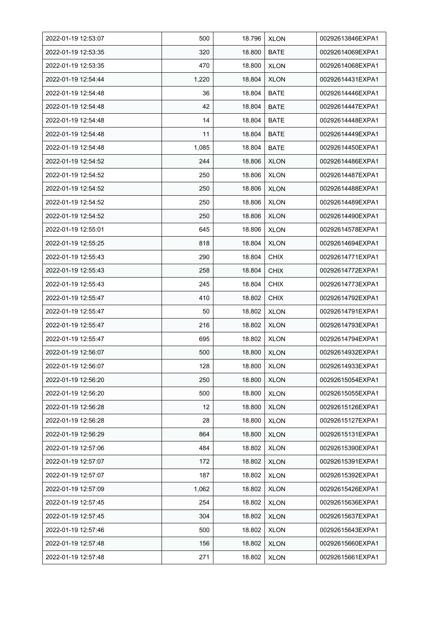| 2022-01-19 12:53:07 | 500   | 18.796 | <b>XLON</b> | 00292613846EXPA1 |
|---------------------|-------|--------|-------------|------------------|
| 2022-01-19 12:53:35 | 320   | 18.800 | <b>BATE</b> | 00292614069EXPA1 |
| 2022-01-19 12:53:35 | 470   | 18.800 | <b>XLON</b> | 00292614068EXPA1 |
| 2022-01-19 12:54:44 | 1,220 | 18.804 | <b>XLON</b> | 00292614431EXPA1 |
| 2022-01-19 12:54:48 | 36    | 18.804 | BATE        | 00292614446EXPA1 |
| 2022-01-19 12:54:48 | 42    | 18.804 | <b>BATE</b> | 00292614447EXPA1 |
| 2022-01-19 12:54:48 | 14    | 18.804 | <b>BATE</b> | 00292614448EXPA1 |
| 2022-01-19 12:54:48 | 11    | 18.804 | <b>BATE</b> | 00292614449EXPA1 |
| 2022-01-19 12:54:48 | 1,085 | 18.804 | <b>BATE</b> | 00292614450EXPA1 |
| 2022-01-19 12:54:52 | 244   | 18.806 | <b>XLON</b> | 00292614486EXPA1 |
| 2022-01-19 12:54:52 | 250   | 18.806 | <b>XLON</b> | 00292614487EXPA1 |
| 2022-01-19 12:54:52 | 250   | 18.806 | <b>XLON</b> | 00292614488EXPA1 |
| 2022-01-19 12:54:52 | 250   | 18.806 | <b>XLON</b> | 00292614489EXPA1 |
| 2022-01-19 12:54:52 | 250   | 18.806 | <b>XLON</b> | 00292614490EXPA1 |
| 2022-01-19 12:55:01 | 645   | 18.806 | <b>XLON</b> | 00292614578EXPA1 |
| 2022-01-19 12:55:25 | 818   | 18.804 | <b>XLON</b> | 00292614694EXPA1 |
| 2022-01-19 12:55:43 | 290   | 18.804 | <b>CHIX</b> | 00292614771EXPA1 |
| 2022-01-19 12:55:43 | 258   | 18.804 | <b>CHIX</b> | 00292614772EXPA1 |
| 2022-01-19 12:55:43 | 245   | 18.804 | <b>CHIX</b> | 00292614773EXPA1 |
| 2022-01-19 12:55:47 | 410   | 18.802 | <b>CHIX</b> | 00292614792EXPA1 |
| 2022-01-19 12:55:47 | 50    | 18.802 | <b>XLON</b> | 00292614791EXPA1 |
| 2022-01-19 12:55:47 | 216   | 18.802 | <b>XLON</b> | 00292614793EXPA1 |
| 2022-01-19 12:55:47 | 695   | 18.802 | <b>XLON</b> | 00292614794EXPA1 |
| 2022-01-19 12:56:07 | 500   | 18.800 | <b>XLON</b> | 00292614932EXPA1 |
| 2022-01-19 12:56:07 | 128   | 18.800 | <b>XLON</b> | 00292614933EXPA1 |
| 2022-01-19 12:56:20 | 250   | 18.800 | <b>XLON</b> | 00292615054EXPA1 |
| 2022-01-19 12:56:20 | 500   | 18.800 | <b>XLON</b> | 00292615055EXPA1 |
| 2022-01-19 12:56:28 | 12    | 18.800 | <b>XLON</b> | 00292615126EXPA1 |
| 2022-01-19 12:56:28 | 28    | 18.800 | <b>XLON</b> | 00292615127EXPA1 |
| 2022-01-19 12:56:29 | 864   | 18.800 | <b>XLON</b> | 00292615131EXPA1 |
| 2022-01-19 12:57:06 | 484   | 18.802 | <b>XLON</b> | 00292615390EXPA1 |
| 2022-01-19 12:57:07 | 172   | 18.802 | <b>XLON</b> | 00292615391EXPA1 |
| 2022-01-19 12:57:07 | 187   | 18.802 | <b>XLON</b> | 00292615392EXPA1 |
| 2022-01-19 12:57:09 | 1,062 | 18.802 | <b>XLON</b> | 00292615426EXPA1 |
| 2022-01-19 12:57:45 | 254   | 18.802 | <b>XLON</b> | 00292615636EXPA1 |
| 2022-01-19 12:57:45 | 304   | 18.802 | <b>XLON</b> | 00292615637EXPA1 |
| 2022-01-19 12:57:46 | 500   | 18.802 | <b>XLON</b> | 00292615643EXPA1 |
| 2022-01-19 12:57:48 | 156   | 18.802 | <b>XLON</b> | 00292615660EXPA1 |
| 2022-01-19 12:57:48 | 271   | 18.802 | <b>XLON</b> | 00292615661EXPA1 |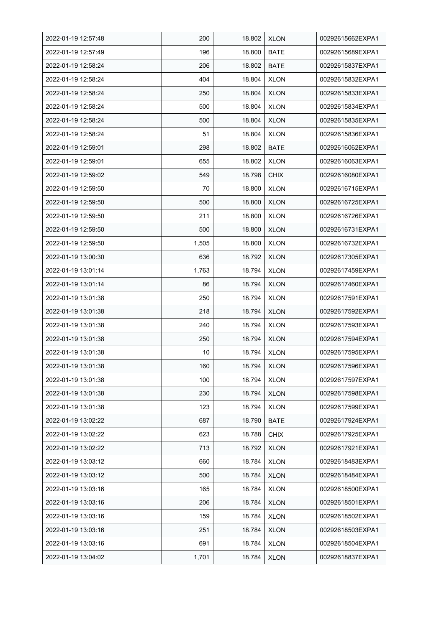| 2022-01-19 12:57:48 | 200   | 18.802 | <b>XLON</b> | 00292615662EXPA1 |
|---------------------|-------|--------|-------------|------------------|
| 2022-01-19 12:57:49 | 196   | 18.800 | <b>BATE</b> | 00292615689EXPA1 |
| 2022-01-19 12:58:24 | 206   | 18.802 | <b>BATE</b> | 00292615837EXPA1 |
| 2022-01-19 12:58:24 | 404   | 18.804 | <b>XLON</b> | 00292615832EXPA1 |
| 2022-01-19 12:58:24 | 250   | 18.804 | <b>XLON</b> | 00292615833EXPA1 |
| 2022-01-19 12:58:24 | 500   | 18.804 | <b>XLON</b> | 00292615834EXPA1 |
| 2022-01-19 12:58:24 | 500   | 18.804 | <b>XLON</b> | 00292615835EXPA1 |
| 2022-01-19 12:58:24 | 51    | 18.804 | <b>XLON</b> | 00292615836EXPA1 |
| 2022-01-19 12:59:01 | 298   | 18.802 | <b>BATE</b> | 00292616062EXPA1 |
| 2022-01-19 12:59:01 | 655   | 18.802 | <b>XLON</b> | 00292616063EXPA1 |
| 2022-01-19 12:59:02 | 549   | 18.798 | <b>CHIX</b> | 00292616080EXPA1 |
| 2022-01-19 12:59:50 | 70    | 18.800 | <b>XLON</b> | 00292616715EXPA1 |
| 2022-01-19 12:59:50 | 500   | 18.800 | <b>XLON</b> | 00292616725EXPA1 |
| 2022-01-19 12:59:50 | 211   | 18.800 | <b>XLON</b> | 00292616726EXPA1 |
| 2022-01-19 12:59:50 | 500   | 18.800 | <b>XLON</b> | 00292616731EXPA1 |
| 2022-01-19 12:59:50 | 1,505 | 18.800 | <b>XLON</b> | 00292616732EXPA1 |
| 2022-01-19 13:00:30 | 636   | 18.792 | <b>XLON</b> | 00292617305EXPA1 |
| 2022-01-19 13:01:14 | 1,763 | 18.794 | <b>XLON</b> | 00292617459EXPA1 |
| 2022-01-19 13:01:14 | 86    | 18.794 | <b>XLON</b> | 00292617460EXPA1 |
| 2022-01-19 13:01:38 | 250   | 18.794 | <b>XLON</b> | 00292617591EXPA1 |
| 2022-01-19 13:01:38 | 218   | 18.794 | <b>XLON</b> | 00292617592EXPA1 |
| 2022-01-19 13:01:38 | 240   | 18.794 | <b>XLON</b> | 00292617593EXPA1 |
| 2022-01-19 13:01:38 | 250   | 18.794 | <b>XLON</b> | 00292617594EXPA1 |
| 2022-01-19 13:01:38 | 10    | 18.794 | <b>XLON</b> | 00292617595EXPA1 |
| 2022-01-19 13:01:38 | 160   | 18.794 | <b>XLON</b> | 00292617596EXPA1 |
| 2022-01-19 13:01:38 | 100   | 18.794 | <b>XLON</b> | 00292617597EXPA1 |
| 2022-01-19 13:01:38 | 230   | 18.794 | <b>XLON</b> | 00292617598EXPA1 |
| 2022-01-19 13:01:38 | 123   | 18.794 | <b>XLON</b> | 00292617599EXPA1 |
| 2022-01-19 13:02:22 | 687   | 18.790 | BATE        | 00292617924EXPA1 |
| 2022-01-19 13:02:22 | 623   | 18.788 | <b>CHIX</b> | 00292617925EXPA1 |
| 2022-01-19 13:02:22 | 713   | 18.792 | <b>XLON</b> | 00292617921EXPA1 |
| 2022-01-19 13:03:12 | 660   | 18.784 | <b>XLON</b> | 00292618483EXPA1 |
| 2022-01-19 13:03:12 | 500   | 18.784 | <b>XLON</b> | 00292618484EXPA1 |
| 2022-01-19 13:03:16 | 165   | 18.784 | <b>XLON</b> | 00292618500EXPA1 |
| 2022-01-19 13:03:16 | 206   | 18.784 | <b>XLON</b> | 00292618501EXPA1 |
| 2022-01-19 13:03:16 | 159   | 18.784 | <b>XLON</b> | 00292618502EXPA1 |
| 2022-01-19 13:03:16 | 251   | 18.784 | <b>XLON</b> | 00292618503EXPA1 |
| 2022-01-19 13:03:16 | 691   | 18.784 | <b>XLON</b> | 00292618504EXPA1 |
| 2022-01-19 13:04:02 | 1,701 | 18.784 | <b>XLON</b> | 00292618837EXPA1 |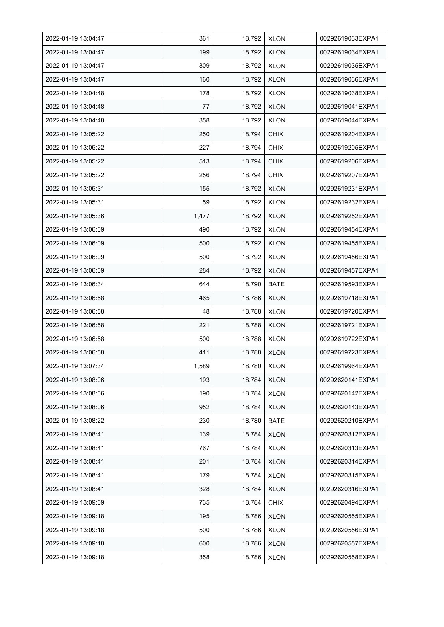| 2022-01-19 13:04:47 | 361   | 18.792 | <b>XLON</b> | 00292619033EXPA1 |
|---------------------|-------|--------|-------------|------------------|
| 2022-01-19 13:04:47 | 199   | 18.792 | <b>XLON</b> | 00292619034EXPA1 |
| 2022-01-19 13:04:47 | 309   | 18.792 | <b>XLON</b> | 00292619035EXPA1 |
| 2022-01-19 13:04:47 | 160   | 18.792 | <b>XLON</b> | 00292619036EXPA1 |
| 2022-01-19 13:04:48 | 178   | 18.792 | <b>XLON</b> | 00292619038EXPA1 |
| 2022-01-19 13:04:48 | 77    | 18.792 | <b>XLON</b> | 00292619041EXPA1 |
| 2022-01-19 13:04:48 | 358   | 18.792 | <b>XLON</b> | 00292619044EXPA1 |
| 2022-01-19 13:05:22 | 250   | 18.794 | <b>CHIX</b> | 00292619204EXPA1 |
| 2022-01-19 13:05:22 | 227   | 18.794 | <b>CHIX</b> | 00292619205EXPA1 |
| 2022-01-19 13:05:22 | 513   | 18.794 | <b>CHIX</b> | 00292619206EXPA1 |
| 2022-01-19 13:05:22 | 256   | 18.794 | <b>CHIX</b> | 00292619207EXPA1 |
| 2022-01-19 13:05:31 | 155   | 18.792 | <b>XLON</b> | 00292619231EXPA1 |
| 2022-01-19 13:05:31 | 59    | 18.792 | <b>XLON</b> | 00292619232EXPA1 |
| 2022-01-19 13:05:36 | 1,477 | 18.792 | <b>XLON</b> | 00292619252EXPA1 |
| 2022-01-19 13:06:09 | 490   | 18.792 | <b>XLON</b> | 00292619454EXPA1 |
| 2022-01-19 13:06:09 | 500   | 18.792 | <b>XLON</b> | 00292619455EXPA1 |
| 2022-01-19 13:06:09 | 500   | 18.792 | <b>XLON</b> | 00292619456EXPA1 |
| 2022-01-19 13:06:09 | 284   | 18.792 | <b>XLON</b> | 00292619457EXPA1 |
| 2022-01-19 13:06:34 | 644   | 18.790 | BATE        | 00292619593EXPA1 |
| 2022-01-19 13:06:58 | 465   | 18.786 | <b>XLON</b> | 00292619718EXPA1 |
| 2022-01-19 13:06:58 | 48    | 18.788 | <b>XLON</b> | 00292619720EXPA1 |
| 2022-01-19 13:06:58 | 221   | 18.788 | <b>XLON</b> | 00292619721EXPA1 |
| 2022-01-19 13:06:58 | 500   | 18.788 | <b>XLON</b> | 00292619722EXPA1 |
| 2022-01-19 13:06:58 | 411   | 18.788 | <b>XLON</b> | 00292619723EXPA1 |
| 2022-01-19 13:07:34 | 1,589 | 18.780 | <b>XLON</b> | 00292619964EXPA1 |
| 2022-01-19 13:08:06 | 193   | 18.784 | <b>XLON</b> | 00292620141EXPA1 |
| 2022-01-19 13:08:06 | 190   | 18.784 | <b>XLON</b> | 00292620142EXPA1 |
| 2022-01-19 13:08:06 | 952   | 18.784 | <b>XLON</b> | 00292620143EXPA1 |
| 2022-01-19 13:08:22 | 230   | 18.780 | <b>BATE</b> | 00292620210EXPA1 |
| 2022-01-19 13:08:41 | 139   | 18.784 | <b>XLON</b> | 00292620312EXPA1 |
| 2022-01-19 13:08:41 | 767   | 18.784 | <b>XLON</b> | 00292620313EXPA1 |
| 2022-01-19 13:08:41 | 201   | 18.784 | <b>XLON</b> | 00292620314EXPA1 |
| 2022-01-19 13:08:41 | 179   | 18.784 | <b>XLON</b> | 00292620315EXPA1 |
| 2022-01-19 13:08:41 | 328   | 18.784 | <b>XLON</b> | 00292620316EXPA1 |
| 2022-01-19 13:09:09 | 735   | 18.784 | <b>CHIX</b> | 00292620494EXPA1 |
| 2022-01-19 13:09:18 | 195   | 18.786 | <b>XLON</b> | 00292620555EXPA1 |
| 2022-01-19 13:09:18 | 500   | 18.786 | <b>XLON</b> | 00292620556EXPA1 |
| 2022-01-19 13:09:18 | 600   | 18.786 | <b>XLON</b> | 00292620557EXPA1 |
| 2022-01-19 13:09:18 | 358   | 18.786 | <b>XLON</b> | 00292620558EXPA1 |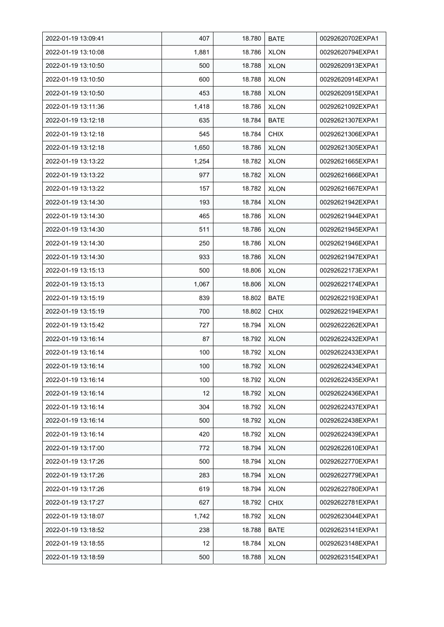| 2022-01-19 13:09:41 | 407   | 18.780 | <b>BATE</b> | 00292620702EXPA1 |
|---------------------|-------|--------|-------------|------------------|
| 2022-01-19 13:10:08 | 1,881 | 18.786 | <b>XLON</b> | 00292620794EXPA1 |
| 2022-01-19 13:10:50 | 500   | 18.788 | <b>XLON</b> | 00292620913EXPA1 |
| 2022-01-19 13:10:50 | 600   | 18.788 | <b>XLON</b> | 00292620914EXPA1 |
| 2022-01-19 13:10:50 | 453   | 18.788 | <b>XLON</b> | 00292620915EXPA1 |
| 2022-01-19 13:11:36 | 1,418 | 18.786 | <b>XLON</b> | 00292621092EXPA1 |
| 2022-01-19 13:12:18 | 635   | 18.784 | <b>BATE</b> | 00292621307EXPA1 |
| 2022-01-19 13:12:18 | 545   | 18.784 | <b>CHIX</b> | 00292621306EXPA1 |
| 2022-01-19 13:12:18 | 1,650 | 18.786 | <b>XLON</b> | 00292621305EXPA1 |
| 2022-01-19 13:13:22 | 1,254 | 18.782 | <b>XLON</b> | 00292621665EXPA1 |
| 2022-01-19 13:13:22 | 977   | 18.782 | <b>XLON</b> | 00292621666EXPA1 |
| 2022-01-19 13:13:22 | 157   | 18.782 | <b>XLON</b> | 00292621667EXPA1 |
| 2022-01-19 13:14:30 | 193   | 18.784 | <b>XLON</b> | 00292621942EXPA1 |
| 2022-01-19 13:14:30 | 465   | 18.786 | <b>XLON</b> | 00292621944EXPA1 |
| 2022-01-19 13:14:30 | 511   | 18.786 | <b>XLON</b> | 00292621945EXPA1 |
| 2022-01-19 13:14:30 | 250   | 18.786 | <b>XLON</b> | 00292621946EXPA1 |
| 2022-01-19 13:14:30 | 933   | 18.786 | <b>XLON</b> | 00292621947EXPA1 |
| 2022-01-19 13:15:13 | 500   | 18.806 | <b>XLON</b> | 00292622173EXPA1 |
| 2022-01-19 13:15:13 | 1,067 | 18.806 | <b>XLON</b> | 00292622174EXPA1 |
| 2022-01-19 13:15:19 | 839   | 18.802 | <b>BATE</b> | 00292622193EXPA1 |
| 2022-01-19 13:15:19 | 700   | 18.802 | <b>CHIX</b> | 00292622194EXPA1 |
| 2022-01-19 13:15:42 | 727   | 18.794 | <b>XLON</b> | 00292622262EXPA1 |
| 2022-01-19 13:16:14 | 87    | 18.792 | <b>XLON</b> | 00292622432EXPA1 |
| 2022-01-19 13:16:14 | 100   | 18.792 | <b>XLON</b> | 00292622433EXPA1 |
| 2022-01-19 13:16:14 | 100   | 18.792 | <b>XLON</b> | 00292622434EXPA1 |
| 2022-01-19 13:16:14 | 100   | 18.792 | <b>XLON</b> | 00292622435EXPA1 |
| 2022-01-19 13:16:14 | 12    | 18.792 | <b>XLON</b> | 00292622436EXPA1 |
| 2022-01-19 13:16:14 | 304   | 18.792 | <b>XLON</b> | 00292622437EXPA1 |
| 2022-01-19 13:16:14 | 500   | 18.792 | <b>XLON</b> | 00292622438EXPA1 |
| 2022-01-19 13:16:14 | 420   | 18.792 | <b>XLON</b> | 00292622439EXPA1 |
| 2022-01-19 13:17:00 | 772   | 18.794 | <b>XLON</b> | 00292622610EXPA1 |
| 2022-01-19 13:17:26 | 500   | 18.794 | <b>XLON</b> | 00292622770EXPA1 |
| 2022-01-19 13:17:26 | 283   | 18.794 | <b>XLON</b> | 00292622779EXPA1 |
| 2022-01-19 13:17:26 | 619   | 18.794 | <b>XLON</b> | 00292622780EXPA1 |
| 2022-01-19 13:17:27 | 627   | 18.792 | <b>CHIX</b> | 00292622781EXPA1 |
| 2022-01-19 13:18:07 | 1,742 | 18.792 | <b>XLON</b> | 00292623044EXPA1 |
| 2022-01-19 13:18:52 | 238   | 18.788 | <b>BATE</b> | 00292623141EXPA1 |
| 2022-01-19 13:18:55 | 12    | 18.784 | <b>XLON</b> | 00292623148EXPA1 |
| 2022-01-19 13:18:59 | 500   | 18.788 | <b>XLON</b> | 00292623154EXPA1 |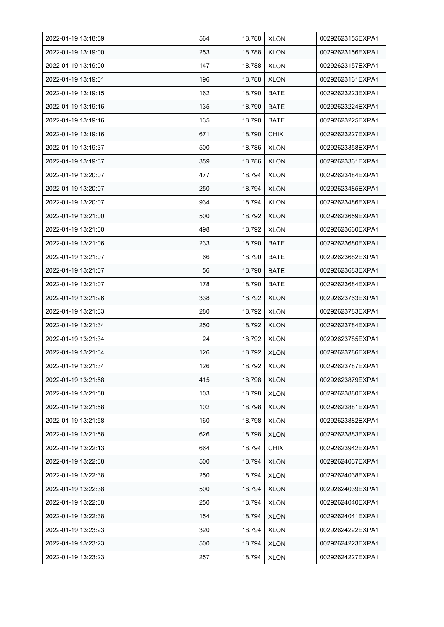| 2022-01-19 13:18:59 | 564 | 18.788 | <b>XLON</b> | 00292623155EXPA1 |
|---------------------|-----|--------|-------------|------------------|
| 2022-01-19 13:19:00 | 253 | 18.788 | <b>XLON</b> | 00292623156EXPA1 |
| 2022-01-19 13:19:00 | 147 | 18.788 | <b>XLON</b> | 00292623157EXPA1 |
| 2022-01-19 13:19:01 | 196 | 18.788 | <b>XLON</b> | 00292623161EXPA1 |
| 2022-01-19 13:19:15 | 162 | 18.790 | <b>BATE</b> | 00292623223EXPA1 |
| 2022-01-19 13:19:16 | 135 | 18.790 | <b>BATE</b> | 00292623224EXPA1 |
| 2022-01-19 13:19:16 | 135 | 18.790 | <b>BATE</b> | 00292623225EXPA1 |
| 2022-01-19 13:19:16 | 671 | 18.790 | <b>CHIX</b> | 00292623227EXPA1 |
| 2022-01-19 13:19:37 | 500 | 18.786 | <b>XLON</b> | 00292623358EXPA1 |
| 2022-01-19 13:19:37 | 359 | 18.786 | <b>XLON</b> | 00292623361EXPA1 |
| 2022-01-19 13:20:07 | 477 | 18.794 | <b>XLON</b> | 00292623484EXPA1 |
| 2022-01-19 13:20:07 | 250 | 18.794 | <b>XLON</b> | 00292623485EXPA1 |
| 2022-01-19 13:20:07 | 934 | 18.794 | <b>XLON</b> | 00292623486EXPA1 |
| 2022-01-19 13:21:00 | 500 | 18.792 | <b>XLON</b> | 00292623659EXPA1 |
| 2022-01-19 13:21:00 | 498 | 18.792 | <b>XLON</b> | 00292623660EXPA1 |
| 2022-01-19 13:21:06 | 233 | 18.790 | <b>BATE</b> | 00292623680EXPA1 |
| 2022-01-19 13:21:07 | 66  | 18.790 | <b>BATE</b> | 00292623682EXPA1 |
| 2022-01-19 13:21:07 | 56  | 18.790 | <b>BATE</b> | 00292623683EXPA1 |
| 2022-01-19 13:21:07 | 178 | 18.790 | <b>BATE</b> | 00292623684EXPA1 |
| 2022-01-19 13:21:26 | 338 | 18.792 | <b>XLON</b> | 00292623763EXPA1 |
| 2022-01-19 13:21:33 | 280 | 18.792 | <b>XLON</b> | 00292623783EXPA1 |
| 2022-01-19 13:21:34 | 250 | 18.792 | <b>XLON</b> | 00292623784EXPA1 |
| 2022-01-19 13:21:34 | 24  | 18.792 | <b>XLON</b> | 00292623785EXPA1 |
| 2022-01-19 13:21:34 | 126 | 18.792 | <b>XLON</b> | 00292623786EXPA1 |
| 2022-01-19 13:21:34 | 126 | 18.792 | <b>XLON</b> | 00292623787EXPA1 |
| 2022-01-19 13:21:58 | 415 | 18.798 | <b>XLON</b> | 00292623879EXPA1 |
| 2022-01-19 13:21:58 | 103 | 18.798 | <b>XLON</b> | 00292623880EXPA1 |
| 2022-01-19 13:21:58 | 102 | 18.798 | <b>XLON</b> | 00292623881EXPA1 |
| 2022-01-19 13:21:58 | 160 | 18.798 | <b>XLON</b> | 00292623882EXPA1 |
| 2022-01-19 13:21:58 | 626 | 18.798 | <b>XLON</b> | 00292623883EXPA1 |
| 2022-01-19 13:22:13 | 664 | 18.794 | <b>CHIX</b> | 00292623942EXPA1 |
| 2022-01-19 13:22:38 | 500 | 18.794 | <b>XLON</b> | 00292624037EXPA1 |
| 2022-01-19 13:22:38 | 250 | 18.794 | <b>XLON</b> | 00292624038EXPA1 |
| 2022-01-19 13:22:38 | 500 | 18.794 | <b>XLON</b> | 00292624039EXPA1 |
| 2022-01-19 13:22:38 | 250 | 18.794 | <b>XLON</b> | 00292624040EXPA1 |
| 2022-01-19 13:22:38 | 154 | 18.794 | <b>XLON</b> | 00292624041EXPA1 |
| 2022-01-19 13:23:23 | 320 | 18.794 | <b>XLON</b> | 00292624222EXPA1 |
| 2022-01-19 13:23:23 | 500 | 18.794 | <b>XLON</b> | 00292624223EXPA1 |
| 2022-01-19 13:23:23 | 257 | 18.794 | <b>XLON</b> | 00292624227EXPA1 |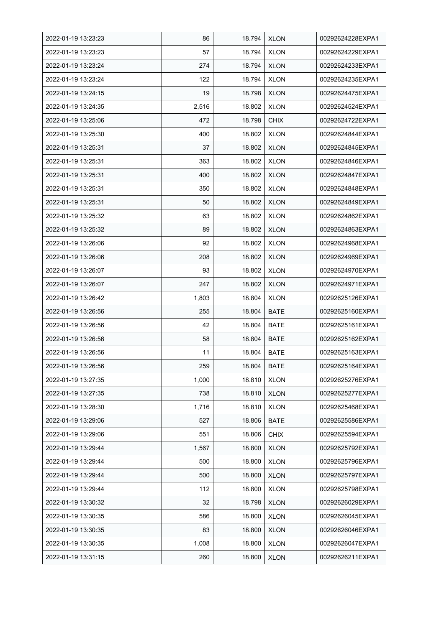| 2022-01-19 13:23:23 | 86    | 18.794 | <b>XLON</b> | 00292624228EXPA1 |
|---------------------|-------|--------|-------------|------------------|
| 2022-01-19 13:23:23 | 57    | 18.794 | <b>XLON</b> | 00292624229EXPA1 |
| 2022-01-19 13:23:24 | 274   | 18.794 | <b>XLON</b> | 00292624233EXPA1 |
| 2022-01-19 13:23:24 | 122   | 18.794 | <b>XLON</b> | 00292624235EXPA1 |
| 2022-01-19 13:24:15 | 19    | 18.798 | <b>XLON</b> | 00292624475EXPA1 |
| 2022-01-19 13:24:35 | 2,516 | 18.802 | <b>XLON</b> | 00292624524EXPA1 |
| 2022-01-19 13:25:06 | 472   | 18.798 | <b>CHIX</b> | 00292624722EXPA1 |
| 2022-01-19 13:25:30 | 400   | 18.802 | <b>XLON</b> | 00292624844EXPA1 |
| 2022-01-19 13:25:31 | 37    | 18.802 | <b>XLON</b> | 00292624845EXPA1 |
| 2022-01-19 13:25:31 | 363   | 18.802 | <b>XLON</b> | 00292624846EXPA1 |
| 2022-01-19 13:25:31 | 400   | 18.802 | <b>XLON</b> | 00292624847EXPA1 |
| 2022-01-19 13:25:31 | 350   | 18.802 | <b>XLON</b> | 00292624848EXPA1 |
| 2022-01-19 13:25:31 | 50    | 18.802 | <b>XLON</b> | 00292624849EXPA1 |
| 2022-01-19 13:25:32 | 63    | 18.802 | <b>XLON</b> | 00292624862EXPA1 |
| 2022-01-19 13:25:32 | 89    | 18.802 | <b>XLON</b> | 00292624863EXPA1 |
| 2022-01-19 13:26:06 | 92    | 18.802 | <b>XLON</b> | 00292624968EXPA1 |
| 2022-01-19 13:26:06 | 208   | 18.802 | <b>XLON</b> | 00292624969EXPA1 |
| 2022-01-19 13:26:07 | 93    | 18.802 | <b>XLON</b> | 00292624970EXPA1 |
| 2022-01-19 13:26:07 | 247   | 18.802 | <b>XLON</b> | 00292624971EXPA1 |
| 2022-01-19 13:26:42 | 1,803 | 18.804 | <b>XLON</b> | 00292625126EXPA1 |
| 2022-01-19 13:26:56 | 255   | 18.804 | <b>BATE</b> | 00292625160EXPA1 |
| 2022-01-19 13:26:56 | 42    | 18.804 | BATE        | 00292625161EXPA1 |
| 2022-01-19 13:26:56 | 58    | 18.804 | BATE        | 00292625162EXPA1 |
| 2022-01-19 13:26:56 | 11    | 18.804 | <b>BATE</b> | 00292625163EXPA1 |
| 2022-01-19 13:26:56 | 259   | 18.804 | <b>BATE</b> | 00292625164EXPA1 |
| 2022-01-19 13:27:35 | 1,000 | 18.810 | <b>XLON</b> | 00292625276EXPA1 |
| 2022-01-19 13:27:35 | 738   | 18.810 | <b>XLON</b> | 00292625277EXPA1 |
| 2022-01-19 13:28:30 | 1,716 | 18.810 | <b>XLON</b> | 00292625468EXPA1 |
| 2022-01-19 13:29:06 | 527   | 18.806 | <b>BATE</b> | 00292625586EXPA1 |
| 2022-01-19 13:29:06 | 551   | 18.806 | <b>CHIX</b> | 00292625594EXPA1 |
| 2022-01-19 13:29:44 | 1,567 | 18.800 | <b>XLON</b> | 00292625792EXPA1 |
| 2022-01-19 13:29:44 | 500   | 18.800 | <b>XLON</b> | 00292625796EXPA1 |
| 2022-01-19 13:29:44 | 500   | 18.800 | <b>XLON</b> | 00292625797EXPA1 |
| 2022-01-19 13:29:44 | 112   | 18.800 | <b>XLON</b> | 00292625798EXPA1 |
| 2022-01-19 13:30:32 | 32    | 18.798 | <b>XLON</b> | 00292626029EXPA1 |
| 2022-01-19 13:30:35 | 586   | 18.800 | <b>XLON</b> | 00292626045EXPA1 |
| 2022-01-19 13:30:35 | 83    | 18.800 | <b>XLON</b> | 00292626046EXPA1 |
| 2022-01-19 13:30:35 | 1,008 | 18.800 | <b>XLON</b> | 00292626047EXPA1 |
| 2022-01-19 13:31:15 | 260   | 18.800 | <b>XLON</b> | 00292626211EXPA1 |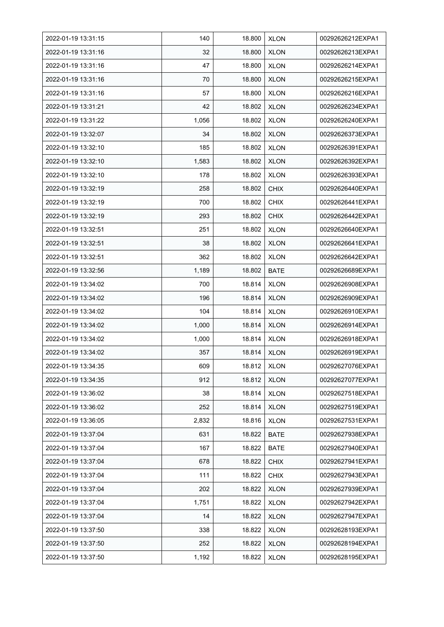| 2022-01-19 13:31:15 | 140   | 18.800 | <b>XLON</b> | 00292626212EXPA1 |
|---------------------|-------|--------|-------------|------------------|
| 2022-01-19 13:31:16 | 32    | 18.800 | <b>XLON</b> | 00292626213EXPA1 |
| 2022-01-19 13:31:16 | 47    | 18.800 | <b>XLON</b> | 00292626214EXPA1 |
| 2022-01-19 13:31:16 | 70    | 18.800 | <b>XLON</b> | 00292626215EXPA1 |
| 2022-01-19 13:31:16 | 57    | 18.800 | <b>XLON</b> | 00292626216EXPA1 |
| 2022-01-19 13:31:21 | 42    | 18.802 | <b>XLON</b> | 00292626234EXPA1 |
| 2022-01-19 13:31:22 | 1,056 | 18.802 | <b>XLON</b> | 00292626240EXPA1 |
| 2022-01-19 13:32:07 | 34    | 18.802 | <b>XLON</b> | 00292626373EXPA1 |
| 2022-01-19 13:32:10 | 185   | 18.802 | <b>XLON</b> | 00292626391EXPA1 |
| 2022-01-19 13:32:10 | 1,583 | 18.802 | <b>XLON</b> | 00292626392EXPA1 |
| 2022-01-19 13:32:10 | 178   | 18.802 | <b>XLON</b> | 00292626393EXPA1 |
| 2022-01-19 13:32:19 | 258   | 18.802 | <b>CHIX</b> | 00292626440EXPA1 |
| 2022-01-19 13:32:19 | 700   | 18.802 | <b>CHIX</b> | 00292626441EXPA1 |
| 2022-01-19 13:32:19 | 293   | 18.802 | <b>CHIX</b> | 00292626442EXPA1 |
| 2022-01-19 13:32:51 | 251   | 18.802 | <b>XLON</b> | 00292626640EXPA1 |
| 2022-01-19 13:32:51 | 38    | 18.802 | <b>XLON</b> | 00292626641EXPA1 |
| 2022-01-19 13:32:51 | 362   | 18.802 | <b>XLON</b> | 00292626642EXPA1 |
| 2022-01-19 13:32:56 | 1,189 | 18.802 | BATE        | 00292626689EXPA1 |
| 2022-01-19 13:34:02 | 700   | 18.814 | <b>XLON</b> | 00292626908EXPA1 |
| 2022-01-19 13:34:02 | 196   | 18.814 | <b>XLON</b> | 00292626909EXPA1 |
| 2022-01-19 13:34:02 | 104   | 18.814 | <b>XLON</b> | 00292626910EXPA1 |
| 2022-01-19 13:34:02 | 1,000 | 18.814 | <b>XLON</b> | 00292626914EXPA1 |
| 2022-01-19 13:34:02 | 1,000 | 18.814 | <b>XLON</b> | 00292626918EXPA1 |
| 2022-01-19 13:34:02 | 357   | 18.814 | <b>XLON</b> | 00292626919EXPA1 |
| 2022-01-19 13:34:35 | 609   | 18.812 | <b>XLON</b> | 00292627076EXPA1 |
| 2022-01-19 13:34:35 | 912   | 18.812 | <b>XLON</b> | 00292627077EXPA1 |
| 2022-01-19 13:36:02 | 38    | 18.814 | <b>XLON</b> | 00292627518EXPA1 |
| 2022-01-19 13:36:02 | 252   | 18.814 | <b>XLON</b> | 00292627519EXPA1 |
| 2022-01-19 13:36:05 | 2,832 | 18.816 | <b>XLON</b> | 00292627531EXPA1 |
| 2022-01-19 13:37:04 | 631   | 18.822 | <b>BATE</b> | 00292627938EXPA1 |
| 2022-01-19 13:37:04 | 167   | 18.822 | <b>BATE</b> | 00292627940EXPA1 |
| 2022-01-19 13:37:04 | 678   | 18.822 | <b>CHIX</b> | 00292627941EXPA1 |
| 2022-01-19 13:37:04 | 111   | 18.822 | <b>CHIX</b> | 00292627943EXPA1 |
| 2022-01-19 13:37:04 | 202   | 18.822 | <b>XLON</b> | 00292627939EXPA1 |
| 2022-01-19 13:37:04 | 1,751 | 18.822 | <b>XLON</b> | 00292627942EXPA1 |
| 2022-01-19 13:37:04 | 14    | 18.822 | <b>XLON</b> | 00292627947EXPA1 |
| 2022-01-19 13:37:50 | 338   | 18.822 | <b>XLON</b> | 00292628193EXPA1 |
| 2022-01-19 13:37:50 | 252   | 18.822 | <b>XLON</b> | 00292628194EXPA1 |
| 2022-01-19 13:37:50 | 1,192 | 18.822 | <b>XLON</b> | 00292628195EXPA1 |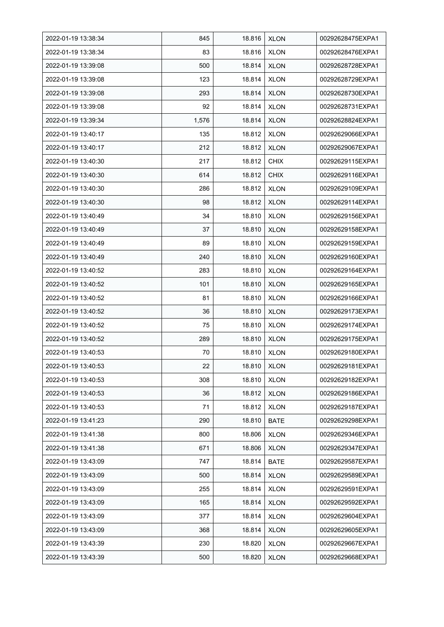| 2022-01-19 13:38:34 | 845   | 18.816 | <b>XLON</b> | 00292628475EXPA1 |
|---------------------|-------|--------|-------------|------------------|
| 2022-01-19 13:38:34 | 83    | 18.816 | <b>XLON</b> | 00292628476EXPA1 |
| 2022-01-19 13:39:08 | 500   | 18.814 | <b>XLON</b> | 00292628728EXPA1 |
| 2022-01-19 13:39:08 | 123   | 18.814 | <b>XLON</b> | 00292628729EXPA1 |
| 2022-01-19 13:39:08 | 293   | 18.814 | <b>XLON</b> | 00292628730EXPA1 |
| 2022-01-19 13:39:08 | 92    | 18.814 | <b>XLON</b> | 00292628731EXPA1 |
| 2022-01-19 13:39:34 | 1,576 | 18.814 | <b>XLON</b> | 00292628824EXPA1 |
| 2022-01-19 13:40:17 | 135   | 18.812 | <b>XLON</b> | 00292629066EXPA1 |
| 2022-01-19 13:40:17 | 212   | 18.812 | <b>XLON</b> | 00292629067EXPA1 |
| 2022-01-19 13:40:30 | 217   | 18.812 | <b>CHIX</b> | 00292629115EXPA1 |
| 2022-01-19 13:40:30 | 614   | 18.812 | <b>CHIX</b> | 00292629116EXPA1 |
| 2022-01-19 13:40:30 | 286   | 18.812 | <b>XLON</b> | 00292629109EXPA1 |
| 2022-01-19 13:40:30 | 98    | 18.812 | <b>XLON</b> | 00292629114EXPA1 |
| 2022-01-19 13:40:49 | 34    | 18.810 | <b>XLON</b> | 00292629156EXPA1 |
| 2022-01-19 13:40:49 | 37    | 18.810 | <b>XLON</b> | 00292629158EXPA1 |
| 2022-01-19 13:40:49 | 89    | 18.810 | <b>XLON</b> | 00292629159EXPA1 |
| 2022-01-19 13:40:49 | 240   | 18.810 | <b>XLON</b> | 00292629160EXPA1 |
| 2022-01-19 13:40:52 | 283   | 18.810 | <b>XLON</b> | 00292629164EXPA1 |
| 2022-01-19 13:40:52 | 101   | 18.810 | <b>XLON</b> | 00292629165EXPA1 |
| 2022-01-19 13:40:52 | 81    | 18.810 | <b>XLON</b> | 00292629166EXPA1 |
| 2022-01-19 13:40:52 | 36    | 18.810 | <b>XLON</b> | 00292629173EXPA1 |
| 2022-01-19 13:40:52 | 75    | 18.810 | <b>XLON</b> | 00292629174EXPA1 |
| 2022-01-19 13:40:52 | 289   | 18.810 | <b>XLON</b> | 00292629175EXPA1 |
| 2022-01-19 13:40:53 | 70    | 18.810 | <b>XLON</b> | 00292629180EXPA1 |
| 2022-01-19 13:40:53 | 22    | 18.810 | <b>XLON</b> | 00292629181EXPA1 |
| 2022-01-19 13:40:53 | 308   | 18.810 | <b>XLON</b> | 00292629182EXPA1 |
| 2022-01-19 13:40:53 | 36    | 18.812 | <b>XLON</b> | 00292629186EXPA1 |
| 2022-01-19 13:40:53 | 71    | 18.812 | <b>XLON</b> | 00292629187EXPA1 |
| 2022-01-19 13:41:23 | 290   | 18.810 | BATE        | 00292629298EXPA1 |
| 2022-01-19 13:41:38 | 800   | 18.806 | <b>XLON</b> | 00292629346EXPA1 |
| 2022-01-19 13:41:38 | 671   | 18.806 | <b>XLON</b> | 00292629347EXPA1 |
| 2022-01-19 13:43:09 | 747   | 18.814 | BATE        | 00292629587EXPA1 |
| 2022-01-19 13:43:09 | 500   | 18.814 | <b>XLON</b> | 00292629589EXPA1 |
| 2022-01-19 13:43:09 | 255   | 18.814 | <b>XLON</b> | 00292629591EXPA1 |
| 2022-01-19 13:43:09 | 165   | 18.814 | <b>XLON</b> | 00292629592EXPA1 |
| 2022-01-19 13:43:09 | 377   | 18.814 | <b>XLON</b> | 00292629604EXPA1 |
| 2022-01-19 13:43:09 | 368   | 18.814 | <b>XLON</b> | 00292629605EXPA1 |
| 2022-01-19 13:43:39 | 230   | 18.820 | <b>XLON</b> | 00292629667EXPA1 |
| 2022-01-19 13:43:39 | 500   | 18.820 | <b>XLON</b> | 00292629668EXPA1 |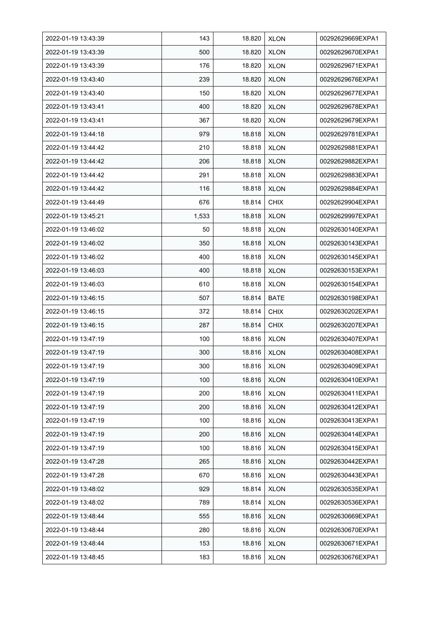| 2022-01-19 13:43:39 | 143   | 18.820 | <b>XLON</b> | 00292629669EXPA1 |
|---------------------|-------|--------|-------------|------------------|
| 2022-01-19 13:43:39 | 500   | 18.820 | <b>XLON</b> | 00292629670EXPA1 |
| 2022-01-19 13:43:39 | 176   | 18.820 | <b>XLON</b> | 00292629671EXPA1 |
| 2022-01-19 13:43:40 | 239   | 18.820 | <b>XLON</b> | 00292629676EXPA1 |
| 2022-01-19 13:43:40 | 150   | 18.820 | <b>XLON</b> | 00292629677EXPA1 |
| 2022-01-19 13:43:41 | 400   | 18.820 | <b>XLON</b> | 00292629678EXPA1 |
| 2022-01-19 13:43:41 | 367   | 18.820 | <b>XLON</b> | 00292629679EXPA1 |
| 2022-01-19 13:44:18 | 979   | 18.818 | <b>XLON</b> | 00292629781EXPA1 |
| 2022-01-19 13:44:42 | 210   | 18.818 | <b>XLON</b> | 00292629881EXPA1 |
| 2022-01-19 13:44:42 | 206   | 18.818 | <b>XLON</b> | 00292629882EXPA1 |
| 2022-01-19 13:44:42 | 291   | 18.818 | <b>XLON</b> | 00292629883EXPA1 |
| 2022-01-19 13:44:42 | 116   | 18.818 | <b>XLON</b> | 00292629884EXPA1 |
| 2022-01-19 13:44:49 | 676   | 18.814 | <b>CHIX</b> | 00292629904EXPA1 |
| 2022-01-19 13:45:21 | 1,533 | 18.818 | <b>XLON</b> | 00292629997EXPA1 |
| 2022-01-19 13:46:02 | 50    | 18.818 | <b>XLON</b> | 00292630140EXPA1 |
| 2022-01-19 13:46:02 | 350   | 18.818 | <b>XLON</b> | 00292630143EXPA1 |
| 2022-01-19 13:46:02 | 400   | 18.818 | <b>XLON</b> | 00292630145EXPA1 |
| 2022-01-19 13:46:03 | 400   | 18.818 | <b>XLON</b> | 00292630153EXPA1 |
| 2022-01-19 13:46:03 | 610   | 18.818 | <b>XLON</b> | 00292630154EXPA1 |
| 2022-01-19 13:46:15 | 507   | 18.814 | <b>BATE</b> | 00292630198EXPA1 |
| 2022-01-19 13:46:15 | 372   | 18.814 | <b>CHIX</b> | 00292630202EXPA1 |
| 2022-01-19 13:46:15 | 287   | 18.814 | <b>CHIX</b> | 00292630207EXPA1 |
| 2022-01-19 13:47:19 | 100   | 18.816 | <b>XLON</b> | 00292630407EXPA1 |
| 2022-01-19 13:47:19 | 300   | 18.816 | <b>XLON</b> | 00292630408EXPA1 |
| 2022-01-19 13:47:19 | 300   | 18.816 | <b>XLON</b> | 00292630409EXPA1 |
| 2022-01-19 13:47:19 | 100   | 18.816 | <b>XLON</b> | 00292630410EXPA1 |
| 2022-01-19 13:47:19 | 200   | 18.816 | <b>XLON</b> | 00292630411EXPA1 |
| 2022-01-19 13:47:19 | 200   | 18.816 | <b>XLON</b> | 00292630412EXPA1 |
| 2022-01-19 13:47:19 | 100   | 18.816 | <b>XLON</b> | 00292630413EXPA1 |
| 2022-01-19 13:47:19 | 200   | 18.816 | <b>XLON</b> | 00292630414EXPA1 |
| 2022-01-19 13:47:19 | 100   | 18.816 | <b>XLON</b> | 00292630415EXPA1 |
| 2022-01-19 13:47:28 | 265   | 18.816 | <b>XLON</b> | 00292630442EXPA1 |
| 2022-01-19 13:47:28 | 670   | 18.816 | <b>XLON</b> | 00292630443EXPA1 |
| 2022-01-19 13:48:02 | 929   | 18.814 | <b>XLON</b> | 00292630535EXPA1 |
| 2022-01-19 13:48:02 | 789   | 18.814 | <b>XLON</b> | 00292630536EXPA1 |
| 2022-01-19 13:48:44 | 555   | 18.816 | <b>XLON</b> | 00292630669EXPA1 |
| 2022-01-19 13:48:44 | 280   | 18.816 | <b>XLON</b> | 00292630670EXPA1 |
| 2022-01-19 13:48:44 | 153   | 18.816 | <b>XLON</b> | 00292630671EXPA1 |
| 2022-01-19 13:48:45 | 183   | 18.816 | <b>XLON</b> | 00292630676EXPA1 |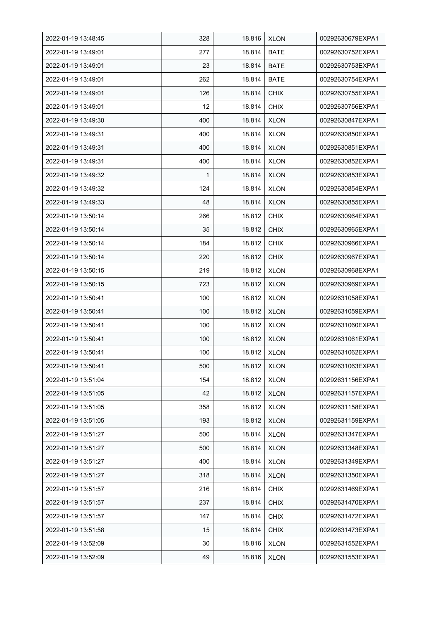| 2022-01-19 13:48:45 | 328 | 18.816 | <b>XLON</b> | 00292630679EXPA1 |
|---------------------|-----|--------|-------------|------------------|
| 2022-01-19 13:49:01 | 277 | 18.814 | <b>BATE</b> | 00292630752EXPA1 |
| 2022-01-19 13:49:01 | 23  | 18.814 | <b>BATE</b> | 00292630753EXPA1 |
| 2022-01-19 13:49:01 | 262 | 18.814 | <b>BATE</b> | 00292630754EXPA1 |
| 2022-01-19 13:49:01 | 126 | 18.814 | <b>CHIX</b> | 00292630755EXPA1 |
| 2022-01-19 13:49:01 | 12  | 18.814 | <b>CHIX</b> | 00292630756EXPA1 |
| 2022-01-19 13:49:30 | 400 | 18.814 | <b>XLON</b> | 00292630847EXPA1 |
| 2022-01-19 13:49:31 | 400 | 18.814 | <b>XLON</b> | 00292630850EXPA1 |
| 2022-01-19 13:49:31 | 400 | 18.814 | <b>XLON</b> | 00292630851EXPA1 |
| 2022-01-19 13:49:31 | 400 | 18.814 | <b>XLON</b> | 00292630852EXPA1 |
| 2022-01-19 13:49:32 | 1   | 18.814 | <b>XLON</b> | 00292630853EXPA1 |
| 2022-01-19 13:49:32 | 124 | 18.814 | <b>XLON</b> | 00292630854EXPA1 |
| 2022-01-19 13:49:33 | 48  | 18.814 | <b>XLON</b> | 00292630855EXPA1 |
| 2022-01-19 13:50:14 | 266 | 18.812 | <b>CHIX</b> | 00292630964EXPA1 |
| 2022-01-19 13:50:14 | 35  | 18.812 | <b>CHIX</b> | 00292630965EXPA1 |
| 2022-01-19 13:50:14 | 184 | 18.812 | <b>CHIX</b> | 00292630966EXPA1 |
| 2022-01-19 13:50:14 | 220 | 18.812 | <b>CHIX</b> | 00292630967EXPA1 |
| 2022-01-19 13:50:15 | 219 | 18.812 | <b>XLON</b> | 00292630968EXPA1 |
| 2022-01-19 13:50:15 | 723 | 18.812 | <b>XLON</b> | 00292630969EXPA1 |
| 2022-01-19 13:50:41 | 100 | 18.812 | XLON        | 00292631058EXPA1 |
| 2022-01-19 13:50:41 | 100 | 18.812 | <b>XLON</b> | 00292631059EXPA1 |
| 2022-01-19 13:50:41 | 100 | 18.812 | <b>XLON</b> | 00292631060EXPA1 |
| 2022-01-19 13:50:41 | 100 | 18.812 | <b>XLON</b> | 00292631061EXPA1 |
| 2022-01-19 13:50:41 | 100 | 18.812 | <b>XLON</b> | 00292631062EXPA1 |
| 2022-01-19 13:50:41 | 500 | 18.812 | <b>XLON</b> | 00292631063EXPA1 |
| 2022-01-19 13:51:04 | 154 | 18.812 | <b>XLON</b> | 00292631156EXPA1 |
| 2022-01-19 13:51:05 | 42  | 18.812 | <b>XLON</b> | 00292631157EXPA1 |
| 2022-01-19 13:51:05 | 358 | 18.812 | <b>XLON</b> | 00292631158EXPA1 |
| 2022-01-19 13:51:05 | 193 | 18.812 | <b>XLON</b> | 00292631159EXPA1 |
| 2022-01-19 13:51:27 | 500 | 18.814 | <b>XLON</b> | 00292631347EXPA1 |
| 2022-01-19 13:51:27 | 500 | 18.814 | <b>XLON</b> | 00292631348EXPA1 |
| 2022-01-19 13:51:27 | 400 | 18.814 | <b>XLON</b> | 00292631349EXPA1 |
| 2022-01-19 13:51:27 | 318 | 18.814 | <b>XLON</b> | 00292631350EXPA1 |
| 2022-01-19 13:51:57 | 216 | 18.814 | <b>CHIX</b> | 00292631469EXPA1 |
| 2022-01-19 13:51:57 | 237 | 18.814 | <b>CHIX</b> | 00292631470EXPA1 |
| 2022-01-19 13:51:57 | 147 | 18.814 | <b>CHIX</b> | 00292631472EXPA1 |
| 2022-01-19 13:51:58 | 15  | 18.814 | <b>CHIX</b> | 00292631473EXPA1 |
| 2022-01-19 13:52:09 | 30  | 18.816 | <b>XLON</b> | 00292631552EXPA1 |
| 2022-01-19 13:52:09 | 49  | 18.816 | <b>XLON</b> | 00292631553EXPA1 |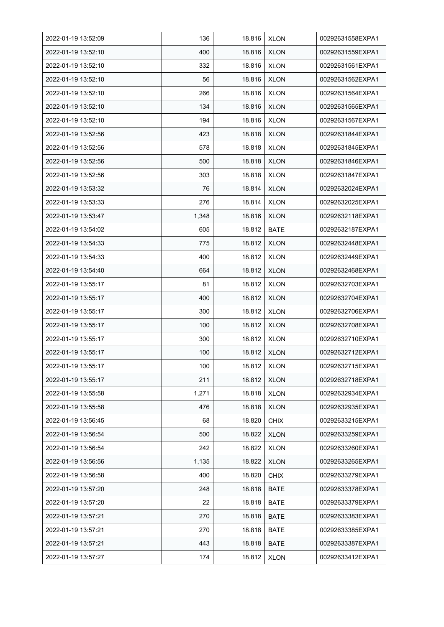| 2022-01-19 13:52:09 | 136   | 18.816 | <b>XLON</b> | 00292631558EXPA1 |
|---------------------|-------|--------|-------------|------------------|
| 2022-01-19 13:52:10 | 400   | 18.816 | <b>XLON</b> | 00292631559EXPA1 |
| 2022-01-19 13:52:10 | 332   | 18.816 | <b>XLON</b> | 00292631561EXPA1 |
| 2022-01-19 13:52:10 | 56    | 18.816 | <b>XLON</b> | 00292631562EXPA1 |
| 2022-01-19 13:52:10 | 266   | 18.816 | <b>XLON</b> | 00292631564EXPA1 |
| 2022-01-19 13:52:10 | 134   | 18.816 | <b>XLON</b> | 00292631565EXPA1 |
| 2022-01-19 13:52:10 | 194   | 18.816 | <b>XLON</b> | 00292631567EXPA1 |
| 2022-01-19 13:52:56 | 423   | 18.818 | <b>XLON</b> | 00292631844EXPA1 |
| 2022-01-19 13:52:56 | 578   | 18.818 | <b>XLON</b> | 00292631845EXPA1 |
| 2022-01-19 13:52:56 | 500   | 18.818 | <b>XLON</b> | 00292631846EXPA1 |
| 2022-01-19 13:52:56 | 303   | 18.818 | <b>XLON</b> | 00292631847EXPA1 |
| 2022-01-19 13:53:32 | 76    | 18.814 | <b>XLON</b> | 00292632024EXPA1 |
| 2022-01-19 13:53:33 | 276   | 18.814 | <b>XLON</b> | 00292632025EXPA1 |
| 2022-01-19 13:53:47 | 1,348 | 18.816 | <b>XLON</b> | 00292632118EXPA1 |
| 2022-01-19 13:54:02 | 605   | 18.812 | <b>BATE</b> | 00292632187EXPA1 |
| 2022-01-19 13:54:33 | 775   | 18.812 | <b>XLON</b> | 00292632448EXPA1 |
| 2022-01-19 13:54:33 | 400   | 18.812 | <b>XLON</b> | 00292632449EXPA1 |
| 2022-01-19 13:54:40 | 664   | 18.812 | <b>XLON</b> | 00292632468EXPA1 |
| 2022-01-19 13:55:17 | 81    | 18.812 | <b>XLON</b> | 00292632703EXPA1 |
| 2022-01-19 13:55:17 | 400   | 18.812 | <b>XLON</b> | 00292632704EXPA1 |
| 2022-01-19 13:55:17 | 300   | 18.812 | <b>XLON</b> | 00292632706EXPA1 |
| 2022-01-19 13:55:17 | 100   | 18.812 | <b>XLON</b> | 00292632708EXPA1 |
| 2022-01-19 13:55:17 | 300   | 18.812 | <b>XLON</b> | 00292632710EXPA1 |
| 2022-01-19 13:55:17 | 100   | 18.812 | <b>XLON</b> | 00292632712EXPA1 |
| 2022-01-19 13:55:17 | 100   | 18.812 | <b>XLON</b> | 00292632715EXPA1 |
| 2022-01-19 13:55:17 | 211   | 18.812 | <b>XLON</b> | 00292632718EXPA1 |
| 2022-01-19 13:55:58 | 1,271 | 18.818 | <b>XLON</b> | 00292632934EXPA1 |
| 2022-01-19 13:55:58 | 476   | 18.818 | <b>XLON</b> | 00292632935EXPA1 |
| 2022-01-19 13:56:45 | 68    | 18.820 | <b>CHIX</b> | 00292633215EXPA1 |
| 2022-01-19 13:56:54 | 500   | 18.822 | <b>XLON</b> | 00292633259EXPA1 |
| 2022-01-19 13:56:54 | 242   | 18.822 | <b>XLON</b> | 00292633260EXPA1 |
| 2022-01-19 13:56:56 | 1,135 | 18.822 | <b>XLON</b> | 00292633265EXPA1 |
| 2022-01-19 13:56:58 | 400   | 18.820 | <b>CHIX</b> | 00292633279EXPA1 |
| 2022-01-19 13:57:20 | 248   | 18.818 | <b>BATE</b> | 00292633378EXPA1 |
| 2022-01-19 13:57:20 | 22    | 18.818 | <b>BATE</b> | 00292633379EXPA1 |
| 2022-01-19 13:57:21 | 270   | 18.818 | <b>BATE</b> | 00292633383EXPA1 |
| 2022-01-19 13:57:21 | 270   | 18.818 | BATE        | 00292633385EXPA1 |
| 2022-01-19 13:57:21 | 443   | 18.818 | <b>BATE</b> | 00292633387EXPA1 |
| 2022-01-19 13:57:27 | 174   | 18.812 | <b>XLON</b> | 00292633412EXPA1 |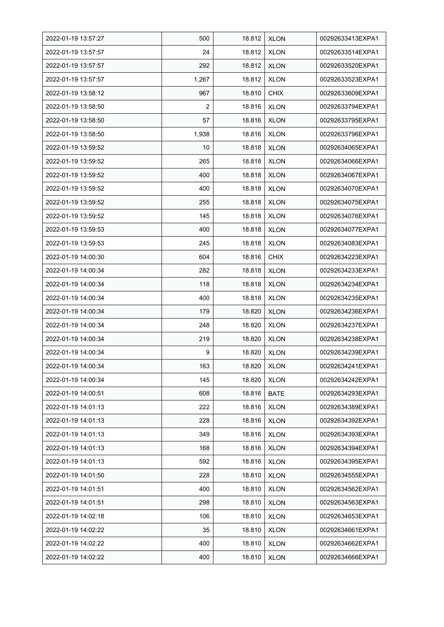| 2022-01-19 13:57:27 | 500            | 18.812 | <b>XLON</b> | 00292633413EXPA1 |
|---------------------|----------------|--------|-------------|------------------|
| 2022-01-19 13:57:57 | 24             | 18.812 | <b>XLON</b> | 00292633514EXPA1 |
| 2022-01-19 13:57:57 | 292            | 18.812 | <b>XLON</b> | 00292633520EXPA1 |
| 2022-01-19 13:57:57 | 1,267          | 18.812 | <b>XLON</b> | 00292633523EXPA1 |
| 2022-01-19 13:58:12 | 967            | 18.810 | <b>CHIX</b> | 00292633609EXPA1 |
| 2022-01-19 13:58:50 | $\overline{2}$ | 18.816 | <b>XLON</b> | 00292633794EXPA1 |
| 2022-01-19 13:58:50 | 57             | 18.816 | <b>XLON</b> | 00292633795EXPA1 |
| 2022-01-19 13:58:50 | 1,938          | 18.816 | <b>XLON</b> | 00292633796EXPA1 |
| 2022-01-19 13:59:52 | 10             | 18.818 | <b>XLON</b> | 00292634065EXPA1 |
| 2022-01-19 13:59:52 | 265            | 18.818 | <b>XLON</b> | 00292634066EXPA1 |
| 2022-01-19 13:59:52 | 400            | 18.818 | <b>XLON</b> | 00292634067EXPA1 |
| 2022-01-19 13:59:52 | 400            | 18.818 | <b>XLON</b> | 00292634070EXPA1 |
| 2022-01-19 13:59:52 | 255            | 18.818 | <b>XLON</b> | 00292634075EXPA1 |
| 2022-01-19 13:59:52 | 145            | 18.818 | <b>XLON</b> | 00292634076EXPA1 |
| 2022-01-19 13:59:53 | 400            | 18.818 | <b>XLON</b> | 00292634077EXPA1 |
| 2022-01-19 13:59:53 | 245            | 18.818 | <b>XLON</b> | 00292634083EXPA1 |
| 2022-01-19 14:00:30 | 604            | 18.816 | <b>CHIX</b> | 00292634223EXPA1 |
| 2022-01-19 14:00:34 | 282            | 18.818 | <b>XLON</b> | 00292634233EXPA1 |
| 2022-01-19 14:00:34 | 118            | 18.818 | <b>XLON</b> | 00292634234EXPA1 |
| 2022-01-19 14:00:34 | 400            | 18.818 | <b>XLON</b> | 00292634235EXPA1 |
| 2022-01-19 14:00:34 | 179            | 18.820 | <b>XLON</b> | 00292634236EXPA1 |
| 2022-01-19 14:00:34 | 248            | 18.820 | <b>XLON</b> | 00292634237EXPA1 |
| 2022-01-19 14:00:34 | 219            | 18.820 | <b>XLON</b> | 00292634238EXPA1 |
| 2022-01-19 14:00:34 | 9              | 18.820 | <b>XLON</b> | 00292634239EXPA1 |
| 2022-01-19 14:00:34 | 163            | 18.820 | <b>XLON</b> | 00292634241EXPA1 |
| 2022-01-19 14:00:34 | 145            | 18.820 | <b>XLON</b> | 00292634242EXPA1 |
| 2022-01-19 14:00:51 | 608            | 18.816 | <b>BATE</b> | 00292634293EXPA1 |
| 2022-01-19 14:01:13 | 222            | 18.816 | <b>XLON</b> | 00292634389EXPA1 |
| 2022-01-19 14:01:13 | 228            | 18.816 | <b>XLON</b> | 00292634392EXPA1 |
| 2022-01-19 14:01:13 | 349            | 18.816 | <b>XLON</b> | 00292634393EXPA1 |
| 2022-01-19 14:01:13 | 168            | 18.816 | <b>XLON</b> | 00292634394EXPA1 |
| 2022-01-19 14:01:13 | 592            | 18.816 | <b>XLON</b> | 00292634395EXPA1 |
| 2022-01-19 14:01:50 | 228            | 18.810 | <b>XLON</b> | 00292634555EXPA1 |
| 2022-01-19 14:01:51 | 400            | 18.810 | <b>XLON</b> | 00292634562EXPA1 |
| 2022-01-19 14:01:51 | 298            | 18.810 | <b>XLON</b> | 00292634563EXPA1 |
| 2022-01-19 14:02:18 | 106            | 18.810 | <b>XLON</b> | 00292634653EXPA1 |
| 2022-01-19 14:02:22 | 35             | 18.810 | <b>XLON</b> | 00292634661EXPA1 |
| 2022-01-19 14:02:22 | 400            | 18.810 | <b>XLON</b> | 00292634662EXPA1 |
| 2022-01-19 14:02:22 | 400            | 18.810 | <b>XLON</b> | 00292634666EXPA1 |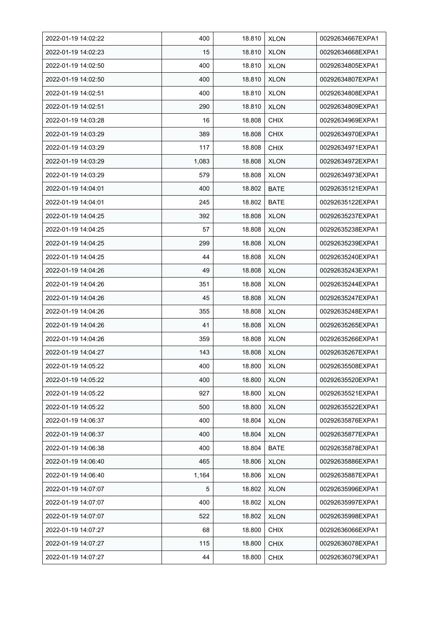| 2022-01-19 14:02:22 | 400   | 18.810 | <b>XLON</b> | 00292634667EXPA1 |
|---------------------|-------|--------|-------------|------------------|
| 2022-01-19 14:02:23 | 15    | 18.810 | <b>XLON</b> | 00292634668EXPA1 |
| 2022-01-19 14:02:50 | 400   | 18.810 | <b>XLON</b> | 00292634805EXPA1 |
| 2022-01-19 14:02:50 | 400   | 18.810 | <b>XLON</b> | 00292634807EXPA1 |
| 2022-01-19 14:02:51 | 400   | 18.810 | <b>XLON</b> | 00292634808EXPA1 |
| 2022-01-19 14:02:51 | 290   | 18.810 | <b>XLON</b> | 00292634809EXPA1 |
| 2022-01-19 14:03:28 | 16    | 18.808 | <b>CHIX</b> | 00292634969EXPA1 |
| 2022-01-19 14:03:29 | 389   | 18.808 | <b>CHIX</b> | 00292634970EXPA1 |
| 2022-01-19 14:03:29 | 117   | 18.808 | <b>CHIX</b> | 00292634971EXPA1 |
| 2022-01-19 14:03:29 | 1,083 | 18.808 | <b>XLON</b> | 00292634972EXPA1 |
| 2022-01-19 14:03:29 | 579   | 18.808 | <b>XLON</b> | 00292634973EXPA1 |
| 2022-01-19 14:04:01 | 400   | 18.802 | <b>BATE</b> | 00292635121EXPA1 |
| 2022-01-19 14:04:01 | 245   | 18.802 | BATE        | 00292635122EXPA1 |
| 2022-01-19 14:04:25 | 392   | 18.808 | <b>XLON</b> | 00292635237EXPA1 |
| 2022-01-19 14:04:25 | 57    | 18.808 | <b>XLON</b> | 00292635238EXPA1 |
| 2022-01-19 14:04:25 | 299   | 18.808 | <b>XLON</b> | 00292635239EXPA1 |
| 2022-01-19 14:04:25 | 44    | 18.808 | <b>XLON</b> | 00292635240EXPA1 |
| 2022-01-19 14:04:26 | 49    | 18.808 | <b>XLON</b> | 00292635243EXPA1 |
| 2022-01-19 14:04:26 | 351   | 18.808 | <b>XLON</b> | 00292635244EXPA1 |
| 2022-01-19 14:04:26 | 45    | 18.808 | <b>XLON</b> | 00292635247EXPA1 |
| 2022-01-19 14:04:26 | 355   | 18.808 | <b>XLON</b> | 00292635248EXPA1 |
| 2022-01-19 14:04:26 | 41    | 18.808 | <b>XLON</b> | 00292635265EXPA1 |
| 2022-01-19 14:04:26 | 359   | 18.808 | <b>XLON</b> | 00292635266EXPA1 |
| 2022-01-19 14:04:27 | 143   | 18.808 | <b>XLON</b> | 00292635267EXPA1 |
| 2022-01-19 14:05:22 | 400   | 18.800 | <b>XLON</b> | 00292635508EXPA1 |
| 2022-01-19 14:05:22 | 400   | 18.800 | <b>XLON</b> | 00292635520EXPA1 |
| 2022-01-19 14:05:22 | 927   | 18.800 | <b>XLON</b> | 00292635521EXPA1 |
| 2022-01-19 14:05:22 | 500   | 18.800 | <b>XLON</b> | 00292635522EXPA1 |
| 2022-01-19 14:06:37 | 400   | 18.804 | <b>XLON</b> | 00292635876EXPA1 |
| 2022-01-19 14:06:37 | 400   | 18.804 | <b>XLON</b> | 00292635877EXPA1 |
| 2022-01-19 14:06:38 | 400   | 18.804 | BATE        | 00292635878EXPA1 |
| 2022-01-19 14:06:40 | 465   | 18.806 | <b>XLON</b> | 00292635886EXPA1 |
| 2022-01-19 14:06:40 | 1,164 | 18.806 | <b>XLON</b> | 00292635887EXPA1 |
| 2022-01-19 14:07:07 | 5     | 18.802 | <b>XLON</b> | 00292635996EXPA1 |
| 2022-01-19 14:07:07 | 400   | 18.802 | <b>XLON</b> | 00292635997EXPA1 |
| 2022-01-19 14:07:07 | 522   | 18.802 | <b>XLON</b> | 00292635998EXPA1 |
| 2022-01-19 14:07:27 | 68    | 18.800 | <b>CHIX</b> | 00292636066EXPA1 |
| 2022-01-19 14:07:27 | 115   | 18.800 | <b>CHIX</b> | 00292636078EXPA1 |
| 2022-01-19 14:07:27 | 44    | 18.800 | <b>CHIX</b> | 00292636079EXPA1 |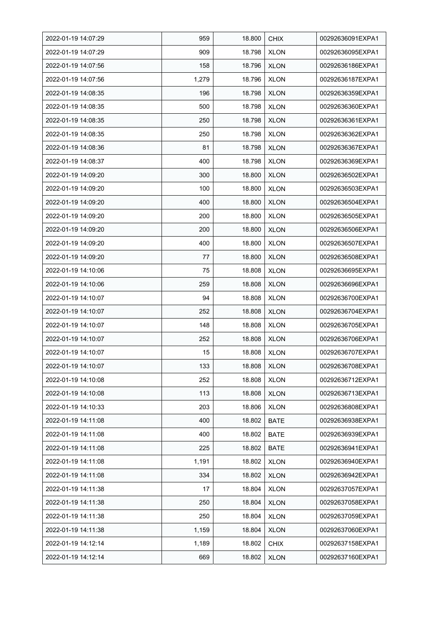| 2022-01-19 14:07:29 | 959   | 18.800 | <b>CHIX</b> | 00292636091EXPA1 |
|---------------------|-------|--------|-------------|------------------|
| 2022-01-19 14:07:29 | 909   | 18.798 | <b>XLON</b> | 00292636095EXPA1 |
| 2022-01-19 14:07:56 | 158   | 18.796 | <b>XLON</b> | 00292636186EXPA1 |
| 2022-01-19 14:07:56 | 1,279 | 18.796 | <b>XLON</b> | 00292636187EXPA1 |
| 2022-01-19 14:08:35 | 196   | 18.798 | <b>XLON</b> | 00292636359EXPA1 |
| 2022-01-19 14:08:35 | 500   | 18.798 | <b>XLON</b> | 00292636360EXPA1 |
| 2022-01-19 14:08:35 | 250   | 18.798 | <b>XLON</b> | 00292636361EXPA1 |
| 2022-01-19 14:08:35 | 250   | 18.798 | <b>XLON</b> | 00292636362EXPA1 |
| 2022-01-19 14:08:36 | 81    | 18.798 | <b>XLON</b> | 00292636367EXPA1 |
| 2022-01-19 14:08:37 | 400   | 18.798 | <b>XLON</b> | 00292636369EXPA1 |
| 2022-01-19 14:09:20 | 300   | 18.800 | <b>XLON</b> | 00292636502EXPA1 |
| 2022-01-19 14:09:20 | 100   | 18.800 | <b>XLON</b> | 00292636503EXPA1 |
| 2022-01-19 14:09:20 | 400   | 18.800 | <b>XLON</b> | 00292636504EXPA1 |
| 2022-01-19 14:09:20 | 200   | 18.800 | <b>XLON</b> | 00292636505EXPA1 |
| 2022-01-19 14:09:20 | 200   | 18.800 | <b>XLON</b> | 00292636506EXPA1 |
| 2022-01-19 14:09:20 | 400   | 18.800 | <b>XLON</b> | 00292636507EXPA1 |
| 2022-01-19 14:09:20 | 77    | 18.800 | <b>XLON</b> | 00292636508EXPA1 |
| 2022-01-19 14:10:06 | 75    | 18.808 | <b>XLON</b> | 00292636695EXPA1 |
| 2022-01-19 14:10:06 | 259   | 18.808 | <b>XLON</b> | 00292636696EXPA1 |
| 2022-01-19 14:10:07 | 94    | 18.808 | <b>XLON</b> | 00292636700EXPA1 |
| 2022-01-19 14:10:07 | 252   | 18.808 | <b>XLON</b> | 00292636704EXPA1 |
| 2022-01-19 14:10:07 | 148   | 18.808 | <b>XLON</b> | 00292636705EXPA1 |
| 2022-01-19 14:10:07 | 252   | 18.808 | <b>XLON</b> | 00292636706EXPA1 |
| 2022-01-19 14:10:07 | 15    | 18.808 | <b>XLON</b> | 00292636707EXPA1 |
| 2022-01-19 14:10:07 | 133   | 18.808 | <b>XLON</b> | 00292636708EXPA1 |
| 2022-01-19 14:10:08 | 252   | 18.808 | <b>XLON</b> | 00292636712EXPA1 |
| 2022-01-19 14:10:08 | 113   | 18.808 | <b>XLON</b> | 00292636713EXPA1 |
| 2022-01-19 14:10:33 | 203   | 18.806 | <b>XLON</b> | 00292636808EXPA1 |
| 2022-01-19 14:11:08 | 400   | 18.802 | <b>BATE</b> | 00292636938EXPA1 |
| 2022-01-19 14:11:08 | 400   | 18.802 | <b>BATE</b> | 00292636939EXPA1 |
| 2022-01-19 14:11:08 | 225   | 18.802 | BATE        | 00292636941EXPA1 |
| 2022-01-19 14:11:08 | 1,191 | 18.802 | <b>XLON</b> | 00292636940EXPA1 |
| 2022-01-19 14:11:08 | 334   | 18.802 | <b>XLON</b> | 00292636942EXPA1 |
| 2022-01-19 14:11:38 | 17    | 18.804 | <b>XLON</b> | 00292637057EXPA1 |
| 2022-01-19 14:11:38 | 250   | 18.804 | <b>XLON</b> | 00292637058EXPA1 |
| 2022-01-19 14:11:38 | 250   | 18.804 | <b>XLON</b> | 00292637059EXPA1 |
| 2022-01-19 14:11:38 | 1,159 | 18.804 | <b>XLON</b> | 00292637060EXPA1 |
| 2022-01-19 14:12:14 | 1,189 | 18.802 | <b>CHIX</b> | 00292637158EXPA1 |
| 2022-01-19 14:12:14 | 669   | 18.802 | <b>XLON</b> | 00292637160EXPA1 |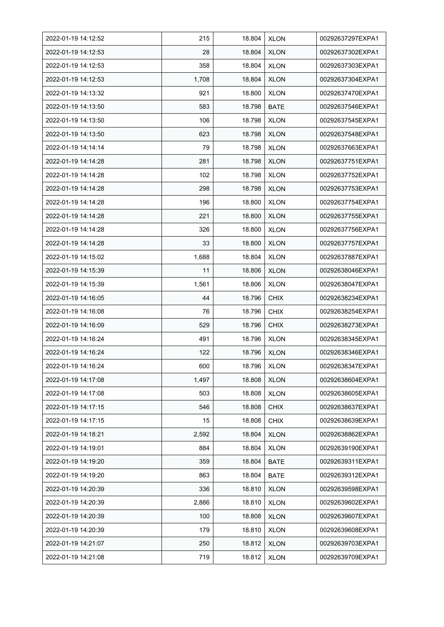| 2022-01-19 14:12:52 | 215   | 18.804 | <b>XLON</b> | 00292637297EXPA1 |
|---------------------|-------|--------|-------------|------------------|
| 2022-01-19 14:12:53 | 28    | 18.804 | <b>XLON</b> | 00292637302EXPA1 |
| 2022-01-19 14:12:53 | 358   | 18.804 | <b>XLON</b> | 00292637303EXPA1 |
| 2022-01-19 14:12:53 | 1,708 | 18.804 | <b>XLON</b> | 00292637304EXPA1 |
| 2022-01-19 14:13:32 | 921   | 18.800 | <b>XLON</b> | 00292637470EXPA1 |
| 2022-01-19 14:13:50 | 583   | 18.798 | <b>BATE</b> | 00292637546EXPA1 |
| 2022-01-19 14:13:50 | 106   | 18.798 | <b>XLON</b> | 00292637545EXPA1 |
| 2022-01-19 14:13:50 | 623   | 18.798 | <b>XLON</b> | 00292637548EXPA1 |
| 2022-01-19 14:14:14 | 79    | 18.798 | <b>XLON</b> | 00292637663EXPA1 |
| 2022-01-19 14:14:28 | 281   | 18.798 | <b>XLON</b> | 00292637751EXPA1 |
| 2022-01-19 14:14:28 | 102   | 18.798 | <b>XLON</b> | 00292637752EXPA1 |
| 2022-01-19 14:14:28 | 298   | 18.798 | <b>XLON</b> | 00292637753EXPA1 |
| 2022-01-19 14:14:28 | 196   | 18.800 | <b>XLON</b> | 00292637754EXPA1 |
| 2022-01-19 14:14:28 | 221   | 18.800 | <b>XLON</b> | 00292637755EXPA1 |
| 2022-01-19 14:14:28 | 326   | 18.800 | <b>XLON</b> | 00292637756EXPA1 |
| 2022-01-19 14:14:28 | 33    | 18.800 | <b>XLON</b> | 00292637757EXPA1 |
| 2022-01-19 14:15:02 | 1,688 | 18.804 | <b>XLON</b> | 00292637887EXPA1 |
| 2022-01-19 14:15:39 | 11    | 18.806 | <b>XLON</b> | 00292638046EXPA1 |
| 2022-01-19 14:15:39 | 1,561 | 18.806 | <b>XLON</b> | 00292638047EXPA1 |
| 2022-01-19 14:16:05 | 44    | 18.796 | <b>CHIX</b> | 00292638234EXPA1 |
| 2022-01-19 14:16:08 | 76    | 18.796 | <b>CHIX</b> | 00292638254EXPA1 |
| 2022-01-19 14:16:09 | 529   | 18.796 | <b>CHIX</b> | 00292638273EXPA1 |
| 2022-01-19 14:16:24 | 491   | 18.796 | <b>XLON</b> | 00292638345EXPA1 |
| 2022-01-19 14:16:24 | 122   | 18.796 | <b>XLON</b> | 00292638346EXPA1 |
| 2022-01-19 14:16:24 | 600   | 18.796 | <b>XLON</b> | 00292638347EXPA1 |
| 2022-01-19 14:17:08 | 1,497 | 18.808 | <b>XLON</b> | 00292638604EXPA1 |
| 2022-01-19 14:17:08 | 503   | 18.808 | <b>XLON</b> | 00292638605EXPA1 |
| 2022-01-19 14:17:15 | 546   | 18.808 | <b>CHIX</b> | 00292638637EXPA1 |
| 2022-01-19 14:17:15 | 15    | 18.808 | <b>CHIX</b> | 00292638639EXPA1 |
| 2022-01-19 14:18:21 | 2,592 | 18.804 | <b>XLON</b> | 00292638862EXPA1 |
| 2022-01-19 14:19:01 | 884   | 18.804 | <b>XLON</b> | 00292639190EXPA1 |
| 2022-01-19 14:19:20 | 359   | 18.804 | <b>BATE</b> | 00292639311EXPA1 |
| 2022-01-19 14:19:20 | 863   | 18.804 | <b>BATE</b> | 00292639312EXPA1 |
| 2022-01-19 14:20:39 | 336   | 18.810 | <b>XLON</b> | 00292639598EXPA1 |
| 2022-01-19 14:20:39 | 2,886 | 18.810 | <b>XLON</b> | 00292639602EXPA1 |
| 2022-01-19 14:20:39 | 100   | 18.808 | <b>XLON</b> | 00292639607EXPA1 |
| 2022-01-19 14:20:39 | 179   | 18.810 | <b>XLON</b> | 00292639608EXPA1 |
| 2022-01-19 14:21:07 | 250   | 18.812 | <b>XLON</b> | 00292639703EXPA1 |
| 2022-01-19 14:21:08 | 719   | 18.812 | <b>XLON</b> | 00292639709EXPA1 |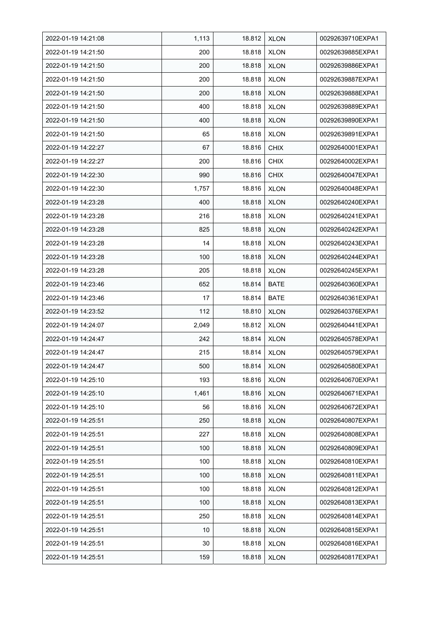| 2022-01-19 14:21:08 | 1,113 | 18.812 | <b>XLON</b> | 00292639710EXPA1 |
|---------------------|-------|--------|-------------|------------------|
| 2022-01-19 14:21:50 | 200   | 18.818 | <b>XLON</b> | 00292639885EXPA1 |
| 2022-01-19 14:21:50 | 200   | 18.818 | <b>XLON</b> | 00292639886EXPA1 |
| 2022-01-19 14:21:50 | 200   | 18.818 | <b>XLON</b> | 00292639887EXPA1 |
| 2022-01-19 14:21:50 | 200   | 18.818 | <b>XLON</b> | 00292639888EXPA1 |
| 2022-01-19 14:21:50 | 400   | 18.818 | <b>XLON</b> | 00292639889EXPA1 |
| 2022-01-19 14:21:50 | 400   | 18.818 | <b>XLON</b> | 00292639890EXPA1 |
| 2022-01-19 14:21:50 | 65    | 18.818 | <b>XLON</b> | 00292639891EXPA1 |
| 2022-01-19 14:22:27 | 67    | 18.816 | <b>CHIX</b> | 00292640001EXPA1 |
| 2022-01-19 14:22:27 | 200   | 18.816 | <b>CHIX</b> | 00292640002EXPA1 |
| 2022-01-19 14:22:30 | 990   | 18.816 | <b>CHIX</b> | 00292640047EXPA1 |
| 2022-01-19 14:22:30 | 1,757 | 18.816 | <b>XLON</b> | 00292640048EXPA1 |
| 2022-01-19 14:23:28 | 400   | 18.818 | <b>XLON</b> | 00292640240EXPA1 |
| 2022-01-19 14:23:28 | 216   | 18.818 | <b>XLON</b> | 00292640241EXPA1 |
| 2022-01-19 14:23:28 | 825   | 18.818 | <b>XLON</b> | 00292640242EXPA1 |
| 2022-01-19 14:23:28 | 14    | 18.818 | <b>XLON</b> | 00292640243EXPA1 |
| 2022-01-19 14:23:28 | 100   | 18.818 | <b>XLON</b> | 00292640244EXPA1 |
| 2022-01-19 14:23:28 | 205   | 18.818 | <b>XLON</b> | 00292640245EXPA1 |
| 2022-01-19 14:23:46 | 652   | 18.814 | BATE        | 00292640360EXPA1 |
| 2022-01-19 14:23:46 | 17    | 18.814 | BATE        | 00292640361EXPA1 |
| 2022-01-19 14:23:52 | 112   | 18.810 | <b>XLON</b> | 00292640376EXPA1 |
| 2022-01-19 14:24:07 | 2,049 | 18.812 | <b>XLON</b> | 00292640441EXPA1 |
| 2022-01-19 14:24:47 | 242   | 18.814 | <b>XLON</b> | 00292640578EXPA1 |
| 2022-01-19 14:24:47 | 215   | 18.814 | <b>XLON</b> | 00292640579EXPA1 |
| 2022-01-19 14:24:47 | 500   | 18.814 | <b>XLON</b> | 00292640580EXPA1 |
| 2022-01-19 14:25:10 | 193   | 18.816 | <b>XLON</b> | 00292640670EXPA1 |
| 2022-01-19 14:25:10 | 1,461 | 18.816 | <b>XLON</b> | 00292640671EXPA1 |
| 2022-01-19 14:25:10 | 56    | 18.816 | <b>XLON</b> | 00292640672EXPA1 |
| 2022-01-19 14:25:51 | 250   | 18.818 | <b>XLON</b> | 00292640807EXPA1 |
| 2022-01-19 14:25:51 | 227   | 18.818 | <b>XLON</b> | 00292640808EXPA1 |
| 2022-01-19 14:25:51 | 100   | 18.818 | <b>XLON</b> | 00292640809EXPA1 |
| 2022-01-19 14:25:51 | 100   | 18.818 | <b>XLON</b> | 00292640810EXPA1 |
| 2022-01-19 14:25:51 | 100   | 18.818 | <b>XLON</b> | 00292640811EXPA1 |
| 2022-01-19 14:25:51 | 100   | 18.818 | <b>XLON</b> | 00292640812EXPA1 |
| 2022-01-19 14:25:51 | 100   | 18.818 | <b>XLON</b> | 00292640813EXPA1 |
| 2022-01-19 14:25:51 | 250   | 18.818 | <b>XLON</b> | 00292640814EXPA1 |
| 2022-01-19 14:25:51 | 10    | 18.818 | <b>XLON</b> | 00292640815EXPA1 |
| 2022-01-19 14:25:51 | 30    | 18.818 | <b>XLON</b> | 00292640816EXPA1 |
| 2022-01-19 14:25:51 | 159   | 18.818 | <b>XLON</b> | 00292640817EXPA1 |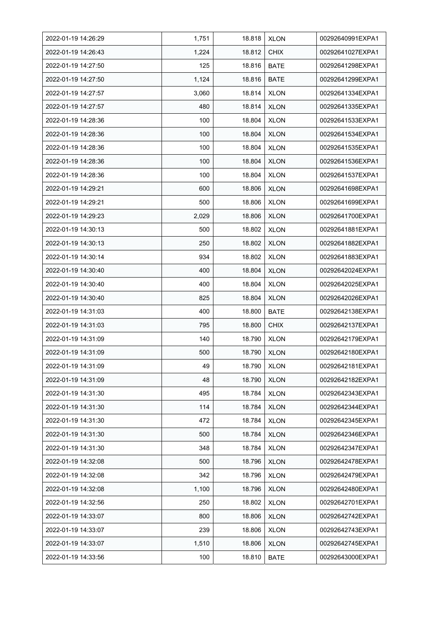| 2022-01-19 14:26:29 | 1,751 | 18.818 | <b>XLON</b> | 00292640991EXPA1 |
|---------------------|-------|--------|-------------|------------------|
| 2022-01-19 14:26:43 | 1,224 | 18.812 | <b>CHIX</b> | 00292641027EXPA1 |
| 2022-01-19 14:27:50 | 125   | 18.816 | <b>BATE</b> | 00292641298EXPA1 |
| 2022-01-19 14:27:50 | 1,124 | 18.816 | <b>BATE</b> | 00292641299EXPA1 |
| 2022-01-19 14:27:57 | 3,060 | 18.814 | <b>XLON</b> | 00292641334EXPA1 |
| 2022-01-19 14:27:57 | 480   | 18.814 | <b>XLON</b> | 00292641335EXPA1 |
| 2022-01-19 14:28:36 | 100   | 18.804 | <b>XLON</b> | 00292641533EXPA1 |
| 2022-01-19 14:28:36 | 100   | 18.804 | <b>XLON</b> | 00292641534EXPA1 |
| 2022-01-19 14:28:36 | 100   | 18.804 | <b>XLON</b> | 00292641535EXPA1 |
| 2022-01-19 14:28:36 | 100   | 18.804 | <b>XLON</b> | 00292641536EXPA1 |
| 2022-01-19 14:28:36 | 100   | 18.804 | <b>XLON</b> | 00292641537EXPA1 |
| 2022-01-19 14:29:21 | 600   | 18.806 | <b>XLON</b> | 00292641698EXPA1 |
| 2022-01-19 14:29:21 | 500   | 18.806 | <b>XLON</b> | 00292641699EXPA1 |
| 2022-01-19 14:29:23 | 2,029 | 18.806 | <b>XLON</b> | 00292641700EXPA1 |
| 2022-01-19 14:30:13 | 500   | 18.802 | <b>XLON</b> | 00292641881EXPA1 |
| 2022-01-19 14:30:13 | 250   | 18.802 | <b>XLON</b> | 00292641882EXPA1 |
| 2022-01-19 14:30:14 | 934   | 18.802 | <b>XLON</b> | 00292641883EXPA1 |
| 2022-01-19 14:30:40 | 400   | 18.804 | <b>XLON</b> | 00292642024EXPA1 |
| 2022-01-19 14:30:40 | 400   | 18.804 | <b>XLON</b> | 00292642025EXPA1 |
| 2022-01-19 14:30:40 | 825   | 18.804 | <b>XLON</b> | 00292642026EXPA1 |
| 2022-01-19 14:31:03 | 400   | 18.800 | <b>BATE</b> | 00292642138EXPA1 |
| 2022-01-19 14:31:03 | 795   | 18.800 | <b>CHIX</b> | 00292642137EXPA1 |
| 2022-01-19 14:31:09 | 140   | 18.790 | <b>XLON</b> | 00292642179EXPA1 |
| 2022-01-19 14:31:09 | 500   | 18.790 | <b>XLON</b> | 00292642180EXPA1 |
| 2022-01-19 14:31:09 | 49    | 18.790 | <b>XLON</b> | 00292642181EXPA1 |
| 2022-01-19 14:31:09 | 48    | 18.790 | <b>XLON</b> | 00292642182EXPA1 |
| 2022-01-19 14:31:30 | 495   | 18.784 | <b>XLON</b> | 00292642343EXPA1 |
| 2022-01-19 14:31:30 | 114   | 18.784 | <b>XLON</b> | 00292642344EXPA1 |
| 2022-01-19 14:31:30 | 472   | 18.784 | <b>XLON</b> | 00292642345EXPA1 |
| 2022-01-19 14:31:30 | 500   | 18.784 | <b>XLON</b> | 00292642346EXPA1 |
| 2022-01-19 14:31:30 | 348   | 18.784 | <b>XLON</b> | 00292642347EXPA1 |
| 2022-01-19 14:32:08 | 500   | 18.796 | <b>XLON</b> | 00292642478EXPA1 |
| 2022-01-19 14:32:08 | 342   | 18.796 | <b>XLON</b> | 00292642479EXPA1 |
| 2022-01-19 14:32:08 | 1,100 | 18.796 | <b>XLON</b> | 00292642480EXPA1 |
| 2022-01-19 14:32:56 | 250   | 18.802 | <b>XLON</b> | 00292642701EXPA1 |
| 2022-01-19 14:33:07 | 800   | 18.806 | <b>XLON</b> | 00292642742EXPA1 |
| 2022-01-19 14:33:07 | 239   | 18.806 | <b>XLON</b> | 00292642743EXPA1 |
| 2022-01-19 14:33:07 | 1,510 | 18.806 | <b>XLON</b> | 00292642745EXPA1 |
| 2022-01-19 14:33:56 | 100   | 18.810 | <b>BATE</b> | 00292643000EXPA1 |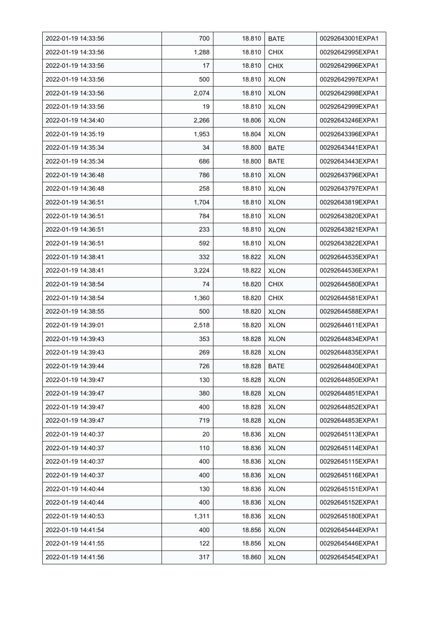| 2022-01-19 14:33:56 | 700   | 18.810 | <b>BATE</b> | 00292643001EXPA1 |
|---------------------|-------|--------|-------------|------------------|
| 2022-01-19 14:33:56 | 1,288 | 18.810 | <b>CHIX</b> | 00292642995EXPA1 |
| 2022-01-19 14:33:56 | 17    | 18.810 | <b>CHIX</b> | 00292642996EXPA1 |
| 2022-01-19 14:33:56 | 500   | 18.810 | <b>XLON</b> | 00292642997EXPA1 |
| 2022-01-19 14:33:56 | 2,074 | 18.810 | <b>XLON</b> | 00292642998EXPA1 |
| 2022-01-19 14:33:56 | 19    | 18.810 | <b>XLON</b> | 00292642999EXPA1 |
| 2022-01-19 14:34:40 | 2,266 | 18.806 | <b>XLON</b> | 00292643246EXPA1 |
| 2022-01-19 14:35:19 | 1,953 | 18.804 | <b>XLON</b> | 00292643396EXPA1 |
| 2022-01-19 14:35:34 | 34    | 18.800 | <b>BATE</b> | 00292643441EXPA1 |
| 2022-01-19 14:35:34 | 686   | 18.800 | <b>BATE</b> | 00292643443EXPA1 |
| 2022-01-19 14:36:48 | 786   | 18.810 | <b>XLON</b> | 00292643796EXPA1 |
| 2022-01-19 14:36:48 | 258   | 18.810 | <b>XLON</b> | 00292643797EXPA1 |
| 2022-01-19 14:36:51 | 1,704 | 18.810 | <b>XLON</b> | 00292643819EXPA1 |
| 2022-01-19 14:36:51 | 784   | 18.810 | <b>XLON</b> | 00292643820EXPA1 |
| 2022-01-19 14:36.51 | 233   | 18.810 | <b>XLON</b> | 00292643821EXPA1 |
| 2022-01-19 14:36:51 | 592   | 18.810 | <b>XLON</b> | 00292643822EXPA1 |
| 2022-01-19 14:38:41 | 332   | 18.822 | <b>XLON</b> | 00292644535EXPA1 |
| 2022-01-19 14:38:41 | 3,224 | 18.822 | <b>XLON</b> | 00292644536EXPA1 |
| 2022-01-19 14:38:54 | 74    | 18.820 | <b>CHIX</b> | 00292644580EXPA1 |
| 2022-01-19 14:38:54 | 1,360 | 18.820 | <b>CHIX</b> | 00292644581EXPA1 |
| 2022-01-19 14:38:55 | 500   | 18.820 | <b>XLON</b> | 00292644588EXPA1 |
| 2022-01-19 14:39:01 | 2,518 | 18.820 | <b>XLON</b> | 00292644611EXPA1 |
| 2022-01-19 14:39:43 | 353   | 18.828 | <b>XLON</b> | 00292644834EXPA1 |
| 2022-01-19 14:39:43 | 269   | 18.828 | <b>XLON</b> | 00292644835EXPA1 |
| 2022-01-19 14:39:44 | 726   | 18.828 | <b>BATE</b> | 00292644840EXPA1 |
| 2022-01-19 14:39:47 | 130   | 18.828 | <b>XLON</b> | 00292644850EXPA1 |
| 2022-01-19 14:39:47 | 380   | 18.828 | <b>XLON</b> | 00292644851EXPA1 |
| 2022-01-19 14:39:47 | 400   | 18.828 | <b>XLON</b> | 00292644852EXPA1 |
| 2022-01-19 14:39:47 | 719   | 18.828 | <b>XLON</b> | 00292644853EXPA1 |
| 2022-01-19 14:40:37 | 20    | 18.836 | <b>XLON</b> | 00292645113EXPA1 |
| 2022-01-19 14:40:37 | 110   | 18.836 | <b>XLON</b> | 00292645114EXPA1 |
| 2022-01-19 14:40:37 | 400   | 18.836 | <b>XLON</b> | 00292645115EXPA1 |
| 2022-01-19 14:40:37 | 400   | 18.836 | <b>XLON</b> | 00292645116EXPA1 |
| 2022-01-19 14:40:44 | 130   | 18.836 | <b>XLON</b> | 00292645151EXPA1 |
| 2022-01-19 14:40:44 | 400   | 18.836 | <b>XLON</b> | 00292645152EXPA1 |
| 2022-01-19 14:40:53 | 1,311 | 18.836 | <b>XLON</b> | 00292645180EXPA1 |
| 2022-01-19 14:41:54 | 400   | 18.856 | <b>XLON</b> | 00292645444EXPA1 |
| 2022-01-19 14:41:55 | 122   | 18.856 | <b>XLON</b> | 00292645446EXPA1 |
| 2022-01-19 14:41:56 | 317   | 18.860 | <b>XLON</b> | 00292645454EXPA1 |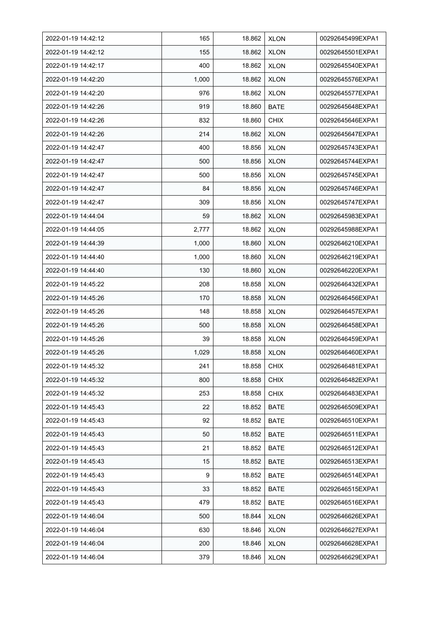| 2022-01-19 14:42:12 | 165   | 18.862 | <b>XLON</b> | 00292645499EXPA1 |
|---------------------|-------|--------|-------------|------------------|
| 2022-01-19 14:42:12 | 155   | 18.862 | <b>XLON</b> | 00292645501EXPA1 |
| 2022-01-19 14:42:17 | 400   | 18.862 | <b>XLON</b> | 00292645540EXPA1 |
| 2022-01-19 14:42:20 | 1,000 | 18.862 | <b>XLON</b> | 00292645576EXPA1 |
| 2022-01-19 14:42:20 | 976   | 18.862 | <b>XLON</b> | 00292645577EXPA1 |
| 2022-01-19 14:42:26 | 919   | 18.860 | <b>BATE</b> | 00292645648EXPA1 |
| 2022-01-19 14:42:26 | 832   | 18.860 | <b>CHIX</b> | 00292645646EXPA1 |
| 2022-01-19 14:42:26 | 214   | 18.862 | <b>XLON</b> | 00292645647EXPA1 |
| 2022-01-19 14:42:47 | 400   | 18.856 | <b>XLON</b> | 00292645743EXPA1 |
| 2022-01-19 14:42:47 | 500   | 18.856 | <b>XLON</b> | 00292645744EXPA1 |
| 2022-01-19 14:42:47 | 500   | 18.856 | <b>XLON</b> | 00292645745EXPA1 |
| 2022-01-19 14:42:47 | 84    | 18.856 | <b>XLON</b> | 00292645746EXPA1 |
| 2022-01-19 14:42:47 | 309   | 18.856 | <b>XLON</b> | 00292645747EXPA1 |
| 2022-01-19 14:44:04 | 59    | 18.862 | <b>XLON</b> | 00292645983EXPA1 |
| 2022-01-19 14:44:05 | 2,777 | 18.862 | <b>XLON</b> | 00292645988EXPA1 |
| 2022-01-19 14:44:39 | 1,000 | 18.860 | <b>XLON</b> | 00292646210EXPA1 |
| 2022-01-19 14:44:40 | 1,000 | 18.860 | <b>XLON</b> | 00292646219EXPA1 |
| 2022-01-19 14:44:40 | 130   | 18.860 | <b>XLON</b> | 00292646220EXPA1 |
| 2022-01-19 14:45:22 | 208   | 18.858 | <b>XLON</b> | 00292646432EXPA1 |
| 2022-01-19 14:45:26 | 170   | 18.858 | <b>XLON</b> | 00292646456EXPA1 |
| 2022-01-19 14:45:26 | 148   | 18.858 | <b>XLON</b> | 00292646457EXPA1 |
| 2022-01-19 14:45:26 | 500   | 18.858 | <b>XLON</b> | 00292646458EXPA1 |
| 2022-01-19 14:45:26 | 39    | 18.858 | <b>XLON</b> | 00292646459EXPA1 |
| 2022-01-19 14:45:26 | 1,029 | 18.858 | <b>XLON</b> | 00292646460EXPA1 |
| 2022-01-19 14:45:32 | 241   | 18.858 | <b>CHIX</b> | 00292646481EXPA1 |
| 2022-01-19 14:45:32 | 800   | 18.858 | <b>CHIX</b> | 00292646482EXPA1 |
| 2022-01-19 14:45:32 | 253   | 18.858 | <b>CHIX</b> | 00292646483EXPA1 |
| 2022-01-19 14:45:43 | 22    | 18.852 | BATE        | 00292646509EXPA1 |
| 2022-01-19 14:45:43 | 92    | 18.852 | BATE        | 00292646510EXPA1 |
| 2022-01-19 14:45:43 | 50    | 18.852 | <b>BATE</b> | 00292646511EXPA1 |
| 2022-01-19 14:45:43 | 21    | 18.852 | BATE        | 00292646512EXPA1 |
| 2022-01-19 14:45:43 | 15    | 18.852 | <b>BATE</b> | 00292646513EXPA1 |
| 2022-01-19 14:45:43 | 9     | 18.852 | BATE        | 00292646514EXPA1 |
| 2022-01-19 14:45:43 | 33    | 18.852 | <b>BATE</b> | 00292646515EXPA1 |
| 2022-01-19 14:45:43 | 479   | 18.852 | BATE        | 00292646516EXPA1 |
| 2022-01-19 14:46:04 | 500   | 18.844 | <b>XLON</b> | 00292646626EXPA1 |
| 2022-01-19 14:46:04 | 630   | 18.846 | <b>XLON</b> | 00292646627EXPA1 |
| 2022-01-19 14:46:04 | 200   | 18.846 | <b>XLON</b> | 00292646628EXPA1 |
| 2022-01-19 14:46:04 | 379   | 18.846 | <b>XLON</b> | 00292646629EXPA1 |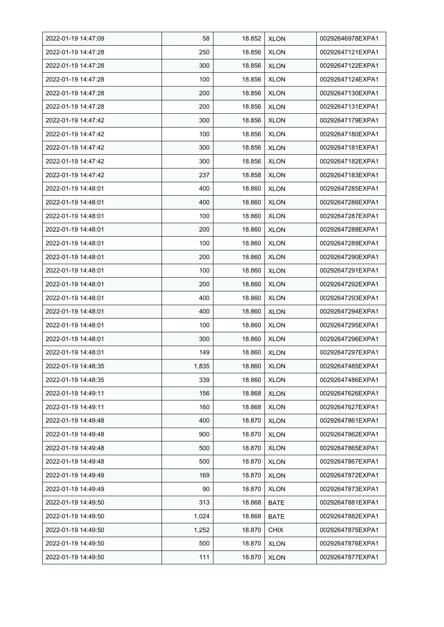| 2022-01-19 14:47:09 | 58    | 18.852 | <b>XLON</b> | 00292646978EXPA1 |
|---------------------|-------|--------|-------------|------------------|
| 2022-01-19 14:47:28 | 250   | 18.856 | <b>XLON</b> | 00292647121EXPA1 |
| 2022-01-19 14:47:28 | 300   | 18.856 | <b>XLON</b> | 00292647122EXPA1 |
| 2022-01-19 14:47:28 | 100   | 18.856 | <b>XLON</b> | 00292647124EXPA1 |
| 2022-01-19 14:47:28 | 200   | 18.856 | <b>XLON</b> | 00292647130EXPA1 |
| 2022-01-19 14:47:28 | 200   | 18.856 | <b>XLON</b> | 00292647131EXPA1 |
| 2022-01-19 14:47:42 | 300   | 18.856 | <b>XLON</b> | 00292647179EXPA1 |
| 2022-01-19 14:47:42 | 100   | 18.856 | <b>XLON</b> | 00292647180EXPA1 |
| 2022-01-19 14:47:42 | 300   | 18.856 | <b>XLON</b> | 00292647181EXPA1 |
| 2022-01-19 14:47:42 | 300   | 18.856 | <b>XLON</b> | 00292647182EXPA1 |
| 2022-01-19 14:47:42 | 237   | 18.858 | <b>XLON</b> | 00292647183EXPA1 |
| 2022-01-19 14:48:01 | 400   | 18.860 | <b>XLON</b> | 00292647285EXPA1 |
| 2022-01-19 14:48:01 | 400   | 18.860 | <b>XLON</b> | 00292647286EXPA1 |
| 2022-01-19 14:48:01 | 100   | 18.860 | <b>XLON</b> | 00292647287EXPA1 |
| 2022-01-19 14:48:01 | 200   | 18.860 | <b>XLON</b> | 00292647288EXPA1 |
| 2022-01-19 14:48:01 | 100   | 18.860 | <b>XLON</b> | 00292647289EXPA1 |
| 2022-01-19 14:48:01 | 200   | 18.860 | <b>XLON</b> | 00292647290EXPA1 |
| 2022-01-19 14:48:01 | 100   | 18.860 | <b>XLON</b> | 00292647291EXPA1 |
| 2022-01-19 14:48:01 | 200   | 18.860 | <b>XLON</b> | 00292647292EXPA1 |
| 2022-01-19 14:48:01 | 400   | 18.860 | <b>XLON</b> | 00292647293EXPA1 |
| 2022-01-19 14:48:01 | 400   | 18.860 | <b>XLON</b> | 00292647294EXPA1 |
| 2022-01-19 14:48:01 | 100   | 18.860 | <b>XLON</b> | 00292647295EXPA1 |
| 2022-01-19 14:48:01 | 300   | 18.860 | <b>XLON</b> | 00292647296EXPA1 |
| 2022-01-19 14:48:01 | 149   | 18.860 | <b>XLON</b> | 00292647297EXPA1 |
| 2022-01-19 14:48:35 | 1,835 | 18.860 | <b>XLON</b> | 00292647485EXPA1 |
| 2022-01-19 14:48:35 | 339   | 18.860 | <b>XLON</b> | 00292647486EXPA1 |
| 2022-01-19 14:49:11 | 156   | 18.868 | <b>XLON</b> | 00292647626EXPA1 |
| 2022-01-19 14:49:11 | 160   | 18.868 | <b>XLON</b> | 00292647627EXPA1 |
| 2022-01-19 14:49:48 | 400   | 18.870 | <b>XLON</b> | 00292647861EXPA1 |
| 2022-01-19 14:49:48 | 900   | 18.870 | <b>XLON</b> | 00292647862EXPA1 |
| 2022-01-19 14:49:48 | 500   | 18.870 | <b>XLON</b> | 00292647865EXPA1 |
| 2022-01-19 14:49:48 | 500   | 18.870 | <b>XLON</b> | 00292647867EXPA1 |
| 2022-01-19 14:49:49 | 169   | 18.870 | <b>XLON</b> | 00292647872EXPA1 |
| 2022-01-19 14:49:49 | 90    | 18.870 | <b>XLON</b> | 00292647873EXPA1 |
| 2022-01-19 14:49:50 | 313   | 18.868 | <b>BATE</b> | 00292647881EXPA1 |
| 2022-01-19 14:49:50 | 1,024 | 18.868 | <b>BATE</b> | 00292647882EXPA1 |
| 2022-01-19 14:49:50 | 1,252 | 18.870 | <b>CHIX</b> | 00292647875EXPA1 |
| 2022-01-19 14:49:50 | 500   | 18.870 | <b>XLON</b> | 00292647876EXPA1 |
| 2022-01-19 14:49:50 | 111   | 18.870 | <b>XLON</b> | 00292647877EXPA1 |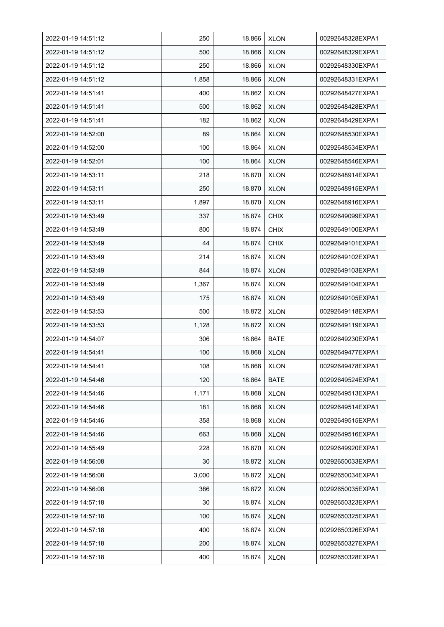| 2022-01-19 14:51:12 | 250   | 18.866 | <b>XLON</b> | 00292648328EXPA1 |
|---------------------|-------|--------|-------------|------------------|
| 2022-01-19 14:51:12 | 500   | 18.866 | <b>XLON</b> | 00292648329EXPA1 |
| 2022-01-19 14:51:12 | 250   | 18.866 | <b>XLON</b> | 00292648330EXPA1 |
| 2022-01-19 14:51:12 | 1,858 | 18.866 | <b>XLON</b> | 00292648331EXPA1 |
| 2022-01-19 14:51:41 | 400   | 18.862 | <b>XLON</b> | 00292648427EXPA1 |
| 2022-01-19 14:51:41 | 500   | 18.862 | <b>XLON</b> | 00292648428EXPA1 |
| 2022-01-19 14:51:41 | 182   | 18.862 | <b>XLON</b> | 00292648429EXPA1 |
| 2022-01-19 14:52:00 | 89    | 18.864 | <b>XLON</b> | 00292648530EXPA1 |
| 2022-01-19 14:52:00 | 100   | 18.864 | <b>XLON</b> | 00292648534EXPA1 |
| 2022-01-19 14:52:01 | 100   | 18.864 | <b>XLON</b> | 00292648546EXPA1 |
| 2022-01-19 14:53:11 | 218   | 18.870 | <b>XLON</b> | 00292648914EXPA1 |
| 2022-01-19 14:53:11 | 250   | 18.870 | <b>XLON</b> | 00292648915EXPA1 |
| 2022-01-19 14:53:11 | 1,897 | 18.870 | <b>XLON</b> | 00292648916EXPA1 |
| 2022-01-19 14:53:49 | 337   | 18.874 | <b>CHIX</b> | 00292649099EXPA1 |
| 2022-01-19 14:53:49 | 800   | 18.874 | <b>CHIX</b> | 00292649100EXPA1 |
| 2022-01-19 14:53:49 | 44    | 18.874 | <b>CHIX</b> | 00292649101EXPA1 |
| 2022-01-19 14:53:49 | 214   | 18.874 | <b>XLON</b> | 00292649102EXPA1 |
| 2022-01-19 14:53:49 | 844   | 18.874 | <b>XLON</b> | 00292649103EXPA1 |
| 2022-01-19 14:53:49 | 1,367 | 18.874 | <b>XLON</b> | 00292649104EXPA1 |
| 2022-01-19 14:53:49 | 175   | 18.874 | <b>XLON</b> | 00292649105EXPA1 |
| 2022-01-19 14:53:53 | 500   | 18.872 | <b>XLON</b> | 00292649118EXPA1 |
| 2022-01-19 14:53:53 | 1,128 | 18.872 | <b>XLON</b> | 00292649119EXPA1 |
| 2022-01-19 14:54:07 | 306   | 18.864 | <b>BATE</b> | 00292649230EXPA1 |
| 2022-01-19 14:54:41 | 100   | 18.868 | <b>XLON</b> | 00292649477EXPA1 |
| 2022-01-19 14:54:41 | 108   | 18.868 | <b>XLON</b> | 00292649478EXPA1 |
| 2022-01-19 14:54:46 | 120   | 18.864 | <b>BATE</b> | 00292649524EXPA1 |
| 2022-01-19 14:54:46 | 1,171 | 18.868 | <b>XLON</b> | 00292649513EXPA1 |
| 2022-01-19 14:54:46 | 181   | 18.868 | <b>XLON</b> | 00292649514EXPA1 |
| 2022-01-19 14:54:46 | 358   | 18.868 | <b>XLON</b> | 00292649515EXPA1 |
| 2022-01-19 14:54:46 | 663   | 18.868 | <b>XLON</b> | 00292649516EXPA1 |
| 2022-01-19 14:55:49 | 228   | 18.870 | <b>XLON</b> | 00292649920EXPA1 |
| 2022-01-19 14:56:08 | 30    | 18.872 | <b>XLON</b> | 00292650033EXPA1 |
| 2022-01-19 14:56:08 | 3,000 | 18.872 | <b>XLON</b> | 00292650034EXPA1 |
| 2022-01-19 14:56:08 | 386   | 18.872 | <b>XLON</b> | 00292650035EXPA1 |
| 2022-01-19 14:57:18 | 30    | 18.874 | <b>XLON</b> | 00292650323EXPA1 |
| 2022-01-19 14:57:18 | 100   | 18.874 | <b>XLON</b> | 00292650325EXPA1 |
| 2022-01-19 14:57:18 | 400   | 18.874 | <b>XLON</b> | 00292650326EXPA1 |
| 2022-01-19 14:57:18 | 200   | 18.874 | <b>XLON</b> | 00292650327EXPA1 |
| 2022-01-19 14:57:18 | 400   | 18.874 | <b>XLON</b> | 00292650328EXPA1 |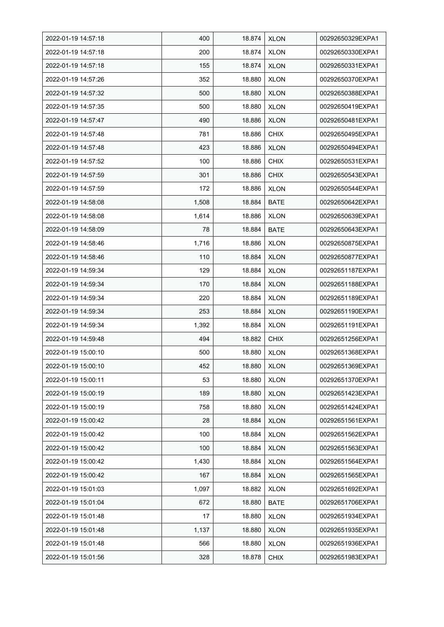| 2022-01-19 14:57:18 | 400   | 18.874 | <b>XLON</b> | 00292650329EXPA1 |
|---------------------|-------|--------|-------------|------------------|
| 2022-01-19 14:57:18 | 200   | 18.874 | <b>XLON</b> | 00292650330EXPA1 |
| 2022-01-19 14:57:18 | 155   | 18.874 | <b>XLON</b> | 00292650331EXPA1 |
| 2022-01-19 14:57:26 | 352   | 18.880 | <b>XLON</b> | 00292650370EXPA1 |
| 2022-01-19 14:57:32 | 500   | 18.880 | <b>XLON</b> | 00292650388EXPA1 |
| 2022-01-19 14:57:35 | 500   | 18.880 | <b>XLON</b> | 00292650419EXPA1 |
| 2022-01-19 14:57:47 | 490   | 18.886 | <b>XLON</b> | 00292650481EXPA1 |
| 2022-01-19 14:57:48 | 781   | 18.886 | <b>CHIX</b> | 00292650495EXPA1 |
| 2022-01-19 14:57:48 | 423   | 18.886 | <b>XLON</b> | 00292650494EXPA1 |
| 2022-01-19 14:57:52 | 100   | 18.886 | <b>CHIX</b> | 00292650531EXPA1 |
| 2022-01-19 14:57:59 | 301   | 18.886 | <b>CHIX</b> | 00292650543EXPA1 |
| 2022-01-19 14:57:59 | 172   | 18.886 | <b>XLON</b> | 00292650544EXPA1 |
| 2022-01-19 14:58:08 | 1,508 | 18.884 | <b>BATE</b> | 00292650642EXPA1 |
| 2022-01-19 14:58:08 | 1,614 | 18.886 | <b>XLON</b> | 00292650639EXPA1 |
| 2022-01-19 14:58:09 | 78    | 18.884 | <b>BATE</b> | 00292650643EXPA1 |
| 2022-01-19 14:58:46 | 1,716 | 18.886 | <b>XLON</b> | 00292650875EXPA1 |
| 2022-01-19 14:58:46 | 110   | 18.884 | <b>XLON</b> | 00292650877EXPA1 |
| 2022-01-19 14:59:34 | 129   | 18.884 | <b>XLON</b> | 00292651187EXPA1 |
| 2022-01-19 14:59:34 | 170   | 18.884 | <b>XLON</b> | 00292651188EXPA1 |
| 2022-01-19 14:59:34 | 220   | 18.884 | <b>XLON</b> | 00292651189EXPA1 |
| 2022-01-19 14:59:34 | 253   | 18.884 | <b>XLON</b> | 00292651190EXPA1 |
| 2022-01-19 14:59:34 | 1,392 | 18.884 | <b>XLON</b> | 00292651191EXPA1 |
| 2022-01-19 14:59:48 | 494   | 18.882 | <b>CHIX</b> | 00292651256EXPA1 |
| 2022-01-19 15:00:10 | 500   | 18.880 | <b>XLON</b> | 00292651368EXPA1 |
| 2022-01-19 15:00:10 | 452   | 18.880 | <b>XLON</b> | 00292651369EXPA1 |
| 2022-01-19 15:00:11 | 53    | 18.880 | <b>XLON</b> | 00292651370EXPA1 |
| 2022-01-19 15:00:19 | 189   | 18.880 | <b>XLON</b> | 00292651423EXPA1 |
| 2022-01-19 15:00:19 | 758   | 18.880 | <b>XLON</b> | 00292651424EXPA1 |
| 2022-01-19 15:00:42 | 28    | 18.884 | <b>XLON</b> | 00292651561EXPA1 |
| 2022-01-19 15:00:42 | 100   | 18.884 | <b>XLON</b> | 00292651562EXPA1 |
| 2022-01-19 15:00:42 | 100   | 18.884 | <b>XLON</b> | 00292651563EXPA1 |
| 2022-01-19 15:00:42 | 1,430 | 18.884 | <b>XLON</b> | 00292651564EXPA1 |
| 2022-01-19 15:00:42 | 167   | 18.884 | <b>XLON</b> | 00292651565EXPA1 |
| 2022-01-19 15:01:03 | 1,097 | 18.882 | <b>XLON</b> | 00292651692EXPA1 |
| 2022-01-19 15:01:04 | 672   | 18.880 | BATE        | 00292651706EXPA1 |
| 2022-01-19 15:01:48 | 17    | 18.880 | <b>XLON</b> | 00292651934EXPA1 |
| 2022-01-19 15:01:48 | 1,137 | 18.880 | <b>XLON</b> | 00292651935EXPA1 |
| 2022-01-19 15:01:48 | 566   | 18.880 | <b>XLON</b> | 00292651936EXPA1 |
| 2022-01-19 15:01:56 | 328   | 18.878 | <b>CHIX</b> | 00292651983EXPA1 |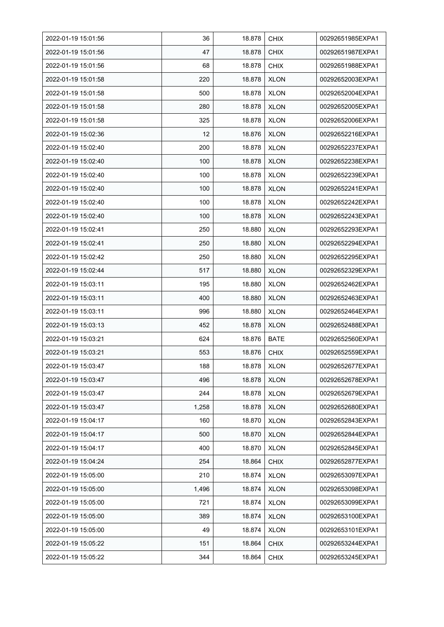| 2022-01-19 15:01:56 | 36    | 18.878 | <b>CHIX</b> | 00292651985EXPA1 |
|---------------------|-------|--------|-------------|------------------|
| 2022-01-19 15:01:56 | 47    | 18.878 | <b>CHIX</b> | 00292651987EXPA1 |
| 2022-01-19 15:01:56 | 68    | 18.878 | <b>CHIX</b> | 00292651988EXPA1 |
| 2022-01-19 15:01:58 | 220   | 18.878 | <b>XLON</b> | 00292652003EXPA1 |
| 2022-01-19 15:01:58 | 500   | 18.878 | <b>XLON</b> | 00292652004EXPA1 |
| 2022-01-19 15:01:58 | 280   | 18.878 | <b>XLON</b> | 00292652005EXPA1 |
| 2022-01-19 15:01:58 | 325   | 18.878 | <b>XLON</b> | 00292652006EXPA1 |
| 2022-01-19 15:02:36 | 12    | 18.876 | <b>XLON</b> | 00292652216EXPA1 |
| 2022-01-19 15:02:40 | 200   | 18.878 | <b>XLON</b> | 00292652237EXPA1 |
| 2022-01-19 15:02:40 | 100   | 18.878 | <b>XLON</b> | 00292652238EXPA1 |
| 2022-01-19 15:02:40 | 100   | 18.878 | <b>XLON</b> | 00292652239EXPA1 |
| 2022-01-19 15:02:40 | 100   | 18.878 | <b>XLON</b> | 00292652241EXPA1 |
| 2022-01-19 15:02:40 | 100   | 18.878 | <b>XLON</b> | 00292652242EXPA1 |
| 2022-01-19 15:02:40 | 100   | 18.878 | <b>XLON</b> | 00292652243EXPA1 |
| 2022-01-19 15:02:41 | 250   | 18.880 | <b>XLON</b> | 00292652293EXPA1 |
| 2022-01-19 15:02:41 | 250   | 18.880 | <b>XLON</b> | 00292652294EXPA1 |
| 2022-01-19 15:02:42 | 250   | 18.880 | <b>XLON</b> | 00292652295EXPA1 |
| 2022-01-19 15:02:44 | 517   | 18.880 | <b>XLON</b> | 00292652329EXPA1 |
| 2022-01-19 15:03:11 | 195   | 18.880 | <b>XLON</b> | 00292652462EXPA1 |
| 2022-01-19 15 03 11 | 400   | 18.880 | <b>XLON</b> | 00292652463EXPA1 |
| 2022-01-19 15:03:11 | 996   | 18.880 | <b>XLON</b> | 00292652464EXPA1 |
| 2022-01-19 15:03:13 | 452   | 18.878 | <b>XLON</b> | 00292652488EXPA1 |
| 2022-01-19 15:03:21 | 624   | 18.876 | BATE        | 00292652560EXPA1 |
| 2022-01-19 15 03 21 | 553   | 18.876 | <b>CHIX</b> | 00292652559EXPA1 |
| 2022-01-19 15:03:47 | 188   | 18.878 | <b>XLON</b> | 00292652677EXPA1 |
| 2022-01-19 15:03:47 | 496   | 18.878 | <b>XLON</b> | 00292652678EXPA1 |
| 2022-01-19 15:03:47 | 244   | 18.878 | <b>XLON</b> | 00292652679EXPA1 |
| 2022-01-19 15:03:47 | 1,258 | 18.878 | <b>XLON</b> | 00292652680EXPA1 |
| 2022-01-19 15:04:17 | 160   | 18.870 | <b>XLON</b> | 00292652843EXPA1 |
| 2022-01-19 15:04:17 | 500   | 18.870 | <b>XLON</b> | 00292652844EXPA1 |
| 2022-01-19 15:04:17 | 400   | 18.870 | <b>XLON</b> | 00292652845EXPA1 |
| 2022-01-19 15:04:24 | 254   | 18.864 | <b>CHIX</b> | 00292652877EXPA1 |
| 2022-01-19 15:05:00 | 210   | 18.874 | <b>XLON</b> | 00292653097EXPA1 |
| 2022-01-19 15:05:00 | 1,496 | 18.874 | <b>XLON</b> | 00292653098EXPA1 |
| 2022-01-19 15:05:00 | 721   | 18.874 | <b>XLON</b> | 00292653099EXPA1 |
| 2022-01-19 15:05:00 | 389   | 18.874 | <b>XLON</b> | 00292653100EXPA1 |
| 2022-01-19 15:05:00 | 49    | 18.874 | <b>XLON</b> | 00292653101EXPA1 |
| 2022-01-19 15:05:22 | 151   | 18.864 | <b>CHIX</b> | 00292653244EXPA1 |
| 2022-01-19 15:05:22 | 344   | 18.864 | <b>CHIX</b> | 00292653245EXPA1 |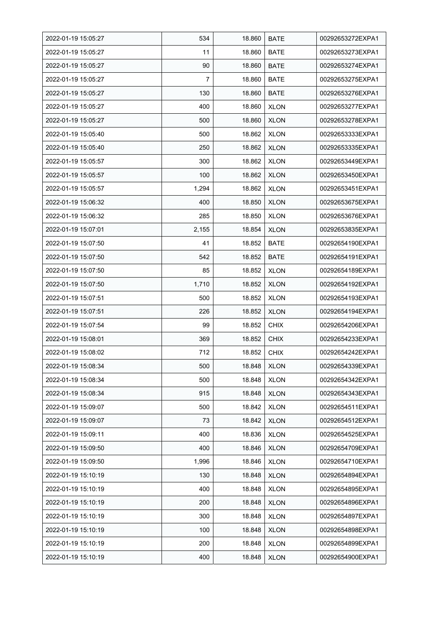| 2022-01-19 15:05:27 | 534   | 18.860 | <b>BATE</b> | 00292653272EXPA1 |
|---------------------|-------|--------|-------------|------------------|
| 2022-01-19 15:05:27 | 11    | 18.860 | <b>BATE</b> | 00292653273EXPA1 |
| 2022-01-19 15:05:27 | 90    | 18.860 | <b>BATE</b> | 00292653274EXPA1 |
| 2022-01-19 15:05:27 | 7     | 18.860 | <b>BATE</b> | 00292653275EXPA1 |
| 2022-01-19 15:05:27 | 130   | 18.860 | <b>BATE</b> | 00292653276EXPA1 |
| 2022-01-19 15:05:27 | 400   | 18.860 | <b>XLON</b> | 00292653277EXPA1 |
| 2022-01-19 15:05:27 | 500   | 18.860 | <b>XLON</b> | 00292653278EXPA1 |
| 2022-01-19 15:05:40 | 500   | 18.862 | <b>XLON</b> | 00292653333EXPA1 |
| 2022-01-19 15:05:40 | 250   | 18.862 | <b>XLON</b> | 00292653335EXPA1 |
| 2022-01-19 15:05:57 | 300   | 18.862 | <b>XLON</b> | 00292653449EXPA1 |
| 2022-01-19 15:05:57 | 100   | 18.862 | <b>XLON</b> | 00292653450EXPA1 |
| 2022-01-19 15:05:57 | 1,294 | 18.862 | <b>XLON</b> | 00292653451EXPA1 |
| 2022-01-19 15:06:32 | 400   | 18.850 | <b>XLON</b> | 00292653675EXPA1 |
| 2022-01-19 15:06:32 | 285   | 18.850 | <b>XLON</b> | 00292653676EXPA1 |
| 2022-01-19 15:07:01 | 2,155 | 18.854 | <b>XLON</b> | 00292653835EXPA1 |
| 2022-01-19 15:07:50 | 41    | 18.852 | BATE        | 00292654190EXPA1 |
| 2022-01-19 15:07:50 | 542   | 18.852 | <b>BATE</b> | 00292654191EXPA1 |
| 2022-01-19 15:07:50 | 85    | 18.852 | <b>XLON</b> | 00292654189EXPA1 |
| 2022-01-19 15:07:50 | 1,710 | 18.852 | <b>XLON</b> | 00292654192EXPA1 |
| 2022-01-19 15:07:51 | 500   | 18.852 | <b>XLON</b> | 00292654193EXPA1 |
| 2022-01-19 15:07:51 | 226   | 18.852 | <b>XLON</b> | 00292654194EXPA1 |
| 2022-01-19 15:07:54 | 99    | 18.852 | <b>CHIX</b> | 00292654206EXPA1 |
| 2022-01-19 15:08:01 | 369   | 18.852 | <b>CHIX</b> | 00292654233EXPA1 |
| 2022-01-19 15:08:02 | 712   | 18.852 | <b>CHIX</b> | 00292654242EXPA1 |
| 2022-01-19 15:08:34 | 500   | 18.848 | <b>XLON</b> | 00292654339EXPA1 |
| 2022-01-19 15:08:34 | 500   | 18.848 | <b>XLON</b> | 00292654342EXPA1 |
| 2022-01-19 15:08:34 | 915   | 18.848 | <b>XLON</b> | 00292654343EXPA1 |
| 2022-01-19 15:09:07 | 500   | 18.842 | <b>XLON</b> | 00292654511EXPA1 |
| 2022-01-19 15:09:07 | 73    | 18.842 | <b>XLON</b> | 00292654512EXPA1 |
| 2022-01-19 15:09:11 | 400   | 18.836 | <b>XLON</b> | 00292654525EXPA1 |
| 2022-01-19 15:09:50 | 400   | 18.846 | <b>XLON</b> | 00292654709EXPA1 |
| 2022-01-19 15:09:50 | 1,996 | 18.846 | <b>XLON</b> | 00292654710EXPA1 |
| 2022-01-19 15:10:19 | 130   | 18.848 | <b>XLON</b> | 00292654894EXPA1 |
| 2022-01-19 15:10:19 | 400   | 18.848 | <b>XLON</b> | 00292654895EXPA1 |
| 2022-01-19 15:10:19 | 200   | 18.848 | <b>XLON</b> | 00292654896EXPA1 |
| 2022-01-19 15:10:19 | 300   | 18.848 | <b>XLON</b> | 00292654897EXPA1 |
| 2022-01-19 15:10:19 | 100   | 18.848 | <b>XLON</b> | 00292654898EXPA1 |
| 2022-01-19 15:10:19 | 200   | 18.848 | <b>XLON</b> | 00292654899EXPA1 |
| 2022-01-19 15:10:19 | 400   | 18.848 | <b>XLON</b> | 00292654900EXPA1 |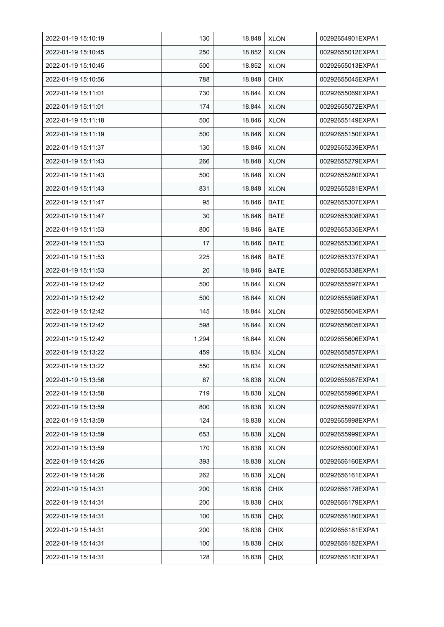| 2022-01-19 15:10:19 | 130   | 18.848 | <b>XLON</b> | 00292654901EXPA1 |
|---------------------|-------|--------|-------------|------------------|
| 2022-01-19 15:10:45 | 250   | 18.852 | <b>XLON</b> | 00292655012EXPA1 |
| 2022-01-19 15:10:45 | 500   | 18.852 | <b>XLON</b> | 00292655013EXPA1 |
| 2022-01-19 15:10:56 | 788   | 18.848 | <b>CHIX</b> | 00292655045EXPA1 |
| 2022-01-19 15:11:01 | 730   | 18.844 | <b>XLON</b> | 00292655069EXPA1 |
| 2022-01-19 15:11:01 | 174   | 18.844 | <b>XLON</b> | 00292655072EXPA1 |
| 2022-01-19 15:11:18 | 500   | 18.846 | <b>XLON</b> | 00292655149EXPA1 |
| 2022-01-19 15:11:19 | 500   | 18.846 | <b>XLON</b> | 00292655150EXPA1 |
| 2022-01-19 15:11:37 | 130   | 18.846 | <b>XLON</b> | 00292655239EXPA1 |
| 2022-01-19 15:11:43 | 266   | 18.848 | <b>XLON</b> | 00292655279EXPA1 |
| 2022-01-19 15:11:43 | 500   | 18.848 | <b>XLON</b> | 00292655280EXPA1 |
| 2022-01-19 15:11:43 | 831   | 18.848 | <b>XLON</b> | 00292655281EXPA1 |
| 2022-01-19 15:11:47 | 95    | 18.846 | <b>BATE</b> | 00292655307EXPA1 |
| 2022-01-19 15:11:47 | 30    | 18.846 | <b>BATE</b> | 00292655308EXPA1 |
| 2022-01-19 15:11:53 | 800   | 18.846 | <b>BATE</b> | 00292655335EXPA1 |
| 2022-01-19 15:11:53 | 17    | 18.846 | <b>BATE</b> | 00292655336EXPA1 |
| 2022-01-19 15:11:53 | 225   | 18.846 | <b>BATE</b> | 00292655337EXPA1 |
| 2022-01-19 15:11:53 | 20    | 18.846 | <b>BATE</b> | 00292655338EXPA1 |
| 2022-01-19 15:12:42 | 500   | 18.844 | <b>XLON</b> | 00292655597EXPA1 |
| 2022-01-19 15:12:42 | 500   | 18.844 | <b>XLON</b> | 00292655598EXPA1 |
| 2022-01-19 15:12:42 | 145   | 18.844 | <b>XLON</b> | 00292655604EXPA1 |
| 2022-01-19 15:12:42 | 598   | 18.844 | <b>XLON</b> | 00292655605EXPA1 |
| 2022-01-19 15:12:42 | 1,294 | 18.844 | <b>XLON</b> | 00292655606EXPA1 |
| 2022-01-19 15:13:22 | 459   | 18.834 | <b>XLON</b> | 00292655857EXPA1 |
| 2022-01-19 15:13:22 | 550   | 18.834 | <b>XLON</b> | 00292655858EXPA1 |
| 2022-01-19 15:13:56 | 87    | 18.838 | <b>XLON</b> | 00292655987EXPA1 |
| 2022-01-19 15:13:58 | 719   | 18.838 | <b>XLON</b> | 00292655996EXPA1 |
| 2022-01-19 15:13:59 | 800   | 18.838 | <b>XLON</b> | 00292655997EXPA1 |
| 2022-01-19 15:13:59 | 124   | 18.838 | <b>XLON</b> | 00292655998EXPA1 |
| 2022-01-19 15:13:59 | 653   | 18.838 | <b>XLON</b> | 00292655999EXPA1 |
| 2022-01-19 15:13:59 | 170   | 18.838 | <b>XLON</b> | 00292656000EXPA1 |
| 2022-01-19 15:14:26 | 393   | 18.838 | <b>XLON</b> | 00292656160EXPA1 |
| 2022-01-19 15:14:26 | 262   | 18.838 | <b>XLON</b> | 00292656161EXPA1 |
| 2022-01-19 15:14:31 | 200   | 18.838 | <b>CHIX</b> | 00292656178EXPA1 |
| 2022-01-19 15:14:31 | 200   | 18.838 | <b>CHIX</b> | 00292656179EXPA1 |
| 2022-01-19 15:14:31 | 100   | 18.838 | <b>CHIX</b> | 00292656180EXPA1 |
| 2022-01-19 15:14:31 | 200   | 18.838 | <b>CHIX</b> | 00292656181EXPA1 |
| 2022-01-19 15:14:31 | 100   | 18.838 | <b>CHIX</b> | 00292656182EXPA1 |
| 2022-01-19 15:14:31 | 128   | 18.838 | <b>CHIX</b> | 00292656183EXPA1 |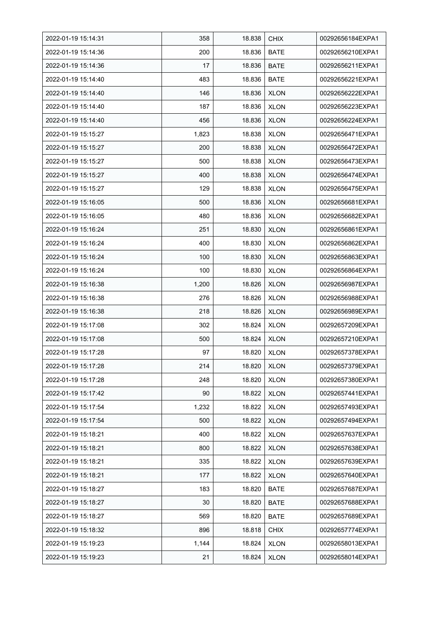| 2022-01-19 15:14:31 | 358   | 18.838 | <b>CHIX</b> | 00292656184EXPA1 |
|---------------------|-------|--------|-------------|------------------|
| 2022-01-19 15:14:36 | 200   | 18.836 | <b>BATE</b> | 00292656210EXPA1 |
| 2022-01-19 15:14:36 | 17    | 18.836 | <b>BATE</b> | 00292656211EXPA1 |
| 2022-01-19 15:14:40 | 483   | 18.836 | <b>BATE</b> | 00292656221EXPA1 |
| 2022-01-19 15:14:40 | 146   | 18.836 | <b>XLON</b> | 00292656222EXPA1 |
| 2022-01-19 15:14:40 | 187   | 18.836 | <b>XLON</b> | 00292656223EXPA1 |
| 2022-01-19 15:14:40 | 456   | 18.836 | <b>XLON</b> | 00292656224EXPA1 |
| 2022-01-19 15:15:27 | 1,823 | 18.838 | <b>XLON</b> | 00292656471EXPA1 |
| 2022-01-19 15:15:27 | 200   | 18.838 | <b>XLON</b> | 00292656472EXPA1 |
| 2022-01-19 15:15:27 | 500   | 18.838 | <b>XLON</b> | 00292656473EXPA1 |
| 2022-01-19 15:15:27 | 400   | 18.838 | <b>XLON</b> | 00292656474EXPA1 |
| 2022-01-19 15:15:27 | 129   | 18.838 | <b>XLON</b> | 00292656475EXPA1 |
| 2022-01-19 15:16:05 | 500   | 18.836 | <b>XLON</b> | 00292656681EXPA1 |
| 2022-01-19 15:16:05 | 480   | 18.836 | <b>XLON</b> | 00292656682EXPA1 |
| 2022-01-19 15:16:24 | 251   | 18.830 | <b>XLON</b> | 00292656861EXPA1 |
| 2022-01-19 15:16:24 | 400   | 18.830 | <b>XLON</b> | 00292656862EXPA1 |
| 2022-01-19 15:16:24 | 100   | 18.830 | <b>XLON</b> | 00292656863EXPA1 |
| 2022-01-19 15:16:24 | 100   | 18.830 | <b>XLON</b> | 00292656864EXPA1 |
| 2022-01-19 15:16:38 | 1,200 | 18.826 | <b>XLON</b> | 00292656987EXPA1 |
| 2022-01-19 15:16:38 | 276   | 18.826 | <b>XLON</b> | 00292656988EXPA1 |
| 2022-01-19 15:16:38 | 218   | 18.826 | <b>XLON</b> | 00292656989EXPA1 |
| 2022-01-19 15:17:08 | 302   | 18.824 | <b>XLON</b> | 00292657209EXPA1 |
| 2022-01-19 15:17:08 | 500   | 18.824 | <b>XLON</b> | 00292657210EXPA1 |
| 2022-01-19 15:17:28 | 97    | 18.820 | <b>XLON</b> | 00292657378EXPA1 |
| 2022-01-19 15:17:28 | 214   | 18.820 | <b>XLON</b> | 00292657379EXPA1 |
| 2022-01-19 15:17:28 | 248   | 18.820 | <b>XLON</b> | 00292657380EXPA1 |
| 2022-01-19 15:17:42 | 90    | 18.822 | <b>XLON</b> | 00292657441EXPA1 |
| 2022-01-19 15:17:54 | 1,232 | 18.822 | <b>XLON</b> | 00292657493EXPA1 |
| 2022-01-19 15:17:54 | 500   | 18.822 | <b>XLON</b> | 00292657494EXPA1 |
| 2022-01-19 15:18:21 | 400   | 18.822 | <b>XLON</b> | 00292657637EXPA1 |
| 2022-01-19 15:18:21 | 800   | 18.822 | <b>XLON</b> | 00292657638EXPA1 |
| 2022-01-19 15:18:21 | 335   | 18.822 | <b>XLON</b> | 00292657639EXPA1 |
| 2022-01-19 15:18:21 | 177   | 18.822 | <b>XLON</b> | 00292657640EXPA1 |
| 2022-01-19 15:18:27 | 183   | 18.820 | <b>BATE</b> | 00292657687EXPA1 |
| 2022-01-19 15:18:27 | 30    | 18.820 | BATE        | 00292657688EXPA1 |
| 2022-01-19 15:18:27 | 569   | 18.820 | BATE        | 00292657689EXPA1 |
| 2022-01-19 15:18:32 | 896   | 18.818 | <b>CHIX</b> | 00292657774EXPA1 |
| 2022-01-19 15:19:23 | 1,144 | 18.824 | <b>XLON</b> | 00292658013EXPA1 |
| 2022-01-19 15:19:23 | 21    | 18.824 | <b>XLON</b> | 00292658014EXPA1 |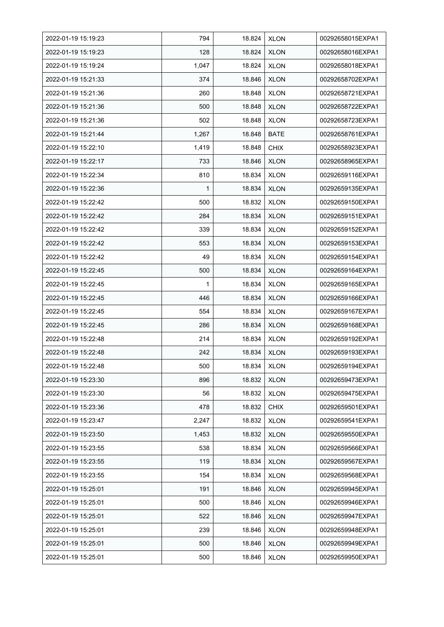| 2022-01-19 15:19:23 | 794   | 18.824 | <b>XLON</b> | 00292658015EXPA1 |
|---------------------|-------|--------|-------------|------------------|
| 2022-01-19 15:19:23 | 128   | 18.824 | <b>XLON</b> | 00292658016EXPA1 |
| 2022-01-19 15:19:24 | 1,047 | 18.824 | <b>XLON</b> | 00292658018EXPA1 |
| 2022-01-19 15:21:33 | 374   | 18.846 | <b>XLON</b> | 00292658702EXPA1 |
| 2022-01-19 15:21:36 | 260   | 18.848 | <b>XLON</b> | 00292658721EXPA1 |
| 2022-01-19 15:21:36 | 500   | 18.848 | <b>XLON</b> | 00292658722EXPA1 |
| 2022-01-19 15:21:36 | 502   | 18.848 | <b>XLON</b> | 00292658723EXPA1 |
| 2022-01-19 15:21:44 | 1,267 | 18.848 | BATE        | 00292658761EXPA1 |
| 2022-01-19 15:22:10 | 1,419 | 18.848 | <b>CHIX</b> | 00292658923EXPA1 |
| 2022-01-19 15:22:17 | 733   | 18.846 | <b>XLON</b> | 00292658965EXPA1 |
| 2022-01-19 15:22:34 | 810   | 18.834 | <b>XLON</b> | 00292659116EXPA1 |
| 2022-01-19 15:22:36 | 1     | 18.834 | <b>XLON</b> | 00292659135EXPA1 |
| 2022-01-19 15:22:42 | 500   | 18.832 | <b>XLON</b> | 00292659150EXPA1 |
| 2022-01-19 15:22:42 | 284   | 18.834 | <b>XLON</b> | 00292659151EXPA1 |
| 2022-01-19 15:22:42 | 339   | 18.834 | <b>XLON</b> | 00292659152EXPA1 |
| 2022-01-19 15:22:42 | 553   | 18.834 | <b>XLON</b> | 00292659153EXPA1 |
| 2022-01-19 15:22:42 | 49    | 18.834 | <b>XLON</b> | 00292659154EXPA1 |
| 2022-01-19 15:22:45 | 500   | 18.834 | <b>XLON</b> | 00292659164EXPA1 |
| 2022-01-19 15:22:45 | 1     | 18.834 | <b>XLON</b> | 00292659165EXPA1 |
| 2022-01-19 15:22:45 | 446   | 18.834 | <b>XLON</b> | 00292659166EXPA1 |
| 2022-01-19 15:22:45 | 554   | 18.834 | <b>XLON</b> | 00292659167EXPA1 |
| 2022-01-19 15:22:45 | 286   | 18.834 | <b>XLON</b> | 00292659168EXPA1 |
| 2022-01-19 15:22:48 | 214   | 18.834 | <b>XLON</b> | 00292659192EXPA1 |
| 2022-01-19 15:22:48 | 242   | 18.834 | <b>XLON</b> | 00292659193EXPA1 |
| 2022-01-19 15:22:48 | 500   | 18.834 | <b>XLON</b> | 00292659194EXPA1 |
| 2022-01-19 15:23:30 | 896   | 18.832 | <b>XLON</b> | 00292659473EXPA1 |
| 2022-01-19 15:23:30 | 56    | 18.832 | <b>XLON</b> | 00292659475EXPA1 |
| 2022-01-19 15:23:36 | 478   | 18.832 | <b>CHIX</b> | 00292659501EXPA1 |
| 2022-01-19 15:23:47 | 2,247 | 18.832 | <b>XLON</b> | 00292659541EXPA1 |
| 2022-01-19 15:23:50 | 1,453 | 18.832 | <b>XLON</b> | 00292659550EXPA1 |
| 2022-01-19 15:23:55 | 538   | 18.834 | <b>XLON</b> | 00292659566EXPA1 |
| 2022-01-19 15:23:55 | 119   | 18.834 | <b>XLON</b> | 00292659567EXPA1 |
| 2022-01-19 15:23:55 | 154   | 18.834 | <b>XLON</b> | 00292659568EXPA1 |
| 2022-01-19 15:25:01 | 191   | 18.846 | <b>XLON</b> | 00292659945EXPA1 |
| 2022-01-19 15:25:01 | 500   | 18.846 | <b>XLON</b> | 00292659946EXPA1 |
| 2022-01-19 15:25:01 | 522   | 18.846 | <b>XLON</b> | 00292659947EXPA1 |
| 2022-01-19 15:25:01 | 239   | 18.846 | <b>XLON</b> | 00292659948EXPA1 |
| 2022-01-19 15:25:01 | 500   | 18.846 | <b>XLON</b> | 00292659949EXPA1 |
| 2022-01-19 15:25:01 | 500   | 18.846 | <b>XLON</b> | 00292659950EXPA1 |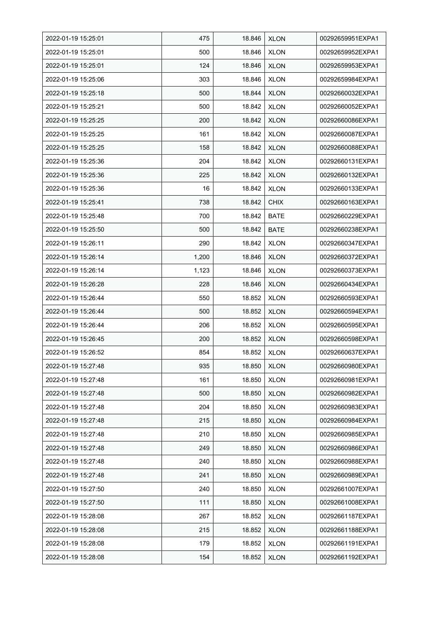| 2022-01-19 15:25:01 | 475   | 18.846 | <b>XLON</b> | 00292659951EXPA1 |
|---------------------|-------|--------|-------------|------------------|
| 2022-01-19 15:25:01 | 500   | 18.846 | <b>XLON</b> | 00292659952EXPA1 |
| 2022-01-19 15:25:01 | 124   | 18.846 | <b>XLON</b> | 00292659953EXPA1 |
| 2022-01-19 15:25:06 | 303   | 18.846 | <b>XLON</b> | 00292659984EXPA1 |
| 2022-01-19 15:25:18 | 500   | 18.844 | <b>XLON</b> | 00292660032EXPA1 |
| 2022-01-19 15:25:21 | 500   | 18.842 | <b>XLON</b> | 00292660052EXPA1 |
| 2022-01-19 15:25:25 | 200   | 18.842 | <b>XLON</b> | 00292660086EXPA1 |
| 2022-01-19 15:25:25 | 161   | 18.842 | <b>XLON</b> | 00292660087EXPA1 |
| 2022-01-19 15:25:25 | 158   | 18.842 | <b>XLON</b> | 00292660088EXPA1 |
| 2022-01-19 15:25:36 | 204   | 18.842 | <b>XLON</b> | 00292660131EXPA1 |
| 2022-01-19 15:25:36 | 225   | 18.842 | <b>XLON</b> | 00292660132EXPA1 |
| 2022-01-19 15:25:36 | 16    | 18.842 | <b>XLON</b> | 00292660133EXPA1 |
| 2022-01-19 15:25:41 | 738   | 18.842 | <b>CHIX</b> | 00292660163EXPA1 |
| 2022-01-19 15:25:48 | 700   | 18.842 | <b>BATE</b> | 00292660229EXPA1 |
| 2022-01-19 15:25:50 | 500   | 18.842 | BATE        | 00292660238EXPA1 |
| 2022-01-19 15:26:11 | 290   | 18.842 | <b>XLON</b> | 00292660347EXPA1 |
| 2022-01-19 15:26:14 | 1,200 | 18.846 | <b>XLON</b> | 00292660372EXPA1 |
| 2022-01-19 15:26:14 | 1,123 | 18.846 | <b>XLON</b> | 00292660373EXPA1 |
| 2022-01-19 15:26:28 | 228   | 18.846 | <b>XLON</b> | 00292660434EXPA1 |
| 2022-01-19 15:26:44 | 550   | 18.852 | <b>XLON</b> | 00292660593EXPA1 |
| 2022-01-19 15:26:44 | 500   | 18.852 | <b>XLON</b> | 00292660594EXPA1 |
| 2022-01-19 15:26:44 | 206   | 18.852 | <b>XLON</b> | 00292660595EXPA1 |
| 2022-01-19 15:26:45 | 200   | 18.852 | <b>XLON</b> | 00292660598EXPA1 |
| 2022-01-19 15:26:52 | 854   | 18.852 | <b>XLON</b> | 00292660637EXPA1 |
| 2022-01-19 15:27:48 | 935   | 18.850 | <b>XLON</b> | 00292660980EXPA1 |
| 2022-01-19 15:27:48 | 161   | 18.850 | <b>XLON</b> | 00292660981EXPA1 |
| 2022-01-19 15:27:48 | 500   | 18.850 | <b>XLON</b> | 00292660982EXPA1 |
| 2022-01-19 15:27:48 | 204   | 18.850 | <b>XLON</b> | 00292660983EXPA1 |
| 2022-01-19 15:27:48 | 215   | 18.850 | <b>XLON</b> | 00292660984EXPA1 |
| 2022-01-19 15:27:48 | 210   | 18.850 | <b>XLON</b> | 00292660985EXPA1 |
| 2022-01-19 15:27:48 | 249   | 18.850 | <b>XLON</b> | 00292660986EXPA1 |
| 2022-01-19 15:27:48 | 240   | 18.850 | <b>XLON</b> | 00292660988EXPA1 |
| 2022-01-19 15:27:48 | 241   | 18.850 | <b>XLON</b> | 00292660989EXPA1 |
| 2022-01-19 15:27:50 | 240   | 18.850 | <b>XLON</b> | 00292661007EXPA1 |
| 2022-01-19 15:27:50 | 111   | 18.850 | <b>XLON</b> | 00292661008EXPA1 |
| 2022-01-19 15:28:08 | 267   | 18.852 | <b>XLON</b> | 00292661187EXPA1 |
| 2022-01-19 15:28:08 | 215   | 18.852 | <b>XLON</b> | 00292661188EXPA1 |
| 2022-01-19 15:28:08 | 179   | 18.852 | <b>XLON</b> | 00292661191EXPA1 |
| 2022-01-19 15:28:08 | 154   | 18.852 | <b>XLON</b> | 00292661192EXPA1 |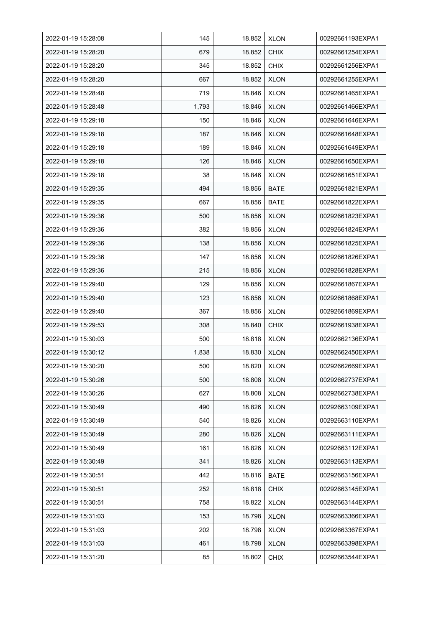| 2022-01-19 15:28:08 | 145   | 18.852 | <b>XLON</b> | 00292661193EXPA1 |
|---------------------|-------|--------|-------------|------------------|
| 2022-01-19 15:28:20 | 679   | 18.852 | <b>CHIX</b> | 00292661254EXPA1 |
| 2022-01-19 15:28:20 | 345   | 18.852 | <b>CHIX</b> | 00292661256EXPA1 |
| 2022-01-19 15:28:20 | 667   | 18.852 | <b>XLON</b> | 00292661255EXPA1 |
| 2022-01-19 15:28:48 | 719   | 18.846 | <b>XLON</b> | 00292661465EXPA1 |
| 2022-01-19 15:28:48 | 1,793 | 18.846 | <b>XLON</b> | 00292661466EXPA1 |
| 2022-01-19 15:29:18 | 150   | 18.846 | <b>XLON</b> | 00292661646EXPA1 |
| 2022-01-19 15:29:18 | 187   | 18.846 | <b>XLON</b> | 00292661648EXPA1 |
| 2022-01-19 15:29:18 | 189   | 18.846 | <b>XLON</b> | 00292661649EXPA1 |
| 2022-01-19 15:29:18 | 126   | 18.846 | <b>XLON</b> | 00292661650EXPA1 |
| 2022-01-19 15:29:18 | 38    | 18.846 | <b>XLON</b> | 00292661651EXPA1 |
| 2022-01-19 15:29:35 | 494   | 18.856 | <b>BATE</b> | 00292661821EXPA1 |
| 2022-01-19 15:29:35 | 667   | 18.856 | <b>BATE</b> | 00292661822EXPA1 |
| 2022-01-19 15:29:36 | 500   | 18.856 | <b>XLON</b> | 00292661823EXPA1 |
| 2022-01-19 15:29:36 | 382   | 18.856 | <b>XLON</b> | 00292661824EXPA1 |
| 2022-01-19 15:29:36 | 138   | 18.856 | <b>XLON</b> | 00292661825EXPA1 |
| 2022-01-19 15:29:36 | 147   | 18.856 | <b>XLON</b> | 00292661826EXPA1 |
| 2022-01-19 15:29:36 | 215   | 18.856 | <b>XLON</b> | 00292661828EXPA1 |
| 2022-01-19 15:29:40 | 129   | 18.856 | XLON        | 00292661867EXPA1 |
| 2022-01-19 15:29:40 | 123   | 18.856 | XLON        | 00292661868EXPA1 |
| 2022-01-19 15:29:40 | 367   | 18.856 | <b>XLON</b> | 00292661869EXPA1 |
| 2022-01-19 15:29:53 | 308   | 18.840 | <b>CHIX</b> | 00292661938EXPA1 |
| 2022-01-19 15:30:03 | 500   | 18.818 | <b>XLON</b> | 00292662136EXPA1 |
| 2022-01-19 15:30:12 | 1,838 | 18.830 | <b>XLON</b> | 00292662450EXPA1 |
| 2022-01-19 15:30:20 | 500   | 18.820 | <b>XLON</b> | 00292662669EXPA1 |
| 2022-01-19 15:30:26 | 500   | 18.808 | <b>XLON</b> | 00292662737EXPA1 |
| 2022-01-19 15:30:26 | 627   | 18.808 | <b>XLON</b> | 00292662738EXPA1 |
| 2022-01-19 15:30:49 | 490   | 18.826 | <b>XLON</b> | 00292663109EXPA1 |
| 2022-01-19 15:30:49 | 540   | 18.826 | <b>XLON</b> | 00292663110EXPA1 |
| 2022-01-19 15:30:49 | 280   | 18.826 | <b>XLON</b> | 00292663111EXPA1 |
| 2022-01-19 15:30:49 | 161   | 18.826 | <b>XLON</b> | 00292663112EXPA1 |
| 2022-01-19 15:30:49 | 341   | 18.826 | <b>XLON</b> | 00292663113EXPA1 |
| 2022-01-19 15:30:51 | 442   | 18.816 | BATE        | 00292663156EXPA1 |
| 2022-01-19 15:30:51 | 252   | 18.818 | <b>CHIX</b> | 00292663145EXPA1 |
| 2022-01-19 15:30:51 | 758   | 18.822 | <b>XLON</b> | 00292663144EXPA1 |
| 2022-01-19 15:31:03 | 153   | 18.798 | <b>XLON</b> | 00292663366EXPA1 |
| 2022-01-19 15:31:03 | 202   | 18.798 | <b>XLON</b> | 00292663367EXPA1 |
| 2022-01-19 15:31:03 | 461   | 18.798 | <b>XLON</b> | 00292663398EXPA1 |
| 2022-01-19 15:31:20 | 85    | 18.802 | <b>CHIX</b> | 00292663544EXPA1 |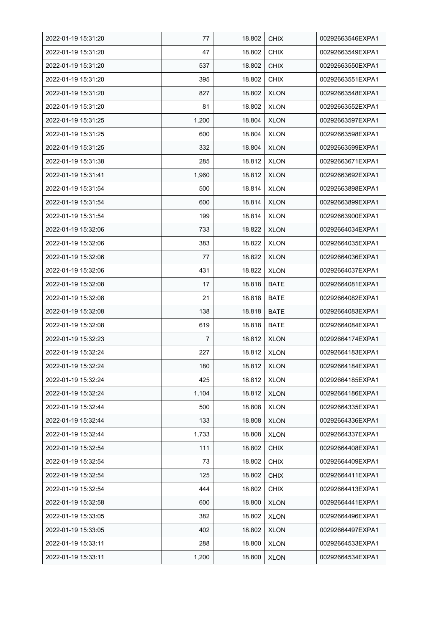| 2022-01-19 15:31:20 | 77    | 18.802 | <b>CHIX</b> | 00292663546EXPA1 |
|---------------------|-------|--------|-------------|------------------|
| 2022-01-19 15:31:20 | 47    | 18.802 | <b>CHIX</b> | 00292663549EXPA1 |
| 2022-01-19 15:31:20 | 537   | 18.802 | <b>CHIX</b> | 00292663550EXPA1 |
| 2022-01-19 15:31:20 | 395   | 18.802 | <b>CHIX</b> | 00292663551EXPA1 |
| 2022-01-19 15:31:20 | 827   | 18.802 | <b>XLON</b> | 00292663548EXPA1 |
| 2022-01-19 15:31:20 | 81    | 18.802 | <b>XLON</b> | 00292663552EXPA1 |
| 2022-01-19 15:31:25 | 1,200 | 18.804 | <b>XLON</b> | 00292663597EXPA1 |
| 2022-01-19 15:31:25 | 600   | 18.804 | <b>XLON</b> | 00292663598EXPA1 |
| 2022-01-19 15:31:25 | 332   | 18.804 | <b>XLON</b> | 00292663599EXPA1 |
| 2022-01-19 15:31:38 | 285   | 18.812 | <b>XLON</b> | 00292663671EXPA1 |
| 2022-01-19 15:31:41 | 1,960 | 18.812 | <b>XLON</b> | 00292663692EXPA1 |
| 2022-01-19 15:31:54 | 500   | 18.814 | <b>XLON</b> | 00292663898EXPA1 |
| 2022-01-19 15:31:54 | 600   | 18.814 | <b>XLON</b> | 00292663899EXPA1 |
| 2022-01-19 15:31:54 | 199   | 18.814 | <b>XLON</b> | 00292663900EXPA1 |
| 2022-01-19 15:32:06 | 733   | 18.822 | <b>XLON</b> | 00292664034EXPA1 |
| 2022-01-19 15:32:06 | 383   | 18.822 | <b>XLON</b> | 00292664035EXPA1 |
| 2022-01-19 15:32:06 | 77    | 18.822 | <b>XLON</b> | 00292664036EXPA1 |
| 2022-01-19 15:32:06 | 431   | 18.822 | <b>XLON</b> | 00292664037EXPA1 |
| 2022-01-19 15:32:08 | 17    | 18.818 | BATE        | 00292664081EXPA1 |
| 2022-01-19 15:32:08 | 21    | 18.818 | BATE        | 00292664082EXPA1 |
| 2022-01-19 15:32:08 | 138   | 18.818 | <b>BATE</b> | 00292664083EXPA1 |
| 2022-01-19 15:32:08 | 619   | 18.818 | <b>BATE</b> | 00292664084EXPA1 |
| 2022-01-19 15:32:23 | 7     | 18.812 | <b>XLON</b> | 00292664174EXPA1 |
| 2022-01-19 15:32:24 | 227   | 18.812 | <b>XLON</b> | 00292664183EXPA1 |
| 2022-01-19 15:32:24 | 180   | 18.812 | <b>XLON</b> | 00292664184EXPA1 |
| 2022-01-19 15:32:24 | 425   | 18.812 | <b>XLON</b> | 00292664185EXPA1 |
| 2022-01-19 15:32:24 | 1,104 | 18.812 | <b>XLON</b> | 00292664186EXPA1 |
| 2022-01-19 15:32:44 | 500   | 18.808 | <b>XLON</b> | 00292664335EXPA1 |
| 2022-01-19 15:32:44 | 133   | 18.808 | <b>XLON</b> | 00292664336EXPA1 |
| 2022-01-19 15:32:44 | 1,733 | 18.808 | <b>XLON</b> | 00292664337EXPA1 |
| 2022-01-19 15:32:54 | 111   | 18.802 | <b>CHIX</b> | 00292664408EXPA1 |
| 2022-01-19 15:32:54 | 73    | 18.802 | <b>CHIX</b> | 00292664409EXPA1 |
| 2022-01-19 15:32:54 | 125   | 18.802 | <b>CHIX</b> | 00292664411EXPA1 |
| 2022-01-19 15:32:54 | 444   | 18.802 | <b>CHIX</b> | 00292664413EXPA1 |
| 2022-01-19 15:32:58 | 600   | 18.800 | <b>XLON</b> | 00292664441EXPA1 |
| 2022-01-19 15:33:05 | 382   | 18.802 | <b>XLON</b> | 00292664496EXPA1 |
| 2022-01-19 15:33:05 | 402   | 18.802 | <b>XLON</b> | 00292664497EXPA1 |
| 2022-01-19 15:33:11 | 288   | 18.800 | <b>XLON</b> | 00292664533EXPA1 |
| 2022-01-19 15:33:11 | 1,200 | 18.800 | <b>XLON</b> | 00292664534EXPA1 |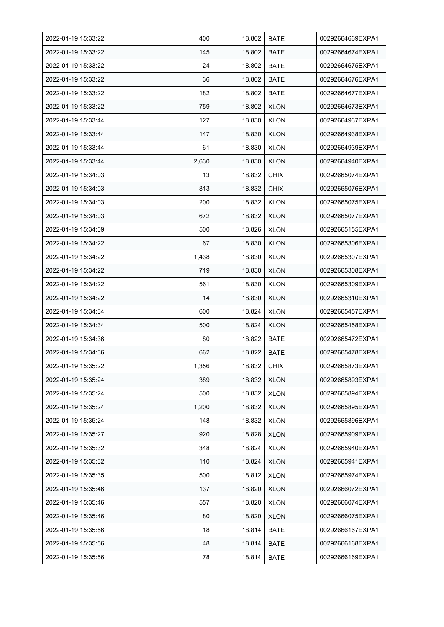| 2022-01-19 15:33:22 | 400   | 18.802 | <b>BATE</b> | 00292664669EXPA1 |
|---------------------|-------|--------|-------------|------------------|
| 2022-01-19 15:33:22 | 145   | 18.802 | <b>BATE</b> | 00292664674EXPA1 |
| 2022-01-19 15:33:22 | 24    | 18.802 | <b>BATE</b> | 00292664675EXPA1 |
| 2022-01-19 15:33:22 | 36    | 18.802 | <b>BATE</b> | 00292664676EXPA1 |
| 2022-01-19 15:33:22 | 182   | 18.802 | BATE        | 00292664677EXPA1 |
| 2022-01-19 15:33:22 | 759   | 18.802 | <b>XLON</b> | 00292664673EXPA1 |
| 2022-01-19 15:33:44 | 127   | 18.830 | <b>XLON</b> | 00292664937EXPA1 |
| 2022-01-19 15:33:44 | 147   | 18.830 | <b>XLON</b> | 00292664938EXPA1 |
| 2022-01-19 15:33:44 | 61    | 18.830 | <b>XLON</b> | 00292664939EXPA1 |
| 2022-01-19 15:33:44 | 2,630 | 18.830 | <b>XLON</b> | 00292664940EXPA1 |
| 2022-01-19 15:34:03 | 13    | 18.832 | <b>CHIX</b> | 00292665074EXPA1 |
| 2022-01-19 15:34:03 | 813   | 18.832 | <b>CHIX</b> | 00292665076EXPA1 |
| 2022-01-19 15:34:03 | 200   | 18.832 | <b>XLON</b> | 00292665075EXPA1 |
| 2022-01-19 15:34:03 | 672   | 18.832 | <b>XLON</b> | 00292665077EXPA1 |
| 2022-01-19 15:34:09 | 500   | 18.826 | <b>XLON</b> | 00292665155EXPA1 |
| 2022-01-19 15:34:22 | 67    | 18.830 | <b>XLON</b> | 00292665306EXPA1 |
| 2022-01-19 15:34:22 | 1,438 | 18.830 | <b>XLON</b> | 00292665307EXPA1 |
| 2022-01-19 15:34:22 | 719   | 18.830 | <b>XLON</b> | 00292665308EXPA1 |
| 2022-01-19 15:34:22 | 561   | 18.830 | <b>XLON</b> | 00292665309EXPA1 |
| 2022-01-19 15:34:22 | 14    | 18.830 | <b>XLON</b> | 00292665310EXPA1 |
| 2022-01-19 15:34:34 | 600   | 18.824 | <b>XLON</b> | 00292665457EXPA1 |
| 2022-01-19 15:34:34 | 500   | 18.824 | <b>XLON</b> | 00292665458EXPA1 |
| 2022-01-19 15:34:36 | 80    | 18.822 | BATE        | 00292665472EXPA1 |
| 2022-01-19 15:34:36 | 662   | 18.822 | <b>BATE</b> | 00292665478EXPA1 |
| 2022-01-19 15:35:22 | 1,356 | 18.832 | <b>CHIX</b> | 00292665873EXPA1 |
| 2022-01-19 15:35:24 | 389   | 18.832 | <b>XLON</b> | 00292665893EXPA1 |
| 2022-01-19 15:35:24 | 500   | 18.832 | <b>XLON</b> | 00292665894EXPA1 |
| 2022-01-19 15:35:24 | 1,200 | 18.832 | <b>XLON</b> | 00292665895EXPA1 |
| 2022-01-19 15:35:24 | 148   | 18.832 | <b>XLON</b> | 00292665896EXPA1 |
| 2022-01-19 15:35:27 | 920   | 18.828 | <b>XLON</b> | 00292665909EXPA1 |
| 2022-01-19 15:35:32 | 348   | 18.824 | <b>XLON</b> | 00292665940EXPA1 |
| 2022-01-19 15:35:32 | 110   | 18.824 | <b>XLON</b> | 00292665941EXPA1 |
| 2022-01-19 15:35:35 | 500   | 18.812 | <b>XLON</b> | 00292665974EXPA1 |
| 2022-01-19 15:35:46 | 137   | 18.820 | <b>XLON</b> | 00292666072EXPA1 |
| 2022-01-19 15:35:46 | 557   | 18.820 | <b>XLON</b> | 00292666074EXPA1 |
| 2022-01-19 15:35:46 | 80    | 18.820 | <b>XLON</b> | 00292666075EXPA1 |
| 2022-01-19 15:35:56 | 18    | 18.814 | BATE        | 00292666167EXPA1 |
| 2022-01-19 15:35:56 | 48    | 18.814 | <b>BATE</b> | 00292666168EXPA1 |
| 2022-01-19 15:35:56 | 78    | 18.814 | <b>BATE</b> | 00292666169EXPA1 |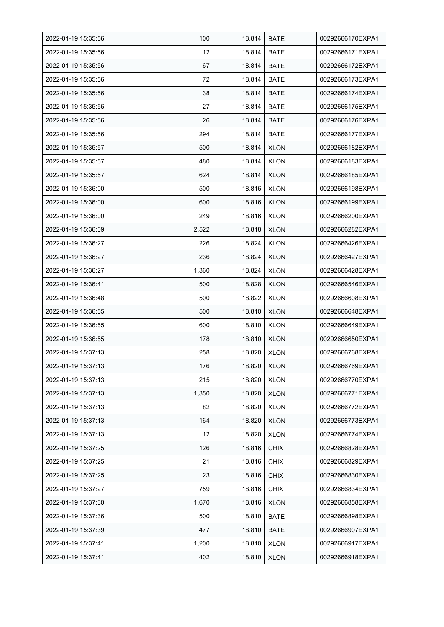| 2022-01-19 15:35:56 | 100   | 18.814 | <b>BATE</b> | 00292666170EXPA1 |
|---------------------|-------|--------|-------------|------------------|
| 2022-01-19 15:35:56 | 12    | 18.814 | <b>BATE</b> | 00292666171EXPA1 |
| 2022-01-19 15:35:56 | 67    | 18.814 | <b>BATE</b> | 00292666172EXPA1 |
| 2022-01-19 15:35:56 | 72    | 18.814 | <b>BATE</b> | 00292666173EXPA1 |
| 2022-01-19 15:35:56 | 38    | 18.814 | BATE        | 00292666174EXPA1 |
| 2022-01-19 15:35:56 | 27    | 18.814 | <b>BATE</b> | 00292666175EXPA1 |
| 2022-01-19 15:35:56 | 26    | 18.814 | <b>BATE</b> | 00292666176EXPA1 |
| 2022-01-19 15:35:56 | 294   | 18.814 | <b>BATE</b> | 00292666177EXPA1 |
| 2022-01-19 15:35:57 | 500   | 18.814 | <b>XLON</b> | 00292666182EXPA1 |
| 2022-01-19 15:35:57 | 480   | 18.814 | <b>XLON</b> | 00292666183EXPA1 |
| 2022-01-19 15:35:57 | 624   | 18.814 | <b>XLON</b> | 00292666185EXPA1 |
| 2022-01-19 15:36:00 | 500   | 18.816 | <b>XLON</b> | 00292666198EXPA1 |
| 2022-01-19 15:36:00 | 600   | 18.816 | <b>XLON</b> | 00292666199EXPA1 |
| 2022-01-19 15:36:00 | 249   | 18.816 | <b>XLON</b> | 00292666200EXPA1 |
| 2022-01-19 15:36:09 | 2,522 | 18.818 | <b>XLON</b> | 00292666282EXPA1 |
| 2022-01-19 15:36:27 | 226   | 18.824 | <b>XLON</b> | 00292666426EXPA1 |
| 2022-01-19 15:36:27 | 236   | 18.824 | <b>XLON</b> | 00292666427EXPA1 |
| 2022-01-19 15:36:27 | 1,360 | 18.824 | <b>XLON</b> | 00292666428EXPA1 |
| 2022-01-19 15:36:41 | 500   | 18.828 | <b>XLON</b> | 00292666546EXPA1 |
| 2022-01-19 15:36:48 | 500   | 18.822 | <b>XLON</b> | 00292666608EXPA1 |
| 2022-01-19 15:36:55 | 500   | 18.810 | <b>XLON</b> | 00292666648EXPA1 |
| 2022-01-19 15:36:55 | 600   | 18.810 | <b>XLON</b> | 00292666649EXPA1 |
| 2022-01-19 15:36:55 | 178   | 18.810 | <b>XLON</b> | 00292666650EXPA1 |
| 2022-01-19 15:37:13 | 258   | 18.820 | <b>XLON</b> | 00292666768EXPA1 |
| 2022-01-19 15:37:13 | 176   | 18.820 | <b>XLON</b> | 00292666769EXPA1 |
| 2022-01-19 15:37:13 | 215   | 18.820 | <b>XLON</b> | 00292666770EXPA1 |
| 2022-01-19 15:37:13 | 1,350 | 18.820 | <b>XLON</b> | 00292666771EXPA1 |
| 2022-01-19 15:37:13 | 82    | 18.820 | <b>XLON</b> | 00292666772EXPA1 |
| 2022-01-19 15:37:13 | 164   | 18.820 | <b>XLON</b> | 00292666773EXPA1 |
| 2022-01-19 15:37:13 | 12    | 18.820 | <b>XLON</b> | 00292666774EXPA1 |
| 2022-01-19 15:37:25 | 126   | 18.816 | <b>CHIX</b> | 00292666828EXPA1 |
| 2022-01-19 15:37:25 | 21    | 18.816 | <b>CHIX</b> | 00292666829EXPA1 |
| 2022-01-19 15:37:25 | 23    | 18.816 | <b>CHIX</b> | 00292666830EXPA1 |
| 2022-01-19 15:37:27 | 759   | 18.816 | <b>CHIX</b> | 00292666834EXPA1 |
| 2022-01-19 15:37:30 | 1,670 | 18.816 | <b>XLON</b> | 00292666858EXPA1 |
| 2022-01-19 15:37:36 | 500   | 18.810 | <b>BATE</b> | 00292666898EXPA1 |
| 2022-01-19 15:37:39 | 477   | 18.810 | BATE        | 00292666907EXPA1 |
| 2022-01-19 15:37:41 | 1,200 | 18.810 | <b>XLON</b> | 00292666917EXPA1 |
| 2022-01-19 15:37:41 | 402   | 18.810 | <b>XLON</b> | 00292666918EXPA1 |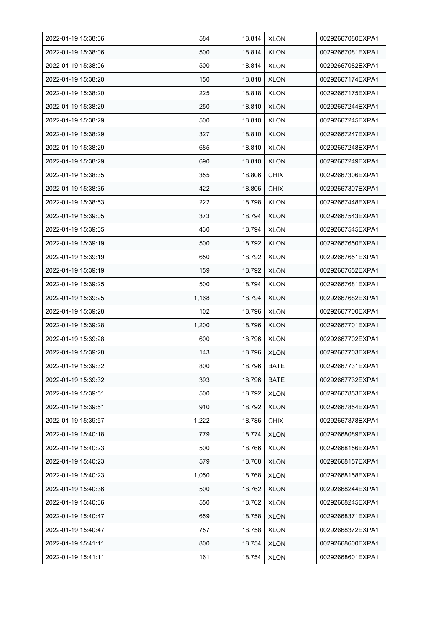| 2022-01-19 15:38:06 | 584   | 18.814 | <b>XLON</b> | 00292667080EXPA1 |
|---------------------|-------|--------|-------------|------------------|
| 2022-01-19 15:38:06 | 500   | 18.814 | <b>XLON</b> | 00292667081EXPA1 |
| 2022-01-19 15:38:06 | 500   | 18.814 | <b>XLON</b> | 00292667082EXPA1 |
| 2022-01-19 15:38:20 | 150   | 18.818 | <b>XLON</b> | 00292667174EXPA1 |
| 2022-01-19 15:38:20 | 225   | 18.818 | <b>XLON</b> | 00292667175EXPA1 |
| 2022-01-19 15:38:29 | 250   | 18.810 | <b>XLON</b> | 00292667244EXPA1 |
| 2022-01-19 15:38:29 | 500   | 18.810 | <b>XLON</b> | 00292667245EXPA1 |
| 2022-01-19 15:38:29 | 327   | 18.810 | <b>XLON</b> | 00292667247EXPA1 |
| 2022-01-19 15:38:29 | 685   | 18.810 | <b>XLON</b> | 00292667248EXPA1 |
| 2022-01-19 15:38:29 | 690   | 18.810 | <b>XLON</b> | 00292667249EXPA1 |
| 2022-01-19 15:38:35 | 355   | 18.806 | <b>CHIX</b> | 00292667306EXPA1 |
| 2022-01-19 15:38:35 | 422   | 18.806 | <b>CHIX</b> | 00292667307EXPA1 |
| 2022-01-19 15:38:53 | 222   | 18.798 | <b>XLON</b> | 00292667448EXPA1 |
| 2022-01-19 15:39:05 | 373   | 18.794 | <b>XLON</b> | 00292667543EXPA1 |
| 2022-01-19 15:39:05 | 430   | 18.794 | <b>XLON</b> | 00292667545EXPA1 |
| 2022-01-19 15:39:19 | 500   | 18.792 | <b>XLON</b> | 00292667650EXPA1 |
| 2022-01-19 15:39:19 | 650   | 18.792 | <b>XLON</b> | 00292667651EXPA1 |
| 2022-01-19 15:39:19 | 159   | 18.792 | <b>XLON</b> | 00292667652EXPA1 |
| 2022-01-19 15:39:25 | 500   | 18.794 | <b>XLON</b> | 00292667681EXPA1 |
| 2022-01-19 15:39:25 | 1,168 | 18.794 | <b>XLON</b> | 00292667682EXPA1 |
| 2022-01-19 15:39:28 | 102   | 18.796 | <b>XLON</b> | 00292667700EXPA1 |
| 2022-01-19 15:39:28 | 1,200 | 18.796 | <b>XLON</b> | 00292667701EXPA1 |
| 2022-01-19 15:39:28 | 600   | 18.796 | <b>XLON</b> | 00292667702EXPA1 |
| 2022-01-19 15:39:28 | 143   | 18.796 | <b>XLON</b> | 00292667703EXPA1 |
| 2022-01-19 15:39:32 | 800   | 18.796 | <b>BATE</b> | 00292667731EXPA1 |
| 2022-01-19 15:39:32 | 393   | 18.796 | BATE        | 00292667732EXPA1 |
| 2022-01-19 15:39:51 | 500   | 18.792 | <b>XLON</b> | 00292667853EXPA1 |
| 2022-01-19 15:39:51 | 910   | 18.792 | <b>XLON</b> | 00292667854EXPA1 |
| 2022-01-19 15:39:57 | 1,222 | 18.786 | <b>CHIX</b> | 00292667878EXPA1 |
| 2022-01-19 15:40:18 | 779   | 18.774 | <b>XLON</b> | 00292668089EXPA1 |
| 2022-01-19 15:40:23 | 500   | 18.766 | <b>XLON</b> | 00292668156EXPA1 |
| 2022-01-19 15:40:23 | 579   | 18.768 | <b>XLON</b> | 00292668157EXPA1 |
| 2022-01-19 15:40:23 | 1,050 | 18.768 | <b>XLON</b> | 00292668158EXPA1 |
| 2022-01-19 15:40:36 | 500   | 18.762 | <b>XLON</b> | 00292668244EXPA1 |
| 2022-01-19 15:40:36 | 550   | 18.762 | <b>XLON</b> | 00292668245EXPA1 |
| 2022-01-19 15:40:47 | 659   | 18.758 | <b>XLON</b> | 00292668371EXPA1 |
| 2022-01-19 15:40:47 | 757   | 18.758 | <b>XLON</b> | 00292668372EXPA1 |
| 2022-01-19 15:41:11 | 800   | 18.754 | <b>XLON</b> | 00292668600EXPA1 |
| 2022-01-19 15:41:11 | 161   | 18.754 | <b>XLON</b> | 00292668601EXPA1 |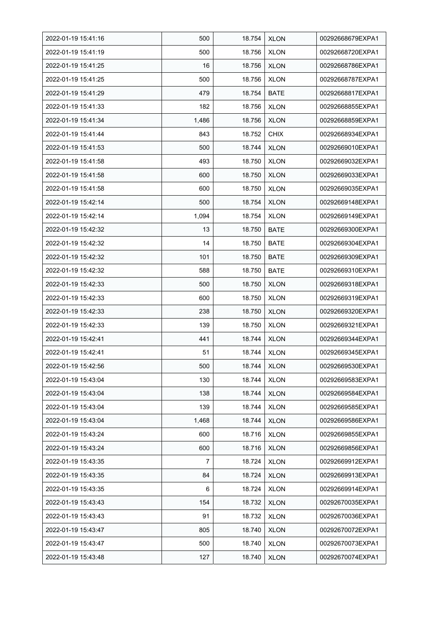| 2022-01-19 15:41:16 | 500   | 18.754 | <b>XLON</b> | 00292668679EXPA1 |
|---------------------|-------|--------|-------------|------------------|
| 2022-01-19 15:41:19 | 500   | 18.756 | <b>XLON</b> | 00292668720EXPA1 |
| 2022-01-19 15:41:25 | 16    | 18.756 | <b>XLON</b> | 00292668786EXPA1 |
| 2022-01-19 15:41:25 | 500   | 18.756 | <b>XLON</b> | 00292668787EXPA1 |
| 2022-01-19 15:41:29 | 479   | 18.754 | <b>BATE</b> | 00292668817EXPA1 |
| 2022-01-19 15:41:33 | 182   | 18.756 | <b>XLON</b> | 00292668855EXPA1 |
| 2022-01-19 15:41:34 | 1,486 | 18.756 | <b>XLON</b> | 00292668859EXPA1 |
| 2022-01-19 15:41:44 | 843   | 18.752 | <b>CHIX</b> | 00292668934EXPA1 |
| 2022-01-19 15:41:53 | 500   | 18.744 | <b>XLON</b> | 00292669010EXPA1 |
| 2022-01-19 15:41:58 | 493   | 18.750 | <b>XLON</b> | 00292669032EXPA1 |
| 2022-01-19 15:41:58 | 600   | 18.750 | <b>XLON</b> | 00292669033EXPA1 |
| 2022-01-19 15:41:58 | 600   | 18.750 | <b>XLON</b> | 00292669035EXPA1 |
| 2022-01-19 15:42:14 | 500   | 18.754 | <b>XLON</b> | 00292669148EXPA1 |
| 2022-01-19 15:42:14 | 1,094 | 18.754 | <b>XLON</b> | 00292669149EXPA1 |
| 2022-01-19 15:42:32 | 13    | 18.750 | BATE        | 00292669300EXPA1 |
| 2022-01-19 15:42:32 | 14    | 18.750 | <b>BATE</b> | 00292669304EXPA1 |
| 2022-01-19 15:42:32 | 101   | 18.750 | <b>BATE</b> | 00292669309EXPA1 |
| 2022-01-19 15:42:32 | 588   | 18.750 | <b>BATE</b> | 00292669310EXPA1 |
| 2022-01-19 15:42:33 | 500   | 18.750 | <b>XLON</b> | 00292669318EXPA1 |
| 2022-01-19 15:42:33 | 600   | 18.750 | <b>XLON</b> | 00292669319EXPA1 |
| 2022-01-19 15:42:33 | 238   | 18.750 | <b>XLON</b> | 00292669320EXPA1 |
| 2022-01-19 15:42:33 | 139   | 18.750 | <b>XLON</b> | 00292669321EXPA1 |
| 2022-01-19 15:42:41 | 441   | 18.744 | <b>XLON</b> | 00292669344EXPA1 |
| 2022-01-19 15:42:41 | 51    | 18.744 | <b>XLON</b> | 00292669345EXPA1 |
| 2022-01-19 15:42:56 | 500   | 18.744 | <b>XLON</b> | 00292669530EXPA1 |
| 2022-01-19 15:43:04 | 130   | 18.744 | <b>XLON</b> | 00292669583EXPA1 |
| 2022-01-19 15:43:04 | 138   | 18.744 | <b>XLON</b> | 00292669584EXPA1 |
| 2022-01-19 15:43:04 | 139   | 18.744 | <b>XLON</b> | 00292669585EXPA1 |
| 2022-01-19 15:43:04 | 1,468 | 18.744 | <b>XLON</b> | 00292669586EXPA1 |
| 2022-01-19 15:43:24 | 600   | 18.716 | <b>XLON</b> | 00292669855EXPA1 |
| 2022-01-19 15:43:24 | 600   | 18.716 | <b>XLON</b> | 00292669856EXPA1 |
| 2022-01-19 15:43:35 | 7     | 18.724 | <b>XLON</b> | 00292669912EXPA1 |
| 2022-01-19 15:43:35 | 84    | 18.724 | <b>XLON</b> | 00292669913EXPA1 |
| 2022-01-19 15:43:35 | 6     | 18.724 | <b>XLON</b> | 00292669914EXPA1 |
| 2022-01-19 15:43:43 | 154   | 18.732 | <b>XLON</b> | 00292670035EXPA1 |
| 2022-01-19 15:43:43 | 91    | 18.732 | <b>XLON</b> | 00292670036EXPA1 |
| 2022-01-19 15:43:47 | 805   | 18.740 | <b>XLON</b> | 00292670072EXPA1 |
| 2022-01-19 15:43:47 | 500   | 18.740 | <b>XLON</b> | 00292670073EXPA1 |
| 2022-01-19 15:43:48 | 127   | 18.740 | <b>XLON</b> | 00292670074EXPA1 |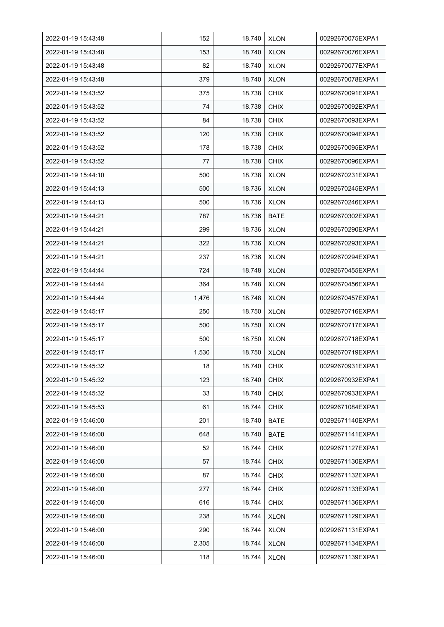| 2022-01-19 15:43:48 | 152   | 18.740 | <b>XLON</b> | 00292670075EXPA1 |
|---------------------|-------|--------|-------------|------------------|
| 2022-01-19 15:43:48 | 153   | 18.740 | <b>XLON</b> | 00292670076EXPA1 |
| 2022-01-19 15:43:48 | 82    | 18.740 | <b>XLON</b> | 00292670077EXPA1 |
| 2022-01-19 15:43:48 | 379   | 18.740 | <b>XLON</b> | 00292670078EXPA1 |
| 2022-01-19 15:43:52 | 375   | 18.738 | <b>CHIX</b> | 00292670091EXPA1 |
| 2022-01-19 15:43:52 | 74    | 18.738 | <b>CHIX</b> | 00292670092EXPA1 |
| 2022-01-19 15:43:52 | 84    | 18.738 | <b>CHIX</b> | 00292670093EXPA1 |
| 2022-01-19 15:43:52 | 120   | 18.738 | <b>CHIX</b> | 00292670094EXPA1 |
| 2022-01-19 15:43:52 | 178   | 18.738 | <b>CHIX</b> | 00292670095EXPA1 |
| 2022-01-19 15:43:52 | 77    | 18.738 | <b>CHIX</b> | 00292670096EXPA1 |
| 2022-01-19 15:44:10 | 500   | 18.738 | <b>XLON</b> | 00292670231EXPA1 |
| 2022-01-19 15:44:13 | 500   | 18.736 | <b>XLON</b> | 00292670245EXPA1 |
| 2022-01-19 15:44:13 | 500   | 18.736 | <b>XLON</b> | 00292670246EXPA1 |
| 2022-01-19 15:44:21 | 787   | 18.736 | <b>BATE</b> | 00292670302EXPA1 |
| 2022-01-19 15:44:21 | 299   | 18.736 | <b>XLON</b> | 00292670290EXPA1 |
| 2022-01-19 15:44:21 | 322   | 18.736 | <b>XLON</b> | 00292670293EXPA1 |
| 2022-01-19 15:44:21 | 237   | 18.736 | <b>XLON</b> | 00292670294EXPA1 |
| 2022-01-19 15:44:44 | 724   | 18.748 | <b>XLON</b> | 00292670455EXPA1 |
| 2022-01-19 15:44:44 | 364   | 18.748 | <b>XLON</b> | 00292670456EXPA1 |
| 2022-01-19 15:44:44 | 1,476 | 18.748 | XLON        | 00292670457EXPA1 |
| 2022-01-19 15:45:17 | 250   | 18.750 | <b>XLON</b> | 00292670716EXPA1 |
| 2022-01-19 15:45:17 | 500   | 18.750 | <b>XLON</b> | 00292670717EXPA1 |
| 2022-01-19 15:45:17 | 500   | 18.750 | <b>XLON</b> | 00292670718EXPA1 |
| 2022-01-19 15:45:17 | 1,530 | 18.750 | <b>XLON</b> | 00292670719EXPA1 |
| 2022-01-19 15:45:32 | 18    | 18.740 | <b>CHIX</b> | 00292670931EXPA1 |
| 2022-01-19 15:45:32 | 123   | 18.740 | <b>CHIX</b> | 00292670932EXPA1 |
| 2022-01-19 15:45:32 | 33    | 18.740 | <b>CHIX</b> | 00292670933EXPA1 |
| 2022-01-19 15:45:53 | 61    | 18.744 | <b>CHIX</b> | 00292671084EXPA1 |
| 2022-01-19 15:46:00 | 201   | 18.740 | <b>BATE</b> | 00292671140EXPA1 |
| 2022-01-19 15:46:00 | 648   | 18.740 | <b>BATE</b> | 00292671141EXPA1 |
| 2022-01-19 15:46:00 | 52    | 18.744 | <b>CHIX</b> | 00292671127EXPA1 |
| 2022-01-19 15:46:00 | 57    | 18.744 | <b>CHIX</b> | 00292671130EXPA1 |
| 2022-01-19 15:46:00 | 87    | 18.744 | <b>CHIX</b> | 00292671132EXPA1 |
| 2022-01-19 15:46:00 | 277   | 18.744 | <b>CHIX</b> | 00292671133EXPA1 |
| 2022-01-19 15:46:00 | 616   | 18.744 | <b>CHIX</b> | 00292671136EXPA1 |
| 2022-01-19 15:46:00 | 238   | 18.744 | <b>XLON</b> | 00292671129EXPA1 |
| 2022-01-19 15:46:00 | 290   | 18.744 | <b>XLON</b> | 00292671131EXPA1 |
| 2022-01-19 15:46:00 | 2,305 | 18.744 | <b>XLON</b> | 00292671134EXPA1 |
| 2022-01-19 15:46:00 | 118   | 18.744 | <b>XLON</b> | 00292671139EXPA1 |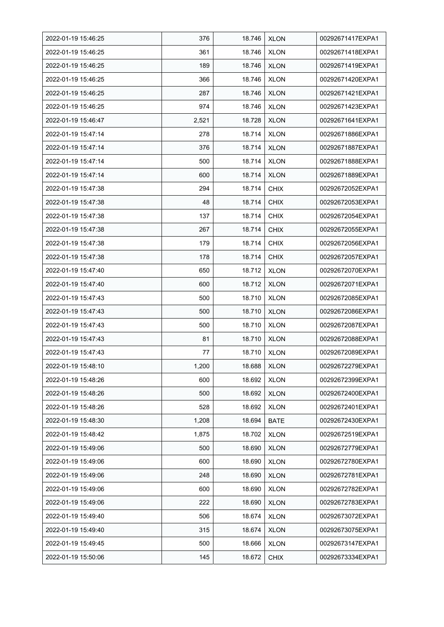| 2022-01-19 15:46:25 | 376   | 18.746 | <b>XLON</b> | 00292671417EXPA1 |
|---------------------|-------|--------|-------------|------------------|
| 2022-01-19 15:46:25 | 361   | 18.746 | <b>XLON</b> | 00292671418EXPA1 |
| 2022-01-19 15:46:25 | 189   | 18.746 | <b>XLON</b> | 00292671419EXPA1 |
| 2022-01-19 15:46:25 | 366   | 18.746 | <b>XLON</b> | 00292671420EXPA1 |
| 2022-01-19 15:46:25 | 287   | 18.746 | <b>XLON</b> | 00292671421EXPA1 |
| 2022-01-19 15:46:25 | 974   | 18.746 | <b>XLON</b> | 00292671423EXPA1 |
| 2022-01-19 15:46:47 | 2,521 | 18.728 | <b>XLON</b> | 00292671641EXPA1 |
| 2022-01-19 15:47:14 | 278   | 18.714 | <b>XLON</b> | 00292671886EXPA1 |
| 2022-01-19 15:47:14 | 376   | 18.714 | <b>XLON</b> | 00292671887EXPA1 |
| 2022-01-19 15:47:14 | 500   | 18.714 | <b>XLON</b> | 00292671888EXPA1 |
| 2022-01-19 15:47:14 | 600   | 18.714 | <b>XLON</b> | 00292671889EXPA1 |
| 2022-01-19 15:47:38 | 294   | 18.714 | <b>CHIX</b> | 00292672052EXPA1 |
| 2022-01-19 15:47:38 | 48    | 18.714 | <b>CHIX</b> | 00292672053EXPA1 |
| 2022-01-19 15:47:38 | 137   | 18.714 | <b>CHIX</b> | 00292672054EXPA1 |
| 2022-01-19 15:47:38 | 267   | 18.714 | <b>CHIX</b> | 00292672055EXPA1 |
| 2022-01-19 15:47:38 | 179   | 18.714 | <b>CHIX</b> | 00292672056EXPA1 |
| 2022-01-19 15:47:38 | 178   | 18.714 | <b>CHIX</b> | 00292672057EXPA1 |
| 2022-01-19 15:47:40 | 650   | 18.712 | <b>XLON</b> | 00292672070EXPA1 |
| 2022-01-19 15:47:40 | 600   | 18.712 | <b>XLON</b> | 00292672071EXPA1 |
| 2022-01-19 15:47:43 | 500   | 18.710 | <b>XLON</b> | 00292672085EXPA1 |
| 2022-01-19 15:47:43 | 500   | 18.710 | <b>XLON</b> | 00292672086EXPA1 |
| 2022-01-19 15:47:43 | 500   | 18.710 | <b>XLON</b> | 00292672087EXPA1 |
| 2022-01-19 15:47:43 | 81    | 18.710 | <b>XLON</b> | 00292672088EXPA1 |
| 2022-01-19 15:47:43 | 77    | 18.710 | <b>XLON</b> | 00292672089EXPA1 |
| 2022-01-19 15:48:10 | 1,200 | 18.688 | <b>XLON</b> | 00292672279EXPA1 |
| 2022-01-19 15:48:26 | 600   | 18.692 | <b>XLON</b> | 00292672399EXPA1 |
| 2022-01-19 15:48:26 | 500   | 18.692 | <b>XLON</b> | 00292672400EXPA1 |
| 2022-01-19 15:48:26 | 528   | 18.692 | <b>XLON</b> | 00292672401EXPA1 |
| 2022-01-19 15:48:30 | 1,208 | 18.694 | BATE        | 00292672430EXPA1 |
| 2022-01-19 15:48:42 | 1,875 | 18.702 | <b>XLON</b> | 00292672519EXPA1 |
| 2022-01-19 15:49:06 | 500   | 18.690 | <b>XLON</b> | 00292672779EXPA1 |
| 2022-01-19 15:49:06 | 600   | 18.690 | <b>XLON</b> | 00292672780EXPA1 |
| 2022-01-19 15:49:06 | 248   | 18.690 | <b>XLON</b> | 00292672781EXPA1 |
| 2022-01-19 15:49:06 | 600   | 18.690 | <b>XLON</b> | 00292672782EXPA1 |
| 2022-01-19 15:49:06 | 222   | 18.690 | <b>XLON</b> | 00292672783EXPA1 |
| 2022-01-19 15:49:40 | 506   | 18.674 | <b>XLON</b> | 00292673072EXPA1 |
| 2022-01-19 15:49:40 | 315   | 18.674 | <b>XLON</b> | 00292673075EXPA1 |
| 2022-01-19 15:49:45 | 500   | 18.666 | <b>XLON</b> | 00292673147EXPA1 |
| 2022-01-19 15:50:06 | 145   | 18.672 | <b>CHIX</b> | 00292673334EXPA1 |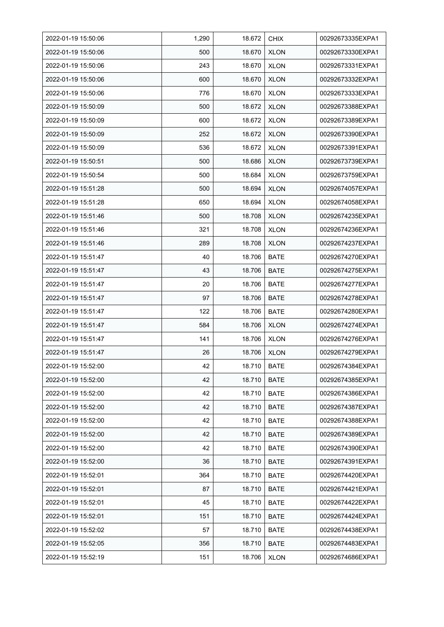| 2022-01-19 15:50:06 | 1,290 | 18.672 | <b>CHIX</b> | 00292673335EXPA1 |
|---------------------|-------|--------|-------------|------------------|
| 2022-01-19 15:50:06 | 500   | 18.670 | <b>XLON</b> | 00292673330EXPA1 |
| 2022-01-19 15:50:06 | 243   | 18.670 | <b>XLON</b> | 00292673331EXPA1 |
| 2022-01-19 15:50:06 | 600   | 18.670 | <b>XLON</b> | 00292673332EXPA1 |
| 2022-01-19 15:50:06 | 776   | 18.670 | <b>XLON</b> | 00292673333EXPA1 |
| 2022-01-19 15:50:09 | 500   | 18.672 | <b>XLON</b> | 00292673388EXPA1 |
| 2022-01-19 15:50:09 | 600   | 18.672 | <b>XLON</b> | 00292673389EXPA1 |
| 2022-01-19 15:50:09 | 252   | 18.672 | <b>XLON</b> | 00292673390EXPA1 |
| 2022-01-19 15:50:09 | 536   | 18.672 | <b>XLON</b> | 00292673391EXPA1 |
| 2022-01-19 15:50:51 | 500   | 18.686 | <b>XLON</b> | 00292673739EXPA1 |
| 2022-01-19 15:50:54 | 500   | 18.684 | <b>XLON</b> | 00292673759EXPA1 |
| 2022-01-19 15:51:28 | 500   | 18.694 | <b>XLON</b> | 00292674057EXPA1 |
| 2022-01-19 15:51:28 | 650   | 18.694 | <b>XLON</b> | 00292674058EXPA1 |
| 2022-01-19 15:51:46 | 500   | 18.708 | <b>XLON</b> | 00292674235EXPA1 |
| 2022-01-19 15:51:46 | 321   | 18.708 | <b>XLON</b> | 00292674236EXPA1 |
| 2022-01-19 15:51:46 | 289   | 18.708 | <b>XLON</b> | 00292674237EXPA1 |
| 2022-01-19 15:51:47 | 40    | 18.706 | <b>BATE</b> | 00292674270EXPA1 |
| 2022-01-19 15:51:47 | 43    | 18.706 | <b>BATE</b> | 00292674275EXPA1 |
| 2022-01-19 15:51:47 | 20    | 18.706 | <b>BATE</b> | 00292674277EXPA1 |
| 2022-01-19 15:51:47 | 97    | 18.706 | <b>BATE</b> | 00292674278EXPA1 |
| 2022-01-19 15:51:47 | 122   | 18.706 | <b>BATE</b> | 00292674280EXPA1 |
| 2022-01-19 15:51:47 | 584   | 18.706 | <b>XLON</b> | 00292674274EXPA1 |
| 2022-01-19 15:51:47 | 141   | 18.706 | <b>XLON</b> | 00292674276EXPA1 |
| 2022-01-19 15:51:47 | 26    | 18.706 | <b>XLON</b> | 00292674279EXPA1 |
| 2022-01-19 15:52:00 | 42    | 18.710 | <b>BATE</b> | 00292674384EXPA1 |
| 2022-01-19 15:52:00 | 42    | 18.710 | <b>BATE</b> | 00292674385EXPA1 |
| 2022-01-19 15:52:00 | 42    | 18.710 | <b>BATE</b> | 00292674386EXPA1 |
| 2022-01-19 15:52:00 | 42    | 18.710 | <b>BATE</b> | 00292674387EXPA1 |
| 2022-01-19 15:52:00 | 42    | 18.710 | <b>BATE</b> | 00292674388EXPA1 |
| 2022-01-19 15:52:00 | 42    | 18.710 | <b>BATE</b> | 00292674389EXPA1 |
| 2022-01-19 15:52:00 | 42    | 18.710 | <b>BATE</b> | 00292674390EXPA1 |
| 2022-01-19 15:52:00 | 36    | 18.710 | <b>BATE</b> | 00292674391EXPA1 |
| 2022-01-19 15:52:01 | 364   | 18.710 | <b>BATE</b> | 00292674420EXPA1 |
| 2022-01-19 15:52:01 | 87    | 18.710 | <b>BATE</b> | 00292674421EXPA1 |
| 2022-01-19 15:52:01 | 45    | 18.710 | BATE        | 00292674422EXPA1 |
| 2022-01-19 15:52:01 | 151   | 18.710 | BATE        | 00292674424EXPA1 |
| 2022-01-19 15:52:02 | 57    | 18.710 | <b>BATE</b> | 00292674438EXPA1 |
| 2022-01-19 15:52:05 | 356   | 18.710 | BATE        | 00292674483EXPA1 |
| 2022-01-19 15:52:19 | 151   | 18.706 | <b>XLON</b> | 00292674686EXPA1 |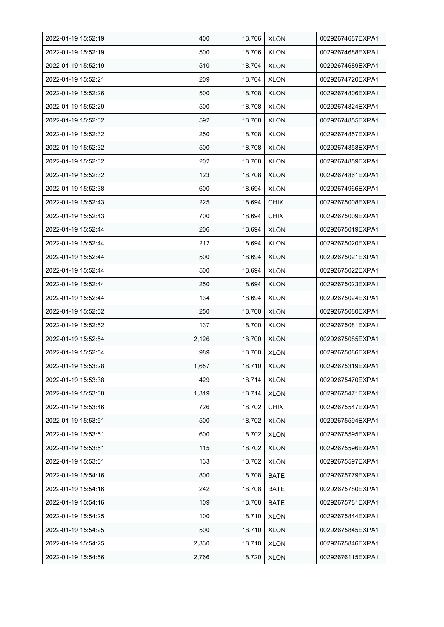| 2022-01-19 15:52:19 | 400   | 18.706 | <b>XLON</b> | 00292674687EXPA1 |
|---------------------|-------|--------|-------------|------------------|
| 2022-01-19 15:52:19 | 500   | 18.706 | <b>XLON</b> | 00292674688EXPA1 |
| 2022-01-19 15:52:19 | 510   | 18.704 | <b>XLON</b> | 00292674689EXPA1 |
| 2022-01-19 15:52:21 | 209   | 18.704 | <b>XLON</b> | 00292674720EXPA1 |
| 2022-01-19 15:52:26 | 500   | 18.708 | <b>XLON</b> | 00292674806EXPA1 |
| 2022-01-19 15:52:29 | 500   | 18.708 | <b>XLON</b> | 00292674824EXPA1 |
| 2022-01-19 15:52:32 | 592   | 18.708 | <b>XLON</b> | 00292674855EXPA1 |
| 2022-01-19 15:52:32 | 250   | 18.708 | <b>XLON</b> | 00292674857EXPA1 |
| 2022-01-19 15:52:32 | 500   | 18.708 | <b>XLON</b> | 00292674858EXPA1 |
| 2022-01-19 15:52:32 | 202   | 18.708 | <b>XLON</b> | 00292674859EXPA1 |
| 2022-01-19 15:52:32 | 123   | 18.708 | <b>XLON</b> | 00292674861EXPA1 |
| 2022-01-19 15:52:38 | 600   | 18.694 | <b>XLON</b> | 00292674966EXPA1 |
| 2022-01-19 15:52:43 | 225   | 18.694 | <b>CHIX</b> | 00292675008EXPA1 |
| 2022-01-19 15:52:43 | 700   | 18.694 | <b>CHIX</b> | 00292675009EXPA1 |
| 2022-01-19 15:52:44 | 206   | 18.694 | <b>XLON</b> | 00292675019EXPA1 |
| 2022-01-19 15:52:44 | 212   | 18.694 | <b>XLON</b> | 00292675020EXPA1 |
| 2022-01-19 15:52:44 | 500   | 18.694 | <b>XLON</b> | 00292675021EXPA1 |
| 2022-01-19 15:52:44 | 500   | 18.694 | <b>XLON</b> | 00292675022EXPA1 |
| 2022-01-19 15:52:44 | 250   | 18.694 | <b>XLON</b> | 00292675023EXPA1 |
| 2022-01-19 15:52:44 | 134   | 18.694 | <b>XLON</b> | 00292675024EXPA1 |
| 2022-01-19 15:52:52 | 250   | 18.700 | <b>XLON</b> | 00292675080EXPA1 |
| 2022-01-19 15:52:52 | 137   | 18.700 | <b>XLON</b> | 00292675081EXPA1 |
| 2022-01-19 15:52:54 | 2,126 | 18.700 | <b>XLON</b> | 00292675085EXPA1 |
| 2022-01-19 15:52:54 | 989   | 18.700 | <b>XLON</b> | 00292675086EXPA1 |
| 2022-01-19 15:53:28 | 1,657 | 18.710 | <b>XLON</b> | 00292675319EXPA1 |
| 2022-01-19 15:53:38 | 429   | 18.714 | <b>XLON</b> | 00292675470EXPA1 |
| 2022-01-19 15:53:38 | 1,319 | 18.714 | <b>XLON</b> | 00292675471EXPA1 |
| 2022-01-19 15:53:46 | 726   | 18.702 | <b>CHIX</b> | 00292675547EXPA1 |
| 2022-01-19 15:53:51 | 500   | 18.702 | <b>XLON</b> | 00292675594EXPA1 |
| 2022-01-19 15:53:51 | 600   | 18.702 | <b>XLON</b> | 00292675595EXPA1 |
| 2022-01-19 15:53:51 | 115   | 18.702 | <b>XLON</b> | 00292675596EXPA1 |
| 2022-01-19 15:53:51 | 133   | 18.702 | <b>XLON</b> | 00292675597EXPA1 |
| 2022-01-19 15:54:16 | 800   | 18.708 | <b>BATE</b> | 00292675779EXPA1 |
| 2022-01-19 15:54:16 | 242   | 18.708 | <b>BATE</b> | 00292675780EXPA1 |
| 2022-01-19 15:54:16 | 109   | 18.708 | <b>BATE</b> | 00292675781EXPA1 |
| 2022-01-19 15:54:25 | 100   | 18.710 | <b>XLON</b> | 00292675844EXPA1 |
| 2022-01-19 15:54:25 | 500   | 18.710 | <b>XLON</b> | 00292675845EXPA1 |
| 2022-01-19 15:54:25 | 2,330 | 18.710 | <b>XLON</b> | 00292675846EXPA1 |
| 2022-01-19 15:54:56 | 2,766 | 18.720 | <b>XLON</b> | 00292676115EXPA1 |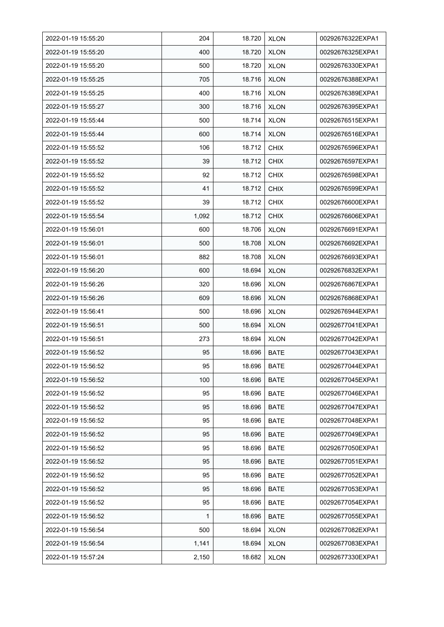| 2022-01-19 15:55:20 | 204   | 18.720 | <b>XLON</b> | 00292676322EXPA1 |
|---------------------|-------|--------|-------------|------------------|
| 2022-01-19 15:55:20 | 400   | 18.720 | <b>XLON</b> | 00292676325EXPA1 |
| 2022-01-19 15:55:20 | 500   | 18.720 | <b>XLON</b> | 00292676330EXPA1 |
| 2022-01-19 15:55:25 | 705   | 18.716 | <b>XLON</b> | 00292676388EXPA1 |
| 2022-01-19 15:55:25 | 400   | 18.716 | <b>XLON</b> | 00292676389EXPA1 |
| 2022-01-19 15:55:27 | 300   | 18.716 | <b>XLON</b> | 00292676395EXPA1 |
| 2022-01-19 15:55:44 | 500   | 18.714 | <b>XLON</b> | 00292676515EXPA1 |
| 2022-01-19 15:55:44 | 600   | 18.714 | <b>XLON</b> | 00292676516EXPA1 |
| 2022-01-19 15:55:52 | 106   | 18.712 | <b>CHIX</b> | 00292676596EXPA1 |
| 2022-01-19 15:55:52 | 39    | 18.712 | <b>CHIX</b> | 00292676597EXPA1 |
| 2022-01-19 15:55:52 | 92    | 18.712 | <b>CHIX</b> | 00292676598EXPA1 |
| 2022-01-19 15:55:52 | 41    | 18.712 | <b>CHIX</b> | 00292676599EXPA1 |
| 2022-01-19 15:55:52 | 39    | 18.712 | <b>CHIX</b> | 00292676600EXPA1 |
| 2022-01-19 15:55:54 | 1,092 | 18.712 | <b>CHIX</b> | 00292676606EXPA1 |
| 2022-01-19 15:56:01 | 600   | 18.706 | <b>XLON</b> | 00292676691EXPA1 |
| 2022-01-19 15:56:01 | 500   | 18.708 | <b>XLON</b> | 00292676692EXPA1 |
| 2022-01-19 15:56:01 | 882   | 18.708 | <b>XLON</b> | 00292676693EXPA1 |
| 2022-01-19 15:56:20 | 600   | 18.694 | <b>XLON</b> | 00292676832EXPA1 |
| 2022-01-19 15:56:26 | 320   | 18.696 | <b>XLON</b> | 00292676867EXPA1 |
| 2022-01-19 15:56:26 | 609   | 18.696 | <b>XLON</b> | 00292676868EXPA1 |
| 2022-01-19 15:56:41 | 500   | 18.696 | <b>XLON</b> | 00292676944EXPA1 |
| 2022-01-19 15:56:51 | 500   | 18.694 | <b>XLON</b> | 00292677041EXPA1 |
| 2022-01-19 15:56:51 | 273   | 18.694 | <b>XLON</b> | 00292677042EXPA1 |
| 2022-01-19 15:56:52 | 95    | 18.696 | <b>BATE</b> | 00292677043EXPA1 |
| 2022-01-19 15:56:52 | 95    | 18.696 | <b>BATE</b> | 00292677044EXPA1 |
| 2022-01-19 15:56:52 | 100   | 18.696 | <b>BATE</b> | 00292677045EXPA1 |
| 2022-01-19 15:56:52 | 95    | 18.696 | BATE        | 00292677046EXPA1 |
| 2022-01-19 15:56:52 | 95    | 18.696 | BATE        | 00292677047EXPA1 |
| 2022-01-19 15:56:52 | 95    | 18.696 | <b>BATE</b> | 00292677048EXPA1 |
| 2022-01-19 15:56:52 | 95    | 18.696 | BATE        | 00292677049EXPA1 |
| 2022-01-19 15:56:52 | 95    | 18.696 | BATE        | 00292677050EXPA1 |
| 2022-01-19 15:56:52 | 95    | 18.696 | <b>BATE</b> | 00292677051EXPA1 |
| 2022-01-19 15:56:52 | 95    | 18.696 | <b>BATE</b> | 00292677052EXPA1 |
| 2022-01-19 15:56:52 | 95    | 18.696 | <b>BATE</b> | 00292677053EXPA1 |
| 2022-01-19 15:56:52 | 95    | 18.696 | BATE        | 00292677054EXPA1 |
| 2022-01-19 15:56:52 | 1     | 18.696 | BATE        | 00292677055EXPA1 |
| 2022-01-19 15:56:54 | 500   | 18.694 | <b>XLON</b> | 00292677082EXPA1 |
| 2022-01-19 15:56:54 | 1,141 | 18.694 | <b>XLON</b> | 00292677083EXPA1 |
| 2022-01-19 15:57:24 | 2,150 | 18.682 | <b>XLON</b> | 00292677330EXPA1 |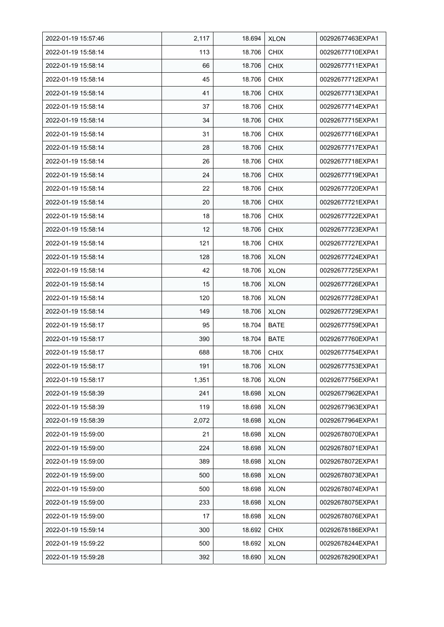| 2022-01-19 15:57:46 | 2,117 | 18.694 | <b>XLON</b> | 00292677463EXPA1 |
|---------------------|-------|--------|-------------|------------------|
| 2022-01-19 15:58:14 | 113   | 18.706 | <b>CHIX</b> | 00292677710EXPA1 |
| 2022-01-19 15:58:14 | 66    | 18.706 | <b>CHIX</b> | 00292677711EXPA1 |
| 2022-01-19 15:58:14 | 45    | 18.706 | <b>CHIX</b> | 00292677712EXPA1 |
| 2022-01-19 15:58:14 | 41    | 18.706 | <b>CHIX</b> | 00292677713EXPA1 |
| 2022-01-19 15:58:14 | 37    | 18.706 | <b>CHIX</b> | 00292677714EXPA1 |
| 2022-01-19 15:58:14 | 34    | 18.706 | <b>CHIX</b> | 00292677715EXPA1 |
| 2022-01-19 15:58:14 | 31    | 18.706 | <b>CHIX</b> | 00292677716EXPA1 |
| 2022-01-19 15:58:14 | 28    | 18.706 | <b>CHIX</b> | 00292677717EXPA1 |
| 2022-01-19 15:58:14 | 26    | 18.706 | <b>CHIX</b> | 00292677718EXPA1 |
| 2022-01-19 15:58:14 | 24    | 18.706 | <b>CHIX</b> | 00292677719EXPA1 |
| 2022-01-19 15:58:14 | 22    | 18.706 | <b>CHIX</b> | 00292677720EXPA1 |
| 2022-01-19 15:58:14 | 20    | 18.706 | <b>CHIX</b> | 00292677721EXPA1 |
| 2022-01-19 15:58:14 | 18    | 18.706 | <b>CHIX</b> | 00292677722EXPA1 |
| 2022-01-19 15:58:14 | 12    | 18.706 | <b>CHIX</b> | 00292677723EXPA1 |
| 2022-01-19 15:58:14 | 121   | 18.706 | <b>CHIX</b> | 00292677727EXPA1 |
| 2022-01-19 15:58:14 | 128   | 18.706 | <b>XLON</b> | 00292677724EXPA1 |
| 2022-01-19 15:58:14 | 42    | 18.706 | <b>XLON</b> | 00292677725EXPA1 |
| 2022-01-19 15:58:14 | 15    | 18.706 | <b>XLON</b> | 00292677726EXPA1 |
| 2022-01-19 15:58:14 | 120   | 18.706 | <b>XLON</b> | 00292677728EXPA1 |
| 2022-01-19 15:58:14 | 149   | 18.706 | <b>XLON</b> | 00292677729EXPA1 |
| 2022-01-19 15:58:17 | 95    | 18.704 | <b>BATE</b> | 00292677759EXPA1 |
| 2022-01-19 15:58:17 | 390   | 18.704 | <b>BATE</b> | 00292677760EXPA1 |
| 2022-01-19 15:58:17 | 688   | 18.706 | <b>CHIX</b> | 00292677754EXPA1 |
| 2022-01-19 15:58:17 | 191   | 18.706 | <b>XLON</b> | 00292677753EXPA1 |
| 2022-01-19 15:58:17 | 1,351 | 18.706 | <b>XLON</b> | 00292677756EXPA1 |
| 2022-01-19 15:58:39 | 241   | 18.698 | <b>XLON</b> | 00292677962EXPA1 |
| 2022-01-19 15:58:39 | 119   | 18.698 | <b>XLON</b> | 00292677963EXPA1 |
| 2022-01-19 15:58:39 | 2,072 | 18.698 | <b>XLON</b> | 00292677964EXPA1 |
| 2022-01-19 15:59:00 | 21    | 18.698 | <b>XLON</b> | 00292678070EXPA1 |
| 2022-01-19 15:59:00 | 224   | 18.698 | <b>XLON</b> | 00292678071EXPA1 |
| 2022-01-19 15:59:00 | 389   | 18.698 | <b>XLON</b> | 00292678072EXPA1 |
| 2022-01-19 15:59:00 | 500   | 18.698 | <b>XLON</b> | 00292678073EXPA1 |
| 2022-01-19 15:59:00 | 500   | 18.698 | <b>XLON</b> | 00292678074EXPA1 |
| 2022-01-19 15:59:00 | 233   | 18.698 | <b>XLON</b> | 00292678075EXPA1 |
| 2022-01-19 15:59:00 | 17    | 18.698 | <b>XLON</b> | 00292678076EXPA1 |
| 2022-01-19 15:59:14 | 300   | 18.692 | <b>CHIX</b> | 00292678186EXPA1 |
| 2022-01-19 15:59:22 | 500   | 18.692 | <b>XLON</b> | 00292678244EXPA1 |
| 2022-01-19 15:59:28 | 392   | 18.690 | <b>XLON</b> | 00292678290EXPA1 |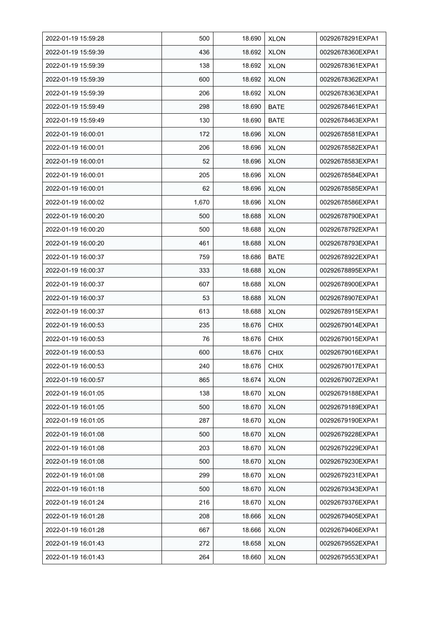| 2022-01-19 15:59:28 | 500   | 18.690 | <b>XLON</b> | 00292678291EXPA1 |
|---------------------|-------|--------|-------------|------------------|
| 2022-01-19 15:59:39 | 436   | 18.692 | <b>XLON</b> | 00292678360EXPA1 |
| 2022-01-19 15:59:39 | 138   | 18.692 | <b>XLON</b> | 00292678361EXPA1 |
| 2022-01-19 15:59:39 | 600   | 18.692 | <b>XLON</b> | 00292678362EXPA1 |
| 2022-01-19 15:59:39 | 206   | 18.692 | <b>XLON</b> | 00292678363EXPA1 |
| 2022-01-19 15:59:49 | 298   | 18.690 | <b>BATE</b> | 00292678461EXPA1 |
| 2022-01-19 15:59:49 | 130   | 18.690 | <b>BATE</b> | 00292678463EXPA1 |
| 2022-01-19 16:00:01 | 172   | 18.696 | <b>XLON</b> | 00292678581EXPA1 |
| 2022-01-19 16:00:01 | 206   | 18.696 | <b>XLON</b> | 00292678582EXPA1 |
| 2022-01-19 16:00:01 | 52    | 18.696 | <b>XLON</b> | 00292678583EXPA1 |
| 2022-01-19 16:00:01 | 205   | 18.696 | <b>XLON</b> | 00292678584EXPA1 |
| 2022-01-19 16:00:01 | 62    | 18.696 | <b>XLON</b> | 00292678585EXPA1 |
| 2022-01-19 16:00:02 | 1,670 | 18.696 | <b>XLON</b> | 00292678586EXPA1 |
| 2022-01-19 16:00:20 | 500   | 18.688 | <b>XLON</b> | 00292678790EXPA1 |
| 2022-01-19 16:00:20 | 500   | 18.688 | <b>XLON</b> | 00292678792EXPA1 |
| 2022-01-19 16:00:20 | 461   | 18.688 | <b>XLON</b> | 00292678793EXPA1 |
| 2022-01-19 16:00:37 | 759   | 18.686 | <b>BATE</b> | 00292678922EXPA1 |
| 2022-01-19 16:00:37 | 333   | 18.688 | <b>XLON</b> | 00292678895EXPA1 |
| 2022-01-19 16:00:37 | 607   | 18.688 | <b>XLON</b> | 00292678900EXPA1 |
| 2022-01-19 16:00:37 | 53    | 18.688 | <b>XLON</b> | 00292678907EXPA1 |
| 2022-01-19 16:00:37 | 613   | 18.688 | <b>XLON</b> | 00292678915EXPA1 |
| 2022-01-19 16:00:53 | 235   | 18.676 | <b>CHIX</b> | 00292679014EXPA1 |
| 2022-01-19 16:00:53 | 76    | 18.676 | <b>CHIX</b> | 00292679015EXPA1 |
| 2022-01-19 16:00:53 | 600   | 18.676 | <b>CHIX</b> | 00292679016EXPA1 |
| 2022-01-19 16:00:53 | 240   | 18.676 | <b>CHIX</b> | 00292679017EXPA1 |
| 2022-01-19 16:00:57 | 865   | 18.674 | <b>XLON</b> | 00292679072EXPA1 |
| 2022-01-19 16:01:05 | 138   | 18.670 | <b>XLON</b> | 00292679188EXPA1 |
| 2022-01-19 16:01:05 | 500   | 18.670 | <b>XLON</b> | 00292679189EXPA1 |
| 2022-01-19 16:01:05 | 287   | 18.670 | <b>XLON</b> | 00292679190EXPA1 |
| 2022-01-19 16:01:08 | 500   | 18.670 | <b>XLON</b> | 00292679228EXPA1 |
| 2022-01-19 16:01:08 | 203   | 18.670 | <b>XLON</b> | 00292679229EXPA1 |
| 2022-01-19 16:01:08 | 500   | 18.670 | <b>XLON</b> | 00292679230EXPA1 |
| 2022-01-19 16:01:08 | 299   | 18.670 | <b>XLON</b> | 00292679231EXPA1 |
| 2022-01-19 16:01:18 | 500   | 18.670 | <b>XLON</b> | 00292679343EXPA1 |
| 2022-01-19 16:01:24 | 216   | 18.670 | <b>XLON</b> | 00292679376EXPA1 |
| 2022-01-19 16:01:28 | 208   | 18.666 | <b>XLON</b> | 00292679405EXPA1 |
| 2022-01-19 16:01:28 | 667   | 18.666 | <b>XLON</b> | 00292679406EXPA1 |
| 2022-01-19 16:01:43 | 272   | 18.658 | <b>XLON</b> | 00292679552EXPA1 |
| 2022-01-19 16:01:43 | 264   | 18.660 | <b>XLON</b> | 00292679553EXPA1 |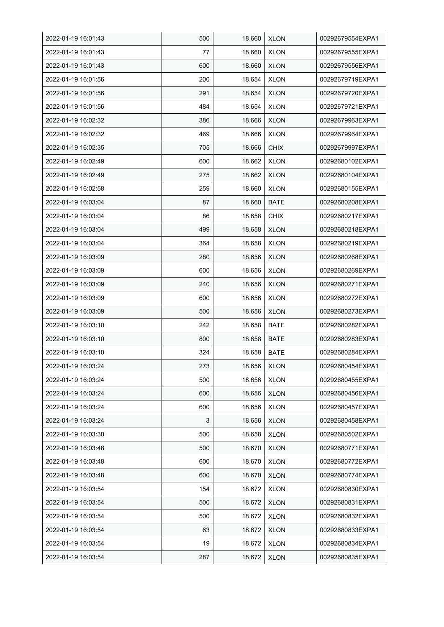| 2022-01-19 16:01:43 | 500 | 18.660 | <b>XLON</b> | 00292679554EXPA1 |
|---------------------|-----|--------|-------------|------------------|
| 2022-01-19 16:01:43 | 77  | 18.660 | <b>XLON</b> | 00292679555EXPA1 |
| 2022-01-19 16:01:43 | 600 | 18.660 | <b>XLON</b> | 00292679556EXPA1 |
| 2022-01-19 16:01:56 | 200 | 18.654 | <b>XLON</b> | 00292679719EXPA1 |
| 2022-01-19 16:01:56 | 291 | 18.654 | <b>XLON</b> | 00292679720EXPA1 |
| 2022-01-19 16:01:56 | 484 | 18.654 | <b>XLON</b> | 00292679721EXPA1 |
| 2022-01-19 16:02:32 | 386 | 18.666 | <b>XLON</b> | 00292679963EXPA1 |
| 2022-01-19 16:02:32 | 469 | 18.666 | <b>XLON</b> | 00292679964EXPA1 |
| 2022-01-19 16:02:35 | 705 | 18.666 | <b>CHIX</b> | 00292679997EXPA1 |
| 2022-01-19 16:02:49 | 600 | 18.662 | <b>XLON</b> | 00292680102EXPA1 |
| 2022-01-19 16:02:49 | 275 | 18.662 | <b>XLON</b> | 00292680104EXPA1 |
| 2022-01-19 16:02:58 | 259 | 18.660 | <b>XLON</b> | 00292680155EXPA1 |
| 2022-01-19 16:03:04 | 87  | 18.660 | <b>BATE</b> | 00292680208EXPA1 |
| 2022-01-19 16:03:04 | 86  | 18.658 | <b>CHIX</b> | 00292680217EXPA1 |
| 2022-01-19 16:03:04 | 499 | 18.658 | <b>XLON</b> | 00292680218EXPA1 |
| 2022-01-19 16:03:04 | 364 | 18.658 | <b>XLON</b> | 00292680219EXPA1 |
| 2022-01-19 16:03:09 | 280 | 18.656 | <b>XLON</b> | 00292680268EXPA1 |
| 2022-01-19 16:03:09 | 600 | 18.656 | <b>XLON</b> | 00292680269EXPA1 |
| 2022-01-19 16:03:09 | 240 | 18.656 | <b>XLON</b> | 00292680271EXPA1 |
| 2022-01-19 16:03:09 | 600 | 18.656 | <b>XLON</b> | 00292680272EXPA1 |
| 2022-01-19 16:03:09 | 500 | 18.656 | <b>XLON</b> | 00292680273EXPA1 |
| 2022-01-19 16:03:10 | 242 | 18.658 | <b>BATE</b> | 00292680282EXPA1 |
| 2022-01-19 16:03:10 | 800 | 18.658 | <b>BATE</b> | 00292680283EXPA1 |
| 2022-01-19 16:03:10 | 324 | 18.658 | <b>BATE</b> | 00292680284EXPA1 |
| 2022-01-19 16:03:24 | 273 | 18.656 | <b>XLON</b> | 00292680454EXPA1 |
| 2022-01-19 16:03:24 | 500 | 18.656 | <b>XLON</b> | 00292680455EXPA1 |
| 2022-01-19 16:03:24 | 600 | 18.656 | <b>XLON</b> | 00292680456EXPA1 |
| 2022-01-19 16:03:24 | 600 | 18.656 | <b>XLON</b> | 00292680457EXPA1 |
| 2022-01-19 16:03:24 | 3   | 18.656 | <b>XLON</b> | 00292680458EXPA1 |
| 2022-01-19 16:03:30 | 500 | 18.658 | <b>XLON</b> | 00292680502EXPA1 |
| 2022-01-19 16:03:48 | 500 | 18.670 | <b>XLON</b> | 00292680771EXPA1 |
| 2022-01-19 16:03:48 | 600 | 18.670 | <b>XLON</b> | 00292680772EXPA1 |
| 2022-01-19 16:03:48 | 600 | 18.670 | <b>XLON</b> | 00292680774EXPA1 |
| 2022-01-19 16:03:54 | 154 | 18.672 | <b>XLON</b> | 00292680830EXPA1 |
| 2022-01-19 16:03:54 | 500 | 18.672 | <b>XLON</b> | 00292680831EXPA1 |
| 2022-01-19 16:03:54 | 500 | 18.672 | <b>XLON</b> | 00292680832EXPA1 |
| 2022-01-19 16:03:54 | 63  | 18.672 | <b>XLON</b> | 00292680833EXPA1 |
| 2022-01-19 16:03:54 | 19  | 18.672 | <b>XLON</b> | 00292680834EXPA1 |
| 2022-01-19 16:03:54 | 287 | 18.672 | <b>XLON</b> | 00292680835EXPA1 |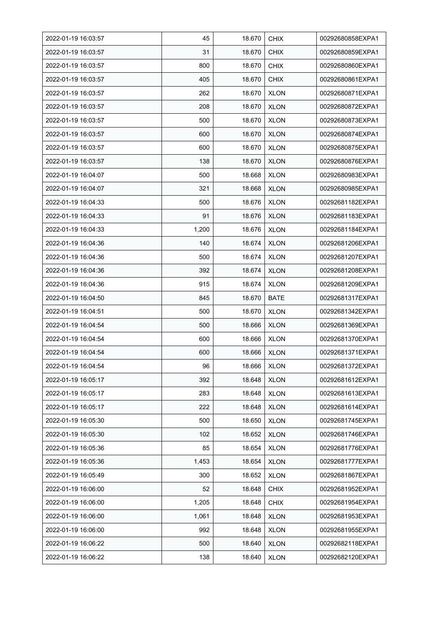| 2022-01-19 16:03:57 | 45    | 18.670 | <b>CHIX</b> | 00292680858EXPA1 |
|---------------------|-------|--------|-------------|------------------|
| 2022-01-19 16:03:57 | 31    | 18.670 | <b>CHIX</b> | 00292680859EXPA1 |
| 2022-01-19 16:03:57 | 800   | 18.670 | <b>CHIX</b> | 00292680860EXPA1 |
| 2022-01-19 16:03:57 | 405   | 18.670 | <b>CHIX</b> | 00292680861EXPA1 |
| 2022-01-19 16:03:57 | 262   | 18.670 | <b>XLON</b> | 00292680871EXPA1 |
| 2022-01-19 16:03:57 | 208   | 18.670 | <b>XLON</b> | 00292680872EXPA1 |
| 2022-01-19 16:03:57 | 500   | 18.670 | <b>XLON</b> | 00292680873EXPA1 |
| 2022-01-19 16:03:57 | 600   | 18.670 | <b>XLON</b> | 00292680874EXPA1 |
| 2022-01-19 16:03:57 | 600   | 18.670 | <b>XLON</b> | 00292680875EXPA1 |
| 2022-01-19 16:03:57 | 138   | 18.670 | <b>XLON</b> | 00292680876EXPA1 |
| 2022-01-19 16:04:07 | 500   | 18.668 | <b>XLON</b> | 00292680983EXPA1 |
| 2022-01-19 16:04:07 | 321   | 18.668 | <b>XLON</b> | 00292680985EXPA1 |
| 2022-01-19 16:04:33 | 500   | 18.676 | <b>XLON</b> | 00292681182EXPA1 |
| 2022-01-19 16:04:33 | 91    | 18.676 | <b>XLON</b> | 00292681183EXPA1 |
| 2022-01-19 16:04:33 | 1,200 | 18.676 | <b>XLON</b> | 00292681184EXPA1 |
| 2022-01-19 16:04:36 | 140   | 18.674 | <b>XLON</b> | 00292681206EXPA1 |
| 2022-01-19 16:04:36 | 500   | 18.674 | <b>XLON</b> | 00292681207EXPA1 |
| 2022-01-19 16:04:36 | 392   | 18.674 | <b>XLON</b> | 00292681208EXPA1 |
| 2022-01-19 16:04:36 | 915   | 18.674 | <b>XLON</b> | 00292681209EXPA1 |
| 2022-01-19 16:04:50 | 845   | 18.670 | <b>BATE</b> | 00292681317EXPA1 |
| 2022-01-19 16:04:51 | 500   | 18.670 | <b>XLON</b> | 00292681342EXPA1 |
| 2022-01-19 16:04:54 | 500   | 18.666 | <b>XLON</b> | 00292681369EXPA1 |
| 2022-01-19 16:04:54 | 600   | 18.666 | <b>XLON</b> | 00292681370EXPA1 |
| 2022-01-19 16:04:54 | 600   | 18.666 | <b>XLON</b> | 00292681371EXPA1 |
| 2022-01-19 16:04:54 | 96    | 18.666 | <b>XLON</b> | 00292681372EXPA1 |
| 2022-01-19 16:05:17 | 392   | 18.648 | <b>XLON</b> | 00292681612EXPA1 |
| 2022-01-19 16:05:17 | 283   | 18.648 | <b>XLON</b> | 00292681613EXPA1 |
| 2022-01-19 16:05:17 | 222   | 18.648 | <b>XLON</b> | 00292681614EXPA1 |
| 2022-01-19 16:05:30 | 500   | 18.650 | <b>XLON</b> | 00292681745EXPA1 |
| 2022-01-19 16:05:30 | 102   | 18.652 | <b>XLON</b> | 00292681746EXPA1 |
| 2022-01-19 16:05:36 | 85    | 18.654 | <b>XLON</b> | 00292681776EXPA1 |
| 2022-01-19 16:05:36 | 1,453 | 18.654 | <b>XLON</b> | 00292681777EXPA1 |
| 2022-01-19 16:05:49 | 300   | 18.652 | <b>XLON</b> | 00292681867EXPA1 |
| 2022-01-19 16:06:00 | 52    | 18.648 | <b>CHIX</b> | 00292681952EXPA1 |
| 2022-01-19 16:06:00 | 1,205 | 18.648 | <b>CHIX</b> | 00292681954EXPA1 |
| 2022-01-19 16:06:00 | 1,061 | 18.648 | <b>XLON</b> | 00292681953EXPA1 |
| 2022-01-19 16:06:00 | 992   | 18.648 | <b>XLON</b> | 00292681955EXPA1 |
| 2022-01-19 16:06:22 | 500   | 18.640 | <b>XLON</b> | 00292682118EXPA1 |
| 2022-01-19 16:06:22 | 138   | 18.640 | <b>XLON</b> | 00292682120EXPA1 |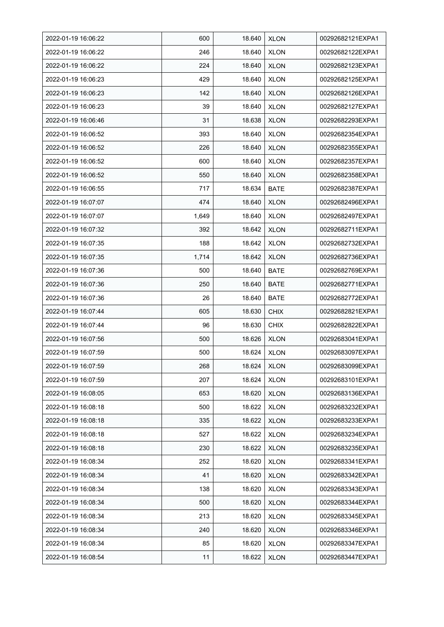| 2022-01-19 16:06:22 | 600   | 18.640 | <b>XLON</b> | 00292682121EXPA1 |
|---------------------|-------|--------|-------------|------------------|
| 2022-01-19 16:06:22 | 246   | 18.640 | <b>XLON</b> | 00292682122EXPA1 |
| 2022-01-19 16:06:22 | 224   | 18.640 | <b>XLON</b> | 00292682123EXPA1 |
| 2022-01-19 16:06:23 | 429   | 18.640 | <b>XLON</b> | 00292682125EXPA1 |
| 2022-01-19 16:06:23 | 142   | 18.640 | <b>XLON</b> | 00292682126EXPA1 |
| 2022-01-19 16:06:23 | 39    | 18.640 | <b>XLON</b> | 00292682127EXPA1 |
| 2022-01-19 16:06:46 | 31    | 18.638 | <b>XLON</b> | 00292682293EXPA1 |
| 2022-01-19 16:06:52 | 393   | 18.640 | <b>XLON</b> | 00292682354EXPA1 |
| 2022-01-19 16:06:52 | 226   | 18.640 | <b>XLON</b> | 00292682355EXPA1 |
| 2022-01-19 16:06:52 | 600   | 18.640 | <b>XLON</b> | 00292682357EXPA1 |
| 2022-01-19 16:06:52 | 550   | 18.640 | <b>XLON</b> | 00292682358EXPA1 |
| 2022-01-19 16:06:55 | 717   | 18.634 | <b>BATE</b> | 00292682387EXPA1 |
| 2022-01-19 16:07:07 | 474   | 18.640 | <b>XLON</b> | 00292682496EXPA1 |
| 2022-01-19 16:07:07 | 1,649 | 18.640 | <b>XLON</b> | 00292682497EXPA1 |
| 2022-01-19 16:07:32 | 392   | 18.642 | <b>XLON</b> | 00292682711EXPA1 |
| 2022-01-19 16:07:35 | 188   | 18.642 | <b>XLON</b> | 00292682732EXPA1 |
| 2022-01-19 16:07:35 | 1,714 | 18.642 | <b>XLON</b> | 00292682736EXPA1 |
| 2022-01-19 16:07:36 | 500   | 18.640 | BATE        | 00292682769EXPA1 |
| 2022-01-19 16:07:36 | 250   | 18.640 | <b>BATE</b> | 00292682771EXPA1 |
| 2022-01-19 16:07:36 | 26    | 18.640 | <b>BATE</b> | 00292682772EXPA1 |
| 2022-01-19 16:07:44 | 605   | 18.630 | <b>CHIX</b> | 00292682821EXPA1 |
| 2022-01-19 16:07:44 | 96    | 18.630 | <b>CHIX</b> | 00292682822EXPA1 |
| 2022-01-19 16:07:56 | 500   | 18.626 | <b>XLON</b> | 00292683041EXPA1 |
| 2022-01-19 16:07:59 | 500   | 18.624 | <b>XLON</b> | 00292683097EXPA1 |
| 2022-01-19 16:07:59 | 268   | 18.624 | <b>XLON</b> | 00292683099EXPA1 |
| 2022-01-19 16:07:59 | 207   | 18.624 | <b>XLON</b> | 00292683101EXPA1 |
| 2022-01-19 16:08:05 | 653   | 18.620 | <b>XLON</b> | 00292683136EXPA1 |
| 2022-01-19 16:08:18 | 500   | 18.622 | <b>XLON</b> | 00292683232EXPA1 |
| 2022-01-19 16:08:18 | 335   | 18.622 | <b>XLON</b> | 00292683233EXPA1 |
| 2022-01-19 16:08:18 | 527   | 18.622 | <b>XLON</b> | 00292683234EXPA1 |
| 2022-01-19 16:08:18 | 230   | 18.622 | <b>XLON</b> | 00292683235EXPA1 |
| 2022-01-19 16:08:34 | 252   | 18.620 | <b>XLON</b> | 00292683341EXPA1 |
| 2022-01-19 16:08:34 | 41    | 18.620 | <b>XLON</b> | 00292683342EXPA1 |
| 2022-01-19 16:08:34 | 138   | 18.620 | <b>XLON</b> | 00292683343EXPA1 |
| 2022-01-19 16:08:34 | 500   | 18.620 | <b>XLON</b> | 00292683344EXPA1 |
| 2022-01-19 16:08:34 | 213   | 18.620 | <b>XLON</b> | 00292683345EXPA1 |
| 2022-01-19 16:08:34 | 240   | 18.620 | <b>XLON</b> | 00292683346EXPA1 |
| 2022-01-19 16:08:34 | 85    | 18.620 | <b>XLON</b> | 00292683347EXPA1 |
| 2022-01-19 16:08:54 | 11    | 18.622 | <b>XLON</b> | 00292683447EXPA1 |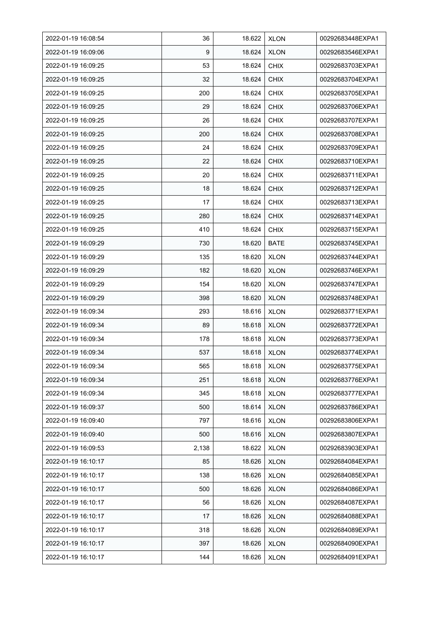| 2022-01-19 16:08:54 | 36    | 18.622 | <b>XLON</b> | 00292683448EXPA1 |
|---------------------|-------|--------|-------------|------------------|
| 2022-01-19 16:09:06 | 9     | 18.624 | <b>XLON</b> | 00292683546EXPA1 |
| 2022-01-19 16:09:25 | 53    | 18.624 | <b>CHIX</b> | 00292683703EXPA1 |
| 2022-01-19 16:09:25 | 32    | 18.624 | <b>CHIX</b> | 00292683704EXPA1 |
| 2022-01-19 16:09:25 | 200   | 18.624 | <b>CHIX</b> | 00292683705EXPA1 |
| 2022-01-19 16:09:25 | 29    | 18.624 | <b>CHIX</b> | 00292683706EXPA1 |
| 2022-01-19 16:09:25 | 26    | 18.624 | <b>CHIX</b> | 00292683707EXPA1 |
| 2022-01-19 16:09:25 | 200   | 18.624 | <b>CHIX</b> | 00292683708EXPA1 |
| 2022-01-19 16:09:25 | 24    | 18.624 | <b>CHIX</b> | 00292683709EXPA1 |
| 2022-01-19 16:09:25 | 22    | 18.624 | <b>CHIX</b> | 00292683710EXPA1 |
| 2022-01-19 16:09:25 | 20    | 18.624 | <b>CHIX</b> | 00292683711EXPA1 |
| 2022-01-19 16:09:25 | 18    | 18.624 | <b>CHIX</b> | 00292683712EXPA1 |
| 2022-01-19 16:09:25 | 17    | 18.624 | <b>CHIX</b> | 00292683713EXPA1 |
| 2022-01-19 16:09:25 | 280   | 18.624 | <b>CHIX</b> | 00292683714EXPA1 |
| 2022-01-19 16:09:25 | 410   | 18.624 | <b>CHIX</b> | 00292683715EXPA1 |
| 2022-01-19 16:09:29 | 730   | 18.620 | BATE        | 00292683745EXPA1 |
| 2022-01-19 16:09:29 | 135   | 18.620 | <b>XLON</b> | 00292683744EXPA1 |
| 2022-01-19 16:09:29 | 182   | 18.620 | <b>XLON</b> | 00292683746EXPA1 |
| 2022-01-19 16:09:29 | 154   | 18.620 | <b>XLON</b> | 00292683747EXPA1 |
| 2022-01-19 16:09:29 | 398   | 18.620 | <b>XLON</b> | 00292683748EXPA1 |
| 2022-01-19 16:09:34 | 293   | 18.616 | <b>XLON</b> | 00292683771EXPA1 |
| 2022-01-19 16:09:34 | 89    | 18.618 | <b>XLON</b> | 00292683772EXPA1 |
| 2022-01-19 16:09:34 | 178   | 18.618 | <b>XLON</b> | 00292683773EXPA1 |
| 2022-01-19 16:09:34 | 537   | 18.618 | <b>XLON</b> | 00292683774EXPA1 |
| 2022-01-19 16:09:34 | 565   | 18.618 | <b>XLON</b> | 00292683775EXPA1 |
| 2022-01-19 16:09:34 | 251   | 18.618 | <b>XLON</b> | 00292683776EXPA1 |
| 2022-01-19 16:09:34 | 345   | 18.618 | <b>XLON</b> | 00292683777EXPA1 |
| 2022-01-19 16:09:37 | 500   | 18.614 | <b>XLON</b> | 00292683786EXPA1 |
| 2022-01-19 16:09:40 | 797   | 18.616 | <b>XLON</b> | 00292683806EXPA1 |
| 2022-01-19 16:09:40 | 500   | 18.616 | <b>XLON</b> | 00292683807EXPA1 |
| 2022-01-19 16:09:53 | 2,138 | 18.622 | <b>XLON</b> | 00292683903EXPA1 |
| 2022-01-19 16:10:17 | 85    | 18.626 | <b>XLON</b> | 00292684084EXPA1 |
| 2022-01-19 16:10:17 | 138   | 18.626 | <b>XLON</b> | 00292684085EXPA1 |
| 2022-01-19 16:10:17 | 500   | 18.626 | <b>XLON</b> | 00292684086EXPA1 |
| 2022-01-19 16:10:17 | 56    | 18.626 | <b>XLON</b> | 00292684087EXPA1 |
| 2022-01-19 16:10:17 | 17    | 18.626 | <b>XLON</b> | 00292684088EXPA1 |
| 2022-01-19 16:10:17 | 318   | 18.626 | <b>XLON</b> | 00292684089EXPA1 |
| 2022-01-19 16:10:17 | 397   | 18.626 | <b>XLON</b> | 00292684090EXPA1 |
| 2022-01-19 16:10:17 | 144   | 18.626 | <b>XLON</b> | 00292684091EXPA1 |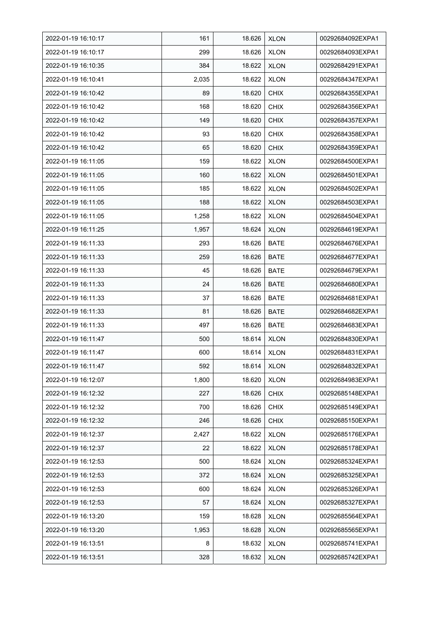| 2022-01-19 16:10:17 | 161   | 18.626 | <b>XLON</b> | 00292684092EXPA1 |
|---------------------|-------|--------|-------------|------------------|
| 2022-01-19 16:10:17 | 299   | 18.626 | <b>XLON</b> | 00292684093EXPA1 |
| 2022-01-19 16:10:35 | 384   | 18.622 | <b>XLON</b> | 00292684291EXPA1 |
| 2022-01-19 16:10:41 | 2,035 | 18.622 | <b>XLON</b> | 00292684347EXPA1 |
| 2022-01-19 16:10:42 | 89    | 18.620 | <b>CHIX</b> | 00292684355EXPA1 |
| 2022-01-19 16:10:42 | 168   | 18.620 | <b>CHIX</b> | 00292684356EXPA1 |
| 2022-01-19 16:10:42 | 149   | 18.620 | <b>CHIX</b> | 00292684357EXPA1 |
| 2022-01-19 16:10:42 | 93    | 18.620 | <b>CHIX</b> | 00292684358EXPA1 |
| 2022-01-19 16:10:42 | 65    | 18.620 | <b>CHIX</b> | 00292684359EXPA1 |
| 2022-01-19 16:11:05 | 159   | 18.622 | <b>XLON</b> | 00292684500EXPA1 |
| 2022-01-19 16:11:05 | 160   | 18.622 | <b>XLON</b> | 00292684501EXPA1 |
| 2022-01-19 16:11:05 | 185   | 18.622 | <b>XLON</b> | 00292684502EXPA1 |
| 2022-01-19 16:11:05 | 188   | 18.622 | <b>XLON</b> | 00292684503EXPA1 |
| 2022-01-19 16:11:05 | 1,258 | 18.622 | <b>XLON</b> | 00292684504EXPA1 |
| 2022-01-19 16:11:25 | 1,957 | 18.624 | <b>XLON</b> | 00292684619EXPA1 |
| 2022-01-19 16:11:33 | 293   | 18.626 | <b>BATE</b> | 00292684676EXPA1 |
| 2022-01-19 16:11:33 | 259   | 18.626 | <b>BATE</b> | 00292684677EXPA1 |
| 2022-01-19 16:11:33 | 45    | 18.626 | <b>BATE</b> | 00292684679EXPA1 |
| 2022-01-19 16:11:33 | 24    | 18.626 | <b>BATE</b> | 00292684680EXPA1 |
| 2022-01-19 16:11:33 | 37    | 18.626 | BATE        | 00292684681EXPA1 |
| 2022-01-19 16:11:33 | 81    | 18.626 | <b>BATE</b> | 00292684682EXPA1 |
| 2022-01-19 16:11:33 | 497   | 18.626 | <b>BATE</b> | 00292684683EXPA1 |
| 2022-01-19 16:11:47 | 500   | 18.614 | <b>XLON</b> | 00292684830EXPA1 |
| 2022-01-19 16:11:47 | 600   | 18.614 | <b>XLON</b> | 00292684831EXPA1 |
| 2022-01-19 16:11:47 | 592   | 18.614 | <b>XLON</b> | 00292684832EXPA1 |
| 2022-01-19 16:12:07 | 1,800 | 18.620 | <b>XLON</b> | 00292684983EXPA1 |
| 2022-01-19 16:12:32 | 227   | 18.626 | <b>CHIX</b> | 00292685148EXPA1 |
| 2022-01-19 16:12:32 | 700   | 18.626 | <b>CHIX</b> | 00292685149EXPA1 |
| 2022-01-19 16:12:32 | 246   | 18.626 | <b>CHIX</b> | 00292685150EXPA1 |
| 2022-01-19 16:12:37 | 2,427 | 18.622 | <b>XLON</b> | 00292685176EXPA1 |
| 2022-01-19 16:12:37 | 22    | 18.622 | <b>XLON</b> | 00292685178EXPA1 |
| 2022-01-19 16:12:53 | 500   | 18.624 | <b>XLON</b> | 00292685324EXPA1 |
| 2022-01-19 16:12:53 | 372   | 18.624 | <b>XLON</b> | 00292685325EXPA1 |
| 2022-01-19 16:12:53 | 600   | 18.624 | <b>XLON</b> | 00292685326EXPA1 |
| 2022-01-19 16:12:53 | 57    | 18.624 | <b>XLON</b> | 00292685327EXPA1 |
| 2022-01-19 16:13:20 | 159   | 18.628 | <b>XLON</b> | 00292685564EXPA1 |
| 2022-01-19 16:13:20 | 1,953 | 18.628 | <b>XLON</b> | 00292685565EXPA1 |
| 2022-01-19 16:13:51 | 8     | 18.632 | <b>XLON</b> | 00292685741EXPA1 |
| 2022-01-19 16:13:51 | 328   | 18.632 | <b>XLON</b> | 00292685742EXPA1 |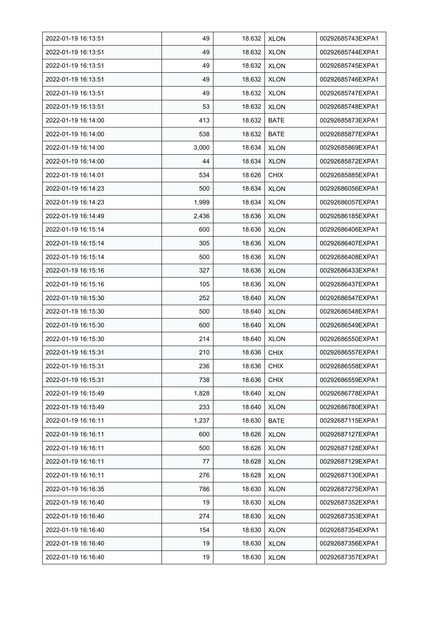| 2022-01-19 16:13:51 | 49    | 18.632 | <b>XLON</b> | 00292685743EXPA1 |
|---------------------|-------|--------|-------------|------------------|
| 2022-01-19 16:13:51 | 49    | 18.632 | <b>XLON</b> | 00292685744EXPA1 |
| 2022-01-19 16:13:51 | 49    | 18.632 | <b>XLON</b> | 00292685745EXPA1 |
| 2022-01-19 16:13:51 | 49    | 18.632 | <b>XLON</b> | 00292685746EXPA1 |
| 2022-01-19 16:13:51 | 49    | 18.632 | <b>XLON</b> | 00292685747EXPA1 |
| 2022-01-19 16:13:51 | 53    | 18.632 | <b>XLON</b> | 00292685748EXPA1 |
| 2022-01-19 16:14:00 | 413   | 18.632 | <b>BATE</b> | 00292685873EXPA1 |
| 2022-01-19 16:14:00 | 538   | 18.632 | <b>BATE</b> | 00292685877EXPA1 |
| 2022-01-19 16:14:00 | 3,000 | 18.634 | <b>XLON</b> | 00292685869EXPA1 |
| 2022-01-19 16:14:00 | 44    | 18.634 | <b>XLON</b> | 00292685872EXPA1 |
| 2022-01-19 16:14:01 | 534   | 18.626 | <b>CHIX</b> | 00292685885EXPA1 |
| 2022-01-19 16:14:23 | 500   | 18.634 | <b>XLON</b> | 00292686056EXPA1 |
| 2022-01-19 16:14:23 | 1,999 | 18.634 | <b>XLON</b> | 00292686057EXPA1 |
| 2022-01-19 16:14:49 | 2,436 | 18.636 | <b>XLON</b> | 00292686185EXPA1 |
| 2022-01-19 16:15:14 | 600   | 18.636 | <b>XLON</b> | 00292686406EXPA1 |
| 2022-01-19 16:15:14 | 305   | 18.636 | <b>XLON</b> | 00292686407EXPA1 |
| 2022-01-19 16:15:14 | 500   | 18.636 | <b>XLON</b> | 00292686408EXPA1 |
| 2022-01-19 16:15:16 | 327   | 18.636 | <b>XLON</b> | 00292686433EXPA1 |
| 2022-01-19 16:15:16 | 105   | 18.636 | <b>XLON</b> | 00292686437EXPA1 |
| 2022-01-19 16:15:30 | 252   | 18.640 | <b>XLON</b> | 00292686547EXPA1 |
| 2022-01-19 16:15:30 | 500   | 18.640 | <b>XLON</b> | 00292686548EXPA1 |
| 2022-01-19 16:15:30 | 600   | 18.640 | <b>XLON</b> | 00292686549EXPA1 |
| 2022-01-19 16:15:30 | 214   | 18.640 | <b>XLON</b> | 00292686550EXPA1 |
| 2022-01-19 16:15:31 | 210   | 18.636 | <b>CHIX</b> | 00292686557EXPA1 |
| 2022-01-19 16:15:31 | 236   | 18.636 | CHIX        | 00292686558EXPA1 |
| 2022-01-19 16:15:31 | 738   | 18.636 | <b>CHIX</b> | 00292686559EXPA1 |
| 2022-01-19 16:15:49 | 1,828 | 18.640 | <b>XLON</b> | 00292686778EXPA1 |
| 2022-01-19 16:15:49 | 233   | 18.640 | <b>XLON</b> | 00292686780EXPA1 |
| 2022-01-19 16:16:11 | 1,237 | 18.630 | <b>BATE</b> | 00292687115EXPA1 |
| 2022-01-19 16:16:11 | 600   | 18.626 | <b>XLON</b> | 00292687127EXPA1 |
| 2022-01-19 16:16:11 | 500   | 18.626 | <b>XLON</b> | 00292687128EXPA1 |
| 2022-01-19 16:16:11 | 77    | 18.628 | <b>XLON</b> | 00292687129EXPA1 |
| 2022-01-19 16:16:11 | 276   | 18.628 | <b>XLON</b> | 00292687130EXPA1 |
| 2022-01-19 16:16:35 | 786   | 18.630 | <b>XLON</b> | 00292687275EXPA1 |
| 2022-01-19 16:16:40 | 19    | 18.630 | <b>XLON</b> | 00292687352EXPA1 |
| 2022-01-19 16:16:40 | 274   | 18.630 | <b>XLON</b> | 00292687353EXPA1 |
| 2022-01-19 16:16:40 | 154   | 18.630 | <b>XLON</b> | 00292687354EXPA1 |
| 2022-01-19 16:16:40 | 19    | 18.630 | <b>XLON</b> | 00292687356EXPA1 |
| 2022-01-19 16:16:40 | 19    | 18.630 | <b>XLON</b> | 00292687357EXPA1 |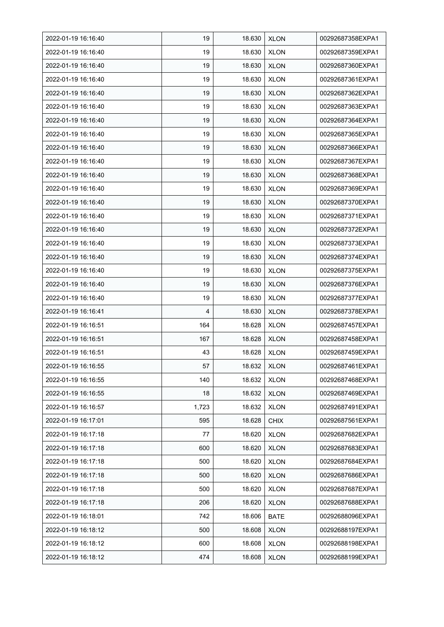| 2022-01-19 16:16:40 | 19    | 18.630 | <b>XLON</b> | 00292687358EXPA1 |
|---------------------|-------|--------|-------------|------------------|
| 2022-01-19 16:16:40 | 19    | 18.630 | <b>XLON</b> | 00292687359EXPA1 |
| 2022-01-19 16:16:40 | 19    | 18.630 | <b>XLON</b> | 00292687360EXPA1 |
| 2022-01-19 16:16:40 | 19    | 18.630 | <b>XLON</b> | 00292687361EXPA1 |
| 2022-01-19 16:16:40 | 19    | 18.630 | <b>XLON</b> | 00292687362EXPA1 |
| 2022-01-19 16:16:40 | 19    | 18.630 | <b>XLON</b> | 00292687363EXPA1 |
| 2022-01-19 16:16:40 | 19    | 18.630 | <b>XLON</b> | 00292687364EXPA1 |
| 2022-01-19 16:16:40 | 19    | 18.630 | <b>XLON</b> | 00292687365EXPA1 |
| 2022-01-19 16:16:40 | 19    | 18.630 | <b>XLON</b> | 00292687366EXPA1 |
| 2022-01-19 16:16:40 | 19    | 18.630 | <b>XLON</b> | 00292687367EXPA1 |
| 2022-01-19 16:16:40 | 19    | 18.630 | <b>XLON</b> | 00292687368EXPA1 |
| 2022-01-19 16:16:40 | 19    | 18.630 | <b>XLON</b> | 00292687369EXPA1 |
| 2022-01-19 16:16:40 | 19    | 18.630 | <b>XLON</b> | 00292687370EXPA1 |
| 2022-01-19 16:16:40 | 19    | 18.630 | <b>XLON</b> | 00292687371EXPA1 |
| 2022-01-19 16:16:40 | 19    | 18.630 | <b>XLON</b> | 00292687372EXPA1 |
| 2022-01-19 16:16:40 | 19    | 18.630 | <b>XLON</b> | 00292687373EXPA1 |
| 2022-01-19 16:16:40 | 19    | 18.630 | <b>XLON</b> | 00292687374EXPA1 |
| 2022-01-19 16:16:40 | 19    | 18.630 | <b>XLON</b> | 00292687375EXPA1 |
| 2022-01-19 16:16:40 | 19    | 18.630 | <b>XLON</b> | 00292687376EXPA1 |
| 2022-01-19 16:16:40 | 19    | 18.630 | <b>XLON</b> | 00292687377EXPA1 |
| 2022-01-19 16:16:41 | 4     | 18.630 | <b>XLON</b> | 00292687378EXPA1 |
| 2022-01-19 16:16:51 | 164   | 18.628 | <b>XLON</b> | 00292687457EXPA1 |
| 2022-01-19 16:16:51 | 167   | 18.628 | <b>XLON</b> | 00292687458EXPA1 |
| 2022-01-19 16:16:51 | 43    | 18.628 | <b>XLON</b> | 00292687459EXPA1 |
| 2022-01-19 16:16:55 | 57    | 18.632 | <b>XLON</b> | 00292687461EXPA1 |
| 2022-01-19 16:16:55 | 140   | 18.632 | <b>XLON</b> | 00292687468EXPA1 |
| 2022-01-19 16:16:55 | 18    | 18.632 | <b>XLON</b> | 00292687469EXPA1 |
| 2022-01-19 16:16:57 | 1,723 | 18.632 | <b>XLON</b> | 00292687491EXPA1 |
| 2022-01-19 16:17:01 | 595   | 18.628 | <b>CHIX</b> | 00292687561EXPA1 |
| 2022-01-19 16:17:18 | 77    | 18.620 | <b>XLON</b> | 00292687682EXPA1 |
| 2022-01-19 16:17:18 | 600   | 18.620 | <b>XLON</b> | 00292687683EXPA1 |
| 2022-01-19 16:17:18 | 500   | 18.620 | <b>XLON</b> | 00292687684EXPA1 |
| 2022-01-19 16:17:18 | 500   | 18.620 | <b>XLON</b> | 00292687686EXPA1 |
| 2022-01-19 16:17:18 | 500   | 18.620 | <b>XLON</b> | 00292687687EXPA1 |
| 2022-01-19 16:17:18 | 206   | 18.620 | <b>XLON</b> | 00292687688EXPA1 |
| 2022-01-19 16:18:01 | 742   | 18.606 | <b>BATE</b> | 00292688096EXPA1 |
| 2022-01-19 16:18:12 | 500   | 18.608 | <b>XLON</b> | 00292688197EXPA1 |
| 2022-01-19 16:18:12 | 600   | 18.608 | <b>XLON</b> | 00292688198EXPA1 |
| 2022-01-19 16:18:12 | 474   | 18.608 | <b>XLON</b> | 00292688199EXPA1 |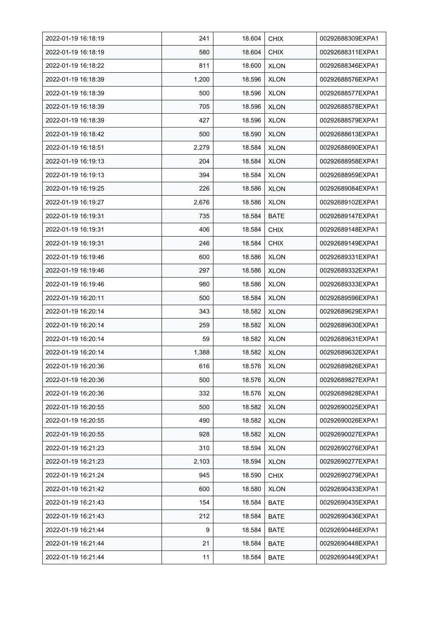| 2022-01-19 16:18:19 | 241   | 18.604 | <b>CHIX</b> | 00292688309EXPA1 |
|---------------------|-------|--------|-------------|------------------|
| 2022-01-19 16:18:19 | 580   | 18.604 | <b>CHIX</b> | 00292688311EXPA1 |
| 2022-01-19 16:18:22 | 811   | 18.600 | <b>XLON</b> | 00292688346EXPA1 |
| 2022-01-19 16:18:39 | 1,200 | 18.596 | <b>XLON</b> | 00292688576EXPA1 |
| 2022-01-19 16:18:39 | 500   | 18.596 | <b>XLON</b> | 00292688577EXPA1 |
| 2022-01-19 16:18:39 | 705   | 18.596 | <b>XLON</b> | 00292688578EXPA1 |
| 2022-01-19 16:18:39 | 427   | 18.596 | <b>XLON</b> | 00292688579EXPA1 |
| 2022-01-19 16:18:42 | 500   | 18.590 | <b>XLON</b> | 00292688613EXPA1 |
| 2022-01-19 16:18:51 | 2,279 | 18.584 | <b>XLON</b> | 00292688690EXPA1 |
| 2022-01-19 16:19:13 | 204   | 18.584 | <b>XLON</b> | 00292688958EXPA1 |
| 2022-01-19 16:19:13 | 394   | 18.584 | <b>XLON</b> | 00292688959EXPA1 |
| 2022-01-19 16:19:25 | 226   | 18.586 | <b>XLON</b> | 00292689084EXPA1 |
| 2022-01-19 16:19:27 | 2,676 | 18.586 | <b>XLON</b> | 00292689102EXPA1 |
| 2022-01-19 16:19:31 | 735   | 18.584 | <b>BATE</b> | 00292689147EXPA1 |
| 2022-01-19 16:19:31 | 406   | 18.584 | <b>CHIX</b> | 00292689148EXPA1 |
| 2022-01-19 16:19:31 | 246   | 18.584 | <b>CHIX</b> | 00292689149EXPA1 |
| 2022-01-19 16:19:46 | 600   | 18.586 | <b>XLON</b> | 00292689331EXPA1 |
| 2022-01-19 16:19:46 | 297   | 18.586 | <b>XLON</b> | 00292689332EXPA1 |
| 2022-01-19 16:19:46 | 980   | 18.586 | <b>XLON</b> | 00292689333EXPA1 |
| 2022-01-19 16:20:11 | 500   | 18.584 | <b>XLON</b> | 00292689596EXPA1 |
| 2022-01-19 16:20:14 | 343   | 18.582 | <b>XLON</b> | 00292689629EXPA1 |
| 2022-01-19 16:20:14 | 259   | 18.582 | <b>XLON</b> | 00292689630EXPA1 |
| 2022-01-19 16:20:14 | 59    | 18.582 | <b>XLON</b> | 00292689631EXPA1 |
| 2022-01-19 16:20:14 | 1,388 | 18.582 | <b>XLON</b> | 00292689632EXPA1 |
| 2022-01-19 16:20:36 | 616   | 18.576 | <b>XLON</b> | 00292689826EXPA1 |
| 2022-01-19 16:20:36 | 500   | 18.576 | <b>XLON</b> | 00292689827EXPA1 |
| 2022-01-19 16:20:36 | 332   | 18.576 | <b>XLON</b> | 00292689828EXPA1 |
| 2022-01-19 16:20:55 | 500   | 18.582 | <b>XLON</b> | 00292690025EXPA1 |
| 2022-01-19 16:20:55 | 490   | 18.582 | <b>XLON</b> | 00292690026EXPA1 |
| 2022-01-19 16:20:55 | 928   | 18.582 | <b>XLON</b> | 00292690027EXPA1 |
| 2022-01-19 16:21:23 | 310   | 18.594 | <b>XLON</b> | 00292690276EXPA1 |
| 2022-01-19 16:21:23 | 2,103 | 18.594 | <b>XLON</b> | 00292690277EXPA1 |
| 2022-01-19 16:21:24 | 945   | 18.590 | <b>CHIX</b> | 00292690279EXPA1 |
| 2022-01-19 16:21:42 | 600   | 18.580 | <b>XLON</b> | 00292690433EXPA1 |
| 2022-01-19 16:21:43 | 154   | 18.584 | <b>BATE</b> | 00292690435EXPA1 |
| 2022-01-19 16:21:43 | 212   | 18.584 | <b>BATE</b> | 00292690436EXPA1 |
| 2022-01-19 16:21:44 | 9     | 18.584 | BATE        | 00292690446EXPA1 |
| 2022-01-19 16:21:44 | 21    | 18.584 | <b>BATE</b> | 00292690448EXPA1 |
| 2022-01-19 16:21:44 | 11    | 18.584 | <b>BATE</b> | 00292690449EXPA1 |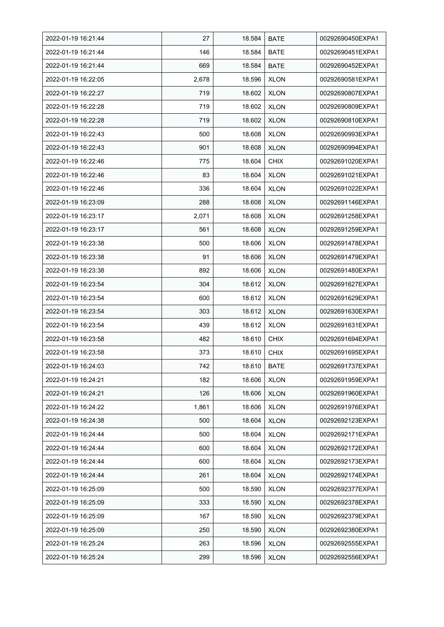| 2022-01-19 16:21:44 | 27    | 18.584 | <b>BATE</b> | 00292690450EXPA1 |
|---------------------|-------|--------|-------------|------------------|
| 2022-01-19 16:21:44 | 146   | 18.584 | <b>BATE</b> | 00292690451EXPA1 |
| 2022-01-19 16:21:44 | 669   | 18.584 | <b>BATE</b> | 00292690452EXPA1 |
| 2022-01-19 16:22:05 | 2,678 | 18.596 | <b>XLON</b> | 00292690581EXPA1 |
| 2022-01-19 16:22:27 | 719   | 18.602 | <b>XLON</b> | 00292690807EXPA1 |
| 2022-01-19 16:22:28 | 719   | 18.602 | <b>XLON</b> | 00292690809EXPA1 |
| 2022-01-19 16:22:28 | 719   | 18.602 | <b>XLON</b> | 00292690810EXPA1 |
| 2022-01-19 16:22:43 | 500   | 18.608 | <b>XLON</b> | 00292690993EXPA1 |
| 2022-01-19 16:22:43 | 901   | 18.608 | <b>XLON</b> | 00292690994EXPA1 |
| 2022-01-19 16:22:46 | 775   | 18.604 | <b>CHIX</b> | 00292691020EXPA1 |
| 2022-01-19 16:22:46 | 83    | 18.604 | <b>XLON</b> | 00292691021EXPA1 |
| 2022-01-19 16:22:46 | 336   | 18.604 | <b>XLON</b> | 00292691022EXPA1 |
| 2022-01-19 16:23:09 | 288   | 18.608 | <b>XLON</b> | 00292691146EXPA1 |
| 2022-01-19 16:23:17 | 2,071 | 18.608 | <b>XLON</b> | 00292691258EXPA1 |
| 2022-01-19 16:23:17 | 561   | 18.608 | <b>XLON</b> | 00292691259EXPA1 |
| 2022-01-19 16:23:38 | 500   | 18.606 | <b>XLON</b> | 00292691478EXPA1 |
| 2022-01-19 16:23:38 | 91    | 18.606 | <b>XLON</b> | 00292691479EXPA1 |
| 2022-01-19 16:23:38 | 892   | 18.606 | <b>XLON</b> | 00292691480EXPA1 |
| 2022-01-19 16:23:54 | 304   | 18.612 | <b>XLON</b> | 00292691627EXPA1 |
| 2022-01-19 16:23:54 | 600   | 18.612 | <b>XLON</b> | 00292691629EXPA1 |
| 2022-01-19 16:23:54 | 303   | 18.612 | <b>XLON</b> | 00292691630EXPA1 |
| 2022-01-19 16:23:54 | 439   | 18.612 | <b>XLON</b> | 00292691631EXPA1 |
| 2022-01-19 16:23:58 | 482   | 18.610 | <b>CHIX</b> | 00292691694EXPA1 |
| 2022-01-19 16:23:58 | 373   | 18.610 | <b>CHIX</b> | 00292691695EXPA1 |
| 2022-01-19 16:24:03 | 742   | 18.610 | <b>BATE</b> | 00292691737EXPA1 |
| 2022-01-19 16:24:21 | 182   | 18.606 | <b>XLON</b> | 00292691959EXPA1 |
| 2022-01-19 16:24:21 | 126   | 18.606 | <b>XLON</b> | 00292691960EXPA1 |
| 2022-01-19 16:24:22 | 1,861 | 18.606 | <b>XLON</b> | 00292691976EXPA1 |
| 2022-01-19 16:24:38 | 500   | 18.604 | <b>XLON</b> | 00292692123EXPA1 |
| 2022-01-19 16:24:44 | 500   | 18.604 | <b>XLON</b> | 00292692171EXPA1 |
| 2022-01-19 16:24:44 | 600   | 18.604 | <b>XLON</b> | 00292692172EXPA1 |
| 2022-01-19 16:24:44 | 600   | 18.604 | <b>XLON</b> | 00292692173EXPA1 |
| 2022-01-19 16:24:44 | 261   | 18.604 | <b>XLON</b> | 00292692174EXPA1 |
| 2022-01-19 16:25:09 | 500   | 18.590 | <b>XLON</b> | 00292692377EXPA1 |
| 2022-01-19 16:25:09 | 333   | 18.590 | <b>XLON</b> | 00292692378EXPA1 |
| 2022-01-19 16:25:09 | 167   | 18.590 | <b>XLON</b> | 00292692379EXPA1 |
| 2022-01-19 16:25:09 | 250   | 18.590 | <b>XLON</b> | 00292692380EXPA1 |
| 2022-01-19 16:25:24 | 263   | 18.596 | <b>XLON</b> | 00292692555EXPA1 |
| 2022-01-19 16:25:24 | 299   | 18.596 | <b>XLON</b> | 00292692556EXPA1 |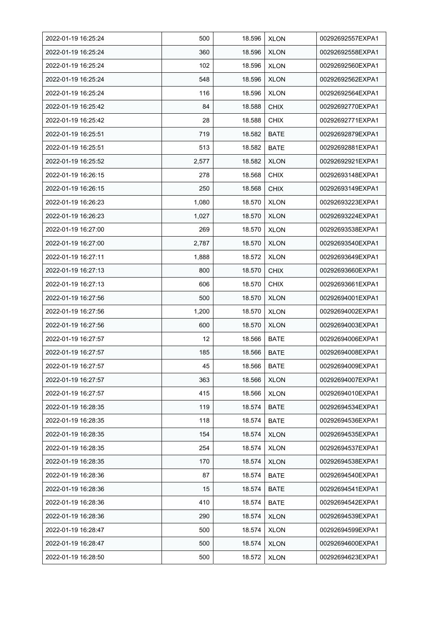| 2022-01-19 16:25:24 | 500   | 18.596 | <b>XLON</b> | 00292692557EXPA1 |
|---------------------|-------|--------|-------------|------------------|
| 2022-01-19 16:25:24 | 360   | 18.596 | <b>XLON</b> | 00292692558EXPA1 |
| 2022-01-19 16:25:24 | 102   | 18.596 | <b>XLON</b> | 00292692560EXPA1 |
| 2022-01-19 16:25:24 | 548   | 18.596 | <b>XLON</b> | 00292692562EXPA1 |
| 2022-01-19 16:25:24 | 116   | 18.596 | <b>XLON</b> | 00292692564EXPA1 |
| 2022-01-19 16:25:42 | 84    | 18.588 | <b>CHIX</b> | 00292692770EXPA1 |
| 2022-01-19 16:25:42 | 28    | 18.588 | <b>CHIX</b> | 00292692771EXPA1 |
| 2022-01-19 16:25:51 | 719   | 18.582 | <b>BATE</b> | 00292692879EXPA1 |
| 2022-01-19 16:25:51 | 513   | 18.582 | <b>BATE</b> | 00292692881EXPA1 |
| 2022-01-19 16:25:52 | 2,577 | 18.582 | <b>XLON</b> | 00292692921EXPA1 |
| 2022-01-19 16:26:15 | 278   | 18.568 | <b>CHIX</b> | 00292693148EXPA1 |
| 2022-01-19 16:26:15 | 250   | 18.568 | <b>CHIX</b> | 00292693149EXPA1 |
| 2022-01-19 16:26:23 | 1,080 | 18.570 | <b>XLON</b> | 00292693223EXPA1 |
| 2022-01-19 16:26:23 | 1,027 | 18.570 | <b>XLON</b> | 00292693224EXPA1 |
| 2022-01-19 16:27:00 | 269   | 18.570 | <b>XLON</b> | 00292693538EXPA1 |
| 2022-01-19 16:27:00 | 2,787 | 18.570 | <b>XLON</b> | 00292693540EXPA1 |
| 2022-01-19 16:27:11 | 1,888 | 18.572 | <b>XLON</b> | 00292693649EXPA1 |
| 2022-01-19 16:27:13 | 800   | 18.570 | <b>CHIX</b> | 00292693660EXPA1 |
| 2022-01-19 16:27:13 | 606   | 18.570 | <b>CHIX</b> | 00292693661EXPA1 |
| 2022-01-19 16:27:56 | 500   | 18.570 | <b>XLON</b> | 00292694001EXPA1 |
| 2022-01-19 16:27:56 | 1,200 | 18.570 | <b>XLON</b> | 00292694002EXPA1 |
| 2022-01-19 16:27:56 | 600   | 18.570 | <b>XLON</b> | 00292694003EXPA1 |
| 2022-01-19 16:27:57 | 12    | 18.566 | <b>BATE</b> | 00292694006EXPA1 |
| 2022-01-19 16:27:57 | 185   | 18.566 | <b>BATE</b> | 00292694008EXPA1 |
| 2022-01-19 16:27:57 | 45    | 18.566 | <b>BATE</b> | 00292694009EXPA1 |
| 2022-01-19 16:27:57 | 363   | 18.566 | <b>XLON</b> | 00292694007EXPA1 |
| 2022-01-19 16:27:57 | 415   | 18.566 | <b>XLON</b> | 00292694010EXPA1 |
| 2022-01-19 16:28:35 | 119   | 18.574 | BATE        | 00292694534EXPA1 |
| 2022-01-19 16:28:35 | 118   | 18.574 | <b>BATE</b> | 00292694536EXPA1 |
| 2022-01-19 16:28:35 | 154   | 18.574 | <b>XLON</b> | 00292694535EXPA1 |
| 2022-01-19 16:28:35 | 254   | 18.574 | <b>XLON</b> | 00292694537EXPA1 |
| 2022-01-19 16:28:35 | 170   | 18.574 | <b>XLON</b> | 00292694538EXPA1 |
| 2022-01-19 16:28:36 | 87    | 18.574 | <b>BATE</b> | 00292694540EXPA1 |
| 2022-01-19 16:28:36 | 15    | 18.574 | <b>BATE</b> | 00292694541EXPA1 |
| 2022-01-19 16:28:36 | 410   | 18.574 | <b>BATE</b> | 00292694542EXPA1 |
| 2022-01-19 16:28:36 | 290   | 18.574 | <b>XLON</b> | 00292694539EXPA1 |
| 2022-01-19 16:28:47 | 500   | 18.574 | <b>XLON</b> | 00292694599EXPA1 |
| 2022-01-19 16:28:47 | 500   | 18.574 | <b>XLON</b> | 00292694600EXPA1 |
| 2022-01-19 16:28:50 | 500   | 18.572 | <b>XLON</b> | 00292694623EXPA1 |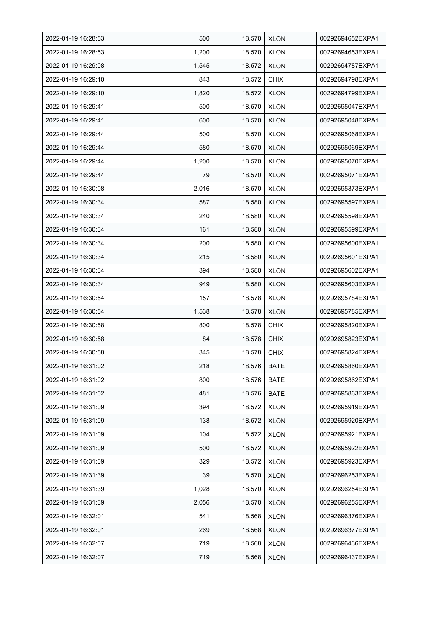| 2022-01-19 16:28:53 | 500   | 18.570 | <b>XLON</b> | 00292694652EXPA1 |
|---------------------|-------|--------|-------------|------------------|
| 2022-01-19 16:28:53 | 1,200 | 18.570 | <b>XLON</b> | 00292694653EXPA1 |
| 2022-01-19 16:29:08 | 1,545 | 18.572 | <b>XLON</b> | 00292694787EXPA1 |
| 2022-01-19 16:29:10 | 843   | 18.572 | <b>CHIX</b> | 00292694798EXPA1 |
| 2022-01-19 16:29:10 | 1,820 | 18.572 | <b>XLON</b> | 00292694799EXPA1 |
| 2022-01-19 16:29:41 | 500   | 18.570 | <b>XLON</b> | 00292695047EXPA1 |
| 2022-01-19 16:29:41 | 600   | 18.570 | <b>XLON</b> | 00292695048EXPA1 |
| 2022-01-19 16:29:44 | 500   | 18.570 | <b>XLON</b> | 00292695068EXPA1 |
| 2022-01-19 16:29:44 | 580   | 18.570 | <b>XLON</b> | 00292695069EXPA1 |
| 2022-01-19 16:29:44 | 1,200 | 18.570 | <b>XLON</b> | 00292695070EXPA1 |
| 2022-01-19 16:29:44 | 79    | 18.570 | <b>XLON</b> | 00292695071EXPA1 |
| 2022-01-19 16:30:08 | 2,016 | 18.570 | <b>XLON</b> | 00292695373EXPA1 |
| 2022-01-19 16:30:34 | 587   | 18.580 | <b>XLON</b> | 00292695597EXPA1 |
| 2022-01-19 16:30:34 | 240   | 18.580 | <b>XLON</b> | 00292695598EXPA1 |
| 2022-01-19 16:30:34 | 161   | 18.580 | <b>XLON</b> | 00292695599EXPA1 |
| 2022-01-19 16:30:34 | 200   | 18.580 | <b>XLON</b> | 00292695600EXPA1 |
| 2022-01-19 16:30:34 | 215   | 18.580 | <b>XLON</b> | 00292695601EXPA1 |
| 2022-01-19 16:30:34 | 394   | 18.580 | <b>XLON</b> | 00292695602EXPA1 |
| 2022-01-19 16:30:34 | 949   | 18.580 | <b>XLON</b> | 00292695603EXPA1 |
| 2022-01-19 16:30:54 | 157   | 18.578 | <b>XLON</b> | 00292695784EXPA1 |
| 2022-01-19 16:30:54 | 1,538 | 18.578 | <b>XLON</b> | 00292695785EXPA1 |
| 2022-01-19 16:30:58 | 800   | 18.578 | <b>CHIX</b> | 00292695820EXPA1 |
| 2022-01-19 16:30:58 | 84    | 18.578 | <b>CHIX</b> | 00292695823EXPA1 |
| 2022-01-19 16:30:58 | 345   | 18.578 | <b>CHIX</b> | 00292695824EXPA1 |
| 2022-01-19 16:31:02 | 218   | 18.576 | <b>BATE</b> | 00292695860EXPA1 |
| 2022-01-19 16:31:02 | 800   | 18.576 | <b>BATE</b> | 00292695862EXPA1 |
| 2022-01-19 16:31:02 | 481   | 18.576 | <b>BATE</b> | 00292695863EXPA1 |
| 2022-01-19 16:31:09 | 394   | 18.572 | <b>XLON</b> | 00292695919EXPA1 |
| 2022-01-19 16:31:09 | 138   | 18.572 | <b>XLON</b> | 00292695920EXPA1 |
| 2022-01-19 16:31:09 | 104   | 18.572 | <b>XLON</b> | 00292695921EXPA1 |
| 2022-01-19 16:31:09 | 500   | 18.572 | <b>XLON</b> | 00292695922EXPA1 |
| 2022-01-19 16:31:09 | 329   | 18.572 | <b>XLON</b> | 00292695923EXPA1 |
| 2022-01-19 16:31:39 | 39    | 18.570 | <b>XLON</b> | 00292696253EXPA1 |
| 2022-01-19 16:31:39 | 1,028 | 18.570 | <b>XLON</b> | 00292696254EXPA1 |
| 2022-01-19 16:31:39 | 2,056 | 18.570 | <b>XLON</b> | 00292696255EXPA1 |
| 2022-01-19 16:32:01 | 541   | 18.568 | <b>XLON</b> | 00292696376EXPA1 |
| 2022-01-19 16:32:01 | 269   | 18.568 | <b>XLON</b> | 00292696377EXPA1 |
| 2022-01-19 16:32:07 | 719   | 18.568 | <b>XLON</b> | 00292696436EXPA1 |
| 2022-01-19 16:32:07 | 719   | 18.568 | <b>XLON</b> | 00292696437EXPA1 |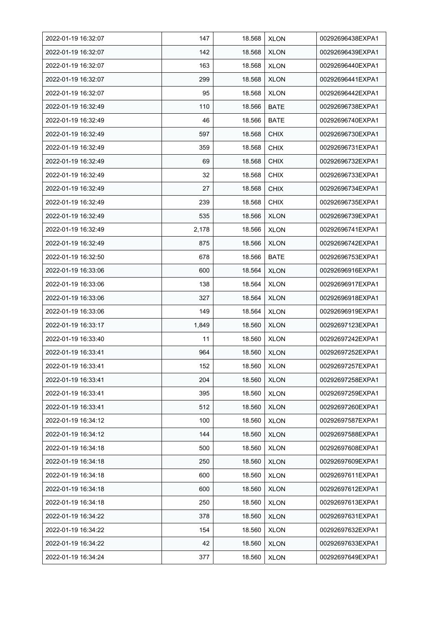| 2022-01-19 16:32:07 | 147   | 18.568 | <b>XLON</b> | 00292696438EXPA1 |
|---------------------|-------|--------|-------------|------------------|
| 2022-01-19 16:32:07 | 142   | 18.568 | <b>XLON</b> | 00292696439EXPA1 |
| 2022-01-19 16:32:07 | 163   | 18.568 | <b>XLON</b> | 00292696440EXPA1 |
| 2022-01-19 16:32:07 | 299   | 18.568 | <b>XLON</b> | 00292696441EXPA1 |
| 2022-01-19 16:32:07 | 95    | 18.568 | <b>XLON</b> | 00292696442EXPA1 |
| 2022-01-19 16:32:49 | 110   | 18.566 | <b>BATE</b> | 00292696738EXPA1 |
| 2022-01-19 16:32:49 | 46    | 18.566 | <b>BATE</b> | 00292696740EXPA1 |
| 2022-01-19 16:32:49 | 597   | 18.568 | <b>CHIX</b> | 00292696730EXPA1 |
| 2022-01-19 16:32:49 | 359   | 18.568 | <b>CHIX</b> | 00292696731EXPA1 |
| 2022-01-19 16:32:49 | 69    | 18.568 | <b>CHIX</b> | 00292696732EXPA1 |
| 2022-01-19 16:32:49 | 32    | 18.568 | <b>CHIX</b> | 00292696733EXPA1 |
| 2022-01-19 16:32:49 | 27    | 18.568 | <b>CHIX</b> | 00292696734EXPA1 |
| 2022-01-19 16:32:49 | 239   | 18.568 | <b>CHIX</b> | 00292696735EXPA1 |
| 2022-01-19 16:32:49 | 535   | 18.566 | <b>XLON</b> | 00292696739EXPA1 |
| 2022-01-19 16:32:49 | 2,178 | 18.566 | <b>XLON</b> | 00292696741EXPA1 |
| 2022-01-19 16:32:49 | 875   | 18.566 | <b>XLON</b> | 00292696742EXPA1 |
| 2022-01-19 16:32:50 | 678   | 18.566 | <b>BATE</b> | 00292696753EXPA1 |
| 2022-01-19 16:33:06 | 600   | 18.564 | <b>XLON</b> | 00292696916EXPA1 |
| 2022-01-19 16:33:06 | 138   | 18.564 | <b>XLON</b> | 00292696917EXPA1 |
| 2022-01-19 16:33:06 | 327   | 18.564 | <b>XLON</b> | 00292696918EXPA1 |
| 2022-01-19 16:33:06 | 149   | 18.564 | <b>XLON</b> | 00292696919EXPA1 |
| 2022-01-19 16:33:17 | 1,849 | 18.560 | <b>XLON</b> | 00292697123EXPA1 |
| 2022-01-19 16:33:40 | 11    | 18.560 | <b>XLON</b> | 00292697242EXPA1 |
| 2022-01-19 16:33:41 | 964   | 18.560 | <b>XLON</b> | 00292697252EXPA1 |
| 2022-01-19 16:33:41 | 152   | 18.560 | <b>XLON</b> | 00292697257EXPA1 |
| 2022-01-19 16:33:41 | 204   | 18.560 | <b>XLON</b> | 00292697258EXPA1 |
| 2022-01-19 16:33:41 | 395   | 18.560 | <b>XLON</b> | 00292697259EXPA1 |
| 2022-01-19 16:33:41 | 512   | 18.560 | <b>XLON</b> | 00292697260EXPA1 |
| 2022-01-19 16:34:12 | 100   | 18.560 | <b>XLON</b> | 00292697587EXPA1 |
| 2022-01-19 16:34:12 | 144   | 18.560 | <b>XLON</b> | 00292697588EXPA1 |
| 2022-01-19 16:34:18 | 500   | 18.560 | <b>XLON</b> | 00292697608EXPA1 |
| 2022-01-19 16:34:18 | 250   | 18.560 | <b>XLON</b> | 00292697609EXPA1 |
| 2022-01-19 16:34:18 | 600   | 18.560 | <b>XLON</b> | 00292697611EXPA1 |
| 2022-01-19 16:34:18 | 600   | 18.560 | <b>XLON</b> | 00292697612EXPA1 |
| 2022-01-19 16:34:18 | 250   | 18.560 | <b>XLON</b> | 00292697613EXPA1 |
| 2022-01-19 16:34:22 | 378   | 18.560 | <b>XLON</b> | 00292697631EXPA1 |
| 2022-01-19 16:34:22 | 154   | 18.560 | <b>XLON</b> | 00292697632EXPA1 |
| 2022-01-19 16:34:22 | 42    | 18.560 | <b>XLON</b> | 00292697633EXPA1 |
| 2022-01-19 16:34:24 | 377   | 18.560 | <b>XLON</b> | 00292697649EXPA1 |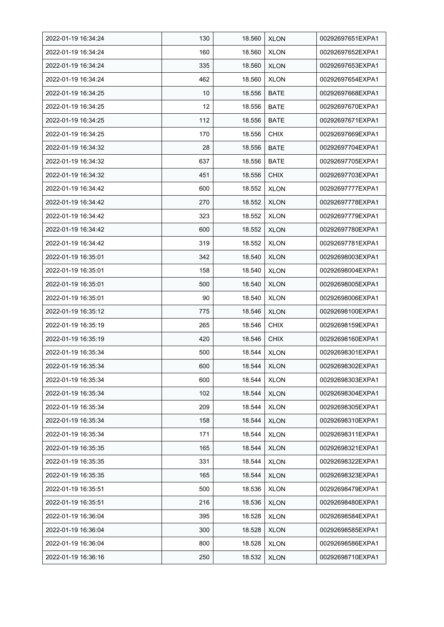| 2022-01-19 16:34:24 | 130 | 18.560 | <b>XLON</b> | 00292697651EXPA1 |
|---------------------|-----|--------|-------------|------------------|
| 2022-01-19 16:34:24 | 160 | 18.560 | <b>XLON</b> | 00292697652EXPA1 |
| 2022-01-19 16:34:24 | 335 | 18.560 | <b>XLON</b> | 00292697653EXPA1 |
| 2022-01-19 16:34:24 | 462 | 18.560 | <b>XLON</b> | 00292697654EXPA1 |
| 2022-01-19 16:34:25 | 10  | 18.556 | <b>BATE</b> | 00292697668EXPA1 |
| 2022-01-19 16:34:25 | 12  | 18.556 | <b>BATE</b> | 00292697670EXPA1 |
| 2022-01-19 16:34:25 | 112 | 18.556 | <b>BATE</b> | 00292697671EXPA1 |
| 2022-01-19 16:34:25 | 170 | 18.556 | <b>CHIX</b> | 00292697669EXPA1 |
| 2022-01-19 16:34:32 | 28  | 18.556 | <b>BATE</b> | 00292697704EXPA1 |
| 2022-01-19 16:34:32 | 637 | 18.556 | <b>BATE</b> | 00292697705EXPA1 |
| 2022-01-19 16:34:32 | 451 | 18.556 | <b>CHIX</b> | 00292697703EXPA1 |
| 2022-01-19 16:34:42 | 600 | 18.552 | <b>XLON</b> | 00292697777EXPA1 |
| 2022-01-19 16:34:42 | 270 | 18.552 | <b>XLON</b> | 00292697778EXPA1 |
| 2022-01-19 16:34:42 | 323 | 18.552 | <b>XLON</b> | 00292697779EXPA1 |
| 2022-01-19 16:34:42 | 600 | 18.552 | <b>XLON</b> | 00292697780EXPA1 |
| 2022-01-19 16:34:42 | 319 | 18.552 | <b>XLON</b> | 00292697781EXPA1 |
| 2022-01-19 16:35:01 | 342 | 18.540 | <b>XLON</b> | 00292698003EXPA1 |
| 2022-01-19 16:35:01 | 158 | 18.540 | <b>XLON</b> | 00292698004EXPA1 |
| 2022-01-19 16:35:01 | 500 | 18.540 | <b>XLON</b> | 00292698005EXPA1 |
| 2022-01-19 16:35:01 | 90  | 18.540 | <b>XLON</b> | 00292698006EXPA1 |
| 2022-01-19 16:35:12 | 775 | 18.546 | <b>XLON</b> | 00292698100EXPA1 |
| 2022-01-19 16:35:19 | 265 | 18.546 | <b>CHIX</b> | 00292698159EXPA1 |
| 2022-01-19 16:35:19 | 420 | 18.546 | <b>CHIX</b> | 00292698160EXPA1 |
| 2022-01-19 16:35:34 | 500 | 18.544 | <b>XLON</b> | 00292698301EXPA1 |
| 2022-01-19 16:35:34 | 600 | 18.544 | <b>XLON</b> | 00292698302EXPA1 |
| 2022-01-19 16:35:34 | 600 | 18.544 | <b>XLON</b> | 00292698303EXPA1 |
| 2022-01-19 16:35:34 | 102 | 18.544 | <b>XLON</b> | 00292698304EXPA1 |
| 2022-01-19 16:35:34 | 209 | 18.544 | <b>XLON</b> | 00292698305EXPA1 |
| 2022-01-19 16:35:34 | 158 | 18.544 | <b>XLON</b> | 00292698310EXPA1 |
| 2022-01-19 16:35:34 | 171 | 18.544 | <b>XLON</b> | 00292698311EXPA1 |
| 2022-01-19 16:35:35 | 165 | 18.544 | <b>XLON</b> | 00292698321EXPA1 |
| 2022-01-19 16:35:35 | 331 | 18.544 | <b>XLON</b> | 00292698322EXPA1 |
| 2022-01-19 16:35:35 | 165 | 18.544 | <b>XLON</b> | 00292698323EXPA1 |
| 2022-01-19 16:35:51 | 500 | 18.536 | <b>XLON</b> | 00292698479EXPA1 |
| 2022-01-19 16:35:51 | 216 | 18.536 | <b>XLON</b> | 00292698480EXPA1 |
| 2022-01-19 16:36:04 | 395 | 18.528 | <b>XLON</b> | 00292698584EXPA1 |
| 2022-01-19 16:36:04 | 300 | 18.528 | <b>XLON</b> | 00292698585EXPA1 |
| 2022-01-19 16:36:04 | 800 | 18.528 | <b>XLON</b> | 00292698586EXPA1 |
| 2022-01-19 16:36:16 | 250 | 18.532 | <b>XLON</b> | 00292698710EXPA1 |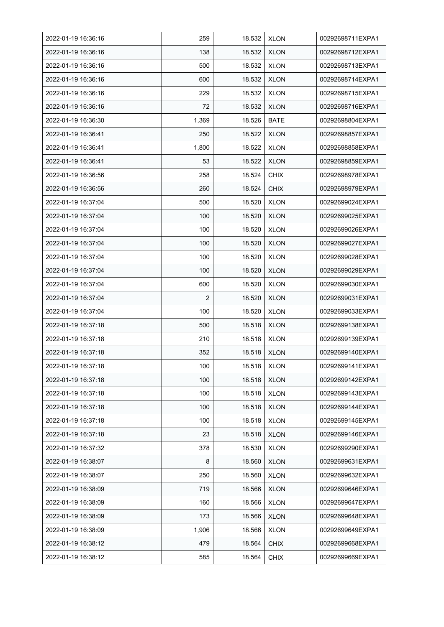| 2022-01-19 16:36:16 | 259            | 18.532 | <b>XLON</b> | 00292698711EXPA1 |
|---------------------|----------------|--------|-------------|------------------|
| 2022-01-19 16:36:16 | 138            | 18.532 | <b>XLON</b> | 00292698712EXPA1 |
| 2022-01-19 16:36:16 | 500            | 18.532 | <b>XLON</b> | 00292698713EXPA1 |
| 2022-01-19 16:36:16 | 600            | 18.532 | <b>XLON</b> | 00292698714EXPA1 |
| 2022-01-19 16:36:16 | 229            | 18.532 | <b>XLON</b> | 00292698715EXPA1 |
| 2022-01-19 16:36:16 | 72             | 18.532 | <b>XLON</b> | 00292698716EXPA1 |
| 2022-01-19 16:36:30 | 1,369          | 18.526 | <b>BATE</b> | 00292698804EXPA1 |
| 2022-01-19 16:36:41 | 250            | 18.522 | <b>XLON</b> | 00292698857EXPA1 |
| 2022-01-19 16:36:41 | 1,800          | 18.522 | <b>XLON</b> | 00292698858EXPA1 |
| 2022-01-19 16:36:41 | 53             | 18.522 | <b>XLON</b> | 00292698859EXPA1 |
| 2022-01-19 16:36:56 | 258            | 18.524 | <b>CHIX</b> | 00292698978EXPA1 |
| 2022-01-19 16:36:56 | 260            | 18.524 | <b>CHIX</b> | 00292698979EXPA1 |
| 2022-01-19 16:37:04 | 500            | 18.520 | <b>XLON</b> | 00292699024EXPA1 |
| 2022-01-19 16:37:04 | 100            | 18.520 | <b>XLON</b> | 00292699025EXPA1 |
| 2022-01-19 16:37:04 | 100            | 18.520 | <b>XLON</b> | 00292699026EXPA1 |
| 2022-01-19 16:37:04 | 100            | 18.520 | <b>XLON</b> | 00292699027EXPA1 |
| 2022-01-19 16:37:04 | 100            | 18.520 | <b>XLON</b> | 00292699028EXPA1 |
| 2022-01-19 16:37:04 | 100            | 18.520 | <b>XLON</b> | 00292699029EXPA1 |
| 2022-01-19 16:37:04 | 600            | 18.520 | <b>XLON</b> | 00292699030EXPA1 |
| 2022-01-19 16:37:04 | $\overline{2}$ | 18.520 | <b>XLON</b> | 00292699031EXPA1 |
| 2022-01-19 16:37:04 | 100            | 18.520 | <b>XLON</b> | 00292699033EXPA1 |
| 2022-01-19 16:37:18 | 500            | 18.518 | <b>XLON</b> | 00292699138EXPA1 |
| 2022-01-19 16:37:18 | 210            | 18.518 | <b>XLON</b> | 00292699139EXPA1 |
| 2022-01-19 16:37:18 | 352            | 18.518 | <b>XLON</b> | 00292699140EXPA1 |
| 2022-01-19 16:37:18 | 100            | 18.518 | <b>XLON</b> | 00292699141EXPA1 |
| 2022-01-19 16:37:18 | 100            | 18.518 | <b>XLON</b> | 00292699142EXPA1 |
| 2022-01-19 16:37:18 | 100            | 18.518 | <b>XLON</b> | 00292699143EXPA1 |
| 2022-01-19 16:37:18 | 100            | 18.518 | <b>XLON</b> | 00292699144EXPA1 |
| 2022-01-19 16:37:18 | 100            | 18.518 | <b>XLON</b> | 00292699145EXPA1 |
| 2022-01-19 16:37:18 | 23             | 18.518 | <b>XLON</b> | 00292699146EXPA1 |
| 2022-01-19 16:37:32 | 378            | 18.530 | <b>XLON</b> | 00292699290EXPA1 |
| 2022-01-19 16:38:07 | 8              | 18.560 | <b>XLON</b> | 00292699631EXPA1 |
| 2022-01-19 16:38:07 | 250            | 18.560 | <b>XLON</b> | 00292699632EXPA1 |
| 2022-01-19 16:38:09 | 719            | 18.566 | <b>XLON</b> | 00292699646EXPA1 |
| 2022-01-19 16:38:09 | 160            | 18.566 | <b>XLON</b> | 00292699647EXPA1 |
| 2022-01-19 16:38:09 | 173            | 18.566 | <b>XLON</b> | 00292699648EXPA1 |
| 2022-01-19 16:38:09 | 1,906          | 18.566 | <b>XLON</b> | 00292699649EXPA1 |
| 2022-01-19 16:38:12 | 479            | 18.564 | <b>CHIX</b> | 00292699668EXPA1 |
| 2022-01-19 16:38:12 | 585            | 18.564 | <b>CHIX</b> | 00292699669EXPA1 |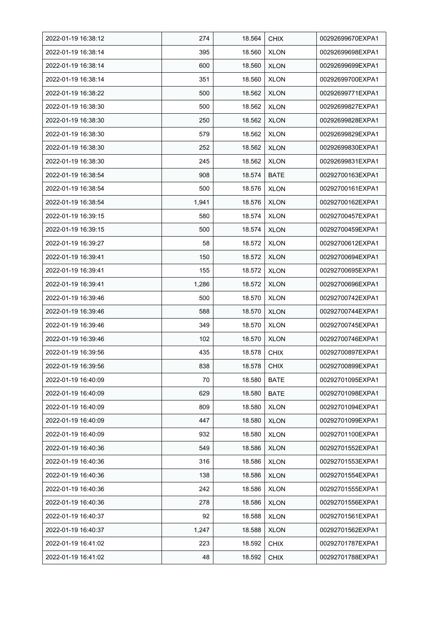| 2022-01-19 16:38:12 | 274   | 18.564 | <b>CHIX</b> | 00292699670EXPA1 |
|---------------------|-------|--------|-------------|------------------|
| 2022-01-19 16:38:14 | 395   | 18.560 | <b>XLON</b> | 00292699698EXPA1 |
| 2022-01-19 16:38:14 | 600   | 18.560 | <b>XLON</b> | 00292699699EXPA1 |
| 2022-01-19 16:38:14 | 351   | 18.560 | <b>XLON</b> | 00292699700EXPA1 |
| 2022-01-19 16:38:22 | 500   | 18.562 | <b>XLON</b> | 00292699771EXPA1 |
| 2022-01-19 16:38:30 | 500   | 18.562 | <b>XLON</b> | 00292699827EXPA1 |
| 2022-01-19 16:38:30 | 250   | 18.562 | <b>XLON</b> | 00292699828EXPA1 |
| 2022-01-19 16:38:30 | 579   | 18.562 | <b>XLON</b> | 00292699829EXPA1 |
| 2022-01-19 16:38:30 | 252   | 18.562 | <b>XLON</b> | 00292699830EXPA1 |
| 2022-01-19 16:38:30 | 245   | 18.562 | <b>XLON</b> | 00292699831EXPA1 |
| 2022-01-19 16:38:54 | 908   | 18.574 | <b>BATE</b> | 00292700163EXPA1 |
| 2022-01-19 16:38:54 | 500   | 18.576 | <b>XLON</b> | 00292700161EXPA1 |
| 2022-01-19 16:38:54 | 1,941 | 18.576 | <b>XLON</b> | 00292700162EXPA1 |
| 2022-01-19 16:39:15 | 580   | 18.574 | <b>XLON</b> | 00292700457EXPA1 |
| 2022-01-19 16:39:15 | 500   | 18.574 | <b>XLON</b> | 00292700459EXPA1 |
| 2022-01-19 16:39:27 | 58    | 18.572 | <b>XLON</b> | 00292700612EXPA1 |
| 2022-01-19 16:39:41 | 150   | 18.572 | <b>XLON</b> | 00292700694EXPA1 |
| 2022-01-19 16:39:41 | 155   | 18.572 | <b>XLON</b> | 00292700695EXPA1 |
| 2022-01-19 16:39:41 | 1,286 | 18.572 | <b>XLON</b> | 00292700696EXPA1 |
| 2022-01-19 16:39:46 | 500   | 18.570 | <b>XLON</b> | 00292700742EXPA1 |
| 2022-01-19 16:39:46 | 588   | 18.570 | <b>XLON</b> | 00292700744EXPA1 |
| 2022-01-19 16:39:46 | 349   | 18.570 | <b>XLON</b> | 00292700745EXPA1 |
| 2022-01-19 16:39:46 | 102   | 18.570 | <b>XLON</b> | 00292700746EXPA1 |
| 2022-01-19 16:39:56 | 435   | 18.578 | <b>CHIX</b> | 00292700897EXPA1 |
| 2022-01-19 16:39:56 | 838   | 18.578 | <b>CHIX</b> | 00292700899EXPA1 |
| 2022-01-19 16:40:09 | 70    | 18.580 | <b>BATE</b> | 00292701095EXPA1 |
| 2022-01-19 16:40:09 | 629   | 18.580 | <b>BATE</b> | 00292701098EXPA1 |
| 2022-01-19 16:40:09 | 809   | 18.580 | <b>XLON</b> | 00292701094EXPA1 |
| 2022-01-19 16:40:09 | 447   | 18.580 | <b>XLON</b> | 00292701099EXPA1 |
| 2022-01-19 16:40:09 | 932   | 18.580 | <b>XLON</b> | 00292701100EXPA1 |
| 2022-01-19 16:40:36 | 549   | 18.586 | <b>XLON</b> | 00292701552EXPA1 |
| 2022-01-19 16:40:36 | 316   | 18.586 | <b>XLON</b> | 00292701553EXPA1 |
| 2022-01-19 16:40:36 | 138   | 18.586 | <b>XLON</b> | 00292701554EXPA1 |
| 2022-01-19 16:40:36 | 242   | 18.586 | <b>XLON</b> | 00292701555EXPA1 |
| 2022-01-19 16:40:36 | 278   | 18.586 | <b>XLON</b> | 00292701556EXPA1 |
| 2022-01-19 16:40:37 | 92    | 18.588 | <b>XLON</b> | 00292701561EXPA1 |
| 2022-01-19 16:40:37 | 1,247 | 18.588 | <b>XLON</b> | 00292701562EXPA1 |
| 2022-01-19 16:41:02 | 223   | 18.592 | <b>CHIX</b> | 00292701787EXPA1 |
| 2022-01-19 16:41:02 | 48    | 18.592 | <b>CHIX</b> | 00292701788EXPA1 |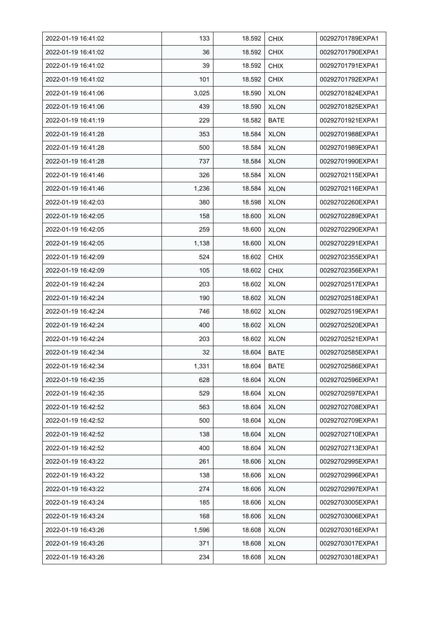| 2022-01-19 16:41:02 | 133   | 18.592 | <b>CHIX</b> | 00292701789EXPA1 |
|---------------------|-------|--------|-------------|------------------|
| 2022-01-19 16:41:02 | 36    | 18.592 | <b>CHIX</b> | 00292701790EXPA1 |
| 2022-01-19 16:41:02 | 39    | 18.592 | <b>CHIX</b> | 00292701791EXPA1 |
| 2022-01-19 16:41:02 | 101   | 18.592 | <b>CHIX</b> | 00292701792EXPA1 |
| 2022-01-19 16:41:06 | 3,025 | 18.590 | <b>XLON</b> | 00292701824EXPA1 |
| 2022-01-19 16:41:06 | 439   | 18.590 | <b>XLON</b> | 00292701825EXPA1 |
| 2022-01-19 16:41:19 | 229   | 18.582 | <b>BATE</b> | 00292701921EXPA1 |
| 2022-01-19 16:41:28 | 353   | 18.584 | <b>XLON</b> | 00292701988EXPA1 |
| 2022-01-19 16:41:28 | 500   | 18.584 | <b>XLON</b> | 00292701989EXPA1 |
| 2022-01-19 16:41:28 | 737   | 18.584 | <b>XLON</b> | 00292701990EXPA1 |
| 2022-01-19 16:41:46 | 326   | 18.584 | <b>XLON</b> | 00292702115EXPA1 |
| 2022-01-19 16:41:46 | 1,236 | 18.584 | <b>XLON</b> | 00292702116EXPA1 |
| 2022-01-19 16:42:03 | 380   | 18.598 | <b>XLON</b> | 00292702260EXPA1 |
| 2022-01-19 16:42:05 | 158   | 18.600 | <b>XLON</b> | 00292702289EXPA1 |
| 2022-01-19 16:42:05 | 259   | 18.600 | <b>XLON</b> | 00292702290EXPA1 |
| 2022-01-19 16:42:05 | 1,138 | 18.600 | <b>XLON</b> | 00292702291EXPA1 |
| 2022-01-19 16:42:09 | 524   | 18.602 | <b>CHIX</b> | 00292702355EXPA1 |
| 2022-01-19 16:42:09 | 105   | 18.602 | <b>CHIX</b> | 00292702356EXPA1 |
| 2022-01-19 16:42:24 | 203   | 18.602 | <b>XLON</b> | 00292702517EXPA1 |
| 2022-01-19 16:42:24 | 190   | 18.602 | <b>XLON</b> | 00292702518EXPA1 |
| 2022-01-19 16:42:24 | 746   | 18.602 | <b>XLON</b> | 00292702519EXPA1 |
| 2022-01-19 16:42:24 | 400   | 18.602 | <b>XLON</b> | 00292702520EXPA1 |
| 2022-01-19 16:42:24 | 203   | 18.602 | <b>XLON</b> | 00292702521EXPA1 |
| 2022-01-19 16:42:34 | 32    | 18.604 | <b>BATE</b> | 00292702585EXPA1 |
| 2022-01-19 16:42:34 | 1,331 | 18.604 | <b>BATE</b> | 00292702586EXPA1 |
| 2022-01-19 16:42:35 | 628   | 18.604 | <b>XLON</b> | 00292702596EXPA1 |
| 2022-01-19 16:42:35 | 529   | 18.604 | <b>XLON</b> | 00292702597EXPA1 |
| 2022-01-19 16:42:52 | 563   | 18.604 | <b>XLON</b> | 00292702708EXPA1 |
| 2022-01-19 16:42:52 | 500   | 18.604 | <b>XLON</b> | 00292702709EXPA1 |
| 2022-01-19 16:42:52 | 138   | 18.604 | <b>XLON</b> | 00292702710EXPA1 |
| 2022-01-19 16:42:52 | 400   | 18.604 | <b>XLON</b> | 00292702713EXPA1 |
| 2022-01-19 16:43:22 | 261   | 18.606 | <b>XLON</b> | 00292702995EXPA1 |
| 2022-01-19 16:43:22 | 138   | 18.606 | <b>XLON</b> | 00292702996EXPA1 |
| 2022-01-19 16:43:22 | 274   | 18.606 | <b>XLON</b> | 00292702997EXPA1 |
| 2022-01-19 16:43:24 | 185   | 18.606 | <b>XLON</b> | 00292703005EXPA1 |
| 2022-01-19 16:43:24 | 168   | 18.606 | <b>XLON</b> | 00292703006EXPA1 |
| 2022-01-19 16:43:26 | 1,596 | 18.608 | <b>XLON</b> | 00292703016EXPA1 |
| 2022-01-19 16:43:26 | 371   | 18.608 | <b>XLON</b> | 00292703017EXPA1 |
| 2022-01-19 16:43:26 | 234   | 18.608 | <b>XLON</b> | 00292703018EXPA1 |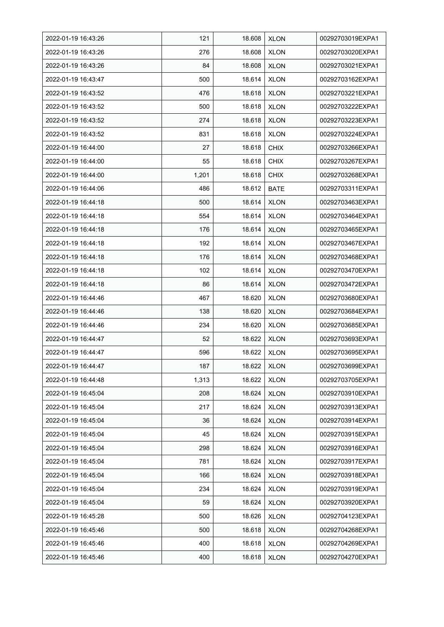| 2022-01-19 16:43:26 | 121   | 18.608 | <b>XLON</b> | 00292703019EXPA1 |
|---------------------|-------|--------|-------------|------------------|
| 2022-01-19 16:43:26 | 276   | 18.608 | <b>XLON</b> | 00292703020EXPA1 |
| 2022-01-19 16:43:26 | 84    | 18.608 | <b>XLON</b> | 00292703021EXPA1 |
| 2022-01-19 16:43:47 | 500   | 18.614 | <b>XLON</b> | 00292703162EXPA1 |
| 2022-01-19 16:43:52 | 476   | 18.618 | <b>XLON</b> | 00292703221EXPA1 |
| 2022-01-19 16:43:52 | 500   | 18.618 | <b>XLON</b> | 00292703222EXPA1 |
| 2022-01-19 16:43:52 | 274   | 18.618 | <b>XLON</b> | 00292703223EXPA1 |
| 2022-01-19 16:43:52 | 831   | 18.618 | <b>XLON</b> | 00292703224EXPA1 |
| 2022-01-19 16:44:00 | 27    | 18.618 | <b>CHIX</b> | 00292703266EXPA1 |
| 2022-01-19 16:44:00 | 55    | 18.618 | <b>CHIX</b> | 00292703267EXPA1 |
| 2022-01-19 16:44:00 | 1,201 | 18.618 | <b>CHIX</b> | 00292703268EXPA1 |
| 2022-01-19 16:44:06 | 486   | 18.612 | <b>BATE</b> | 00292703311EXPA1 |
| 2022-01-19 16:44:18 | 500   | 18.614 | <b>XLON</b> | 00292703463EXPA1 |
| 2022-01-19 16:44:18 | 554   | 18.614 | <b>XLON</b> | 00292703464EXPA1 |
| 2022-01-19 16:44:18 | 176   | 18.614 | <b>XLON</b> | 00292703465EXPA1 |
| 2022-01-19 16:44:18 | 192   | 18.614 | <b>XLON</b> | 00292703467EXPA1 |
| 2022-01-19 16:44:18 | 176   | 18.614 | <b>XLON</b> | 00292703468EXPA1 |
| 2022-01-19 16:44:18 | 102   | 18.614 | <b>XLON</b> | 00292703470EXPA1 |
| 2022-01-19 16:44:18 | 86    | 18.614 | <b>XLON</b> | 00292703472EXPA1 |
| 2022-01-19 16:44:46 | 467   | 18.620 | XLON        | 00292703680EXPA1 |
| 2022-01-19 16:44:46 | 138   | 18.620 | <b>XLON</b> | 00292703684EXPA1 |
| 2022-01-19 16:44:46 | 234   | 18.620 | <b>XLON</b> | 00292703685EXPA1 |
| 2022-01-19 16:44:47 | 52    | 18.622 | <b>XLON</b> | 00292703693EXPA1 |
| 2022-01-19 16:44:47 | 596   | 18.622 | <b>XLON</b> | 00292703695EXPA1 |
| 2022-01-19 16:44:47 | 187   | 18.622 | <b>XLON</b> | 00292703699EXPA1 |
| 2022-01-19 16:44:48 | 1,313 | 18.622 | <b>XLON</b> | 00292703705EXPA1 |
| 2022-01-19 16:45:04 | 208   | 18.624 | <b>XLON</b> | 00292703910EXPA1 |
| 2022-01-19 16:45:04 | 217   | 18.624 | <b>XLON</b> | 00292703913EXPA1 |
| 2022-01-19 16:45:04 | 36    | 18.624 | <b>XLON</b> | 00292703914EXPA1 |
| 2022-01-19 16:45:04 | 45    | 18.624 | <b>XLON</b> | 00292703915EXPA1 |
| 2022-01-19 16:45:04 | 298   | 18.624 | <b>XLON</b> | 00292703916EXPA1 |
| 2022-01-19 16:45:04 | 781   | 18.624 | <b>XLON</b> | 00292703917EXPA1 |
| 2022-01-19 16:45:04 | 166   | 18.624 | <b>XLON</b> | 00292703918EXPA1 |
| 2022-01-19 16:45:04 | 234   | 18.624 | <b>XLON</b> | 00292703919EXPA1 |
| 2022-01-19 16:45:04 | 59    | 18.624 | <b>XLON</b> | 00292703920EXPA1 |
| 2022-01-19 16:45:28 | 500   | 18.626 | <b>XLON</b> | 00292704123EXPA1 |
| 2022-01-19 16:45:46 | 500   | 18.618 | <b>XLON</b> | 00292704268EXPA1 |
| 2022-01-19 16:45:46 | 400   | 18.618 | <b>XLON</b> | 00292704269EXPA1 |
| 2022-01-19 16:45:46 | 400   | 18.618 | <b>XLON</b> | 00292704270EXPA1 |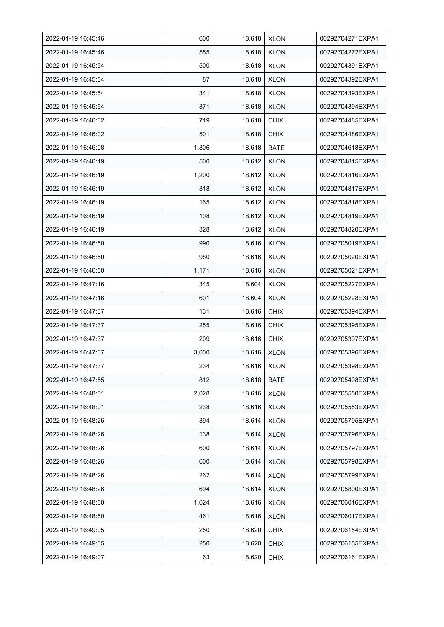| 2022-01-19 16:45:46 | 600   | 18.618 | <b>XLON</b> | 00292704271EXPA1 |
|---------------------|-------|--------|-------------|------------------|
| 2022-01-19 16:45:46 | 555   | 18.618 | <b>XLON</b> | 00292704272EXPA1 |
| 2022-01-19 16:45:54 | 500   | 18.618 | <b>XLON</b> | 00292704391EXPA1 |
| 2022-01-19 16:45:54 | 87    | 18.618 | <b>XLON</b> | 00292704392EXPA1 |
| 2022-01-19 16:45:54 | 341   | 18.618 | <b>XLON</b> | 00292704393EXPA1 |
| 2022-01-19 16:45:54 | 371   | 18.618 | <b>XLON</b> | 00292704394EXPA1 |
| 2022-01-19 16:46:02 | 719   | 18.618 | <b>CHIX</b> | 00292704485EXPA1 |
| 2022-01-19 16:46:02 | 501   | 18.618 | <b>CHIX</b> | 00292704486EXPA1 |
| 2022-01-19 16:46:08 | 1,306 | 18.618 | <b>BATE</b> | 00292704618EXPA1 |
| 2022-01-19 16:46:19 | 500   | 18.612 | <b>XLON</b> | 00292704815EXPA1 |
| 2022-01-19 16:46:19 | 1,200 | 18.612 | <b>XLON</b> | 00292704816EXPA1 |
| 2022-01-19 16:46:19 | 318   | 18.612 | <b>XLON</b> | 00292704817EXPA1 |
| 2022-01-19 16:46:19 | 165   | 18.612 | <b>XLON</b> | 00292704818EXPA1 |
| 2022-01-19 16:46:19 | 108   | 18.612 | <b>XLON</b> | 00292704819EXPA1 |
| 2022-01-19 16:46:19 | 328   | 18.612 | <b>XLON</b> | 00292704820EXPA1 |
| 2022-01-19 16:46:50 | 990   | 18.616 | <b>XLON</b> | 00292705019EXPA1 |
| 2022-01-19 16:46:50 | 980   | 18.616 | <b>XLON</b> | 00292705020EXPA1 |
| 2022-01-19 16:46:50 | 1,171 | 18.616 | <b>XLON</b> | 00292705021EXPA1 |
| 2022-01-19 16:47:16 | 345   | 18.604 | <b>XLON</b> | 00292705227EXPA1 |
| 2022-01-19 16:47:16 | 601   | 18.604 | <b>XLON</b> | 00292705228EXPA1 |
| 2022-01-19 16:47:37 | 131   | 18.616 | <b>CHIX</b> | 00292705394EXPA1 |
| 2022-01-19 16:47:37 | 255   | 18.616 | <b>CHIX</b> | 00292705395EXPA1 |
| 2022-01-19 16:47:37 | 209   | 18.616 | <b>CHIX</b> | 00292705397EXPA1 |
| 2022-01-19 16:47:37 | 3,000 | 18.616 | <b>XLON</b> | 00292705396EXPA1 |
| 2022-01-19 16:47:37 | 234   | 18.616 | <b>XLON</b> | 00292705398EXPA1 |
| 2022-01-19 16:47:55 | 812   | 18.618 | <b>BATE</b> | 00292705498EXPA1 |
| 2022-01-19 16:48:01 | 2,028 | 18.616 | <b>XLON</b> | 00292705550EXPA1 |
| 2022-01-19 16:48:01 | 238   | 18.616 | <b>XLON</b> | 00292705553EXPA1 |
| 2022-01-19 16:48:26 | 394   | 18.614 | <b>XLON</b> | 00292705795EXPA1 |
| 2022-01-19 16:48:26 | 138   | 18.614 | <b>XLON</b> | 00292705796EXPA1 |
| 2022-01-19 16:48:26 | 600   | 18.614 | <b>XLON</b> | 00292705797EXPA1 |
| 2022-01-19 16:48:26 | 600   | 18.614 | <b>XLON</b> | 00292705798EXPA1 |
| 2022-01-19 16:48:26 | 262   | 18.614 | <b>XLON</b> | 00292705799EXPA1 |
| 2022-01-19 16:48:26 | 694   | 18.614 | <b>XLON</b> | 00292705800EXPA1 |
| 2022-01-19 16:48:50 | 1,624 | 18.616 | <b>XLON</b> | 00292706016EXPA1 |
| 2022-01-19 16:48:50 | 461   | 18.616 | <b>XLON</b> | 00292706017EXPA1 |
| 2022-01-19 16:49:05 | 250   | 18.620 | <b>CHIX</b> | 00292706154EXPA1 |
| 2022-01-19 16:49:05 | 250   | 18.620 | <b>CHIX</b> | 00292706155EXPA1 |
| 2022-01-19 16:49:07 | 63    | 18.620 | <b>CHIX</b> | 00292706161EXPA1 |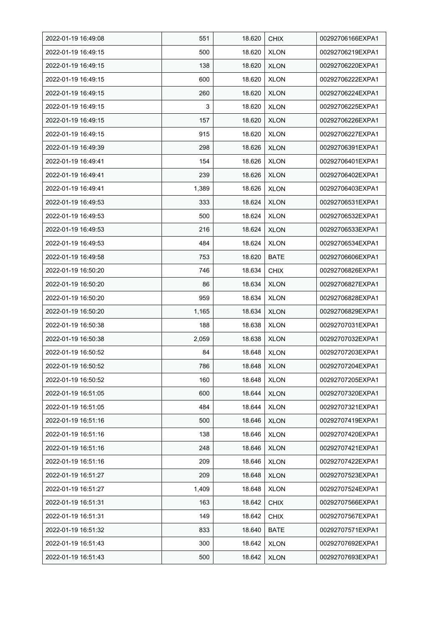| 2022-01-19 16:49:08 | 551   | 18.620 | <b>CHIX</b> | 00292706166EXPA1 |
|---------------------|-------|--------|-------------|------------------|
| 2022-01-19 16:49:15 | 500   | 18.620 | <b>XLON</b> | 00292706219EXPA1 |
| 2022-01-19 16:49:15 | 138   | 18.620 | <b>XLON</b> | 00292706220EXPA1 |
| 2022-01-19 16:49:15 | 600   | 18.620 | <b>XLON</b> | 00292706222EXPA1 |
| 2022-01-19 16:49:15 | 260   | 18.620 | <b>XLON</b> | 00292706224EXPA1 |
| 2022-01-19 16:49:15 | 3     | 18.620 | <b>XLON</b> | 00292706225EXPA1 |
| 2022-01-19 16:49:15 | 157   | 18.620 | <b>XLON</b> | 00292706226EXPA1 |
| 2022-01-19 16:49:15 | 915   | 18.620 | <b>XLON</b> | 00292706227EXPA1 |
| 2022-01-19 16:49:39 | 298   | 18.626 | <b>XLON</b> | 00292706391EXPA1 |
| 2022-01-19 16:49:41 | 154   | 18.626 | <b>XLON</b> | 00292706401EXPA1 |
| 2022-01-19 16:49:41 | 239   | 18.626 | <b>XLON</b> | 00292706402EXPA1 |
| 2022-01-19 16:49:41 | 1,389 | 18.626 | <b>XLON</b> | 00292706403EXPA1 |
| 2022-01-19 16:49:53 | 333   | 18.624 | <b>XLON</b> | 00292706531EXPA1 |
| 2022-01-19 16:49:53 | 500   | 18.624 | <b>XLON</b> | 00292706532EXPA1 |
| 2022-01-19 16:49:53 | 216   | 18.624 | <b>XLON</b> | 00292706533EXPA1 |
| 2022-01-19 16:49:53 | 484   | 18.624 | <b>XLON</b> | 00292706534EXPA1 |
| 2022-01-19 16:49:58 | 753   | 18.620 | <b>BATE</b> | 00292706606EXPA1 |
| 2022-01-19 16:50:20 | 746   | 18.634 | <b>CHIX</b> | 00292706826EXPA1 |
| 2022-01-19 16:50:20 | 86    | 18.634 | <b>XLON</b> | 00292706827EXPA1 |
| 2022-01-19 16:50:20 | 959   | 18.634 | <b>XLON</b> | 00292706828EXPA1 |
| 2022-01-19 16:50:20 | 1,165 | 18.634 | <b>XLON</b> | 00292706829EXPA1 |
| 2022-01-19 16:50:38 | 188   | 18.638 | <b>XLON</b> | 00292707031EXPA1 |
| 2022-01-19 16:50:38 | 2,059 | 18.638 | <b>XLON</b> | 00292707032EXPA1 |
| 2022-01-19 16:50:52 | 84    | 18.648 | <b>XLON</b> | 00292707203EXPA1 |
| 2022-01-19 16:50:52 | 786   | 18.648 | <b>XLON</b> | 00292707204EXPA1 |
| 2022-01-19 16:50:52 | 160   | 18.648 | <b>XLON</b> | 00292707205EXPA1 |
| 2022-01-19 16:51:05 | 600   | 18.644 | <b>XLON</b> | 00292707320EXPA1 |
| 2022-01-19 16:51:05 | 484   | 18.644 | <b>XLON</b> | 00292707321EXPA1 |
| 2022-01-19 16:51:16 | 500   | 18.646 | XLON        | 00292707419EXPA1 |
| 2022-01-19 16:51:16 | 138   | 18.646 | <b>XLON</b> | 00292707420EXPA1 |
| 2022-01-19 16:51:16 | 248   | 18.646 | <b>XLON</b> | 00292707421EXPA1 |
| 2022-01-19 16:51:16 | 209   | 18.646 | <b>XLON</b> | 00292707422EXPA1 |
| 2022-01-19 16:51:27 | 209   | 18.648 | <b>XLON</b> | 00292707523EXPA1 |
| 2022-01-19 16:51:27 | 1,409 | 18.648 | <b>XLON</b> | 00292707524EXPA1 |
| 2022-01-19 16:51:31 | 163   | 18.642 | <b>CHIX</b> | 00292707566EXPA1 |
| 2022-01-19 16:51:31 | 149   | 18.642 | <b>CHIX</b> | 00292707567EXPA1 |
| 2022-01-19 16:51:32 | 833   | 18.640 | BATE        | 00292707571EXPA1 |
| 2022-01-19 16:51:43 | 300   | 18.642 | <b>XLON</b> | 00292707692EXPA1 |
| 2022-01-19 16:51:43 | 500   | 18.642 | <b>XLON</b> | 00292707693EXPA1 |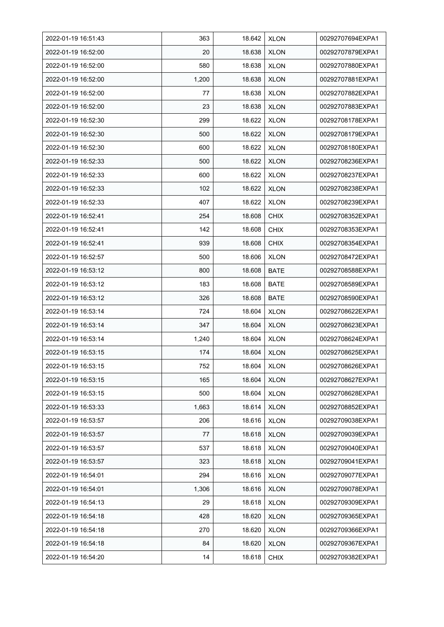| 2022-01-19 16:51:43 | 363   | 18.642 | <b>XLON</b> | 00292707694EXPA1 |
|---------------------|-------|--------|-------------|------------------|
| 2022-01-19 16:52:00 | 20    | 18.638 | <b>XLON</b> | 00292707879EXPA1 |
| 2022-01-19 16:52:00 | 580   | 18.638 | <b>XLON</b> | 00292707880EXPA1 |
| 2022-01-19 16:52:00 | 1,200 | 18.638 | <b>XLON</b> | 00292707881EXPA1 |
| 2022-01-19 16:52:00 | 77    | 18.638 | <b>XLON</b> | 00292707882EXPA1 |
| 2022-01-19 16:52:00 | 23    | 18.638 | <b>XLON</b> | 00292707883EXPA1 |
| 2022-01-19 16:52:30 | 299   | 18.622 | <b>XLON</b> | 00292708178EXPA1 |
| 2022-01-19 16:52:30 | 500   | 18.622 | <b>XLON</b> | 00292708179EXPA1 |
| 2022-01-19 16:52:30 | 600   | 18.622 | <b>XLON</b> | 00292708180EXPA1 |
| 2022-01-19 16:52:33 | 500   | 18.622 | <b>XLON</b> | 00292708236EXPA1 |
| 2022-01-19 16:52:33 | 600   | 18.622 | <b>XLON</b> | 00292708237EXPA1 |
| 2022-01-19 16:52:33 | 102   | 18.622 | <b>XLON</b> | 00292708238EXPA1 |
| 2022-01-19 16:52:33 | 407   | 18.622 | <b>XLON</b> | 00292708239EXPA1 |
| 2022-01-19 16.52.41 | 254   | 18.608 | <b>CHIX</b> | 00292708352EXPA1 |
| 2022-01-19 16:52:41 | 142   | 18.608 | <b>CHIX</b> | 00292708353EXPA1 |
| 2022-01-19 16:52:41 | 939   | 18.608 | <b>CHIX</b> | 00292708354EXPA1 |
| 2022-01-19 16:52:57 | 500   | 18.606 | <b>XLON</b> | 00292708472EXPA1 |
| 2022-01-19 16:53:12 | 800   | 18.608 | <b>BATE</b> | 00292708588EXPA1 |
| 2022-01-19 16:53:12 | 183   | 18.608 | <b>BATE</b> | 00292708589EXPA1 |
| 2022-01-19 16:53:12 | 326   | 18.608 | <b>BATE</b> | 00292708590EXPA1 |
| 2022-01-19 16:53:14 | 724   | 18.604 | <b>XLON</b> | 00292708622EXPA1 |
| 2022-01-19 16:53:14 | 347   | 18.604 | <b>XLON</b> | 00292708623EXPA1 |
| 2022-01-19 16:53:14 | 1,240 | 18.604 | <b>XLON</b> | 00292708624EXPA1 |
| 2022-01-19 16:53:15 | 174   | 18.604 | <b>XLON</b> | 00292708625EXPA1 |
| 2022-01-19 16:53:15 | 752   | 18.604 | <b>XLON</b> | 00292708626EXPA1 |
| 2022-01-19 16:53:15 | 165   | 18.604 | <b>XLON</b> | 00292708627EXPA1 |
| 2022-01-19 16:53:15 | 500   | 18.604 | <b>XLON</b> | 00292708628EXPA1 |
| 2022-01-19 16:53:33 | 1,663 | 18.614 | <b>XLON</b> | 00292708852EXPA1 |
| 2022-01-19 16:53:57 | 206   | 18.616 | <b>XLON</b> | 00292709038EXPA1 |
| 2022-01-19 16:53:57 | 77    | 18.618 | <b>XLON</b> | 00292709039EXPA1 |
| 2022-01-19 16:53:57 | 537   | 18.618 | <b>XLON</b> | 00292709040EXPA1 |
| 2022-01-19 16:53:57 | 323   | 18.618 | <b>XLON</b> | 00292709041EXPA1 |
| 2022-01-19 16:54:01 | 294   | 18.616 | <b>XLON</b> | 00292709077EXPA1 |
| 2022-01-19 16:54:01 | 1,306 | 18.616 | <b>XLON</b> | 00292709078EXPA1 |
| 2022-01-19 16:54:13 | 29    | 18.618 | <b>XLON</b> | 00292709309EXPA1 |
| 2022-01-19 16:54:18 | 428   | 18.620 | <b>XLON</b> | 00292709365EXPA1 |
| 2022-01-19 16:54:18 | 270   | 18.620 | <b>XLON</b> | 00292709366EXPA1 |
| 2022-01-19 16:54:18 | 84    | 18.620 | <b>XLON</b> | 00292709367EXPA1 |
| 2022-01-19 16:54:20 | 14    | 18.618 | <b>CHIX</b> | 00292709382EXPA1 |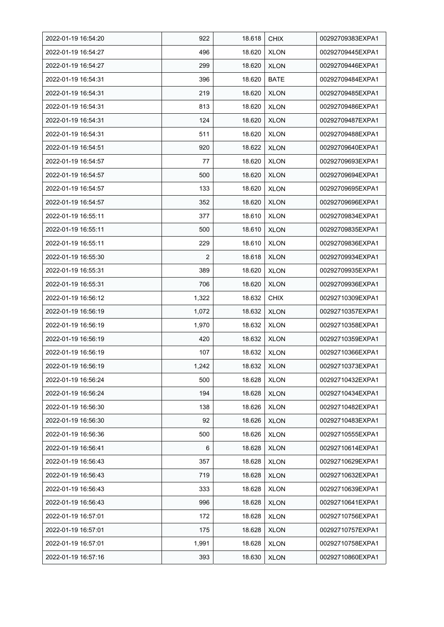| 2022-01-19 16:54:20 | 922            | 18.618 | <b>CHIX</b> | 00292709383EXPA1 |
|---------------------|----------------|--------|-------------|------------------|
| 2022-01-19 16:54:27 | 496            | 18.620 | <b>XLON</b> | 00292709445EXPA1 |
| 2022-01-19 16:54:27 | 299            | 18.620 | <b>XLON</b> | 00292709446EXPA1 |
| 2022-01-19 16:54:31 | 396            | 18.620 | <b>BATE</b> | 00292709484EXPA1 |
| 2022-01-19 16:54:31 | 219            | 18.620 | <b>XLON</b> | 00292709485EXPA1 |
| 2022-01-19 16:54:31 | 813            | 18.620 | <b>XLON</b> | 00292709486EXPA1 |
| 2022-01-19 16:54:31 | 124            | 18.620 | <b>XLON</b> | 00292709487EXPA1 |
| 2022-01-19 16:54:31 | 511            | 18.620 | <b>XLON</b> | 00292709488EXPA1 |
| 2022-01-19 16:54:51 | 920            | 18.622 | <b>XLON</b> | 00292709640EXPA1 |
| 2022-01-19 16:54:57 | 77             | 18.620 | <b>XLON</b> | 00292709693EXPA1 |
| 2022-01-19 16:54:57 | 500            | 18.620 | <b>XLON</b> | 00292709694EXPA1 |
| 2022-01-19 16:54:57 | 133            | 18.620 | <b>XLON</b> | 00292709695EXPA1 |
| 2022-01-19 16:54:57 | 352            | 18.620 | <b>XLON</b> | 00292709696EXPA1 |
| 2022-01-19 16:55:11 | 377            | 18.610 | <b>XLON</b> | 00292709834EXPA1 |
| 2022-01-19 16:55:11 | 500            | 18.610 | <b>XLON</b> | 00292709835EXPA1 |
| 2022-01-19 16:55:11 | 229            | 18.610 | <b>XLON</b> | 00292709836EXPA1 |
| 2022-01-19 16:55:30 | $\overline{2}$ | 18.618 | <b>XLON</b> | 00292709934EXPA1 |
| 2022-01-19 16:55:31 | 389            | 18.620 | <b>XLON</b> | 00292709935EXPA1 |
| 2022-01-19 16:55:31 | 706            | 18.620 | <b>XLON</b> | 00292709936EXPA1 |
| 2022-01-19 16:56:12 | 1,322          | 18.632 | <b>CHIX</b> | 00292710309EXPA1 |
| 2022-01-19 16:56:19 | 1,072          | 18.632 | <b>XLON</b> | 00292710357EXPA1 |
| 2022-01-19 16:56:19 | 1,970          | 18.632 | <b>XLON</b> | 00292710358EXPA1 |
| 2022-01-19 16:56:19 | 420            | 18.632 | <b>XLON</b> | 00292710359EXPA1 |
| 2022-01-19 16:56:19 | 107            | 18.632 | <b>XLON</b> | 00292710366EXPA1 |
| 2022-01-19 16:56:19 | 1,242          | 18.632 | <b>XLON</b> | 00292710373EXPA1 |
| 2022-01-19 16:56:24 | 500            | 18.628 | <b>XLON</b> | 00292710432EXPA1 |
| 2022-01-19 16:56:24 | 194            | 18.628 | <b>XLON</b> | 00292710434EXPA1 |
| 2022-01-19 16:56:30 | 138            | 18.626 | <b>XLON</b> | 00292710482EXPA1 |
| 2022-01-19 16:56:30 | 92             | 18.626 | <b>XLON</b> | 00292710483EXPA1 |
| 2022-01-19 16:56:36 | 500            | 18.626 | <b>XLON</b> | 00292710555EXPA1 |
| 2022-01-19 16:56:41 | 6              | 18.628 | <b>XLON</b> | 00292710614EXPA1 |
| 2022-01-19 16:56:43 | 357            | 18.628 | <b>XLON</b> | 00292710629EXPA1 |
| 2022-01-19 16:56:43 | 719            | 18.628 | <b>XLON</b> | 00292710632EXPA1 |
| 2022-01-19 16:56:43 | 333            | 18.628 | <b>XLON</b> | 00292710639EXPA1 |
| 2022-01-19 16:56:43 | 996            | 18.628 | <b>XLON</b> | 00292710641EXPA1 |
| 2022-01-19 16:57:01 | 172            | 18.628 | <b>XLON</b> | 00292710756EXPA1 |
| 2022-01-19 16:57:01 | 175            | 18.628 | <b>XLON</b> | 00292710757EXPA1 |
| 2022-01-19 16:57:01 | 1,991          | 18.628 | <b>XLON</b> | 00292710758EXPA1 |
| 2022-01-19 16:57:16 | 393            | 18.630 | <b>XLON</b> | 00292710860EXPA1 |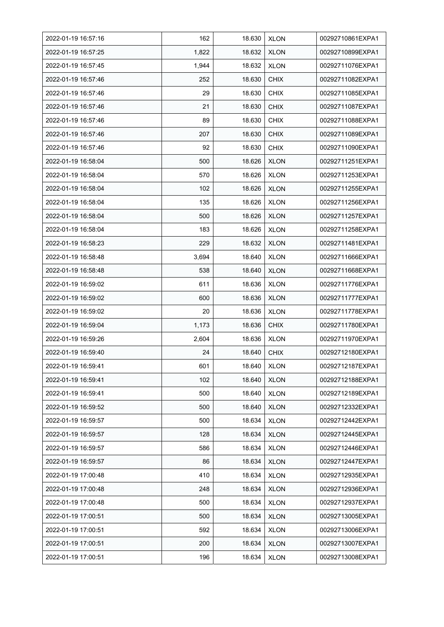| 2022-01-19 16:57:16 | 162   | 18.630 | <b>XLON</b> | 00292710861EXPA1 |
|---------------------|-------|--------|-------------|------------------|
| 2022-01-19 16:57:25 | 1,822 | 18.632 | <b>XLON</b> | 00292710899EXPA1 |
| 2022-01-19 16:57:45 | 1,944 | 18.632 | <b>XLON</b> | 00292711076EXPA1 |
| 2022-01-19 16:57:46 | 252   | 18.630 | <b>CHIX</b> | 00292711082EXPA1 |
| 2022-01-19 16:57:46 | 29    | 18.630 | <b>CHIX</b> | 00292711085EXPA1 |
| 2022-01-19 16:57:46 | 21    | 18.630 | <b>CHIX</b> | 00292711087EXPA1 |
| 2022-01-19 16:57:46 | 89    | 18.630 | <b>CHIX</b> | 00292711088EXPA1 |
| 2022-01-19 16:57:46 | 207   | 18.630 | <b>CHIX</b> | 00292711089EXPA1 |
| 2022-01-19 16:57:46 | 92    | 18.630 | <b>CHIX</b> | 00292711090EXPA1 |
| 2022-01-19 16:58:04 | 500   | 18.626 | <b>XLON</b> | 00292711251EXPA1 |
| 2022-01-19 16:58:04 | 570   | 18.626 | <b>XLON</b> | 00292711253EXPA1 |
| 2022-01-19 16:58:04 | 102   | 18.626 | <b>XLON</b> | 00292711255EXPA1 |
| 2022-01-19 16:58:04 | 135   | 18.626 | <b>XLON</b> | 00292711256EXPA1 |
| 2022-01-19 16:58:04 | 500   | 18.626 | <b>XLON</b> | 00292711257EXPA1 |
| 2022-01-19 16:58:04 | 183   | 18.626 | <b>XLON</b> | 00292711258EXPA1 |
| 2022-01-19 16:58:23 | 229   | 18.632 | <b>XLON</b> | 00292711481EXPA1 |
| 2022-01-19 16:58:48 | 3,694 | 18.640 | <b>XLON</b> | 00292711666EXPA1 |
| 2022-01-19 16:58:48 | 538   | 18.640 | <b>XLON</b> | 00292711668EXPA1 |
| 2022-01-19 16:59:02 | 611   | 18.636 | <b>XLON</b> | 00292711776EXPA1 |
| 2022-01-19 16:59:02 | 600   | 18.636 | <b>XLON</b> | 00292711777EXPA1 |
| 2022-01-19 16:59:02 | 20    | 18.636 | <b>XLON</b> | 00292711778EXPA1 |
| 2022-01-19 16:59:04 | 1,173 | 18.636 | <b>CHIX</b> | 00292711780EXPA1 |
| 2022-01-19 16:59:26 | 2,604 | 18.636 | <b>XLON</b> | 00292711970EXPA1 |
| 2022-01-19 16:59:40 | 24    | 18.640 | <b>CHIX</b> | 00292712180EXPA1 |
| 2022-01-19 16:59:41 | 601   | 18.640 | <b>XLON</b> | 00292712187EXPA1 |
| 2022-01-19 16:59:41 | 102   | 18.640 | <b>XLON</b> | 00292712188EXPA1 |
| 2022-01-19 16:59:41 | 500   | 18.640 | <b>XLON</b> | 00292712189EXPA1 |
| 2022-01-19 16:59:52 | 500   | 18.640 | <b>XLON</b> | 00292712332EXPA1 |
| 2022-01-19 16:59:57 | 500   | 18.634 | <b>XLON</b> | 00292712442EXPA1 |
| 2022-01-19 16:59:57 | 128   | 18.634 | <b>XLON</b> | 00292712445EXPA1 |
| 2022-01-19 16:59:57 | 586   | 18.634 | <b>XLON</b> | 00292712446EXPA1 |
| 2022-01-19 16:59:57 | 86    | 18.634 | <b>XLON</b> | 00292712447EXPA1 |
| 2022-01-19 17:00:48 | 410   | 18.634 | <b>XLON</b> | 00292712935EXPA1 |
| 2022-01-19 17:00:48 | 248   | 18.634 | <b>XLON</b> | 00292712936EXPA1 |
| 2022-01-19 17:00:48 | 500   | 18.634 | <b>XLON</b> | 00292712937EXPA1 |
| 2022-01-19 17:00:51 | 500   | 18.634 | <b>XLON</b> | 00292713005EXPA1 |
| 2022-01-19 17:00:51 | 592   | 18.634 | <b>XLON</b> | 00292713006EXPA1 |
| 2022-01-19 17:00:51 | 200   | 18.634 | <b>XLON</b> | 00292713007EXPA1 |
| 2022-01-19 17:00:51 | 196   | 18.634 | <b>XLON</b> | 00292713008EXPA1 |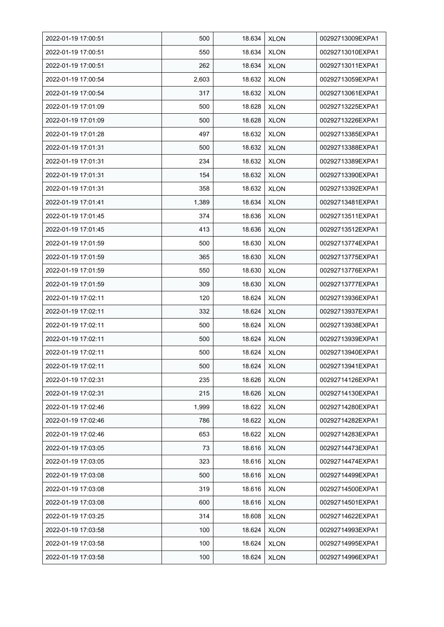| 2022-01-19 17:00:51 | 500   | 18.634 | <b>XLON</b> | 00292713009EXPA1 |
|---------------------|-------|--------|-------------|------------------|
| 2022-01-19 17:00:51 | 550   | 18.634 | <b>XLON</b> | 00292713010EXPA1 |
| 2022-01-19 17 00 51 | 262   | 18.634 | <b>XLON</b> | 00292713011EXPA1 |
| 2022-01-19 17:00:54 | 2,603 | 18.632 | <b>XLON</b> | 00292713059EXPA1 |
| 2022-01-19 17:00:54 | 317   | 18.632 | <b>XLON</b> | 00292713061EXPA1 |
| 2022-01-19 17:01:09 | 500   | 18.628 | <b>XLON</b> | 00292713225EXPA1 |
| 2022-01-19 17:01:09 | 500   | 18.628 | <b>XLON</b> | 00292713226EXPA1 |
| 2022-01-19 17:01:28 | 497   | 18.632 | <b>XLON</b> | 00292713385EXPA1 |
| 2022-01-19 17:01:31 | 500   | 18.632 | <b>XLON</b> | 00292713388EXPA1 |
| 2022-01-19 17:01:31 | 234   | 18.632 | <b>XLON</b> | 00292713389EXPA1 |
| 2022-01-19 17:01:31 | 154   | 18.632 | <b>XLON</b> | 00292713390EXPA1 |
| 2022-01-19 17:01:31 | 358   | 18.632 | <b>XLON</b> | 00292713392EXPA1 |
| 2022-01-19 17:01:41 | 1,389 | 18.634 | <b>XLON</b> | 00292713481EXPA1 |
| 2022-01-19 17:01:45 | 374   | 18.636 | <b>XLON</b> | 00292713511EXPA1 |
| 2022-01-19 17:01:45 | 413   | 18.636 | <b>XLON</b> | 00292713512EXPA1 |
| 2022-01-19 17:01:59 | 500   | 18.630 | <b>XLON</b> | 00292713774EXPA1 |
| 2022-01-19 17:01:59 | 365   | 18.630 | <b>XLON</b> | 00292713775EXPA1 |
| 2022-01-19 17:01:59 | 550   | 18.630 | <b>XLON</b> | 00292713776EXPA1 |
| 2022-01-19 17:01:59 | 309   | 18.630 | <b>XLON</b> | 00292713777EXPA1 |
| 2022-01-19 17:02:11 | 120   | 18.624 | <b>XLON</b> | 00292713936EXPA1 |
| 2022-01-19 17 02 11 | 332   | 18.624 | <b>XLON</b> | 00292713937EXPA1 |
| 2022-01-19 17:02:11 | 500   | 18.624 | <b>XLON</b> | 00292713938EXPA1 |
| 2022-01-19 17:02:11 | 500   | 18.624 | <b>XLON</b> | 00292713939EXPA1 |
| 2022-01-19 17:02:11 | 500   | 18.624 | <b>XLON</b> | 00292713940EXPA1 |
| 2022-01-19 17:02:11 | 500   | 18.624 | <b>XLON</b> | 00292713941EXPA1 |
| 2022-01-19 17:02:31 | 235   | 18.626 | <b>XLON</b> | 00292714126EXPA1 |
| 2022-01-19 17:02:31 | 215   | 18.626 | <b>XLON</b> | 00292714130EXPA1 |
| 2022-01-19 17:02:46 | 1,999 | 18.622 | <b>XLON</b> | 00292714280EXPA1 |
| 2022-01-19 17:02:46 | 786   | 18.622 | <b>XLON</b> | 00292714282EXPA1 |
| 2022-01-19 17:02:46 | 653   | 18.622 | <b>XLON</b> | 00292714283EXPA1 |
| 2022-01-19 17:03:05 | 73    | 18.616 | <b>XLON</b> | 00292714473EXPA1 |
| 2022-01-19 17:03:05 | 323   | 18.616 | <b>XLON</b> | 00292714474EXPA1 |
| 2022-01-19 17:03:08 | 500   | 18.616 | <b>XLON</b> | 00292714499EXPA1 |
| 2022-01-19 17:03:08 | 319   | 18.616 | <b>XLON</b> | 00292714500EXPA1 |
| 2022-01-19 17:03:08 | 600   | 18.616 | <b>XLON</b> | 00292714501EXPA1 |
| 2022-01-19 17:03:25 | 314   | 18.608 | <b>XLON</b> | 00292714622EXPA1 |
| 2022-01-19 17:03:58 | 100   | 18.624 | <b>XLON</b> | 00292714993EXPA1 |
| 2022-01-19 17:03:58 | 100   | 18.624 | <b>XLON</b> | 00292714995EXPA1 |
| 2022-01-19 17:03:58 | 100   | 18.624 | <b>XLON</b> | 00292714996EXPA1 |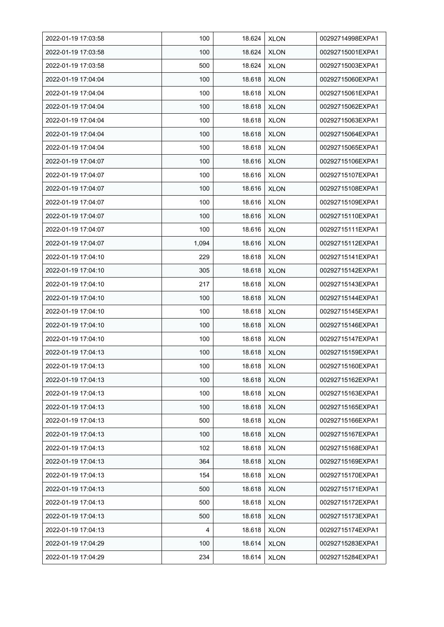| 2022-01-19 17:03:58 | 100   | 18.624 | <b>XLON</b> | 00292714998EXPA1 |
|---------------------|-------|--------|-------------|------------------|
| 2022-01-19 17:03:58 | 100   | 18.624 | <b>XLON</b> | 00292715001EXPA1 |
| 2022-01-19 17:03:58 | 500   | 18.624 | <b>XLON</b> | 00292715003EXPA1 |
| 2022-01-19 17:04:04 | 100   | 18.618 | <b>XLON</b> | 00292715060EXPA1 |
| 2022-01-19 17:04:04 | 100   | 18.618 | <b>XLON</b> | 00292715061EXPA1 |
| 2022-01-19 17:04:04 | 100   | 18.618 | <b>XLON</b> | 00292715062EXPA1 |
| 2022-01-19 17:04:04 | 100   | 18.618 | <b>XLON</b> | 00292715063EXPA1 |
| 2022-01-19 17:04:04 | 100   | 18.618 | <b>XLON</b> | 00292715064EXPA1 |
| 2022-01-19 17:04:04 | 100   | 18.618 | <b>XLON</b> | 00292715065EXPA1 |
| 2022-01-19 17:04:07 | 100   | 18.616 | <b>XLON</b> | 00292715106EXPA1 |
| 2022-01-19 17:04:07 | 100   | 18.616 | <b>XLON</b> | 00292715107EXPA1 |
| 2022-01-19 17:04:07 | 100   | 18.616 | <b>XLON</b> | 00292715108EXPA1 |
| 2022-01-19 17:04:07 | 100   | 18.616 | <b>XLON</b> | 00292715109EXPA1 |
| 2022-01-19 17:04:07 | 100   | 18.616 | <b>XLON</b> | 00292715110EXPA1 |
| 2022-01-19 17:04:07 | 100   | 18.616 | <b>XLON</b> | 00292715111EXPA1 |
| 2022-01-19 17:04:07 | 1,094 | 18.616 | <b>XLON</b> | 00292715112EXPA1 |
| 2022-01-19 17:04:10 | 229   | 18.618 | <b>XLON</b> | 00292715141EXPA1 |
| 2022-01-19 17:04:10 | 305   | 18.618 | <b>XLON</b> | 00292715142EXPA1 |
| 2022-01-19 17:04:10 | 217   | 18.618 | <b>XLON</b> | 00292715143EXPA1 |
| 2022-01-19 17:04:10 | 100   | 18.618 | <b>XLON</b> | 00292715144EXPA1 |
| 2022-01-19 17:04:10 | 100   | 18.618 | <b>XLON</b> | 00292715145EXPA1 |
| 2022-01-19 17:04:10 | 100   | 18.618 | <b>XLON</b> | 00292715146EXPA1 |
| 2022-01-19 17:04:10 | 100   | 18.618 | <b>XLON</b> | 00292715147EXPA1 |
| 2022-01-19 17:04:13 | 100   | 18.618 | <b>XLON</b> | 00292715159EXPA1 |
| 2022-01-19 17:04:13 | 100   | 18.618 | <b>XLON</b> | 00292715160EXPA1 |
| 2022-01-19 17:04:13 | 100   | 18.618 | <b>XLON</b> | 00292715162EXPA1 |
| 2022-01-19 17:04:13 | 100   | 18.618 | <b>XLON</b> | 00292715163EXPA1 |
| 2022-01-19 17:04:13 | 100   | 18.618 | <b>XLON</b> | 00292715165EXPA1 |
| 2022-01-19 17:04:13 | 500   | 18.618 | <b>XLON</b> | 00292715166EXPA1 |
| 2022-01-19 17:04:13 | 100   | 18.618 | <b>XLON</b> | 00292715167EXPA1 |
| 2022-01-19 17:04:13 | 102   | 18.618 | <b>XLON</b> | 00292715168EXPA1 |
| 2022-01-19 17:04:13 | 364   | 18.618 | <b>XLON</b> | 00292715169EXPA1 |
| 2022-01-19 17:04:13 | 154   | 18.618 | <b>XLON</b> | 00292715170EXPA1 |
| 2022-01-19 17:04:13 | 500   | 18.618 | <b>XLON</b> | 00292715171EXPA1 |
| 2022-01-19 17:04:13 | 500   | 18.618 | <b>XLON</b> | 00292715172EXPA1 |
| 2022-01-19 17:04:13 | 500   | 18.618 | <b>XLON</b> | 00292715173EXPA1 |
| 2022-01-19 17:04:13 | 4     | 18.618 | <b>XLON</b> | 00292715174EXPA1 |
| 2022-01-19 17:04:29 | 100   | 18.614 | <b>XLON</b> | 00292715283EXPA1 |
| 2022-01-19 17:04:29 | 234   | 18.614 | <b>XLON</b> | 00292715284EXPA1 |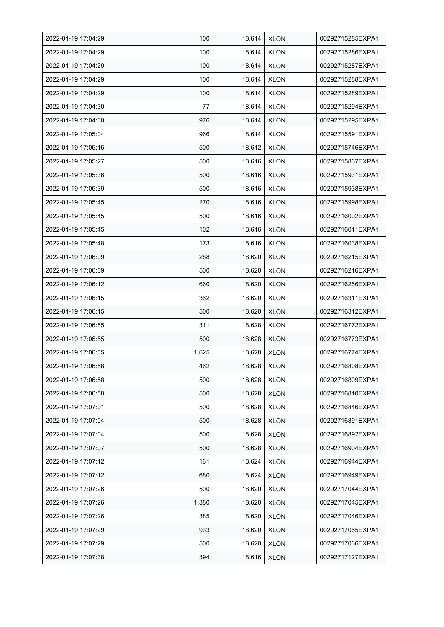| 2022-01-19 17:04:29 | 100   | 18.614 | <b>XLON</b> | 00292715285EXPA1 |
|---------------------|-------|--------|-------------|------------------|
| 2022-01-19 17:04:29 | 100   | 18.614 | <b>XLON</b> | 00292715286EXPA1 |
| 2022-01-19 17:04:29 | 100   | 18.614 | <b>XLON</b> | 00292715287EXPA1 |
| 2022-01-19 17:04:29 | 100   | 18.614 | <b>XLON</b> | 00292715288EXPA1 |
| 2022-01-19 17:04:29 | 100   | 18.614 | <b>XLON</b> | 00292715289EXPA1 |
| 2022-01-19 17:04:30 | 77    | 18.614 | <b>XLON</b> | 00292715294EXPA1 |
| 2022-01-19 17:04:30 | 976   | 18.614 | <b>XLON</b> | 00292715295EXPA1 |
| 2022-01-19 17:05:04 | 966   | 18.614 | <b>XLON</b> | 00292715591EXPA1 |
| 2022-01-19 17:05:15 | 500   | 18.612 | <b>XLON</b> | 00292715746EXPA1 |
| 2022-01-19 17:05:27 | 500   | 18.616 | <b>XLON</b> | 00292715867EXPA1 |
| 2022-01-19 17:05:36 | 500   | 18.616 | <b>XLON</b> | 00292715931EXPA1 |
| 2022-01-19 17:05:39 | 500   | 18.616 | <b>XLON</b> | 00292715938EXPA1 |
| 2022-01-19 17:05:45 | 270   | 18.616 | <b>XLON</b> | 00292715998EXPA1 |
| 2022-01-19 17:05:45 | 500   | 18.616 | <b>XLON</b> | 00292716002EXPA1 |
| 2022-01-19 17:05:45 | 102   | 18.616 | <b>XLON</b> | 00292716011EXPA1 |
| 2022-01-19 17:05:48 | 173   | 18.616 | <b>XLON</b> | 00292716038EXPA1 |
| 2022-01-19 17:06:09 | 288   | 18.620 | <b>XLON</b> | 00292716215EXPA1 |
| 2022-01-19 17:06:09 | 500   | 18.620 | <b>XLON</b> | 00292716216EXPA1 |
| 2022-01-19 17:06:12 | 660   | 18.620 | <b>XLON</b> | 00292716256EXPA1 |
| 2022-01-19 17:06:15 | 362   | 18.620 | <b>XLON</b> | 00292716311EXPA1 |
| 2022-01-19 17:06:15 | 500   | 18.620 | <b>XLON</b> | 00292716312EXPA1 |
| 2022-01-19 17:06:55 | 311   | 18.628 | <b>XLON</b> | 00292716772EXPA1 |
| 2022-01-19 17:06:55 | 500   | 18.628 | <b>XLON</b> | 00292716773EXPA1 |
| 2022-01-19 17:06:55 | 1,625 | 18.628 | <b>XLON</b> | 00292716774EXPA1 |
| 2022-01-19 17:06:58 | 462   | 18.628 | <b>XLON</b> | 00292716808EXPA1 |
| 2022-01-19 17:06:58 | 500   | 18.628 | <b>XLON</b> | 00292716809EXPA1 |
| 2022-01-19 17:06:58 | 500   | 18.628 | <b>XLON</b> | 00292716810EXPA1 |
| 2022-01-19 17:07:01 | 500   | 18.628 | <b>XLON</b> | 00292716846EXPA1 |
| 2022-01-19 17:07:04 | 500   | 18.628 | <b>XLON</b> | 00292716891EXPA1 |
| 2022-01-19 17:07:04 | 500   | 18.628 | <b>XLON</b> | 00292716892EXPA1 |
| 2022-01-19 17:07:07 | 500   | 18.628 | <b>XLON</b> | 00292716904EXPA1 |
| 2022-01-19 17:07:12 | 161   | 18.624 | <b>XLON</b> | 00292716944EXPA1 |
| 2022-01-19 17:07:12 | 680   | 18.624 | <b>XLON</b> | 00292716949EXPA1 |
| 2022-01-19 17:07:26 | 500   | 18.620 | <b>XLON</b> | 00292717044EXPA1 |
| 2022-01-19 17:07:26 | 1,380 | 18.620 | <b>XLON</b> | 00292717045EXPA1 |
| 2022-01-19 17:07:26 | 385   | 18.620 | <b>XLON</b> | 00292717046EXPA1 |
| 2022-01-19 17:07:29 | 933   | 18.620 | <b>XLON</b> | 00292717065EXPA1 |
| 2022-01-19 17:07:29 | 500   | 18.620 | XLON        | 00292717066EXPA1 |
| 2022-01-19 17:07:38 | 394   | 18.616 | <b>XLON</b> | 00292717127EXPA1 |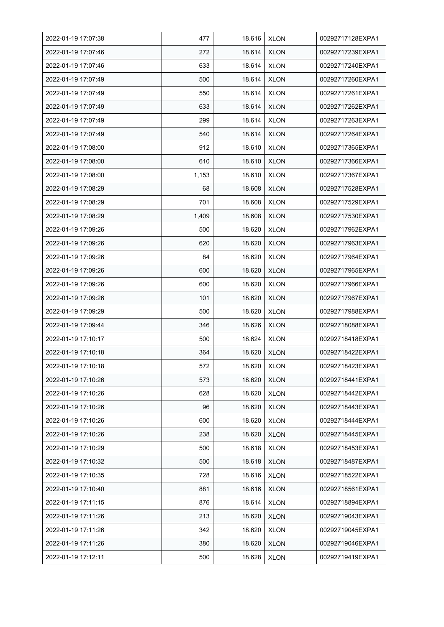| 2022-01-19 17:07:38 | 477   | 18.616 | <b>XLON</b> | 00292717128EXPA1 |
|---------------------|-------|--------|-------------|------------------|
| 2022-01-19 17:07:46 | 272   | 18.614 | <b>XLON</b> | 00292717239EXPA1 |
| 2022-01-19 17:07:46 | 633   | 18.614 | <b>XLON</b> | 00292717240EXPA1 |
| 2022-01-19 17:07:49 | 500   | 18.614 | <b>XLON</b> | 00292717260EXPA1 |
| 2022-01-19 17:07:49 | 550   | 18.614 | <b>XLON</b> | 00292717261EXPA1 |
| 2022-01-19 17:07:49 | 633   | 18.614 | <b>XLON</b> | 00292717262EXPA1 |
| 2022-01-19 17:07:49 | 299   | 18.614 | <b>XLON</b> | 00292717263EXPA1 |
| 2022-01-19 17:07:49 | 540   | 18.614 | <b>XLON</b> | 00292717264EXPA1 |
| 2022-01-19 17:08:00 | 912   | 18.610 | <b>XLON</b> | 00292717365EXPA1 |
| 2022-01-19 17:08:00 | 610   | 18.610 | <b>XLON</b> | 00292717366EXPA1 |
| 2022-01-19 17:08:00 | 1,153 | 18.610 | <b>XLON</b> | 00292717367EXPA1 |
| 2022-01-19 17:08:29 | 68    | 18.608 | <b>XLON</b> | 00292717528EXPA1 |
| 2022-01-19 17:08:29 | 701   | 18.608 | <b>XLON</b> | 00292717529EXPA1 |
| 2022-01-19 17:08:29 | 1,409 | 18.608 | <b>XLON</b> | 00292717530EXPA1 |
| 2022-01-19 17:09:26 | 500   | 18.620 | <b>XLON</b> | 00292717962EXPA1 |
| 2022-01-19 17:09:26 | 620   | 18.620 | <b>XLON</b> | 00292717963EXPA1 |
| 2022-01-19 17:09:26 | 84    | 18.620 | <b>XLON</b> | 00292717964EXPA1 |
| 2022-01-19 17:09:26 | 600   | 18.620 | <b>XLON</b> | 00292717965EXPA1 |
| 2022-01-19 17:09:26 | 600   | 18.620 | <b>XLON</b> | 00292717966EXPA1 |
| 2022-01-19 17:09:26 | 101   | 18.620 | <b>XLON</b> | 00292717967EXPA1 |
| 2022-01-19 17:09:29 | 500   | 18.620 | <b>XLON</b> | 00292717988EXPA1 |
| 2022-01-19 17:09:44 | 346   | 18.626 | <b>XLON</b> | 00292718088EXPA1 |
| 2022-01-19 17:10:17 | 500   | 18.624 | <b>XLON</b> | 00292718418EXPA1 |
| 2022-01-19 17:10:18 | 364   | 18.620 | <b>XLON</b> | 00292718422EXPA1 |
| 2022-01-19 17:10:18 | 572   | 18.620 | <b>XLON</b> | 00292718423EXPA1 |
| 2022-01-19 17:10:26 | 573   | 18.620 | <b>XLON</b> | 00292718441EXPA1 |
| 2022-01-19 17:10:26 | 628   | 18.620 | <b>XLON</b> | 00292718442EXPA1 |
| 2022-01-19 17:10:26 | 96    | 18.620 | <b>XLON</b> | 00292718443EXPA1 |
| 2022-01-19 17:10:26 | 600   | 18.620 | <b>XLON</b> | 00292718444EXPA1 |
| 2022-01-19 17:10:26 | 238   | 18.620 | <b>XLON</b> | 00292718445EXPA1 |
| 2022-01-19 17:10:29 | 500   | 18.618 | <b>XLON</b> | 00292718453EXPA1 |
| 2022-01-19 17:10:32 | 500   | 18.618 | <b>XLON</b> | 00292718487EXPA1 |
| 2022-01-19 17:10:35 | 728   | 18.616 | <b>XLON</b> | 00292718522EXPA1 |
| 2022-01-19 17:10:40 | 881   | 18.616 | <b>XLON</b> | 00292718561EXPA1 |
| 2022-01-19 17:11:15 | 876   | 18.614 | <b>XLON</b> | 00292718894EXPA1 |
| 2022-01-19 17:11:26 | 213   | 18.620 | <b>XLON</b> | 00292719043EXPA1 |
| 2022-01-19 17:11:26 | 342   | 18.620 | <b>XLON</b> | 00292719045EXPA1 |
| 2022-01-19 17:11:26 | 380   | 18.620 | <b>XLON</b> | 00292719046EXPA1 |
| 2022-01-19 17:12:11 | 500   | 18.628 | <b>XLON</b> | 00292719419EXPA1 |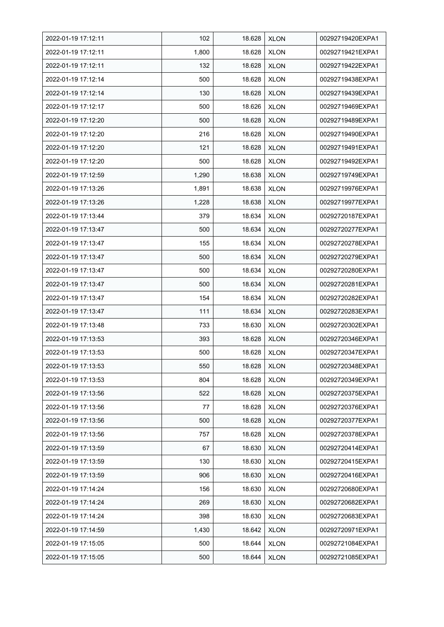| 2022-01-19 17:12:11 | 102   | 18.628 | <b>XLON</b> | 00292719420EXPA1 |
|---------------------|-------|--------|-------------|------------------|
| 2022-01-19 17:12:11 | 1,800 | 18.628 | <b>XLON</b> | 00292719421EXPA1 |
| 2022-01-19 17:12:11 | 132   | 18.628 | <b>XLON</b> | 00292719422EXPA1 |
| 2022-01-19 17:12:14 | 500   | 18.628 | <b>XLON</b> | 00292719438EXPA1 |
| 2022-01-19 17:12:14 | 130   | 18.628 | <b>XLON</b> | 00292719439EXPA1 |
| 2022-01-19 17:12:17 | 500   | 18.626 | <b>XLON</b> | 00292719469EXPA1 |
| 2022-01-19 17:12:20 | 500   | 18.628 | <b>XLON</b> | 00292719489EXPA1 |
| 2022-01-19 17:12:20 | 216   | 18.628 | <b>XLON</b> | 00292719490EXPA1 |
| 2022-01-19 17:12:20 | 121   | 18.628 | <b>XLON</b> | 00292719491EXPA1 |
| 2022-01-19 17:12:20 | 500   | 18.628 | <b>XLON</b> | 00292719492EXPA1 |
| 2022-01-19 17:12:59 | 1,290 | 18.638 | <b>XLON</b> | 00292719749EXPA1 |
| 2022-01-19 17:13:26 | 1,891 | 18.638 | <b>XLON</b> | 00292719976EXPA1 |
| 2022-01-19 17:13:26 | 1,228 | 18.638 | <b>XLON</b> | 00292719977EXPA1 |
| 2022-01-19 17:13:44 | 379   | 18.634 | <b>XLON</b> | 00292720187EXPA1 |
| 2022-01-19 17:13:47 | 500   | 18.634 | <b>XLON</b> | 00292720277EXPA1 |
| 2022-01-19 17:13:47 | 155   | 18.634 | <b>XLON</b> | 00292720278EXPA1 |
| 2022-01-19 17:13:47 | 500   | 18.634 | <b>XLON</b> | 00292720279EXPA1 |
| 2022-01-19 17:13:47 | 500   | 18.634 | <b>XLON</b> | 00292720280EXPA1 |
| 2022-01-19 17:13:47 | 500   | 18.634 | <b>XLON</b> | 00292720281EXPA1 |
| 2022-01-19 17:13:47 | 154   | 18.634 | <b>XLON</b> | 00292720282EXPA1 |
| 2022-01-19 17:13:47 | 111   | 18.634 | <b>XLON</b> | 00292720283EXPA1 |
| 2022-01-19 17:13:48 | 733   | 18.630 | <b>XLON</b> | 00292720302EXPA1 |
| 2022-01-19 17:13:53 | 393   | 18.628 | <b>XLON</b> | 00292720346EXPA1 |
| 2022-01-19 17:13:53 | 500   | 18.628 | <b>XLON</b> | 00292720347EXPA1 |
| 2022-01-19 17:13:53 | 550   | 18.628 | <b>XLON</b> | 00292720348EXPA1 |
| 2022-01-19 17:13:53 | 804   | 18.628 | <b>XLON</b> | 00292720349EXPA1 |
| 2022-01-19 17:13:56 | 522   | 18.628 | <b>XLON</b> | 00292720375EXPA1 |
| 2022-01-19 17:13:56 | 77    | 18.628 | <b>XLON</b> | 00292720376EXPA1 |
| 2022-01-19 17:13:56 | 500   | 18.628 | <b>XLON</b> | 00292720377EXPA1 |
| 2022-01-19 17:13:56 | 757   | 18.628 | <b>XLON</b> | 00292720378EXPA1 |
| 2022-01-19 17:13:59 | 67    | 18.630 | <b>XLON</b> | 00292720414EXPA1 |
| 2022-01-19 17:13:59 | 130   | 18.630 | <b>XLON</b> | 00292720415EXPA1 |
| 2022-01-19 17:13:59 | 906   | 18.630 | <b>XLON</b> | 00292720416EXPA1 |
| 2022-01-19 17:14:24 | 156   | 18.630 | <b>XLON</b> | 00292720680EXPA1 |
| 2022-01-19 17:14:24 | 269   | 18.630 | <b>XLON</b> | 00292720682EXPA1 |
| 2022-01-19 17:14:24 | 398   | 18.630 | <b>XLON</b> | 00292720683EXPA1 |
| 2022-01-19 17:14:59 | 1,430 | 18.642 | <b>XLON</b> | 00292720971EXPA1 |
| 2022-01-19 17:15:05 | 500   | 18.644 | <b>XLON</b> | 00292721084EXPA1 |
| 2022-01-19 17:15:05 | 500   | 18.644 | <b>XLON</b> | 00292721085EXPA1 |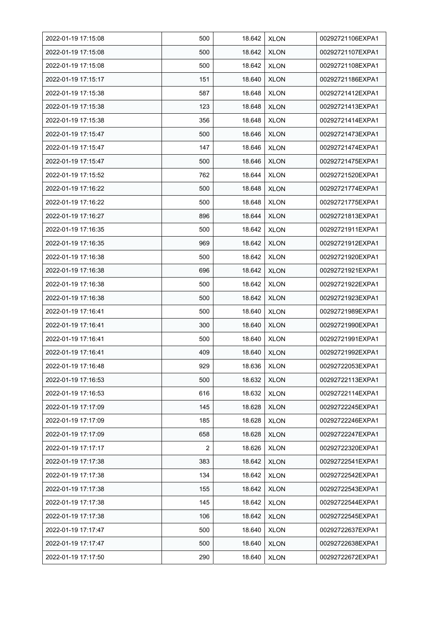| 2022-01-19 17:15:08 | 500 | 18.642 | <b>XLON</b> | 00292721106EXPA1 |
|---------------------|-----|--------|-------------|------------------|
| 2022-01-19 17:15:08 | 500 | 18.642 | <b>XLON</b> | 00292721107EXPA1 |
| 2022-01-19 17:15:08 | 500 | 18.642 | <b>XLON</b> | 00292721108EXPA1 |
| 2022-01-19 17:15:17 | 151 | 18.640 | <b>XLON</b> | 00292721186EXPA1 |
| 2022-01-19 17:15:38 | 587 | 18.648 | <b>XLON</b> | 00292721412EXPA1 |
| 2022-01-19 17:15:38 | 123 | 18.648 | <b>XLON</b> | 00292721413EXPA1 |
| 2022-01-19 17:15:38 | 356 | 18.648 | <b>XLON</b> | 00292721414EXPA1 |
| 2022-01-19 17:15:47 | 500 | 18.646 | <b>XLON</b> | 00292721473EXPA1 |
| 2022-01-19 17:15:47 | 147 | 18.646 | <b>XLON</b> | 00292721474EXPA1 |
| 2022-01-19 17:15:47 | 500 | 18.646 | <b>XLON</b> | 00292721475EXPA1 |
| 2022-01-19 17:15:52 | 762 | 18.644 | <b>XLON</b> | 00292721520EXPA1 |
| 2022-01-19 17:16:22 | 500 | 18.648 | <b>XLON</b> | 00292721774EXPA1 |
| 2022-01-19 17:16:22 | 500 | 18.648 | <b>XLON</b> | 00292721775EXPA1 |
| 2022-01-19 17:16:27 | 896 | 18.644 | <b>XLON</b> | 00292721813EXPA1 |
| 2022-01-19 17:16:35 | 500 | 18.642 | <b>XLON</b> | 00292721911EXPA1 |
| 2022-01-19 17:16:35 | 969 | 18.642 | <b>XLON</b> | 00292721912EXPA1 |
| 2022-01-19 17:16:38 | 500 | 18.642 | <b>XLON</b> | 00292721920EXPA1 |
| 2022-01-19 17:16:38 | 696 | 18.642 | <b>XLON</b> | 00292721921EXPA1 |
| 2022-01-19 17:16:38 | 500 | 18.642 | <b>XLON</b> | 00292721922EXPA1 |
| 2022-01-19 17:16:38 | 500 | 18.642 | <b>XLON</b> | 00292721923EXPA1 |
| 2022-01-19 17:16:41 | 500 | 18.640 | <b>XLON</b> | 00292721989EXPA1 |
| 2022-01-19 17:16:41 | 300 | 18.640 | <b>XLON</b> | 00292721990EXPA1 |
| 2022-01-19 17:16:41 | 500 | 18.640 | <b>XLON</b> | 00292721991EXPA1 |
| 2022-01-19 17:16:41 | 409 | 18.640 | <b>XLON</b> | 00292721992EXPA1 |
| 2022-01-19 17:16:48 | 929 | 18.636 | <b>XLON</b> | 00292722053EXPA1 |
| 2022-01-19 17:16:53 | 500 | 18.632 | <b>XLON</b> | 00292722113EXPA1 |
| 2022-01-19 17:16:53 | 616 | 18.632 | <b>XLON</b> | 00292722114EXPA1 |
| 2022-01-19 17:17:09 | 145 | 18.628 | <b>XLON</b> | 00292722245EXPA1 |
| 2022-01-19 17:17:09 | 185 | 18.628 | <b>XLON</b> | 00292722246EXPA1 |
| 2022-01-19 17:17:09 | 658 | 18.628 | <b>XLON</b> | 00292722247EXPA1 |
| 2022-01-19 17:17:17 | 2   | 18.626 | <b>XLON</b> | 00292722320EXPA1 |
| 2022-01-19 17:17:38 | 383 | 18.642 | <b>XLON</b> | 00292722541EXPA1 |
| 2022-01-19 17:17:38 | 134 | 18.642 | <b>XLON</b> | 00292722542EXPA1 |
| 2022-01-19 17:17:38 | 155 | 18.642 | <b>XLON</b> | 00292722543EXPA1 |
| 2022-01-19 17:17:38 | 145 | 18.642 | <b>XLON</b> | 00292722544EXPA1 |
| 2022-01-19 17:17:38 | 106 | 18.642 | <b>XLON</b> | 00292722545EXPA1 |
| 2022-01-19 17:17:47 | 500 | 18.640 | <b>XLON</b> | 00292722637EXPA1 |
| 2022-01-19 17:17:47 | 500 | 18.640 | <b>XLON</b> | 00292722638EXPA1 |
| 2022-01-19 17:17:50 | 290 | 18.640 | <b>XLON</b> | 00292722672EXPA1 |
|                     |     |        |             |                  |